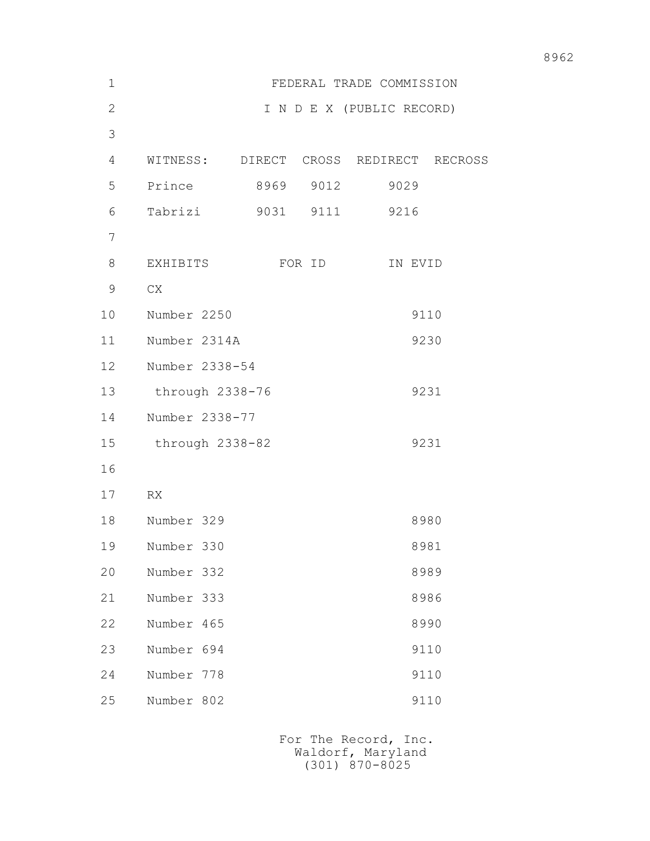| $\mathbf 1$    |                |                 |      |           | FEDERAL TRADE COMMISSION  |                                        |
|----------------|----------------|-----------------|------|-----------|---------------------------|----------------------------------------|
| $\overline{2}$ |                |                 |      |           | I N D E X (PUBLIC RECORD) |                                        |
| 3              |                |                 |      |           |                           |                                        |
| 4              |                |                 |      |           |                           | WITNESS: DIRECT CROSS REDIRECT RECROSS |
| 5              | Prince         |                 |      | 8969 9012 | 9029                      |                                        |
| 6              | Tabrizi        |                 | 9031 | 9111      | 9216                      |                                        |
| 7              |                |                 |      |           |                           |                                        |
| 8              | EXHIBITS       |                 |      | FOR ID    |                           | IN EVID                                |
| 9              | ${\rm CX}$     |                 |      |           |                           |                                        |
| 10             | Number 2250    |                 |      |           |                           | 9110                                   |
| 11             | Number 2314A   |                 |      |           |                           | 9230                                   |
| 12             | Number 2338-54 |                 |      |           |                           |                                        |
| 13             |                | through 2338-76 |      |           |                           | 9231                                   |
| 14             | Number 2338-77 |                 |      |           |                           |                                        |
| 15             |                | through 2338-82 |      |           |                           | 9231                                   |
| 16             |                |                 |      |           |                           |                                        |
| 17             | RX             |                 |      |           |                           |                                        |
| 18             | Number 329     |                 |      |           |                           | 8980                                   |
| 19             | Number 330     |                 |      |           |                           | 8981                                   |
| 20             | Number 332     |                 |      |           |                           | 8989                                   |
| 21             | Number 333     |                 |      |           |                           | 8986                                   |
| 22             | Number 465     |                 |      |           |                           | 8990                                   |
| 23             | Number 694     |                 |      |           |                           | 9110                                   |
| 24             | Number 778     |                 |      |           |                           | 9110                                   |
| 25             | Number 802     |                 |      |           |                           | 9110                                   |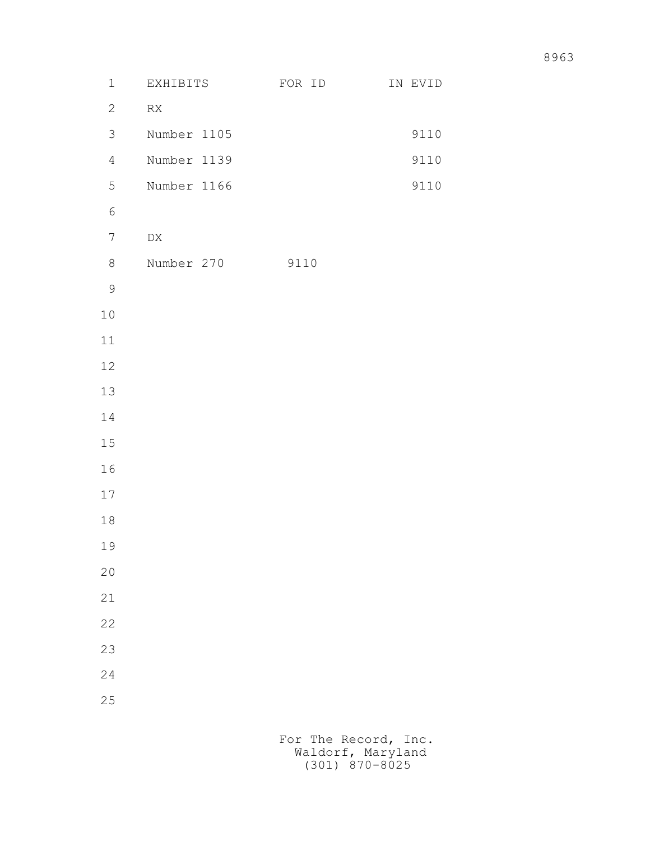| $\mathbf 1$    | EXHIBITS         | FOR ID | IN EVID |
|----------------|------------------|--------|---------|
| $\overline{2}$ | ${\sf RX}$       |        |         |
| 3              | Number 1105      |        | 9110    |
| $\overline{4}$ | Number 1139      |        | 9110    |
| 5              | Number 1166      |        | 9110    |
| $\epsilon$     |                  |        |         |
| $\overline{7}$ | ${\rm D}{\rm X}$ |        |         |
| $8\,$          | Number 270       | 9110   |         |
| $\mathsf 9$    |                  |        |         |
| $1\,0$         |                  |        |         |
| $11\,$         |                  |        |         |
| 12             |                  |        |         |
| 13             |                  |        |         |
| 14             |                  |        |         |
| $15\,$         |                  |        |         |
| 16             |                  |        |         |
| $17\,$         |                  |        |         |
| $1\,8$         |                  |        |         |
| 19             |                  |        |         |
| $20$           |                  |        |         |
| 21             |                  |        |         |
| 22             |                  |        |         |
| 23             |                  |        |         |
| 24             |                  |        |         |
| 25             |                  |        |         |
|                |                  |        |         |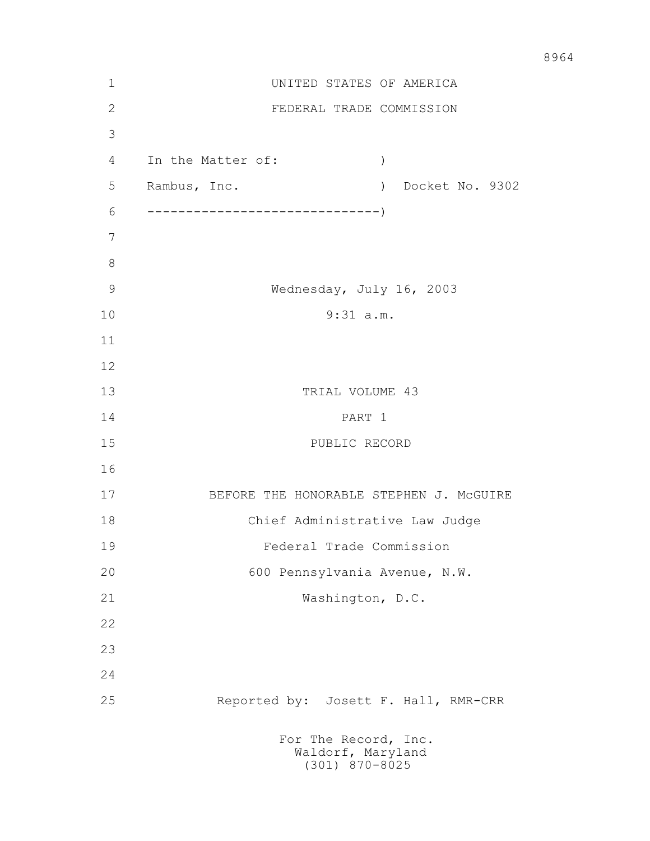| 1  | UNITED STATES OF AMERICA                                      |
|----|---------------------------------------------------------------|
| 2  | FEDERAL TRADE COMMISSION                                      |
| 3  |                                                               |
| 4  | In the Matter of:<br>$\left( \right)$                         |
| 5  | Rambus, Inc.<br>) Docket No. 9302                             |
| 6  |                                                               |
| 7  |                                                               |
| 8  |                                                               |
| 9  | Wednesday, July 16, 2003                                      |
| 10 | $9:31$ a.m.                                                   |
| 11 |                                                               |
| 12 |                                                               |
| 13 | TRIAL VOLUME 43                                               |
| 14 | PART 1                                                        |
| 15 | PUBLIC RECORD                                                 |
| 16 |                                                               |
| 17 | BEFORE THE HONORABLE STEPHEN J. MCGUIRE                       |
| 18 | Chief Administrative Law Judge                                |
| 19 | Federal Trade Commission                                      |
| 20 | 600 Pennsylvania Avenue, N.W.                                 |
| 21 | Washington, D.C.                                              |
| 22 |                                                               |
| 23 |                                                               |
| 24 |                                                               |
| 25 | Reported by: Josett F. Hall, RMR-CRR                          |
|    | For The Record, Inc.<br>Waldorf, Maryland<br>$(301)$ 870-8025 |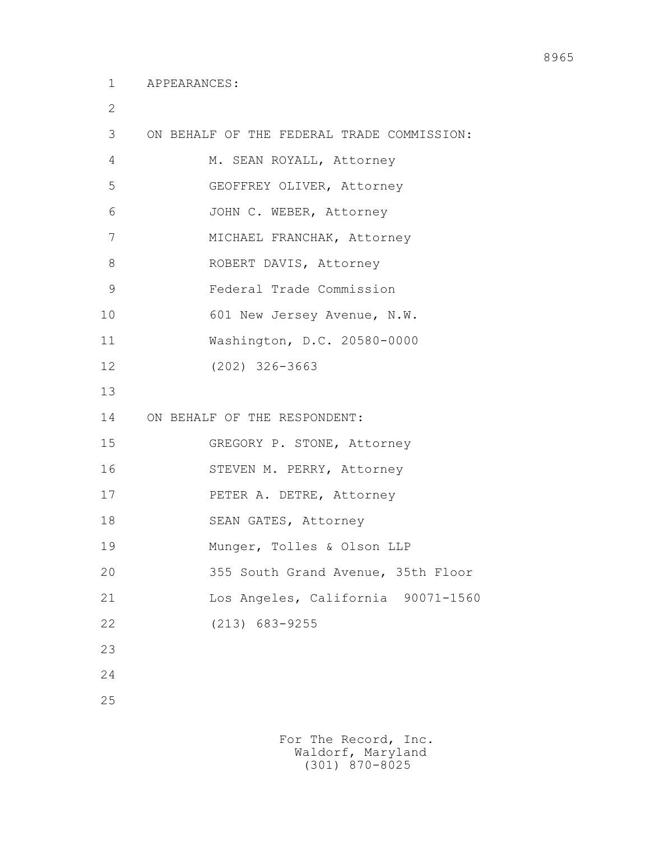2

| 3  | ON BEHALF OF THE FEDERAL TRADE COMMISSION: |  |
|----|--------------------------------------------|--|
| 4  | M. SEAN ROYALL, Attorney                   |  |
| 5  | GEOFFREY OLIVER, Attorney                  |  |
| 6  | JOHN C. WEBER, Attorney                    |  |
| 7  | MICHAEL FRANCHAK, Attorney                 |  |
| 8  | ROBERT DAVIS, Attorney                     |  |
| 9  | Federal Trade Commission                   |  |
| 10 | 601 New Jersey Avenue, N.W.                |  |
| 11 | Washington, D.C. 20580-0000                |  |
| 12 | $(202)$ 326-3663                           |  |
| 13 |                                            |  |
| 14 | ON BEHALF OF THE RESPONDENT:               |  |
| 15 | GREGORY P. STONE, Attorney                 |  |
| 16 | STEVEN M. PERRY, Attorney                  |  |
| 17 | PETER A. DETRE, Attorney                   |  |
| 18 | SEAN GATES, Attorney                       |  |
| 19 | Munger, Tolles & Olson LLP                 |  |
| 20 | 355 South Grand Avenue, 35th Floor         |  |
| 21 | Los Angeles, California 90071-1560         |  |
| 22 | $(213)$ 683-9255                           |  |
|    |                                            |  |
| 23 |                                            |  |
| 24 |                                            |  |
| 25 |                                            |  |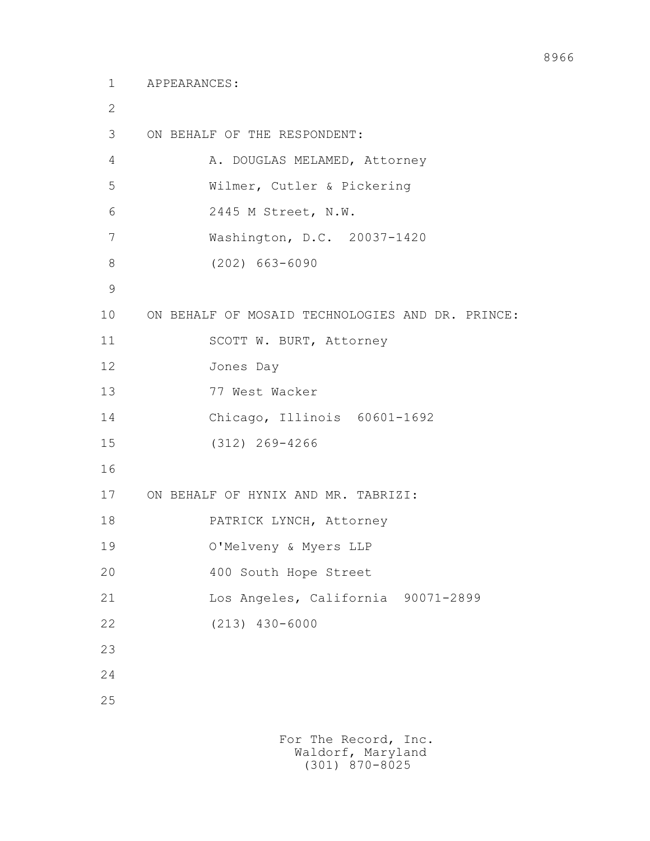```
 1 APPEARANCES:
```

```
 2
      3 ON BEHALF OF THE RESPONDENT:
     4 A. DOUGLAS MELAMED, Attorney
      5 Wilmer, Cutler & Pickering
      6 2445 M Street, N.W.
      7 Washington, D.C. 20037-1420
      8 (202) 663-6090
9
     10 ON BEHALF OF MOSAID TECHNOLOGIES AND DR. PRINCE:
    11 SCOTT W. BURT, Attorney
     12 Jones Day
     13 77 West Wacker
     14 Chicago, Illinois 60601-1692
     15 (312) 269-4266
     16
     17 ON BEHALF OF HYNIX AND MR. TABRIZI:
    18 PATRICK LYNCH, Attorney
     19 O'Melveny & Myers LLP
     20 400 South Hope Street
     21 Los Angeles, California 90071-2899
     22 (213) 430-6000
     23
     24
     25
```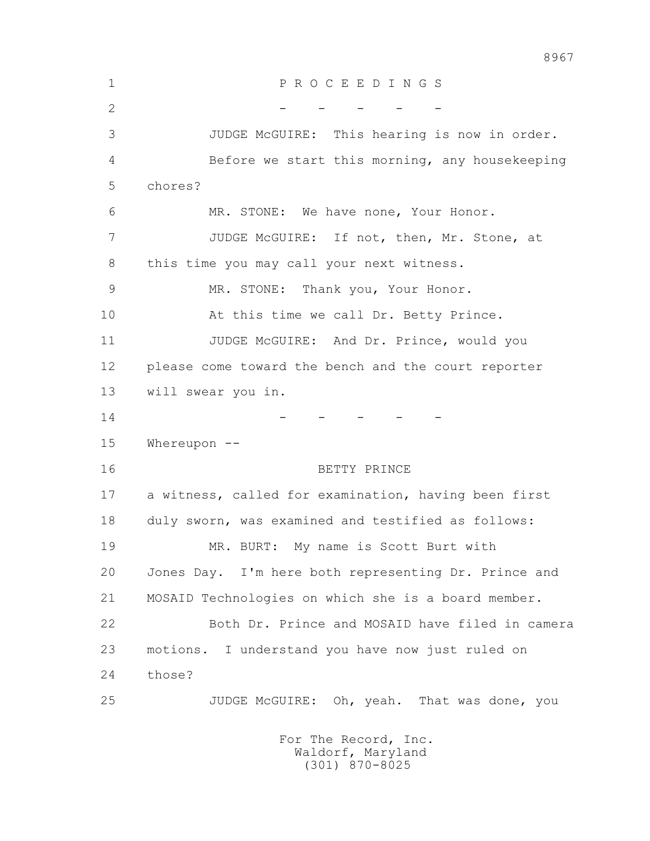1 P R O C E E D I N G S 2 - - - - - - 3 JUDGE McGUIRE: This hearing is now in order. 4 Before we start this morning, any housekeeping 5 chores? 6 MR. STONE: We have none, Your Honor. 7 JUDGE McGUIRE: If not, then, Mr. Stone, at 8 this time you may call your next witness. 9 MR. STONE: Thank you, Your Honor. 10 At this time we call Dr. Betty Prince. 11 JUDGE McGUIRE: And Dr. Prince, would you 12 please come toward the bench and the court reporter 13 will swear you in.  $14$  - - - - - 15 Whereupon -- 16 BETTY PRINCE 17 a witness, called for examination, having been first 18 duly sworn, was examined and testified as follows: 19 MR. BURT: My name is Scott Burt with 20 Jones Day. I'm here both representing Dr. Prince and 21 MOSAID Technologies on which she is a board member. 22 Both Dr. Prince and MOSAID have filed in camera 23 motions. I understand you have now just ruled on 24 those? 25 JUDGE McGUIRE: Oh, yeah. That was done, you For The Record, Inc.

 Waldorf, Maryland (301) 870-8025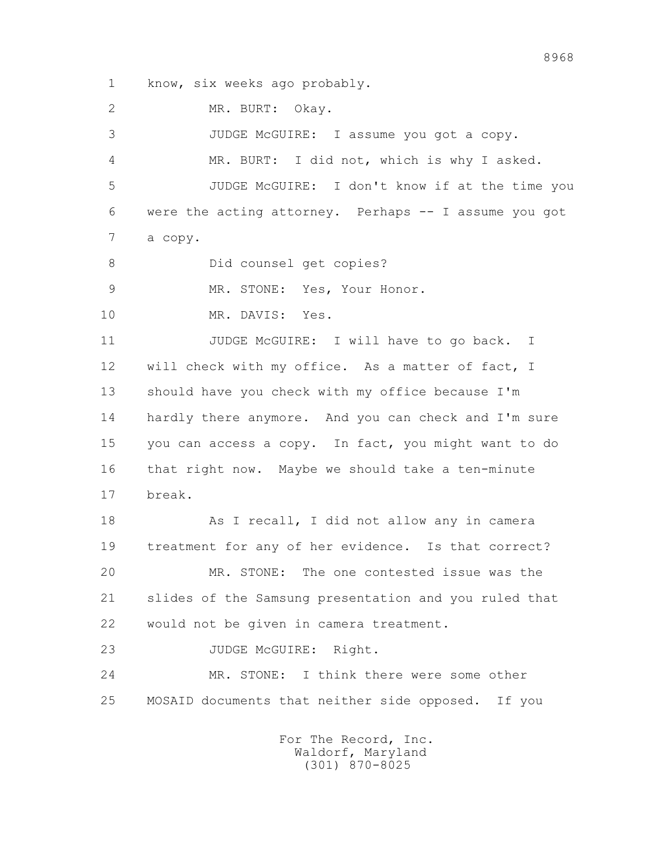1 know, six weeks ago probably.

2 MR. BURT: Okay.

 3 JUDGE McGUIRE: I assume you got a copy. 4 MR. BURT: I did not, which is why I asked. 5 JUDGE McGUIRE: I don't know if at the time you 6 were the acting attorney. Perhaps -- I assume you got 7 a copy. 8 Did counsel get copies? 9 MR. STONE: Yes, Your Honor. 10 MR. DAVIS: Yes. 11 JUDGE McGUIRE: I will have to go back. I 12 will check with my office. As a matter of fact, I 13 should have you check with my office because I'm 14 hardly there anymore. And you can check and I'm sure 15 you can access a copy. In fact, you might want to do 16 that right now. Maybe we should take a ten-minute 17 break. 18 As I recall, I did not allow any in camera 19 treatment for any of her evidence. Is that correct? 20 MR. STONE: The one contested issue was the 21 slides of the Samsung presentation and you ruled that 22 would not be given in camera treatment. 23 JUDGE McGUIRE: Right. 24 MR. STONE: I think there were some other

25 MOSAID documents that neither side opposed. If you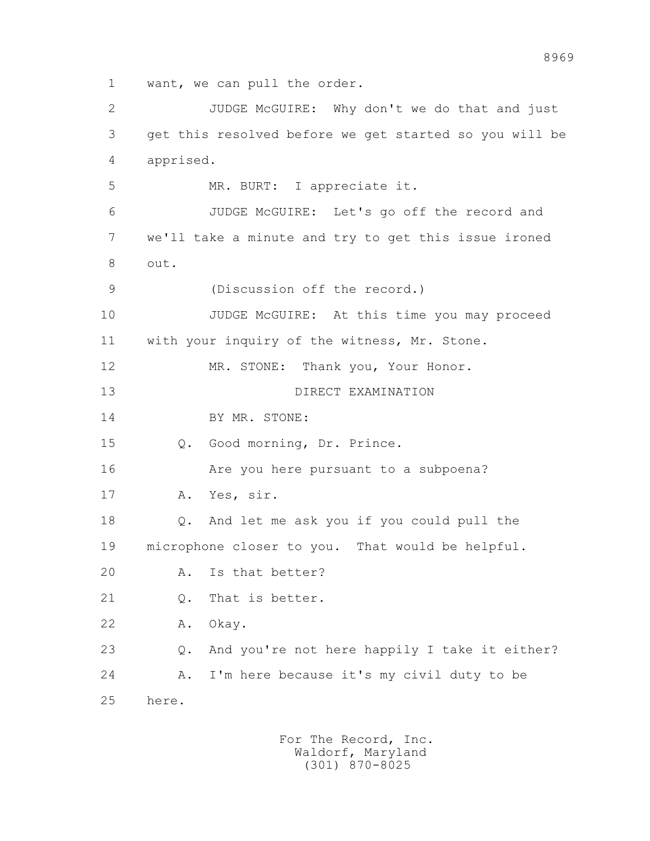1 want, we can pull the order.

 2 JUDGE McGUIRE: Why don't we do that and just 3 get this resolved before we get started so you will be 4 apprised. 5 MR. BURT: I appreciate it. 6 JUDGE McGUIRE: Let's go off the record and 7 we'll take a minute and try to get this issue ironed 8 out. 9 (Discussion off the record.) 10 JUDGE McGUIRE: At this time you may proceed 11 with your inquiry of the witness, Mr. Stone. 12 MR. STONE: Thank you, Your Honor. 13 DIRECT EXAMINATION 14 BY MR. STONE: 15 Q. Good morning, Dr. Prince. 16 Are you here pursuant to a subpoena? 17 A. Yes, sir. 18 Q. And let me ask you if you could pull the 19 microphone closer to you. That would be helpful. 20 A. Is that better? 21 Q. That is better. 22 A. Okay. 23 Q. And you're not here happily I take it either? 24 A. I'm here because it's my civil duty to be 25 here.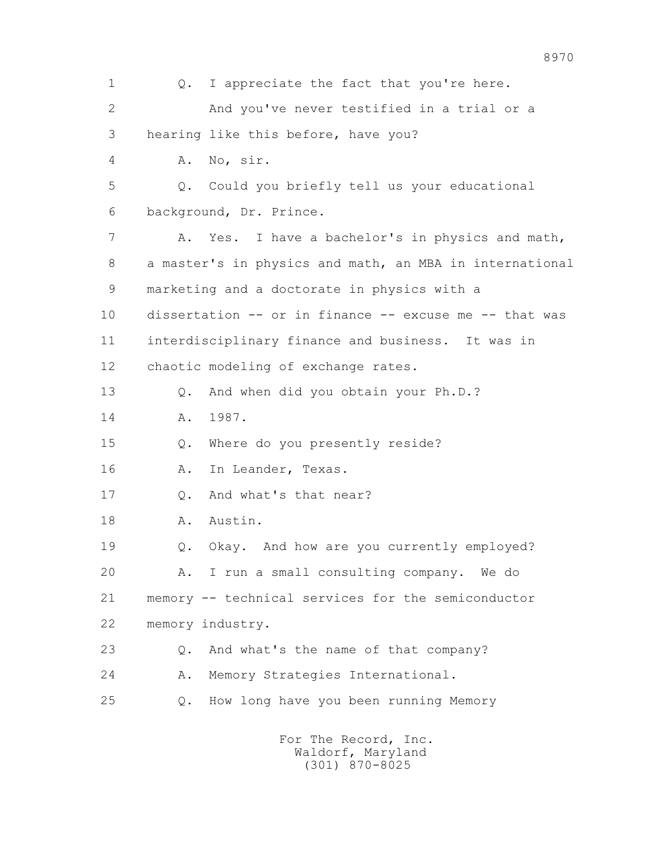1 0. I appreciate the fact that you're here. 2 And you've never testified in a trial or a 3 hearing like this before, have you? 4 A. No, sir. 5 Q. Could you briefly tell us your educational 6 background, Dr. Prince. 7 A. Yes. I have a bachelor's in physics and math, 8 a master's in physics and math, an MBA in international 9 marketing and a doctorate in physics with a 10 dissertation -- or in finance -- excuse me -- that was 11 interdisciplinary finance and business. It was in 12 chaotic modeling of exchange rates. 13 Q. And when did you obtain your Ph.D.? 14 A. 1987. 15 Q. Where do you presently reside? 16 A. In Leander, Texas. 17 Q. And what's that near? 18 A. Austin. 19 Q. Okay. And how are you currently employed? 20 A. I run a small consulting company. We do 21 memory -- technical services for the semiconductor 22 memory industry. 23 Q. And what's the name of that company? 24 A. Memory Strategies International. 25 Q. How long have you been running Memory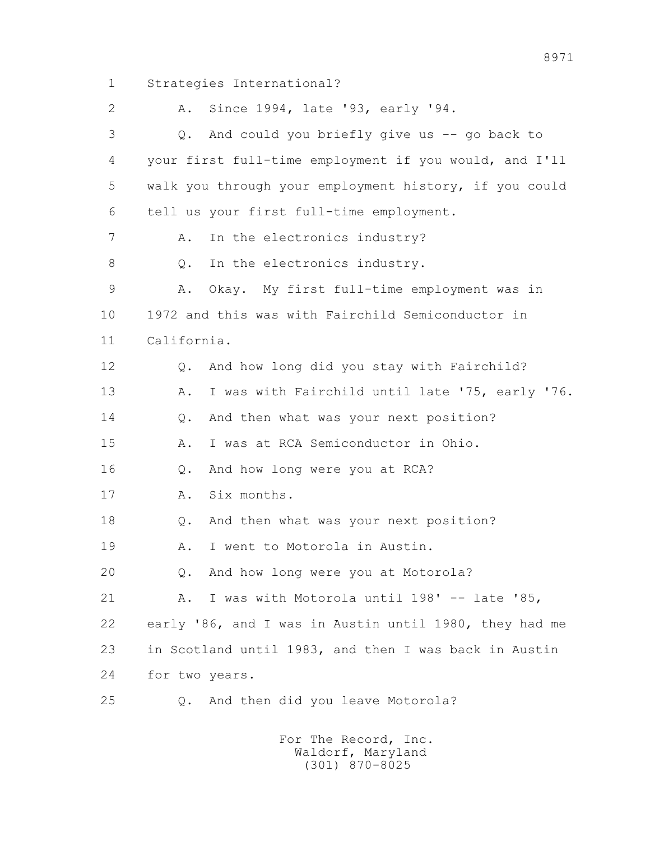1 Strategies International? 2 A. Since 1994, late '93, early '94. 3 Q. And could you briefly give us -- go back to 4 your first full-time employment if you would, and I'll 5 walk you through your employment history, if you could 6 tell us your first full-time employment. 7 A. In the electronics industry? 8 0. In the electronics industry. 9 A. Okay. My first full-time employment was in 10 1972 and this was with Fairchild Semiconductor in 11 California. 12 Q. And how long did you stay with Fairchild? 13 A. I was with Fairchild until late '75, early '76. 14 0. And then what was your next position? 15 A. I was at RCA Semiconductor in Ohio. 16 Q. And how long were you at RCA? 17 A. Six months. 18 Q. And then what was your next position? 19 A. I went to Motorola in Austin. 20 Q. And how long were you at Motorola? 21 A. I was with Motorola until 198' -- late '85, 22 early '86, and I was in Austin until 1980, they had me 23 in Scotland until 1983, and then I was back in Austin 24 for two years. 25 Q. And then did you leave Motorola?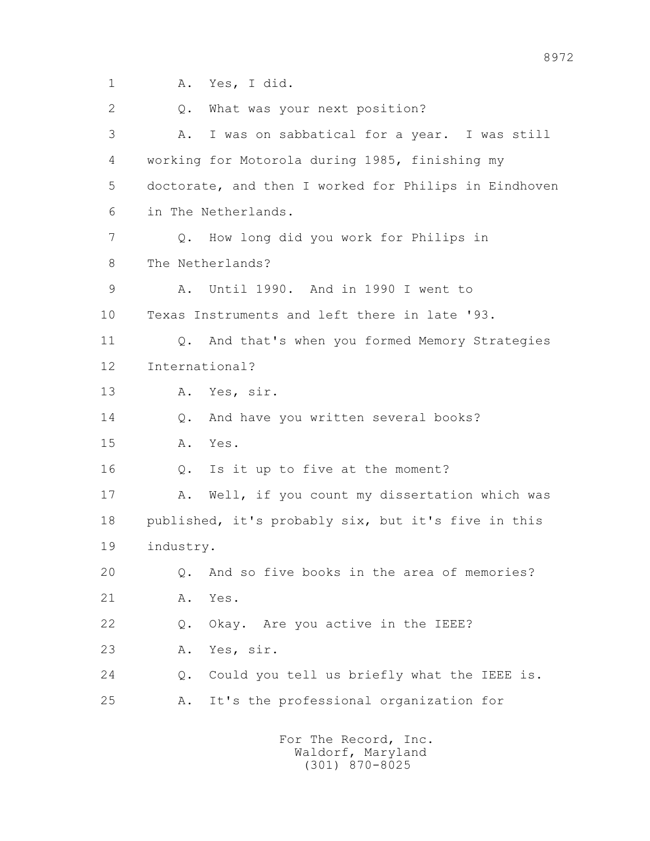1 A. Yes, I did. 2 Q. What was your next position? 3 A. I was on sabbatical for a year. I was still 4 working for Motorola during 1985, finishing my 5 doctorate, and then I worked for Philips in Eindhoven 6 in The Netherlands. 7 Q. How long did you work for Philips in 8 The Netherlands? 9 A. Until 1990. And in 1990 I went to 10 Texas Instruments and left there in late '93. 11 Q. And that's when you formed Memory Strategies 12 International? 13 A. Yes, sir. 14 Q. And have you written several books? 15 A. Yes. 16 Q. Is it up to five at the moment? 17 A. Well, if you count my dissertation which was 18 published, it's probably six, but it's five in this 19 industry. 20 Q. And so five books in the area of memories? 21 A. Yes. 22 Q. Okay. Are you active in the IEEE? 23 A. Yes, sir. 24 Q. Could you tell us briefly what the IEEE is. 25 A. It's the professional organization for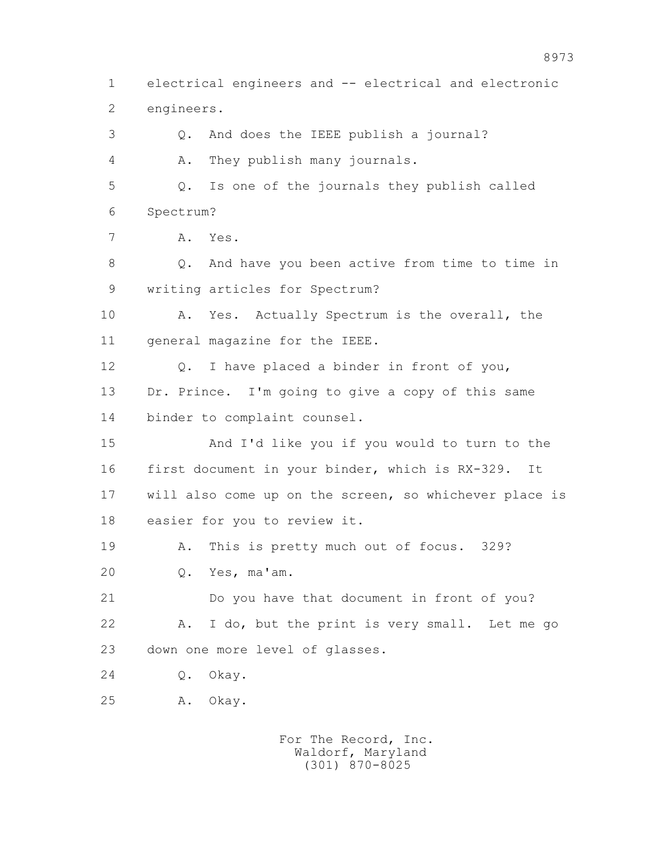1 electrical engineers and -- electrical and electronic 2 engineers. 3 Q. And does the IEEE publish a journal? 4 A. They publish many journals. 5 Q. Is one of the journals they publish called 6 Spectrum? 7 A. Yes. 8 0. And have you been active from time to time in 9 writing articles for Spectrum? 10 A. Yes. Actually Spectrum is the overall, the 11 general magazine for the IEEE. 12 Q. I have placed a binder in front of you, 13 Dr. Prince. I'm going to give a copy of this same 14 binder to complaint counsel. 15 And I'd like you if you would to turn to the 16 first document in your binder, which is RX-329. It 17 will also come up on the screen, so whichever place is 18 easier for you to review it. 19 A. This is pretty much out of focus. 329? 20 Q. Yes, ma'am. 21 Do you have that document in front of you? 22 A. I do, but the print is very small. Let me go 23 down one more level of glasses. 24 Q. Okay. 25 A. Okay.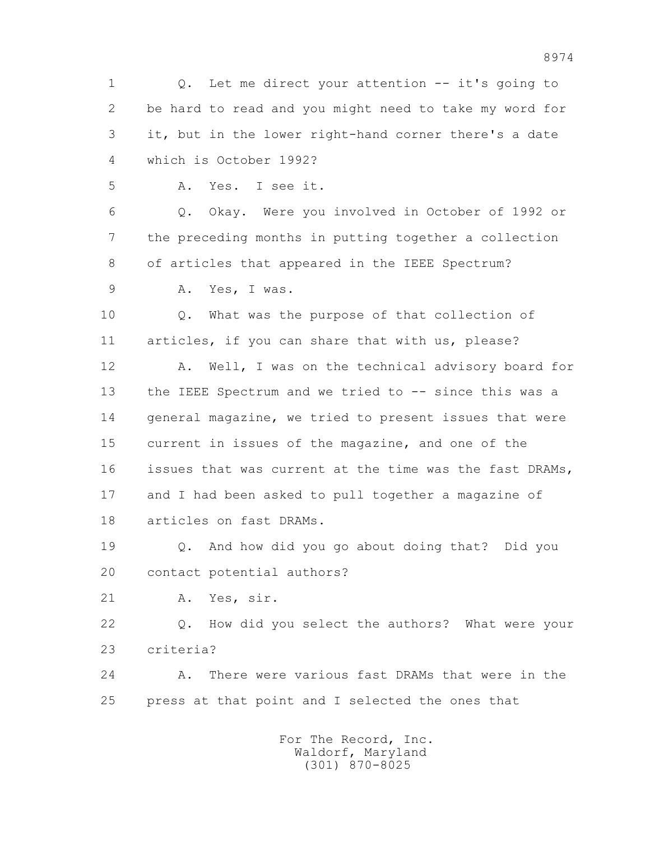1 Q. Let me direct your attention -- it's going to 2 be hard to read and you might need to take my word for 3 it, but in the lower right-hand corner there's a date 4 which is October 1992? 5 A. Yes. I see it. 6 Q. Okay. Were you involved in October of 1992 or 7 the preceding months in putting together a collection 8 of articles that appeared in the IEEE Spectrum? 9 A. Yes, I was. 10 Q. What was the purpose of that collection of 11 articles, if you can share that with us, please? 12 A. Well, I was on the technical advisory board for 13 the IEEE Spectrum and we tried to -- since this was a 14 general magazine, we tried to present issues that were 15 current in issues of the magazine, and one of the 16 issues that was current at the time was the fast DRAMs, 17 and I had been asked to pull together a magazine of 18 articles on fast DRAMs. 19 Q. And how did you go about doing that? Did you 20 contact potential authors? 21 A. Yes, sir. 22 Q. How did you select the authors? What were your 23 criteria? 24 A. There were various fast DRAMs that were in the 25 press at that point and I selected the ones that For The Record, Inc. Waldorf, Maryland (301) 870-8025

8974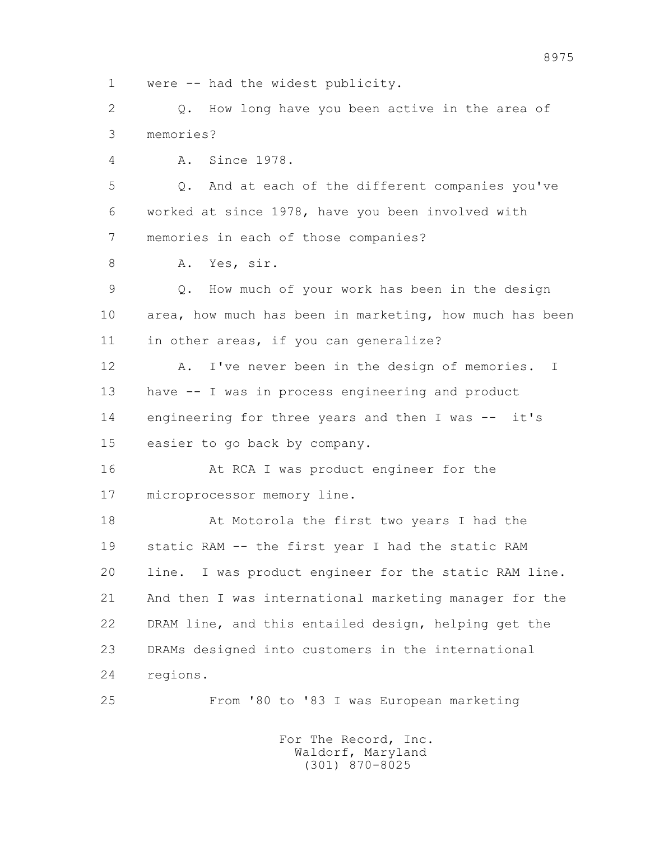1 were -- had the widest publicity. 2 0. How long have you been active in the area of 3 memories? 4 A. Since 1978. 5 Q. And at each of the different companies you've 6 worked at since 1978, have you been involved with 7 memories in each of those companies? 8 A. Yes, sir. 9 Q. How much of your work has been in the design 10 area, how much has been in marketing, how much has been 11 in other areas, if you can generalize? 12 A. I've never been in the design of memories. I 13 have -- I was in process engineering and product 14 engineering for three years and then I was -- it's 15 easier to go back by company. 16 At RCA I was product engineer for the 17 microprocessor memory line. 18 At Motorola the first two years I had the 19 static RAM -- the first year I had the static RAM 20 line. I was product engineer for the static RAM line. 21 And then I was international marketing manager for the 22 DRAM line, and this entailed design, helping get the 23 DRAMs designed into customers in the international 24 regions. 25 From '80 to '83 I was European marketing For The Record, Inc.

 Waldorf, Maryland (301) 870-8025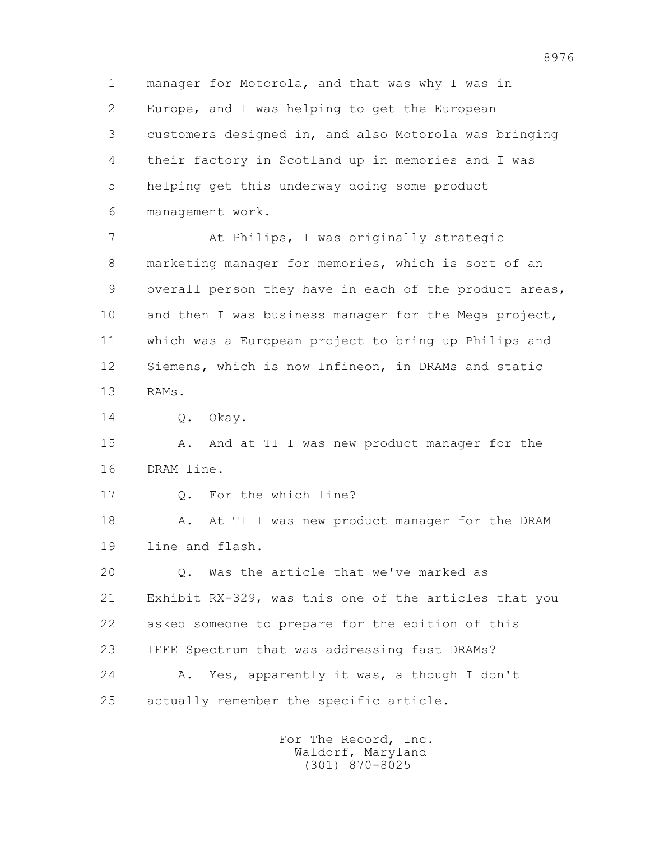1 manager for Motorola, and that was why I was in 2 Europe, and I was helping to get the European 3 customers designed in, and also Motorola was bringing 4 their factory in Scotland up in memories and I was 5 helping get this underway doing some product 6 management work.

 7 At Philips, I was originally strategic 8 marketing manager for memories, which is sort of an 9 overall person they have in each of the product areas, 10 and then I was business manager for the Mega project, 11 which was a European project to bring up Philips and 12 Siemens, which is now Infineon, in DRAMs and static 13 RAMs.

14 0. Okay.

15 A. And at TI I was new product manager for the 16 DRAM line.

17 Q. For the which line?

18 A. At TI I was new product manager for the DRAM 19 line and flash.

 20 Q. Was the article that we've marked as 21 Exhibit RX-329, was this one of the articles that you 22 asked someone to prepare for the edition of this 23 IEEE Spectrum that was addressing fast DRAMs? 24 A. Yes, apparently it was, although I don't 25 actually remember the specific article.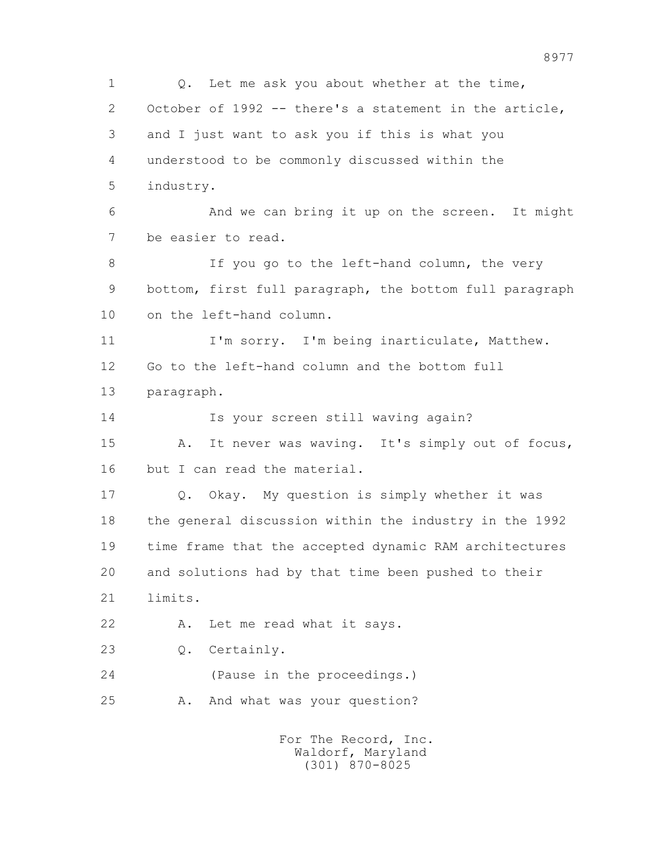1 0. Let me ask you about whether at the time, 2 October of 1992 -- there's a statement in the article, 3 and I just want to ask you if this is what you 4 understood to be commonly discussed within the 5 industry. 6 And we can bring it up on the screen. It might 7 be easier to read. 8 If you go to the left-hand column, the very 9 bottom, first full paragraph, the bottom full paragraph 10 on the left-hand column. 11 I'm sorry. I'm being inarticulate, Matthew. 12 Go to the left-hand column and the bottom full 13 paragraph. 14 Is your screen still waving again? 15 A. It never was waving. It's simply out of focus, 16 but I can read the material. 17 Q. Okay. My question is simply whether it was 18 the general discussion within the industry in the 1992 19 time frame that the accepted dynamic RAM architectures 20 and solutions had by that time been pushed to their 21 limits. 22 A. Let me read what it says. 23 Q. Certainly. 24 (Pause in the proceedings.) 25 A. And what was your question? For The Record, Inc. Waldorf, Maryland

(301) 870-8025

8977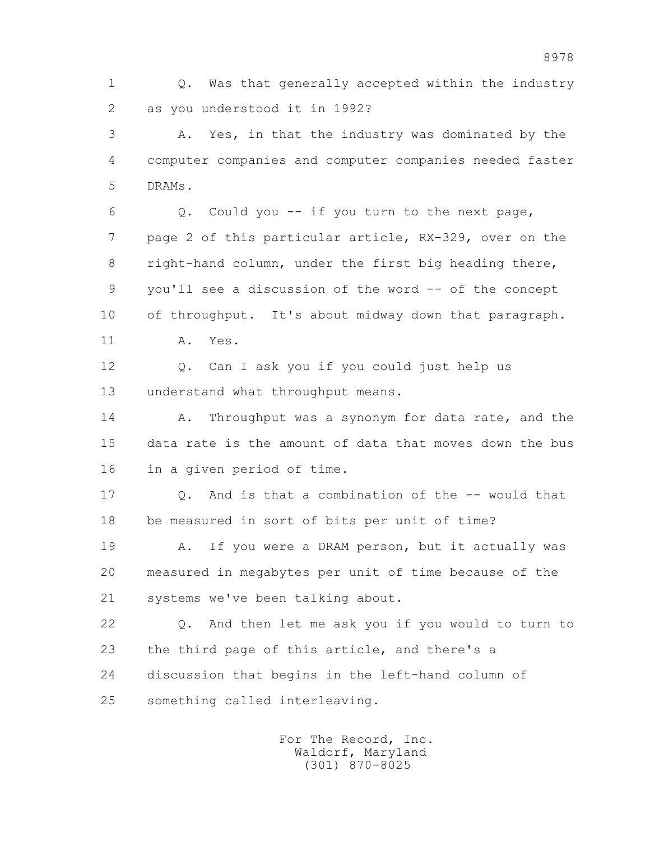1 Q. Was that generally accepted within the industry 2 as you understood it in 1992?

 3 A. Yes, in that the industry was dominated by the 4 computer companies and computer companies needed faster 5 DRAMs.

 6 Q. Could you -- if you turn to the next page, 7 page 2 of this particular article, RX-329, over on the 8 right-hand column, under the first big heading there, 9 you'll see a discussion of the word -- of the concept 10 of throughput. It's about midway down that paragraph. 11 A. Yes.

 12 Q. Can I ask you if you could just help us 13 understand what throughput means.

14 A. Throughput was a synonym for data rate, and the 15 data rate is the amount of data that moves down the bus 16 in a given period of time.

17 0. And is that a combination of the -- would that 18 be measured in sort of bits per unit of time?

19 A. If you were a DRAM person, but it actually was 20 measured in megabytes per unit of time because of the 21 systems we've been talking about.

 22 Q. And then let me ask you if you would to turn to 23 the third page of this article, and there's a 24 discussion that begins in the left-hand column of 25 something called interleaving.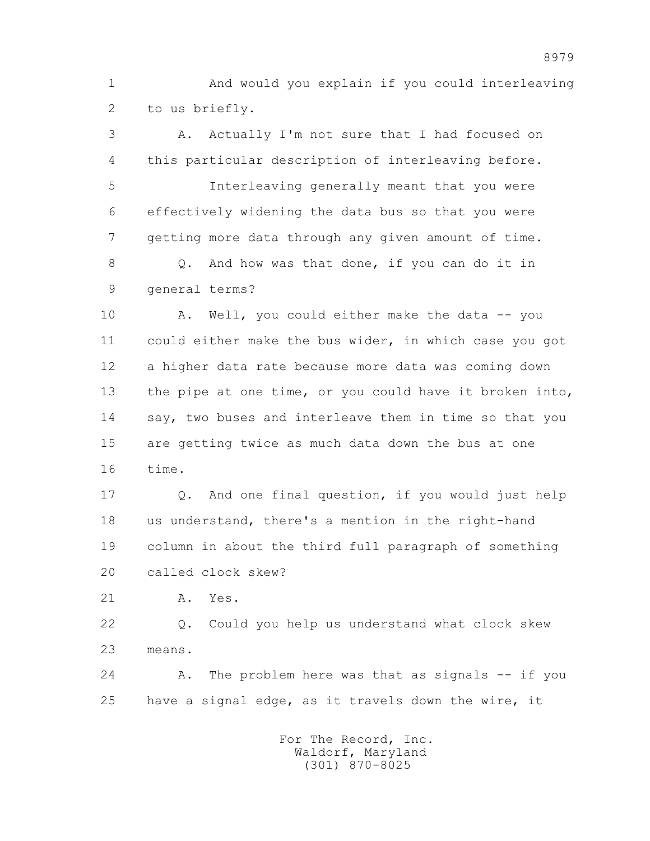1 And would you explain if you could interleaving 2 to us briefly.

 3 A. Actually I'm not sure that I had focused on 4 this particular description of interleaving before. 5 Interleaving generally meant that you were 6 effectively widening the data bus so that you were 7 getting more data through any given amount of time. 8 Q. And how was that done, if you can do it in 9 general terms? 10 A. Well, you could either make the data -- you 11 could either make the bus wider, in which case you got 12 a higher data rate because more data was coming down 13 the pipe at one time, or you could have it broken into, 14 say, two buses and interleave them in time so that you 15 are getting twice as much data down the bus at one

16 time.

 17 Q. And one final question, if you would just help 18 us understand, there's a mention in the right-hand 19 column in about the third full paragraph of something 20 called clock skew?

21 A. Yes.

 22 Q. Could you help us understand what clock skew 23 means.

 24 A. The problem here was that as signals -- if you 25 have a signal edge, as it travels down the wire, it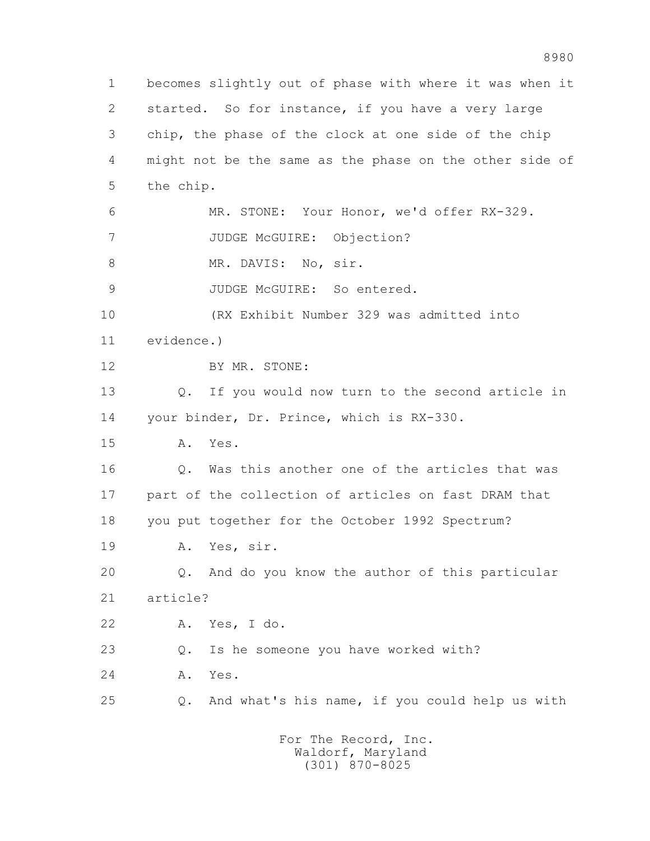1 becomes slightly out of phase with where it was when it 2 started. So for instance, if you have a very large 3 chip, the phase of the clock at one side of the chip 4 might not be the same as the phase on the other side of 5 the chip. 6 MR. STONE: Your Honor, we'd offer RX-329. 7 JUDGE McGUIRE: Objection? 8 MR. DAVIS: No, sir. 9 JUDGE McGUIRE: So entered. 10 (RX Exhibit Number 329 was admitted into 11 evidence.) 12 BY MR. STONE: 13 Q. If you would now turn to the second article in 14 your binder, Dr. Prince, which is RX-330. 15 A. Yes. 16 Q. Was this another one of the articles that was 17 part of the collection of articles on fast DRAM that 18 you put together for the October 1992 Spectrum? 19 A. Yes, sir. 20 Q. And do you know the author of this particular 21 article? 22 A. Yes, I do. 23 Q. Is he someone you have worked with? 24 A. Yes. 25 Q. And what's his name, if you could help us with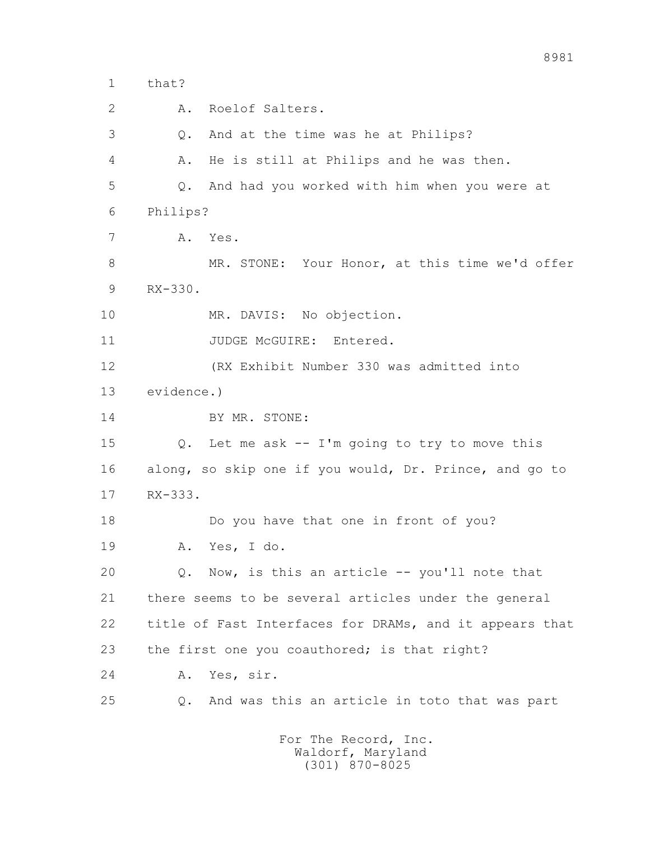1 that? 2 A. Roelof Salters. 3 Q. And at the time was he at Philips? 4 A. He is still at Philips and he was then. 5 Q. And had you worked with him when you were at 6 Philips? 7 A. Yes. 8 MR. STONE: Your Honor, at this time we'd offer 9 RX-330. 10 MR. DAVIS: No objection. 11 JUDGE McGUIRE: Entered. 12 (RX Exhibit Number 330 was admitted into 13 evidence.) 14 BY MR. STONE: 15 Q. Let me ask -- I'm going to try to move this 16 along, so skip one if you would, Dr. Prince, and go to 17 RX-333. 18 Do you have that one in front of you? 19 A. Yes, I do. 20 Q. Now, is this an article -- you'll note that 21 there seems to be several articles under the general 22 title of Fast Interfaces for DRAMs, and it appears that 23 the first one you coauthored; is that right? 24 A. Yes, sir. 25 Q. And was this an article in toto that was part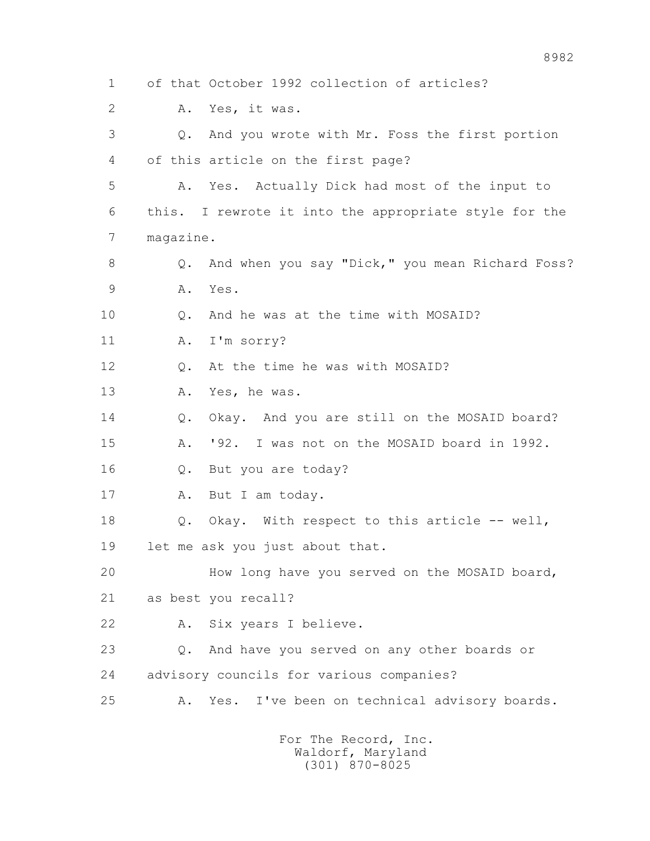1 of that October 1992 collection of articles? 2 A. Yes, it was. 3 Q. And you wrote with Mr. Foss the first portion 4 of this article on the first page? 5 A. Yes. Actually Dick had most of the input to 6 this. I rewrote it into the appropriate style for the 7 magazine. 8 Q. And when you say "Dick," you mean Richard Foss? 9 A. Yes. 10 Q. And he was at the time with MOSAID? 11 A. I'm sorry? 12 Q. At the time he was with MOSAID? 13 A. Yes, he was. 14 O. Okay. And you are still on the MOSAID board? 15 A. '92. I was not on the MOSAID board in 1992. 16 Q. But you are today? 17 A. But I am today. 18 Q. Okay. With respect to this article -- well, 19 let me ask you just about that. 20 How long have you served on the MOSAID board, 21 as best you recall? 22 A. Six years I believe. 23 Q. And have you served on any other boards or 24 advisory councils for various companies? 25 A. Yes. I've been on technical advisory boards.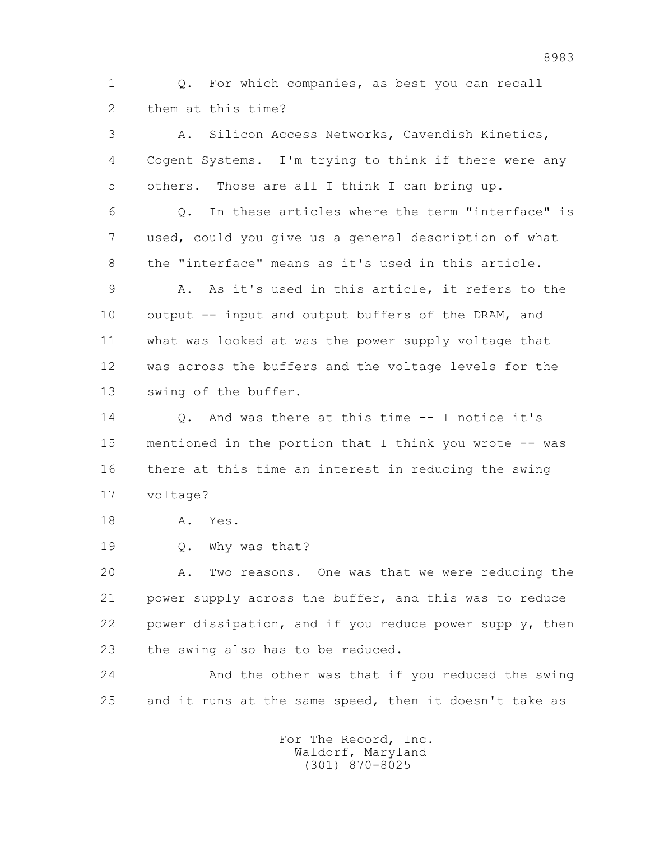1 Q. For which companies, as best you can recall 2 them at this time?

 3 A. Silicon Access Networks, Cavendish Kinetics, 4 Cogent Systems. I'm trying to think if there were any 5 others. Those are all I think I can bring up.

 6 Q. In these articles where the term "interface" is 7 used, could you give us a general description of what 8 the "interface" means as it's used in this article.

 9 A. As it's used in this article, it refers to the 10 output -- input and output buffers of the DRAM, and 11 what was looked at was the power supply voltage that 12 was across the buffers and the voltage levels for the 13 swing of the buffer.

 14 Q. And was there at this time -- I notice it's 15 mentioned in the portion that I think you wrote -- was 16 there at this time an interest in reducing the swing 17 voltage?

18 A. Yes.

19 Q. Why was that?

 20 A. Two reasons. One was that we were reducing the 21 power supply across the buffer, and this was to reduce 22 power dissipation, and if you reduce power supply, then 23 the swing also has to be reduced.

 24 And the other was that if you reduced the swing 25 and it runs at the same speed, then it doesn't take as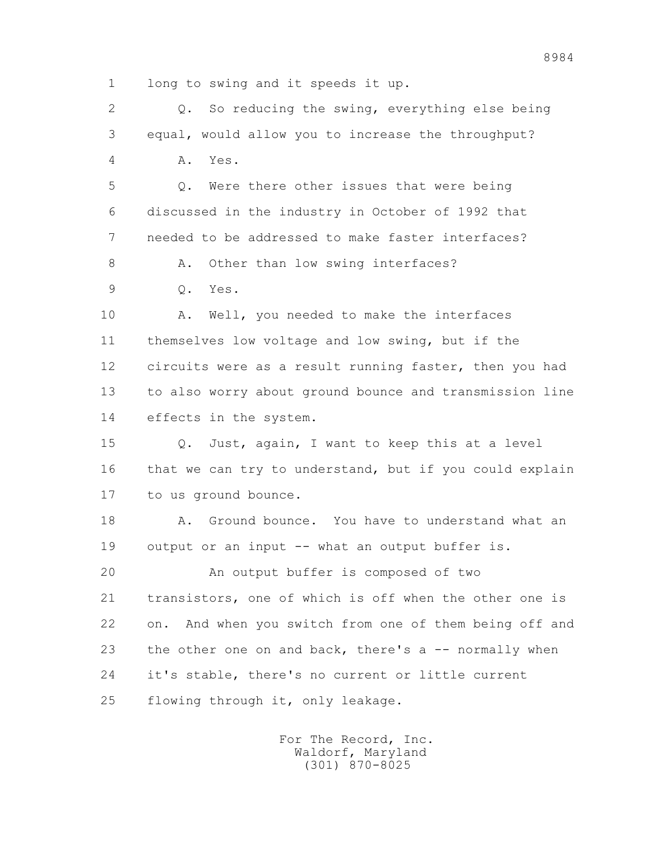1 long to swing and it speeds it up.

 2 Q. So reducing the swing, everything else being 3 equal, would allow you to increase the throughput? 4 A. Yes. 5 Q. Were there other issues that were being 6 discussed in the industry in October of 1992 that 7 needed to be addressed to make faster interfaces? 8 A. Other than low swing interfaces? 9 Q. Yes. 10 A. Well, you needed to make the interfaces 11 themselves low voltage and low swing, but if the 12 circuits were as a result running faster, then you had 13 to also worry about ground bounce and transmission line 14 effects in the system. 15 Q. Just, again, I want to keep this at a level 16 that we can try to understand, but if you could explain 17 to us ground bounce. 18 A. Ground bounce. You have to understand what an 19 output or an input -- what an output buffer is. 20 An output buffer is composed of two 21 transistors, one of which is off when the other one is 22 on. And when you switch from one of them being off and 23 the other one on and back, there's a -- normally when 24 it's stable, there's no current or little current 25 flowing through it, only leakage.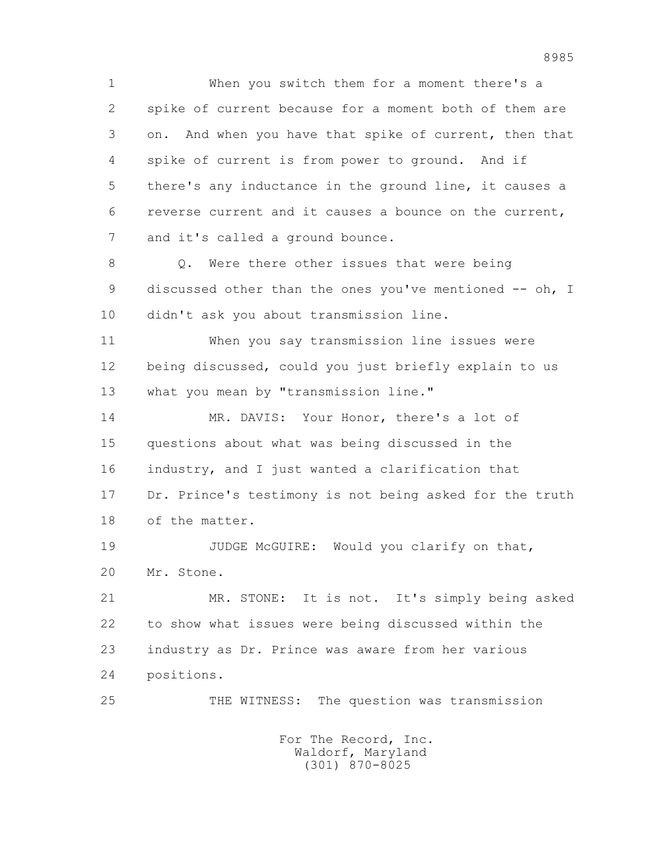1 When you switch them for a moment there's a 2 spike of current because for a moment both of them are 3 on. And when you have that spike of current, then that 4 spike of current is from power to ground. And if 5 there's any inductance in the ground line, it causes a 6 reverse current and it causes a bounce on the current, 7 and it's called a ground bounce.

 8 Q. Were there other issues that were being 9 discussed other than the ones you've mentioned -- oh, I 10 didn't ask you about transmission line.

 11 When you say transmission line issues were 12 being discussed, could you just briefly explain to us 13 what you mean by "transmission line."

 14 MR. DAVIS: Your Honor, there's a lot of 15 questions about what was being discussed in the 16 industry, and I just wanted a clarification that 17 Dr. Prince's testimony is not being asked for the truth 18 of the matter.

19 JUDGE McGUIRE: Would you clarify on that, 20 Mr. Stone.

 21 MR. STONE: It is not. It's simply being asked 22 to show what issues were being discussed within the 23 industry as Dr. Prince was aware from her various 24 positions.

25 THE WITNESS: The question was transmission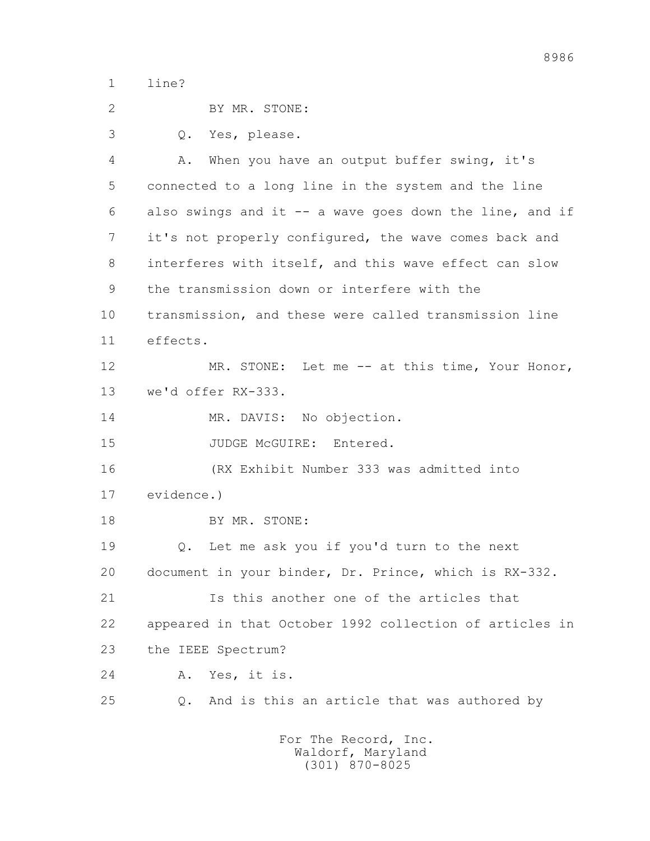1 line?

| 2  | BY MR. STONE:                                           |
|----|---------------------------------------------------------|
| 3  | Yes, please.<br>Q.                                      |
| 4  | When you have an output buffer swing, it's<br>Α.        |
| 5  | connected to a long line in the system and the line     |
| 6  | also swings and it -- a wave goes down the line, and if |
| 7  | it's not properly configured, the wave comes back and   |
| 8  | interferes with itself, and this wave effect can slow   |
| 9  | the transmission down or interfere with the             |
| 10 | transmission, and these were called transmission line   |
| 11 | effects.                                                |
| 12 | MR. STONE: Let me -- at this time, Your Honor,          |
| 13 | we'd offer RX-333.                                      |
| 14 | MR. DAVIS: No objection.                                |
| 15 | JUDGE McGUIRE: Entered.                                 |
| 16 | (RX Exhibit Number 333 was admitted into                |
| 17 | evidence.)                                              |
| 18 | BY MR. STONE:                                           |
| 19 | Let me ask you if you'd turn to the next<br>Q.          |
| 20 | document in your binder, Dr. Prince, which is RX-332.   |
| 21 | Is this another one of the articles that                |
| 22 | appeared in that October 1992 collection of articles in |
| 23 | the IEEE Spectrum?                                      |
| 24 | Yes, it is.<br>Α.                                       |
| 25 | And is this an article that was authored by<br>Q.       |
|    |                                                         |

 For The Record, Inc. Waldorf, Maryland (301) 870-8025

8986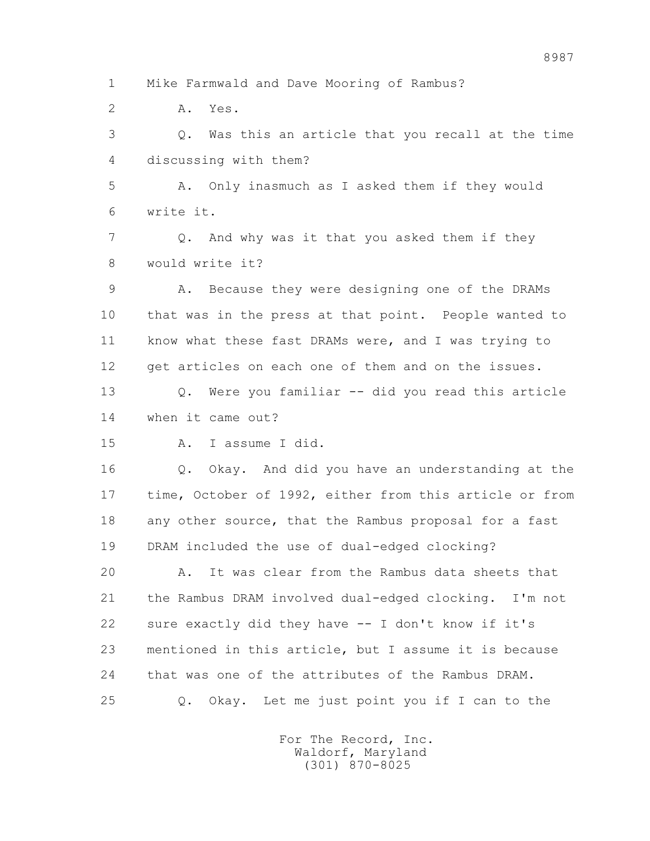1 Mike Farmwald and Dave Mooring of Rambus?

2 A. Yes.

 3 Q. Was this an article that you recall at the time 4 discussing with them?

 5 A. Only inasmuch as I asked them if they would 6 write it.

 7 Q. And why was it that you asked them if they 8 would write it?

 9 A. Because they were designing one of the DRAMs 10 that was in the press at that point. People wanted to 11 know what these fast DRAMs were, and I was trying to 12 get articles on each one of them and on the issues.

 13 Q. Were you familiar -- did you read this article 14 when it came out?

15 A. I assume I did.

 16 Q. Okay. And did you have an understanding at the 17 time, October of 1992, either from this article or from 18 any other source, that the Rambus proposal for a fast 19 DRAM included the use of dual-edged clocking?

 20 A. It was clear from the Rambus data sheets that 21 the Rambus DRAM involved dual-edged clocking. I'm not 22 sure exactly did they have -- I don't know if it's 23 mentioned in this article, but I assume it is because 24 that was one of the attributes of the Rambus DRAM. 25 Q. Okay. Let me just point you if I can to the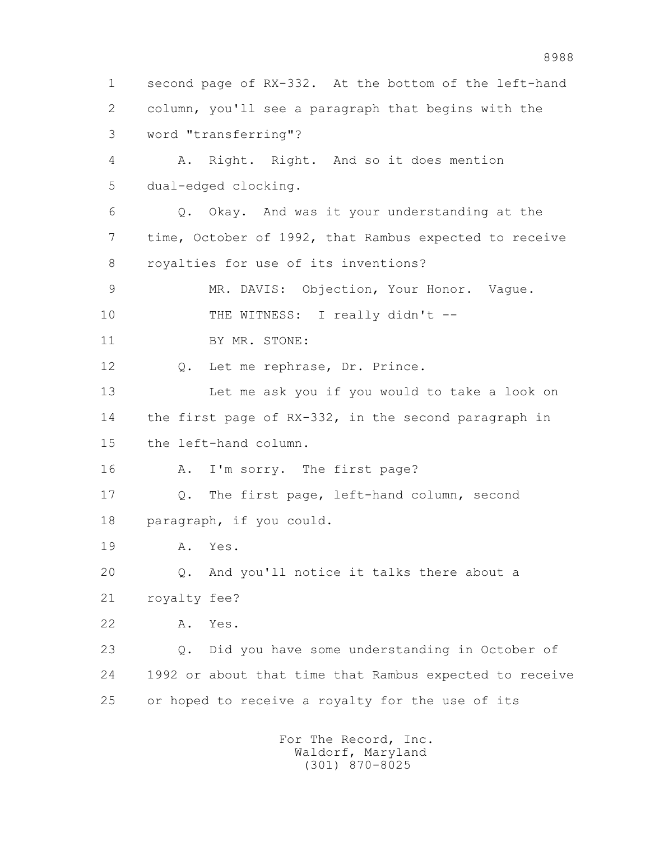1 second page of RX-332. At the bottom of the left-hand 2 column, you'll see a paragraph that begins with the 3 word "transferring"? 4 A. Right. Right. And so it does mention 5 dual-edged clocking. 6 Q. Okay. And was it your understanding at the 7 time, October of 1992, that Rambus expected to receive 8 royalties for use of its inventions? 9 MR. DAVIS: Objection, Your Honor. Vague. 10 THE WITNESS: I really didn't --11 BY MR. STONE: 12 Q. Let me rephrase, Dr. Prince. 13 Let me ask you if you would to take a look on 14 the first page of RX-332, in the second paragraph in 15 the left-hand column. 16 A. I'm sorry. The first page? 17 Q. The first page, left-hand column, second 18 paragraph, if you could. 19 A. Yes. 20 Q. And you'll notice it talks there about a 21 royalty fee? 22 A. Yes. 23 Q. Did you have some understanding in October of 24 1992 or about that time that Rambus expected to receive 25 or hoped to receive a royalty for the use of its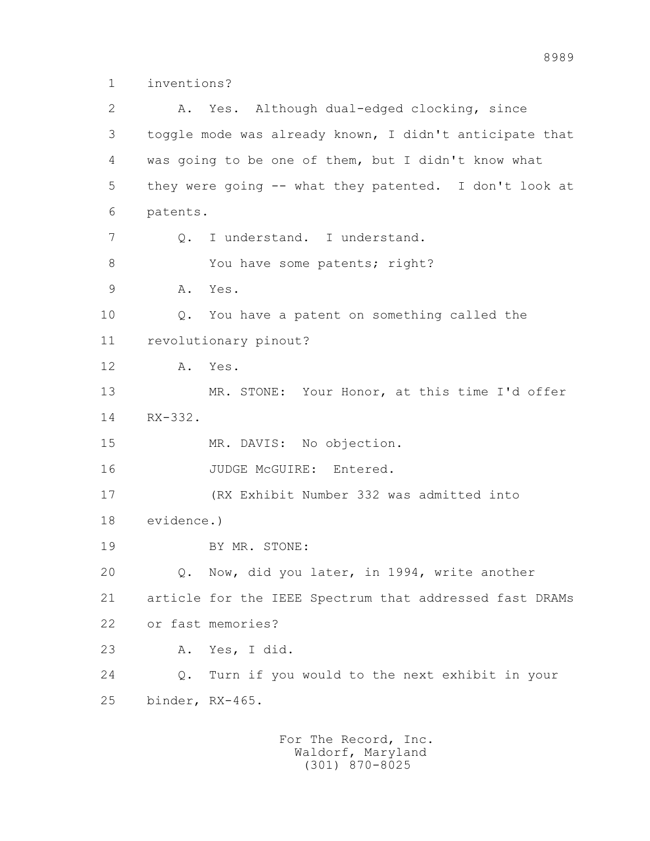1 inventions?

 2 A. Yes. Although dual-edged clocking, since 3 toggle mode was already known, I didn't anticipate that 4 was going to be one of them, but I didn't know what 5 they were going -- what they patented. I don't look at 6 patents. 7 Q. I understand. I understand. 8 You have some patents; right? 9 A. Yes. 10 Q. You have a patent on something called the 11 revolutionary pinout? 12 A. Yes. 13 MR. STONE: Your Honor, at this time I'd offer 14 RX-332. 15 MR. DAVIS: No objection. 16 JUDGE McGUIRE: Entered. 17 (RX Exhibit Number 332 was admitted into 18 evidence.) 19 BY MR. STONE: 20 Q. Now, did you later, in 1994, write another 21 article for the IEEE Spectrum that addressed fast DRAMs 22 or fast memories? 23 A. Yes, I did. 24 Q. Turn if you would to the next exhibit in your 25 binder, RX-465.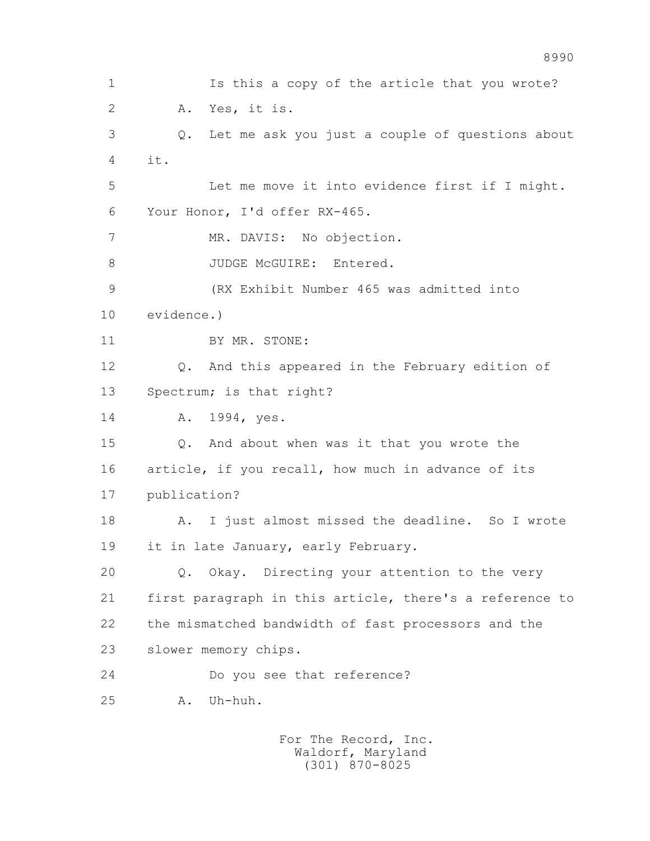1 Is this a copy of the article that you wrote? 2 A. Yes, it is. 3 Q. Let me ask you just a couple of questions about  $4 \quad \text{it.}$  5 Let me move it into evidence first if I might. 6 Your Honor, I'd offer RX-465. 7 MR. DAVIS: No objection. 8 JUDGE McGUIRE: Entered. 9 (RX Exhibit Number 465 was admitted into 10 evidence.) 11 BY MR. STONE: 12 Q. And this appeared in the February edition of 13 Spectrum; is that right? 14 A. 1994, yes. 15 Q. And about when was it that you wrote the 16 article, if you recall, how much in advance of its 17 publication? 18 A. I just almost missed the deadline. So I wrote 19 it in late January, early February. 20 Q. Okay. Directing your attention to the very 21 first paragraph in this article, there's a reference to 22 the mismatched bandwidth of fast processors and the 23 slower memory chips. 24 Do you see that reference? 25 A. Uh-huh.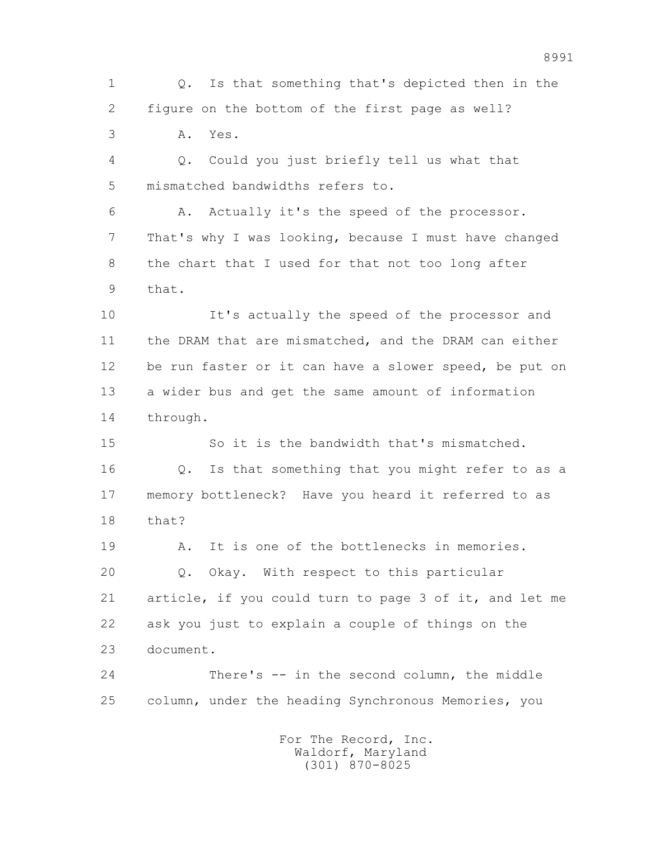1 Q. Is that something that's depicted then in the 2 figure on the bottom of the first page as well? 3 A. Yes. 4 Q. Could you just briefly tell us what that 5 mismatched bandwidths refers to. 6 A. Actually it's the speed of the processor. 7 That's why I was looking, because I must have changed 8 the chart that I used for that not too long after 9 that. 10 It's actually the speed of the processor and 11 the DRAM that are mismatched, and the DRAM can either 12 be run faster or it can have a slower speed, be put on 13 a wider bus and get the same amount of information 14 through. 15 So it is the bandwidth that's mismatched. 16 Q. Is that something that you might refer to as a 17 memory bottleneck? Have you heard it referred to as 18 that? 19 A. It is one of the bottlenecks in memories. 20 Q. Okay. With respect to this particular 21 article, if you could turn to page 3 of it, and let me 22 ask you just to explain a couple of things on the 23 document. 24 There's -- in the second column, the middle 25 column, under the heading Synchronous Memories, you For The Record, Inc.

 Waldorf, Maryland (301) 870-8025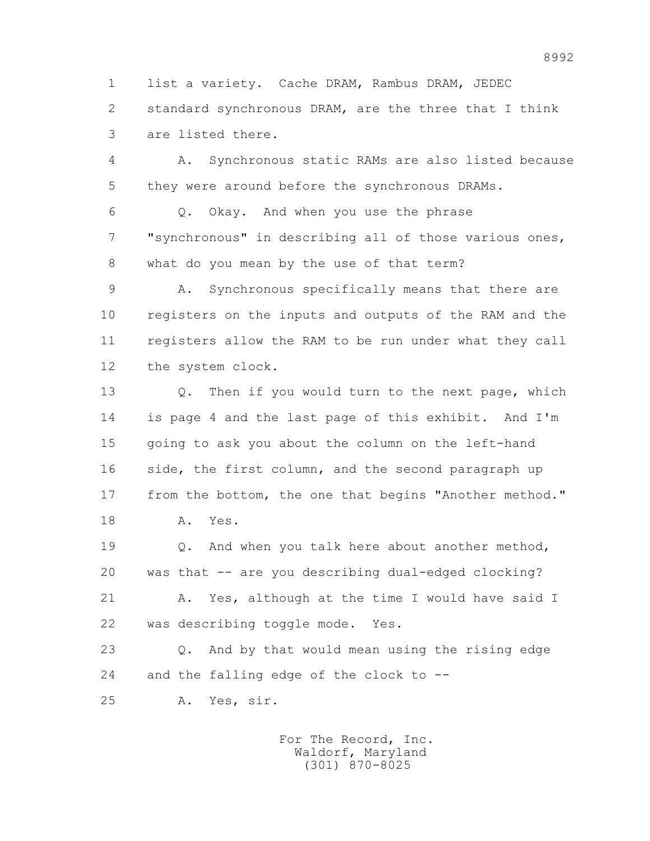1 list a variety. Cache DRAM, Rambus DRAM, JEDEC 2 standard synchronous DRAM, are the three that I think 3 are listed there.

 4 A. Synchronous static RAMs are also listed because 5 they were around before the synchronous DRAMs.

 6 Q. Okay. And when you use the phrase 7 "synchronous" in describing all of those various ones, 8 what do you mean by the use of that term?

 9 A. Synchronous specifically means that there are 10 registers on the inputs and outputs of the RAM and the 11 registers allow the RAM to be run under what they call 12 the system clock.

 13 Q. Then if you would turn to the next page, which 14 is page 4 and the last page of this exhibit. And I'm 15 going to ask you about the column on the left-hand 16 side, the first column, and the second paragraph up 17 from the bottom, the one that begins "Another method."

18 A. Yes.

 19 Q. And when you talk here about another method, 20 was that -- are you describing dual-edged clocking? 21 A. Yes, although at the time I would have said I

22 was describing toggle mode. Yes.

 23 Q. And by that would mean using the rising edge 24 and the falling edge of the clock to --

25 A. Yes, sir.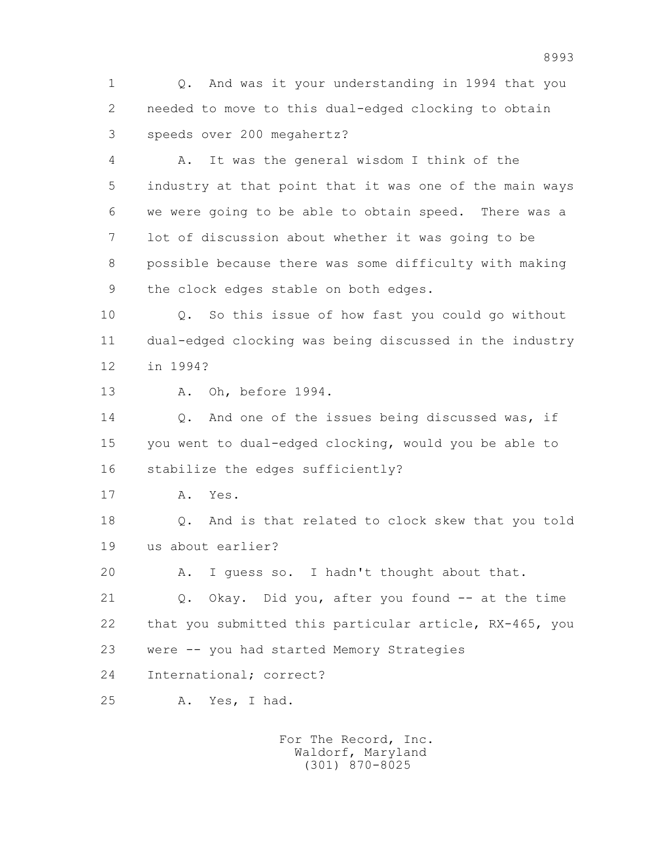1 Q. And was it your understanding in 1994 that you 2 needed to move to this dual-edged clocking to obtain 3 speeds over 200 megahertz?

 4 A. It was the general wisdom I think of the 5 industry at that point that it was one of the main ways 6 we were going to be able to obtain speed. There was a 7 lot of discussion about whether it was going to be 8 possible because there was some difficulty with making 9 the clock edges stable on both edges.

 10 Q. So this issue of how fast you could go without 11 dual-edged clocking was being discussed in the industry 12 in 1994?

13 A. Oh, before 1994.

14 0. And one of the issues being discussed was, if 15 you went to dual-edged clocking, would you be able to 16 stabilize the edges sufficiently?

17 A. Yes.

 18 Q. And is that related to clock skew that you told 19 us about earlier?

20 A. I guess so. I hadn't thought about that.

 21 Q. Okay. Did you, after you found -- at the time 22 that you submitted this particular article, RX-465, you 23 were -- you had started Memory Strategies

24 International; correct?

25 A. Yes, I had.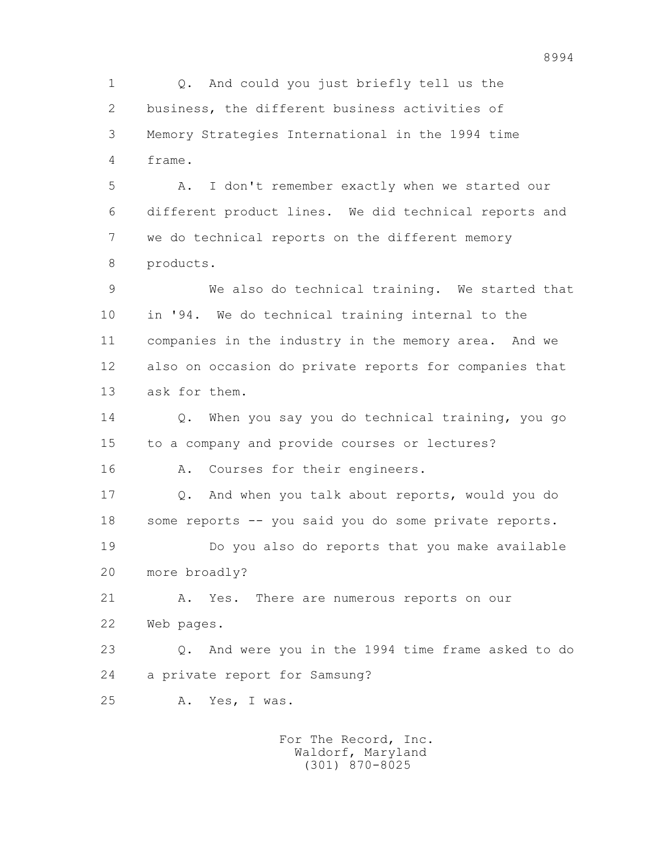1 Q. And could you just briefly tell us the 2 business, the different business activities of 3 Memory Strategies International in the 1994 time 4 frame. 5 A. I don't remember exactly when we started our 6 different product lines. We did technical reports and 7 we do technical reports on the different memory 8 products. 9 We also do technical training. We started that 10 in '94. We do technical training internal to the 11 companies in the industry in the memory area. And we 12 also on occasion do private reports for companies that 13 ask for them. 14 Q. When you say you do technical training, you go 15 to a company and provide courses or lectures? 16 A. Courses for their engineers. 17 Q. And when you talk about reports, would you do 18 some reports -- you said you do some private reports. 19 Do you also do reports that you make available 20 more broadly? 21 A. Yes. There are numerous reports on our 22 Web pages. 23 Q. And were you in the 1994 time frame asked to do 24 a private report for Samsung? 25 A. Yes, I was. For The Record, Inc.

 Waldorf, Maryland (301) 870-8025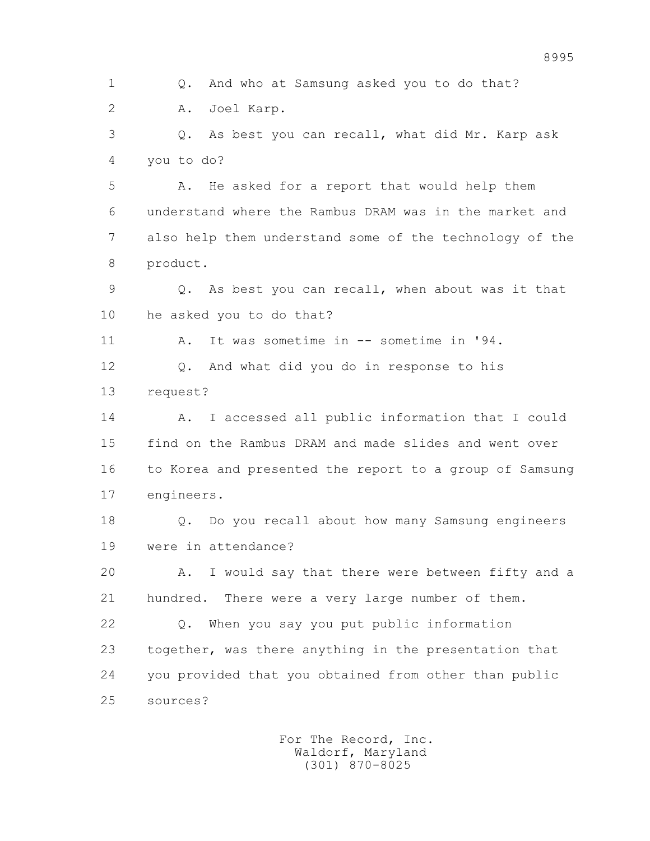1 Q. And who at Samsung asked you to do that? 2 A. Joel Karp. 3 Q. As best you can recall, what did Mr. Karp ask 4 you to do? 5 A. He asked for a report that would help them 6 understand where the Rambus DRAM was in the market and 7 also help them understand some of the technology of the 8 product. 9 Q. As best you can recall, when about was it that 10 he asked you to do that? 11 A. It was sometime in -- sometime in '94. 12 Q. And what did you do in response to his 13 request? 14 A. I accessed all public information that I could 15 find on the Rambus DRAM and made slides and went over 16 to Korea and presented the report to a group of Samsung 17 engineers. 18 Q. Do you recall about how many Samsung engineers 19 were in attendance? 20 A. I would say that there were between fifty and a 21 hundred. There were a very large number of them. 22 Q. When you say you put public information 23 together, was there anything in the presentation that 24 you provided that you obtained from other than public 25 sources?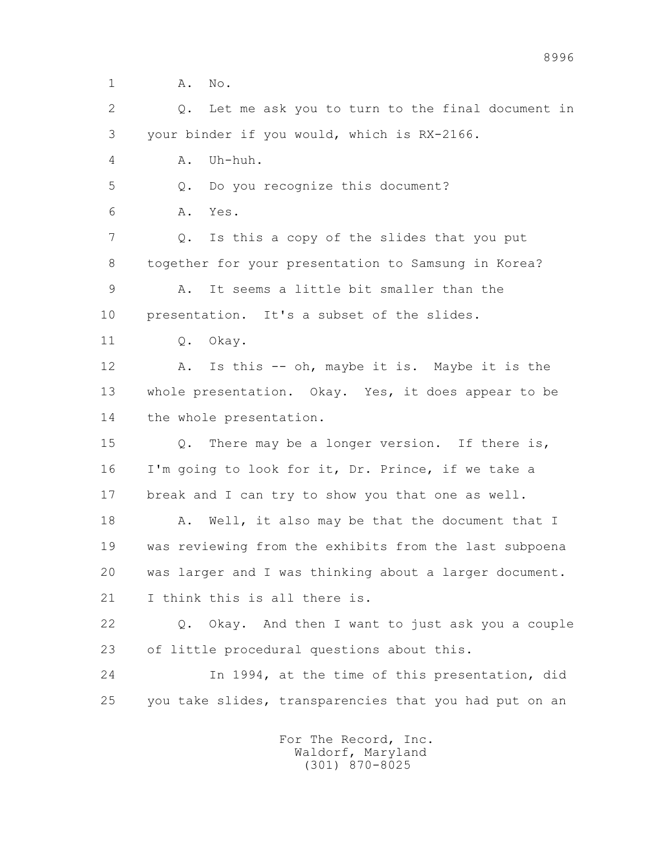1 A. No.

 2 Q. Let me ask you to turn to the final document in 3 your binder if you would, which is RX-2166.

4 A. Uh-huh.

5 Q. Do you recognize this document?

6 A. Yes.

 7 Q. Is this a copy of the slides that you put 8 together for your presentation to Samsung in Korea?

 9 A. It seems a little bit smaller than the 10 presentation. It's a subset of the slides.

11 0. Okay.

 12 A. Is this -- oh, maybe it is. Maybe it is the 13 whole presentation. Okay. Yes, it does appear to be 14 the whole presentation.

 15 Q. There may be a longer version. If there is, 16 I'm going to look for it, Dr. Prince, if we take a 17 break and I can try to show you that one as well.

18 A. Well, it also may be that the document that I 19 was reviewing from the exhibits from the last subpoena 20 was larger and I was thinking about a larger document. 21 I think this is all there is.

 22 Q. Okay. And then I want to just ask you a couple 23 of little procedural questions about this.

 24 In 1994, at the time of this presentation, did 25 you take slides, transparencies that you had put on an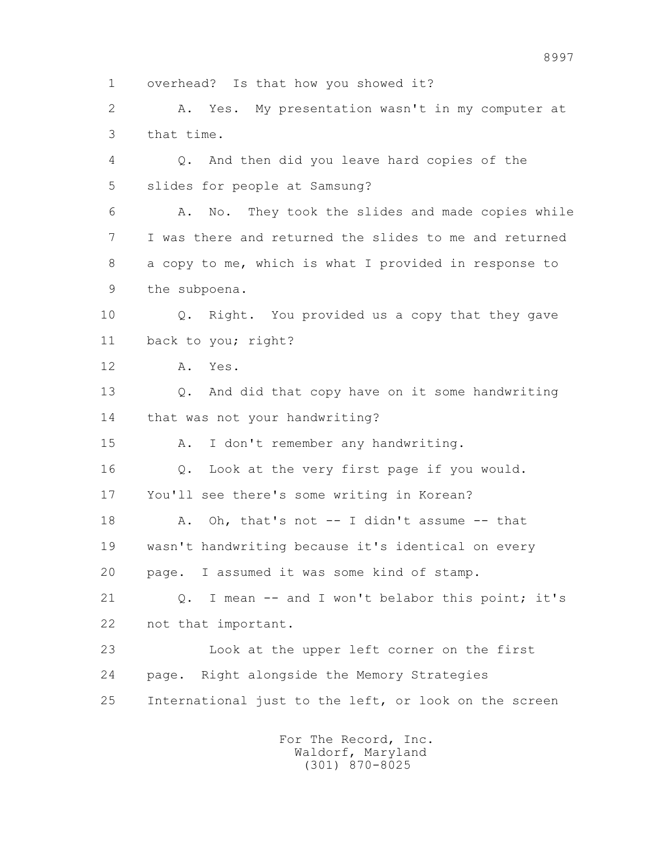1 overhead? Is that how you showed it?

 2 A. Yes. My presentation wasn't in my computer at 3 that time.

 4 Q. And then did you leave hard copies of the 5 slides for people at Samsung?

 6 A. No. They took the slides and made copies while 7 I was there and returned the slides to me and returned 8 a copy to me, which is what I provided in response to 9 the subpoena.

 10 Q. Right. You provided us a copy that they gave 11 back to you; right?

12 A. Yes.

 13 Q. And did that copy have on it some handwriting 14 that was not your handwriting?

15 A. I don't remember any handwriting.

16 Q. Look at the very first page if you would.

17 You'll see there's some writing in Korean?

 18 A. Oh, that's not -- I didn't assume -- that 19 wasn't handwriting because it's identical on every 20 page. I assumed it was some kind of stamp.

 21 Q. I mean -- and I won't belabor this point; it's 22 not that important.

 23 Look at the upper left corner on the first 24 page. Right alongside the Memory Strategies 25 International just to the left, or look on the screen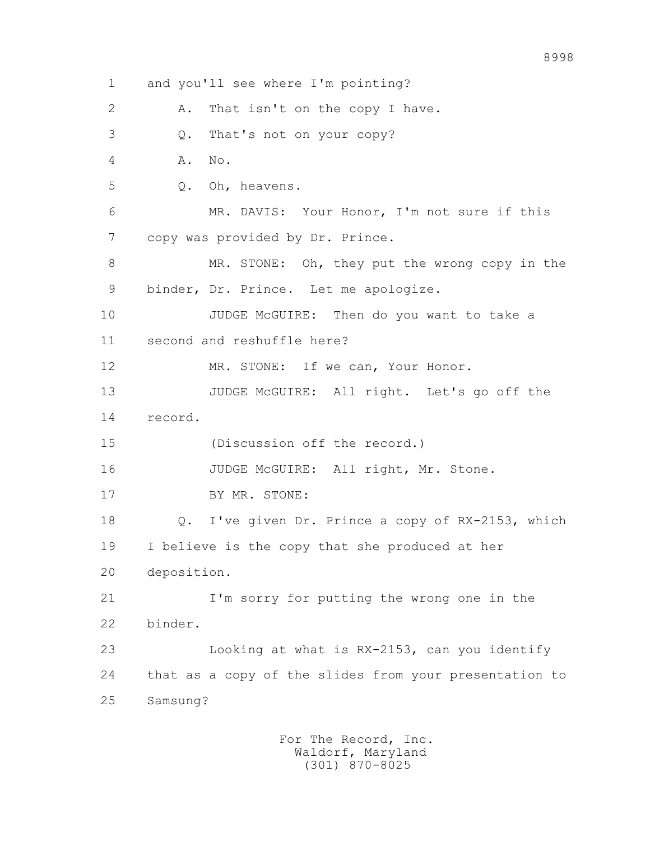1 and you'll see where I'm pointing? 2 A. That isn't on the copy I have. 3 Q. That's not on your copy? 4 A. No. 5 Q. Oh, heavens. 6 MR. DAVIS: Your Honor, I'm not sure if this 7 copy was provided by Dr. Prince. 8 MR. STONE: Oh, they put the wrong copy in the 9 binder, Dr. Prince. Let me apologize. 10 JUDGE McGUIRE: Then do you want to take a 11 second and reshuffle here? 12 MR. STONE: If we can, Your Honor. 13 JUDGE McGUIRE: All right. Let's go off the 14 record. 15 (Discussion off the record.) 16 JUDGE McGUIRE: All right, Mr. Stone. 17 BY MR. STONE: 18 Q. I've given Dr. Prince a copy of RX-2153, which 19 I believe is the copy that she produced at her 20 deposition. 21 I'm sorry for putting the wrong one in the 22 binder. 23 Looking at what is RX-2153, can you identify 24 that as a copy of the slides from your presentation to 25 Samsung?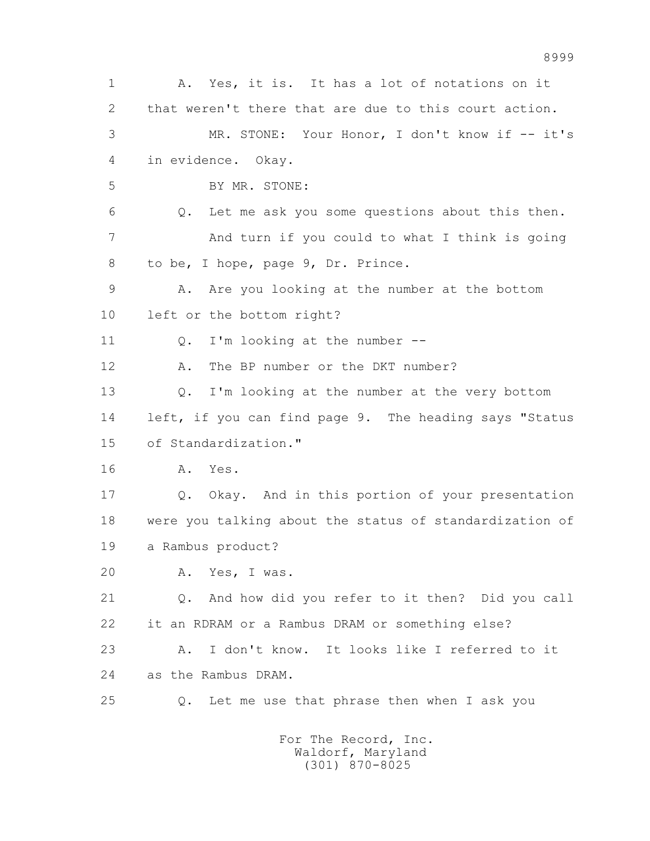1 A. Yes, it is. It has a lot of notations on it 2 that weren't there that are due to this court action. 3 MR. STONE: Your Honor, I don't know if -- it's 4 in evidence. Okay. 5 BY MR. STONE: 6 Q. Let me ask you some questions about this then. 7 And turn if you could to what I think is going 8 to be, I hope, page 9, Dr. Prince. 9 A. Are you looking at the number at the bottom 10 left or the bottom right? 11 0. I'm looking at the number --12 A. The BP number or the DKT number? 13 Q. I'm looking at the number at the very bottom 14 left, if you can find page 9. The heading says "Status 15 of Standardization." 16 A. Yes. 17 Q. Okay. And in this portion of your presentation 18 were you talking about the status of standardization of 19 a Rambus product? 20 A. Yes, I was. 21 Q. And how did you refer to it then? Did you call 22 it an RDRAM or a Rambus DRAM or something else? 23 A. I don't know. It looks like I referred to it 24 as the Rambus DRAM. 25 Q. Let me use that phrase then when I ask you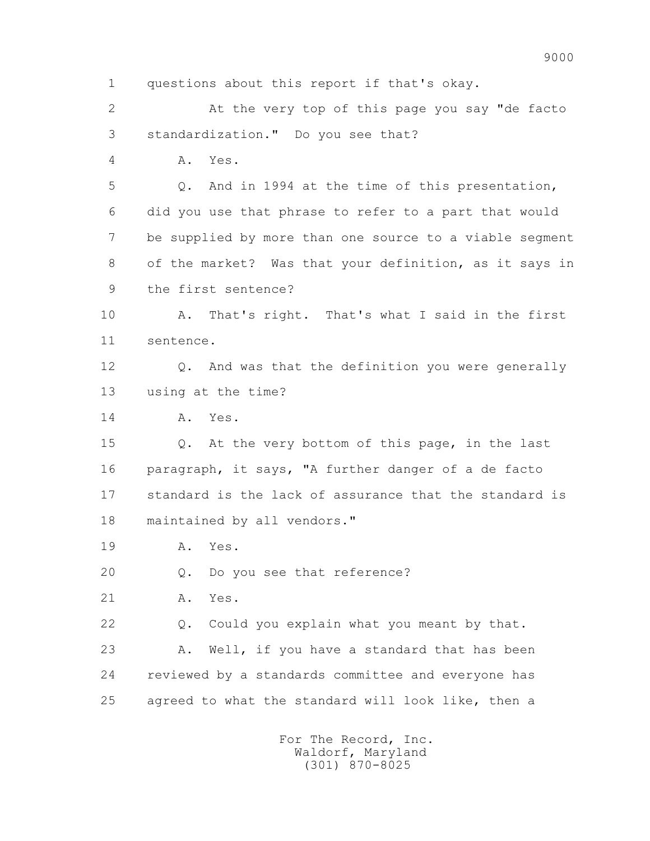1 questions about this report if that's okay.

 2 At the very top of this page you say "de facto 3 standardization." Do you see that?

4 A. Yes.

 5 Q. And in 1994 at the time of this presentation, 6 did you use that phrase to refer to a part that would 7 be supplied by more than one source to a viable segment 8 of the market? Was that your definition, as it says in 9 the first sentence?

 10 A. That's right. That's what I said in the first 11 sentence.

 12 Q. And was that the definition you were generally 13 using at the time?

14 A. Yes.

 15 Q. At the very bottom of this page, in the last 16 paragraph, it says, "A further danger of a de facto 17 standard is the lack of assurance that the standard is 18 maintained by all vendors."

19 A. Yes.

20 Q. Do you see that reference?

21 A. Yes.

22 Q. Could you explain what you meant by that.

 23 A. Well, if you have a standard that has been 24 reviewed by a standards committee and everyone has 25 agreed to what the standard will look like, then a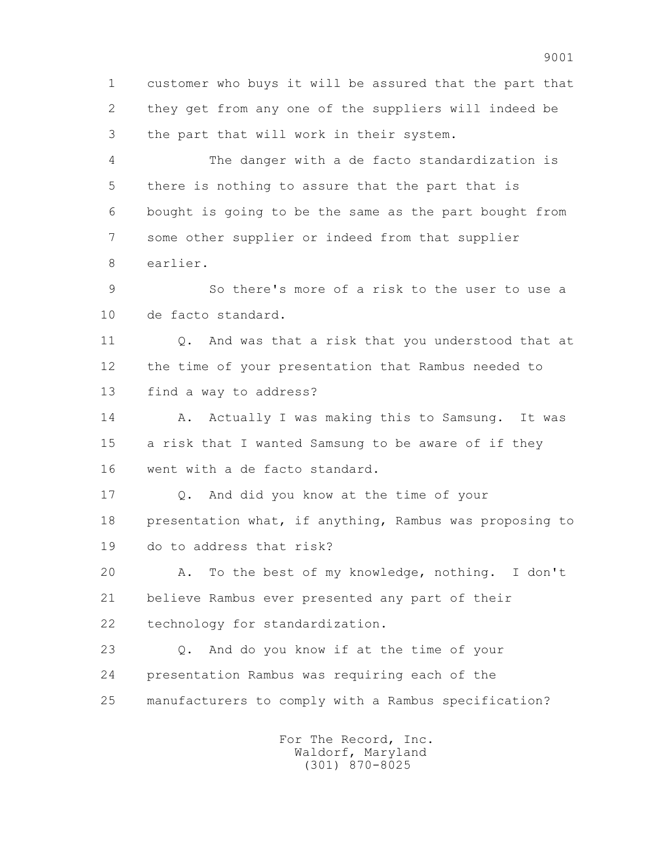1 customer who buys it will be assured that the part that 2 they get from any one of the suppliers will indeed be 3 the part that will work in their system.

 4 The danger with a de facto standardization is 5 there is nothing to assure that the part that is 6 bought is going to be the same as the part bought from 7 some other supplier or indeed from that supplier 8 earlier.

 9 So there's more of a risk to the user to use a 10 de facto standard.

 11 Q. And was that a risk that you understood that at 12 the time of your presentation that Rambus needed to 13 find a way to address?

14 A. Actually I was making this to Samsung. It was 15 a risk that I wanted Samsung to be aware of if they 16 went with a de facto standard.

 17 Q. And did you know at the time of your 18 presentation what, if anything, Rambus was proposing to 19 do to address that risk?

 20 A. To the best of my knowledge, nothing. I don't 21 believe Rambus ever presented any part of their 22 technology for standardization.

 23 Q. And do you know if at the time of your 24 presentation Rambus was requiring each of the 25 manufacturers to comply with a Rambus specification?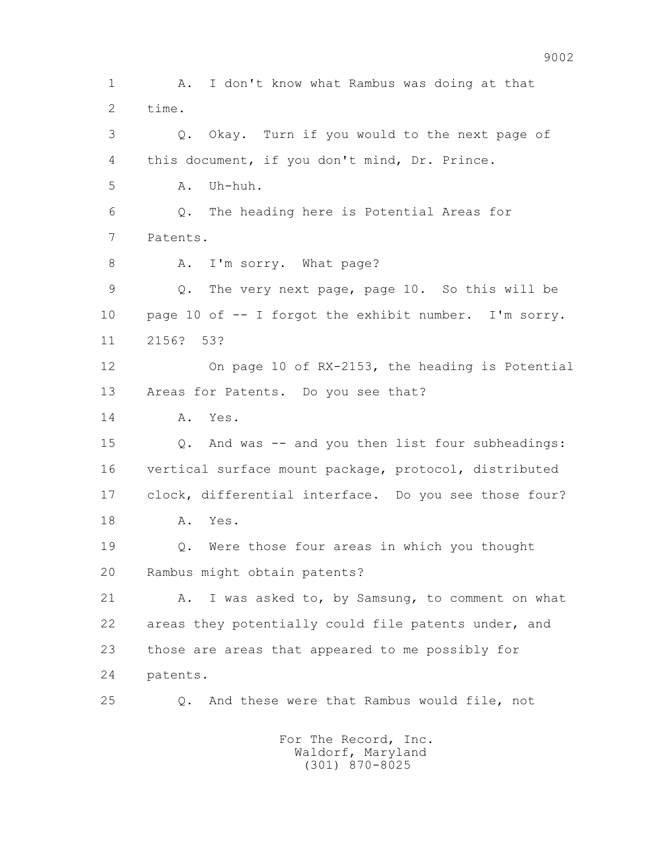1 A. I don't know what Rambus was doing at that 2 time. 3 Q. Okay. Turn if you would to the next page of 4 this document, if you don't mind, Dr. Prince.  $5$   $A$ .  $Ilh-huh$ . 6 Q. The heading here is Potential Areas for 7 Patents. 8 A. I'm sorry. What page? 9 Q. The very next page, page 10. So this will be 10 page 10 of -- I forgot the exhibit number. I'm sorry. 11 2156? 53? 12 On page 10 of RX-2153, the heading is Potential 13 Areas for Patents. Do you see that? 14 A. Yes. 15 Q. And was -- and you then list four subheadings: 16 vertical surface mount package, protocol, distributed 17 clock, differential interface. Do you see those four? 18 A. Yes. 19 Q. Were those four areas in which you thought 20 Rambus might obtain patents? 21 A. I was asked to, by Samsung, to comment on what 22 areas they potentially could file patents under, and 23 those are areas that appeared to me possibly for 24 patents. 25 Q. And these were that Rambus would file, not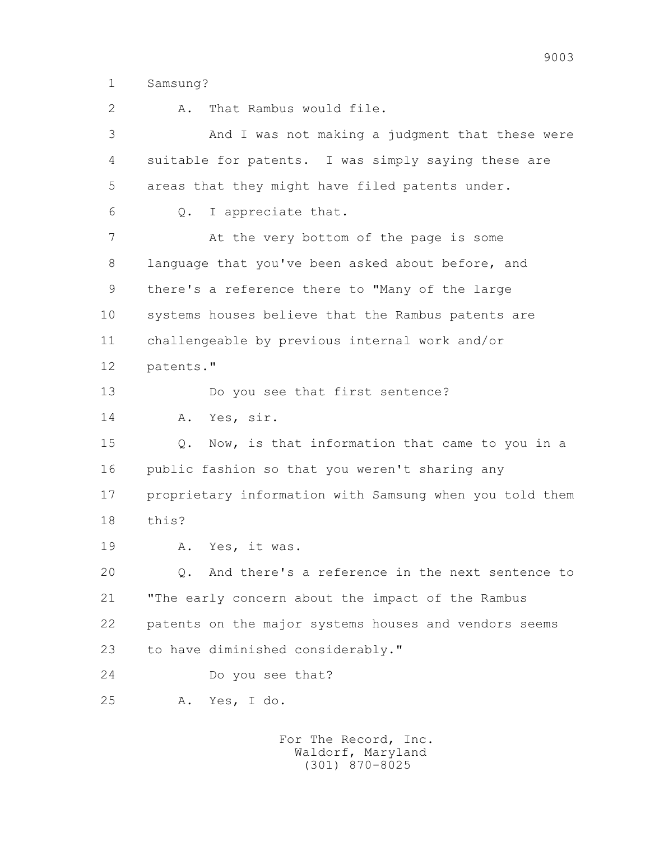1 Samsung?

 2 A. That Rambus would file. 3 And I was not making a judgment that these were 4 suitable for patents. I was simply saying these are 5 areas that they might have filed patents under. 6 Q. I appreciate that. 7 at the very bottom of the page is some 8 language that you've been asked about before, and 9 there's a reference there to "Many of the large 10 systems houses believe that the Rambus patents are 11 challengeable by previous internal work and/or 12 patents." 13 Do you see that first sentence? 14 A. Yes, sir. 15 Q. Now, is that information that came to you in a 16 public fashion so that you weren't sharing any 17 proprietary information with Samsung when you told them 18 this? 19 A. Yes, it was. 20 Q. And there's a reference in the next sentence to 21 "The early concern about the impact of the Rambus 22 patents on the major systems houses and vendors seems 23 to have diminished considerably." 24 Do you see that? 25 A. Yes, I do.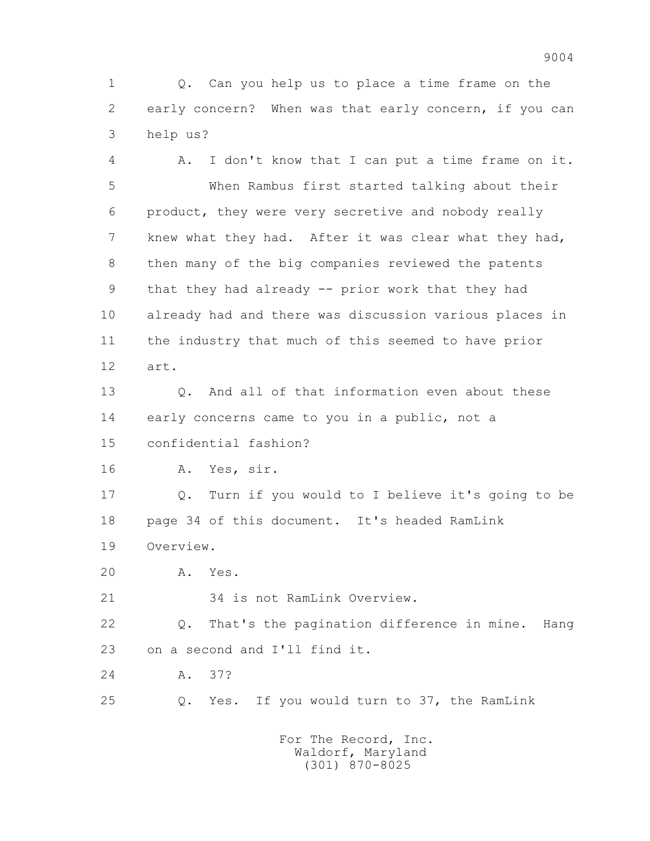1 Q. Can you help us to place a time frame on the 2 early concern? When was that early concern, if you can 3 help us?

 4 A. I don't know that I can put a time frame on it. 5 When Rambus first started talking about their 6 product, they were very secretive and nobody really 7 knew what they had. After it was clear what they had, 8 then many of the big companies reviewed the patents 9 that they had already -- prior work that they had 10 already had and there was discussion various places in 11 the industry that much of this seemed to have prior 12 art.

 13 Q. And all of that information even about these 14 early concerns came to you in a public, not a 15 confidential fashion?

16 A. Yes, sir.

 17 Q. Turn if you would to I believe it's going to be 18 page 34 of this document. It's headed RamLink 19 Overview.

20 A. Yes.

21 34 is not RamLink Overview.

 22 Q. That's the pagination difference in mine. Hang 23 on a second and I'll find it.

24 A. 37?

25 Q. Yes. If you would turn to 37, the RamLink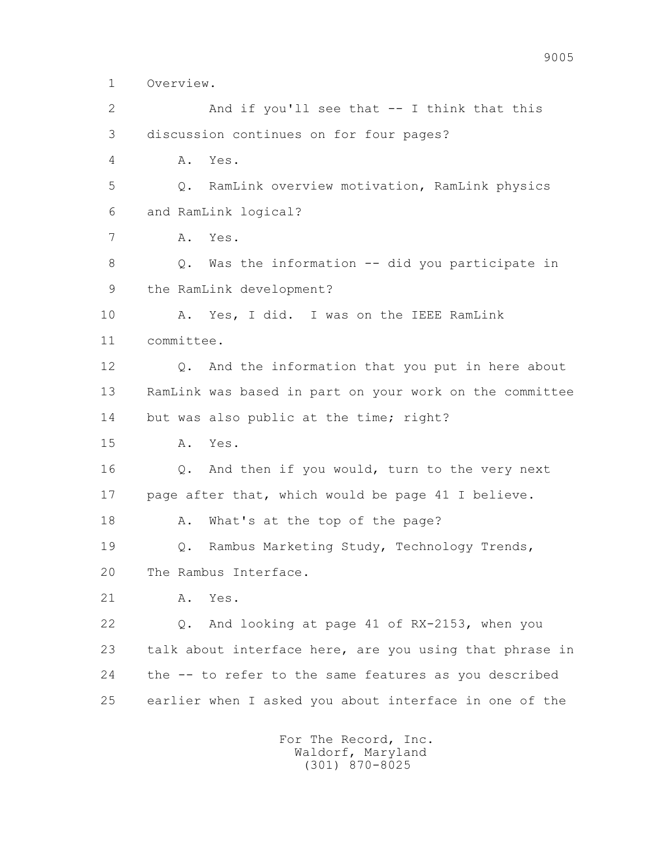1 Overview.

 2 And if you'll see that -- I think that this 3 discussion continues on for four pages? 4 A. Yes. 5 Q. RamLink overview motivation, RamLink physics 6 and RamLink logical? 7 A. Yes. 8 Q. Was the information -- did you participate in 9 the RamLink development? 10 A. Yes, I did. I was on the IEEE RamLink 11 committee. 12 Q. And the information that you put in here about 13 RamLink was based in part on your work on the committee 14 but was also public at the time; right? 15 A. Yes. 16 Q. And then if you would, turn to the very next 17 page after that, which would be page 41 I believe. 18 A. What's at the top of the page? 19 Q. Rambus Marketing Study, Technology Trends, 20 The Rambus Interface. 21 A. Yes. 22 Q. And looking at page 41 of RX-2153, when you 23 talk about interface here, are you using that phrase in 24 the -- to refer to the same features as you described 25 earlier when I asked you about interface in one of the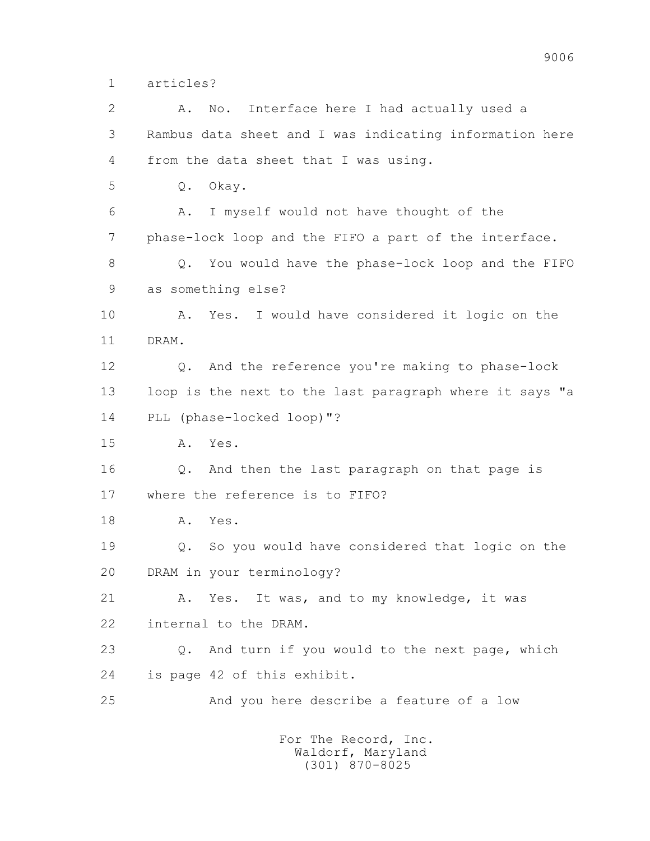1 articles?

 2 A. No. Interface here I had actually used a 3 Rambus data sheet and I was indicating information here 4 from the data sheet that I was using. 5 Q. Okay. 6 A. I myself would not have thought of the 7 phase-lock loop and the FIFO a part of the interface. 8 Q. You would have the phase-lock loop and the FIFO 9 as something else? 10 A. Yes. I would have considered it logic on the 11 DRAM. 12 Q. And the reference you're making to phase-lock 13 loop is the next to the last paragraph where it says "a 14 PLL (phase-locked loop)"? 15 A. Yes. 16 Q. And then the last paragraph on that page is 17 where the reference is to FIFO? 18 A. Yes. 19 Q. So you would have considered that logic on the 20 DRAM in your terminology? 21 A. Yes. It was, and to my knowledge, it was 22 internal to the DRAM. 23 Q. And turn if you would to the next page, which 24 is page 42 of this exhibit. 25 And you here describe a feature of a low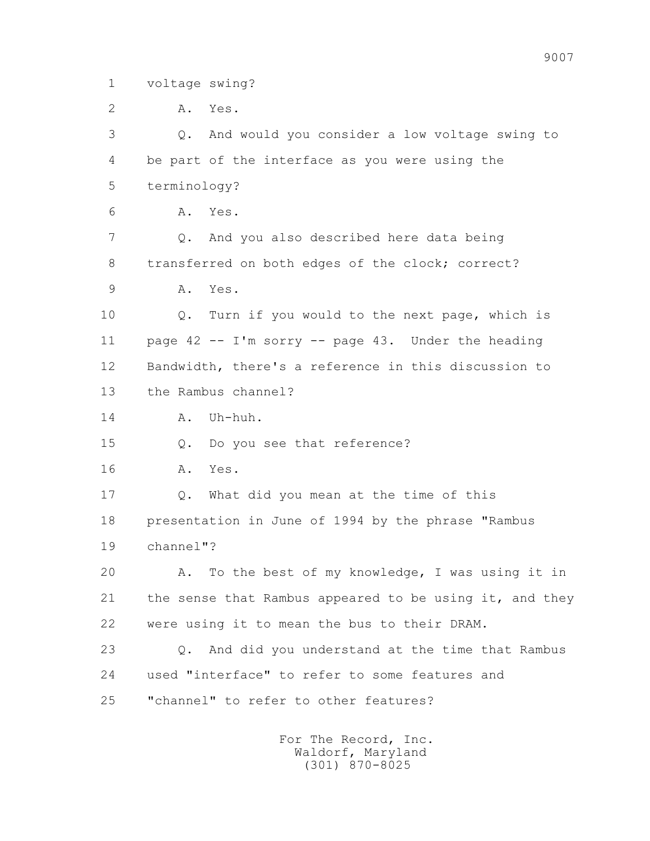1 voltage swing?

 2 A. Yes. 3 Q. And would you consider a low voltage swing to 4 be part of the interface as you were using the 5 terminology? 6 A. Yes. 7 Q. And you also described here data being 8 transferred on both edges of the clock; correct? 9 A. Yes. 10 Q. Turn if you would to the next page, which is 11 page 42 -- I'm sorry -- page 43. Under the heading 12 Bandwidth, there's a reference in this discussion to 13 the Rambus channel? 14 A. Uh-huh. 15 Q. Do you see that reference? 16 A. Yes. 17 Q. What did you mean at the time of this 18 presentation in June of 1994 by the phrase "Rambus 19 channel"? 20 A. To the best of my knowledge, I was using it in 21 the sense that Rambus appeared to be using it, and they 22 were using it to mean the bus to their DRAM. 23 Q. And did you understand at the time that Rambus 24 used "interface" to refer to some features and 25 "channel" to refer to other features?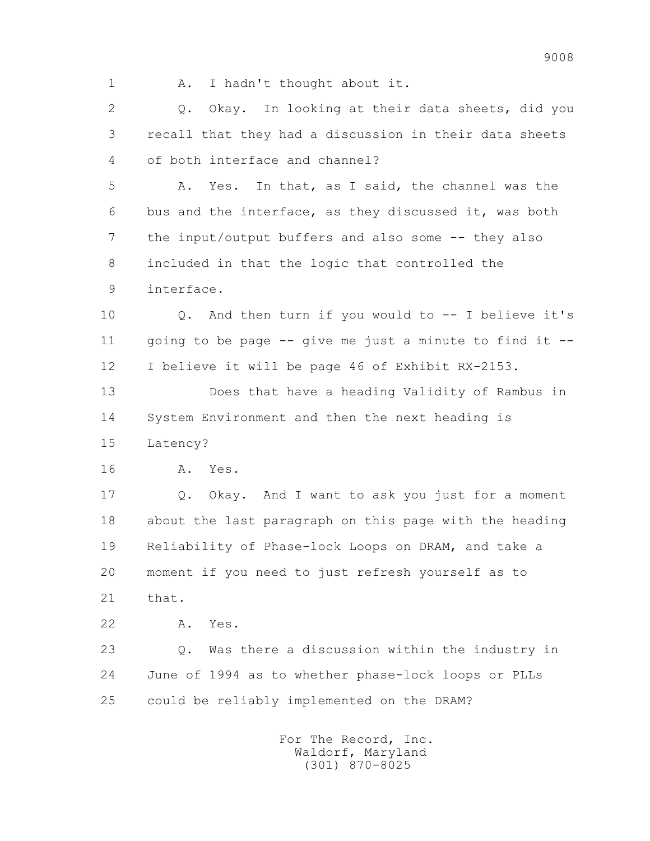- 
- 1 A. I hadn't thought about it.

 2 Q. Okay. In looking at their data sheets, did you 3 recall that they had a discussion in their data sheets 4 of both interface and channel?

 5 A. Yes. In that, as I said, the channel was the 6 bus and the interface, as they discussed it, was both 7 the input/output buffers and also some -- they also 8 included in that the logic that controlled the 9 interface.

 10 Q. And then turn if you would to -- I believe it's 11 going to be page  $-$ - give me just a minute to find it  $-$ -12 I believe it will be page 46 of Exhibit RX-2153.

 13 Does that have a heading Validity of Rambus in 14 System Environment and then the next heading is 15 Latency?

16 A. Yes.

 17 Q. Okay. And I want to ask you just for a moment 18 about the last paragraph on this page with the heading 19 Reliability of Phase-lock Loops on DRAM, and take a 20 moment if you need to just refresh yourself as to 21 that.

22 A. Yes.

 23 Q. Was there a discussion within the industry in 24 June of 1994 as to whether phase-lock loops or PLLs 25 could be reliably implemented on the DRAM?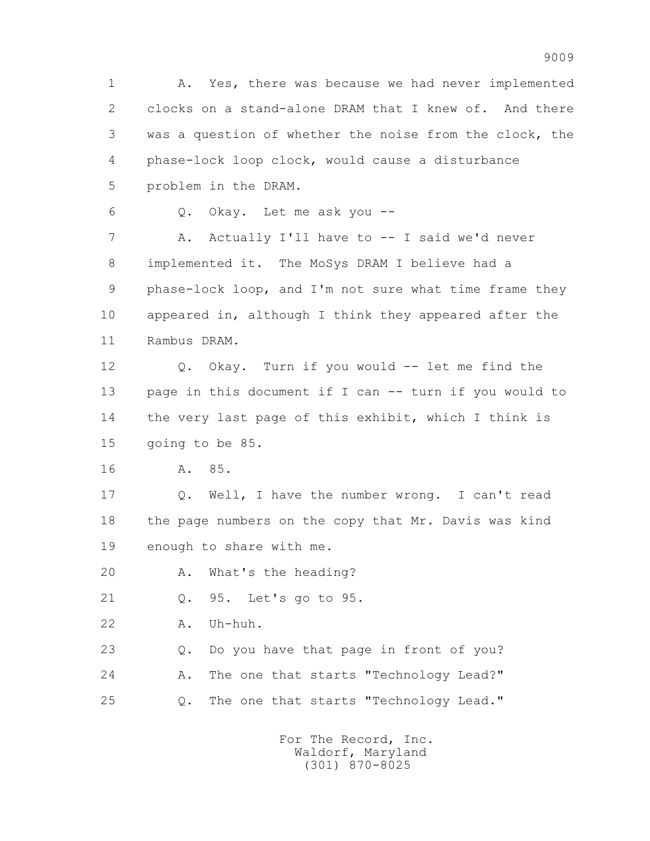1 A. Yes, there was because we had never implemented 2 clocks on a stand-alone DRAM that I knew of. And there 3 was a question of whether the noise from the clock, the 4 phase-lock loop clock, would cause a disturbance 5 problem in the DRAM.

6 Q. Okay. Let me ask you --

7 A. Actually I'll have to -- I said we'd never 8 implemented it. The MoSys DRAM I believe had a 9 phase-lock loop, and I'm not sure what time frame they 10 appeared in, although I think they appeared after the 11 Rambus DRAM.

 12 Q. Okay. Turn if you would -- let me find the 13 page in this document if I can -- turn if you would to 14 the very last page of this exhibit, which I think is 15 going to be 85.

16 A. 85.

 17 Q. Well, I have the number wrong. I can't read 18 the page numbers on the copy that Mr. Davis was kind 19 enough to share with me.

20 A. What's the heading?

21 Q. 95. Let's go to 95.

22 A. Uh-huh.

 23 Q. Do you have that page in front of you? 24 A. The one that starts "Technology Lead?" 25 Q. The one that starts "Technology Lead."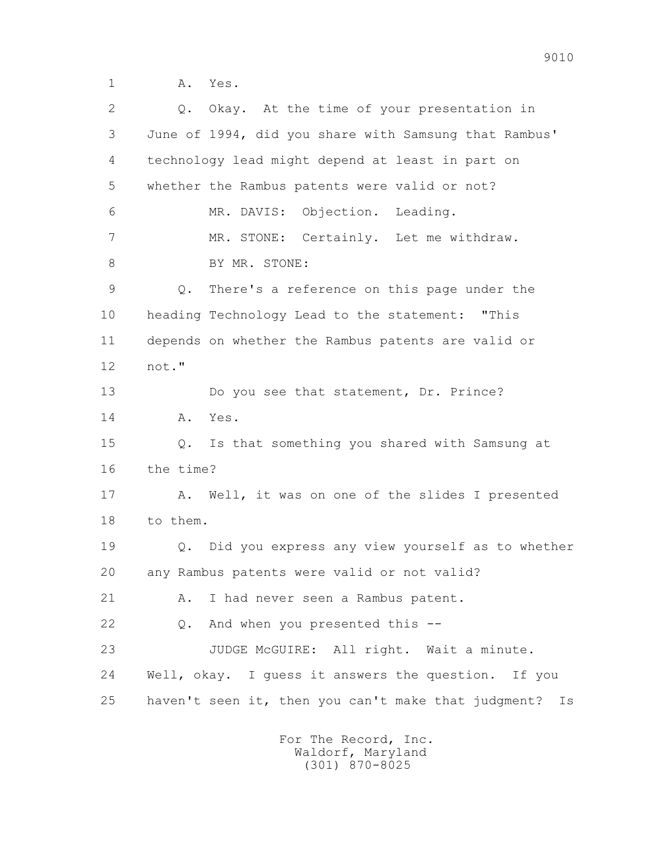1 **A.** Yes.

 2 Q. Okay. At the time of your presentation in 3 June of 1994, did you share with Samsung that Rambus' 4 technology lead might depend at least in part on 5 whether the Rambus patents were valid or not? 6 MR. DAVIS: Objection. Leading. 7 MR. STONE: Certainly. Let me withdraw. 8 BY MR. STONE: 9 Q. There's a reference on this page under the 10 heading Technology Lead to the statement: "This 11 depends on whether the Rambus patents are valid or 12 not." 13 Do you see that statement, Dr. Prince? 14 A. Yes. 15 Q. Is that something you shared with Samsung at 16 the time? 17 A. Well, it was on one of the slides I presented 18 to them. 19 Q. Did you express any view yourself as to whether 20 any Rambus patents were valid or not valid? 21 A. I had never seen a Rambus patent. 22 Q. And when you presented this -- 23 JUDGE McGUIRE: All right. Wait a minute. 24 Well, okay. I guess it answers the question. If you 25 haven't seen it, then you can't make that judgment? Is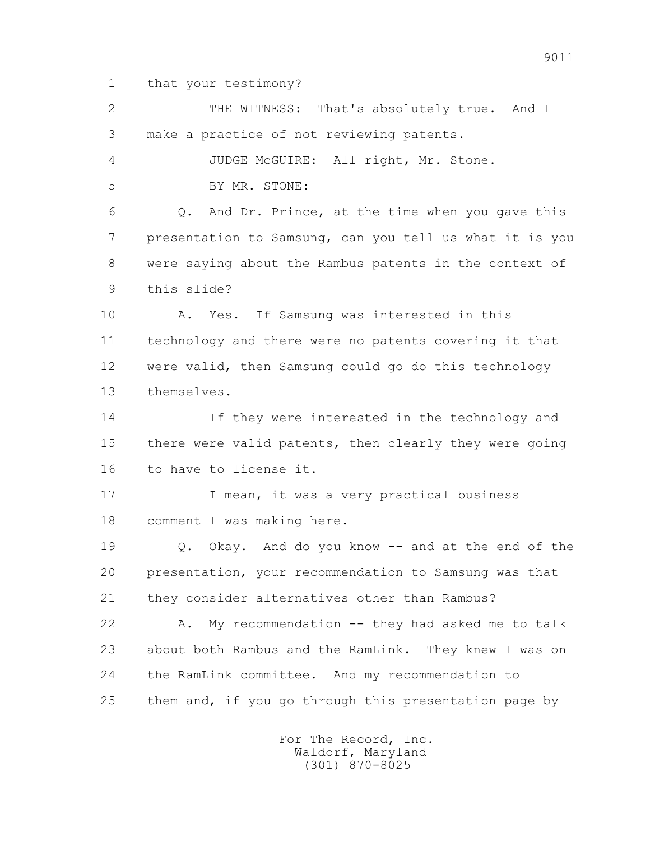1 that your testimony?

 2 THE WITNESS: That's absolutely true. And I 3 make a practice of not reviewing patents. 4 JUDGE McGUIRE: All right, Mr. Stone. 5 BY MR. STONE: 6 Q. And Dr. Prince, at the time when you gave this 7 presentation to Samsung, can you tell us what it is you 8 were saying about the Rambus patents in the context of 9 this slide? 10 A. Yes. If Samsung was interested in this 11 technology and there were no patents covering it that 12 were valid, then Samsung could go do this technology 13 themselves. 14 If they were interested in the technology and 15 there were valid patents, then clearly they were going 16 to have to license it. 17 17 I mean, it was a very practical business 18 comment I was making here. 19 Q. Okay. And do you know -- and at the end of the 20 presentation, your recommendation to Samsung was that 21 they consider alternatives other than Rambus? 22 A. My recommendation -- they had asked me to talk 23 about both Rambus and the RamLink. They knew I was on 24 the RamLink committee. And my recommendation to 25 them and, if you go through this presentation page by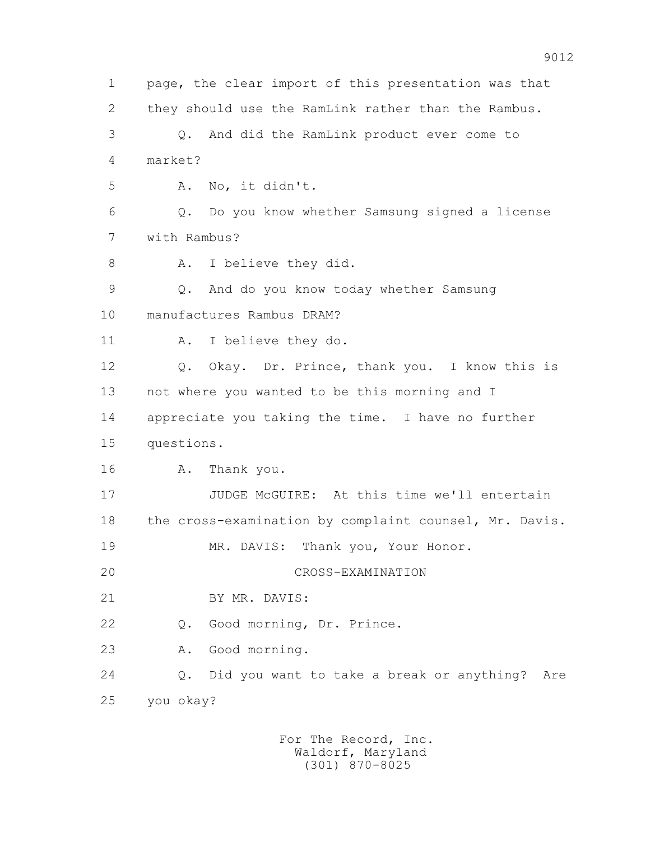1 page, the clear import of this presentation was that 2 they should use the RamLink rather than the Rambus. 3 Q. And did the RamLink product ever come to 4 market? 5 A. No, it didn't. 6 Q. Do you know whether Samsung signed a license 7 with Rambus? 8 A. I believe they did. 9 Q. And do you know today whether Samsung 10 manufactures Rambus DRAM? 11 A. I believe they do. 12 Q. Okay. Dr. Prince, thank you. I know this is 13 not where you wanted to be this morning and I 14 appreciate you taking the time. I have no further 15 questions. 16 A. Thank you. 17 JUDGE McGUIRE: At this time we'll entertain 18 the cross-examination by complaint counsel, Mr. Davis. 19 MR. DAVIS: Thank you, Your Honor. 20 CROSS-EXAMINATION 21 BY MR. DAVIS: 22 Q. Good morning, Dr. Prince. 23 A. Good morning. 24 Q. Did you want to take a break or anything? Are 25 you okay?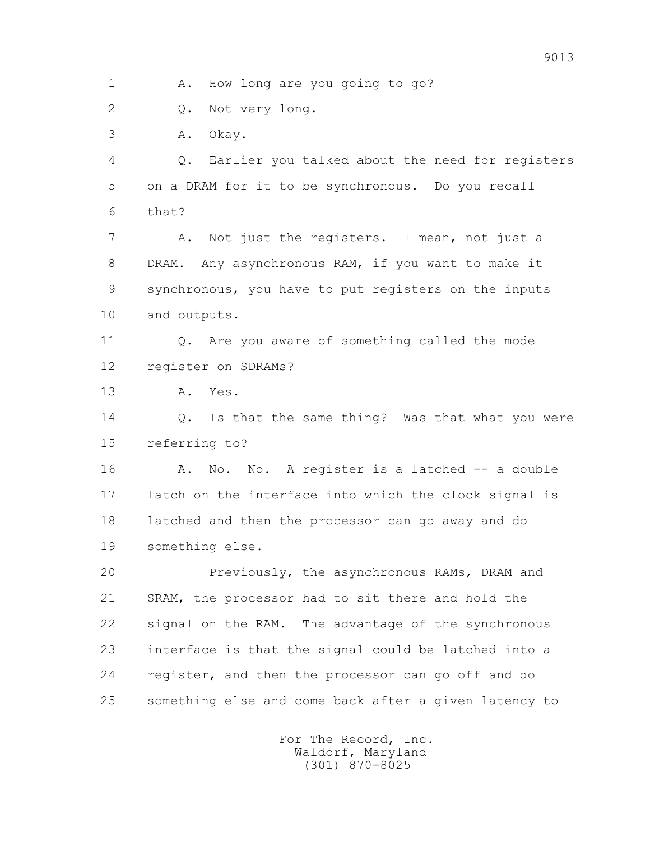1 A. How long are you going to go?

2 0. Not very long.

3 A. Okay.

 4 Q. Earlier you talked about the need for registers 5 on a DRAM for it to be synchronous. Do you recall 6 that?

 7 A. Not just the registers. I mean, not just a 8 DRAM. Any asynchronous RAM, if you want to make it 9 synchronous, you have to put registers on the inputs 10 and outputs.

 11 Q. Are you aware of something called the mode 12 register on SDRAMs?

13 A. Yes.

14 0. Is that the same thing? Was that what you were 15 referring to?

 16 A. No. No. A register is a latched -- a double 17 latch on the interface into which the clock signal is 18 latched and then the processor can go away and do 19 something else.

 20 Previously, the asynchronous RAMs, DRAM and 21 SRAM, the processor had to sit there and hold the 22 signal on the RAM. The advantage of the synchronous 23 interface is that the signal could be latched into a 24 register, and then the processor can go off and do 25 something else and come back after a given latency to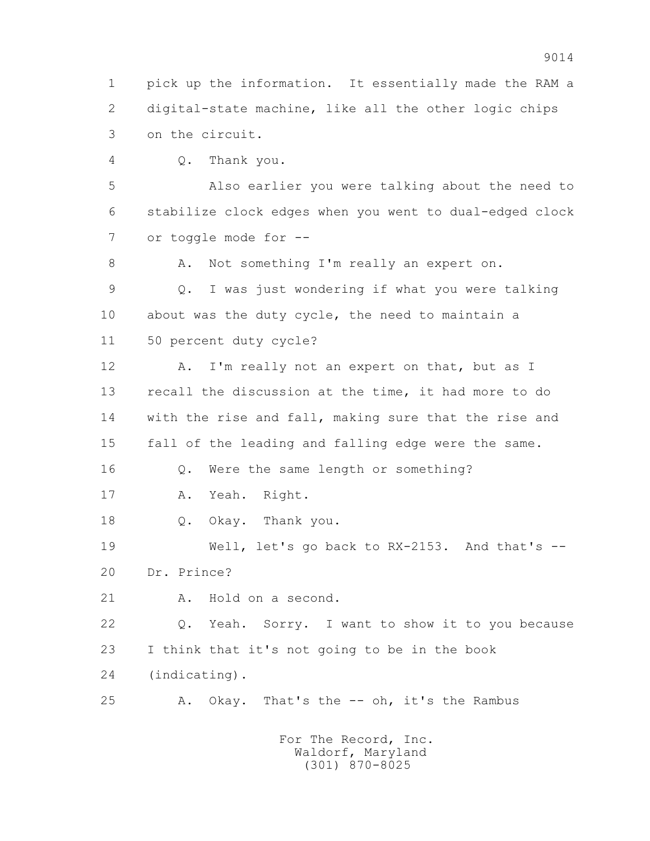1 pick up the information. It essentially made the RAM a 2 digital-state machine, like all the other logic chips 3 on the circuit.

4 Q. Thank you.

 5 Also earlier you were talking about the need to 6 stabilize clock edges when you went to dual-edged clock 7 or toggle mode for --

8 A. Not something I'm really an expert on.

 9 Q. I was just wondering if what you were talking 10 about was the duty cycle, the need to maintain a 11 50 percent duty cycle?

12 A. I'm really not an expert on that, but as I 13 recall the discussion at the time, it had more to do 14 with the rise and fall, making sure that the rise and 15 fall of the leading and falling edge were the same. 16 Q. Were the same length or something? 17 A. Yeah. Right.

18 Q. Okay. Thank you.

 19 Well, let's go back to RX-2153. And that's -- 20 Dr. Prince?

21 A. Hold on a second.

 22 Q. Yeah. Sorry. I want to show it to you because 23 I think that it's not going to be in the book 24 (indicating).

25 A. Okay. That's the -- oh, it's the Rambus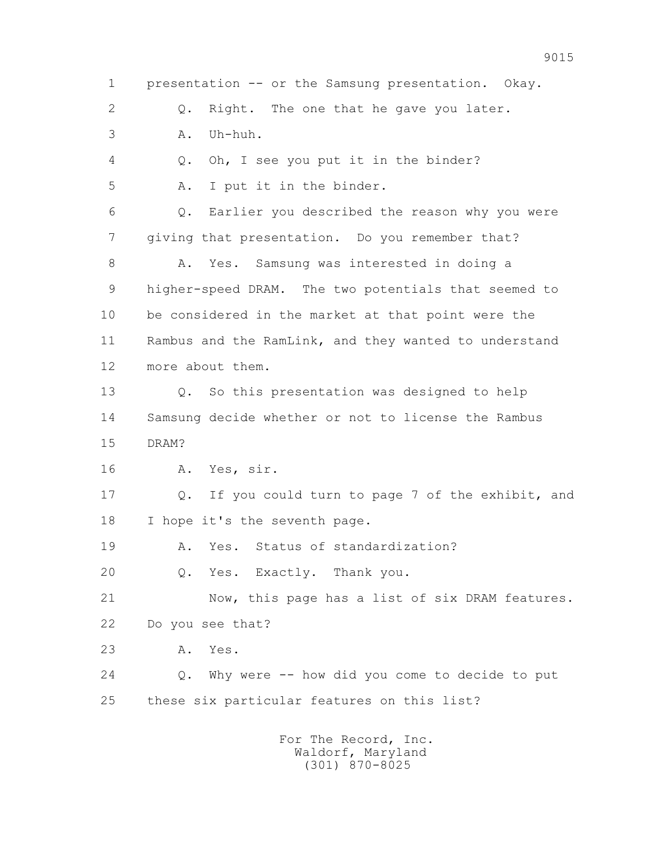1 presentation -- or the Samsung presentation. Okay. 2 Q. Right. The one that he gave you later. 3 A. Uh-huh. 4 Q. Oh, I see you put it in the binder? 5 A. I put it in the binder. 6 Q. Earlier you described the reason why you were 7 giving that presentation. Do you remember that? 8 A. Yes. Samsung was interested in doing a 9 higher-speed DRAM. The two potentials that seemed to 10 be considered in the market at that point were the 11 Rambus and the RamLink, and they wanted to understand 12 more about them. 13 Q. So this presentation was designed to help 14 Samsung decide whether or not to license the Rambus 15 DRAM? 16 A. Yes, sir. 17 Q. If you could turn to page 7 of the exhibit, and 18 I hope it's the seventh page. 19 A. Yes. Status of standardization? 20 Q. Yes. Exactly. Thank you. 21 Now, this page has a list of six DRAM features. 22 Do you see that? 23 A. Yes. 24 Q. Why were -- how did you come to decide to put 25 these six particular features on this list? For The Record, Inc.

 Waldorf, Maryland (301) 870-8025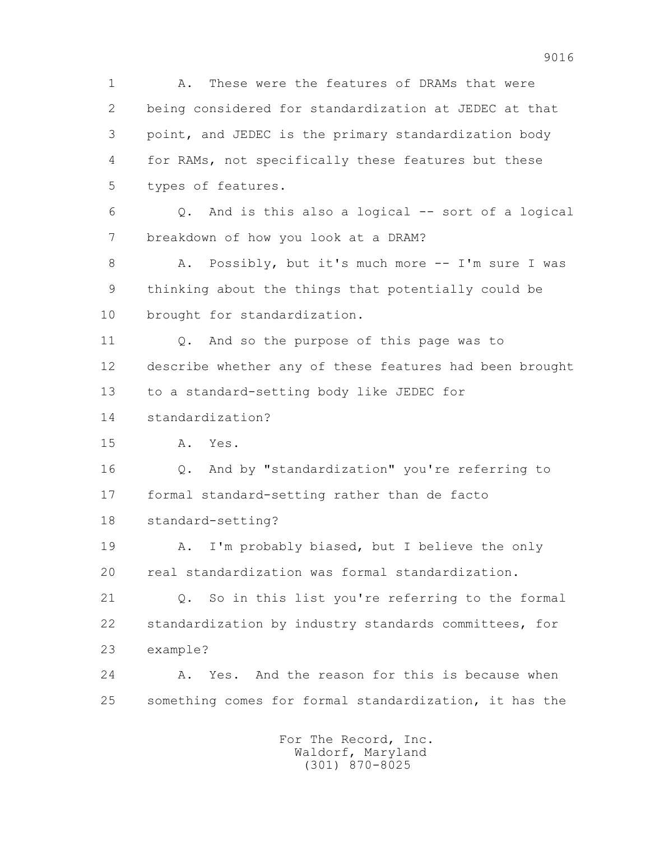1 A. These were the features of DRAMs that were 2 being considered for standardization at JEDEC at that 3 point, and JEDEC is the primary standardization body 4 for RAMs, not specifically these features but these 5 types of features. 6 Q. And is this also a logical -- sort of a logical 7 breakdown of how you look at a DRAM? 8 A. Possibly, but it's much more -- I'm sure I was 9 thinking about the things that potentially could be 10 brought for standardization. 11 Q. And so the purpose of this page was to 12 describe whether any of these features had been brought 13 to a standard-setting body like JEDEC for 14 standardization? 15 A. Yes. 16 Q. And by "standardization" you're referring to 17 formal standard-setting rather than de facto 18 standard-setting? 19 A. I'm probably biased, but I believe the only 20 real standardization was formal standardization. 21 Q. So in this list you're referring to the formal 22 standardization by industry standards committees, for 23 example? 24 A. Yes. And the reason for this is because when 25 something comes for formal standardization, it has the For The Record, Inc. Waldorf, Maryland (301) 870-8025

9016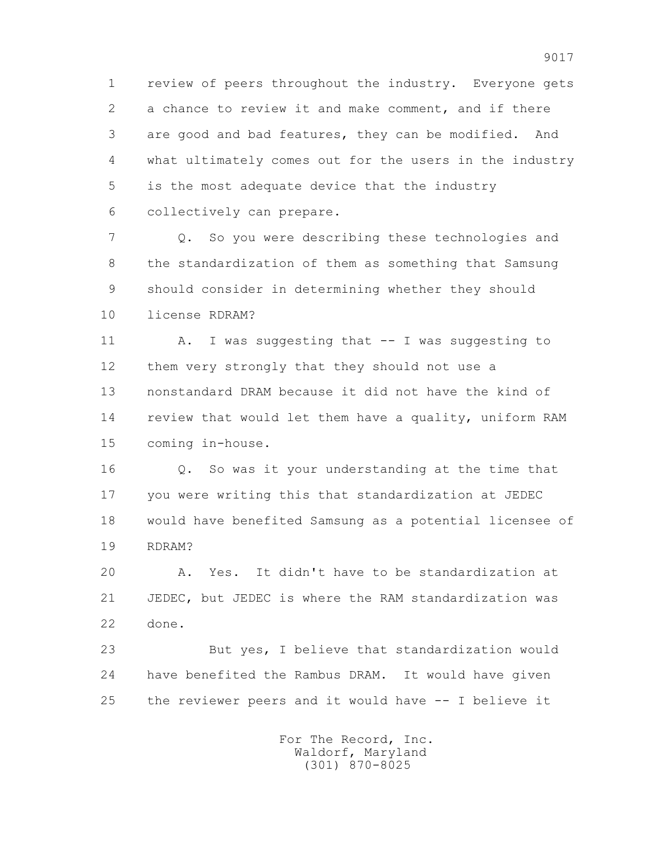1 review of peers throughout the industry. Everyone gets 2 a chance to review it and make comment, and if there 3 are good and bad features, they can be modified. And 4 what ultimately comes out for the users in the industry 5 is the most adequate device that the industry 6 collectively can prepare.

 7 Q. So you were describing these technologies and 8 the standardization of them as something that Samsung 9 should consider in determining whether they should 10 license RDRAM?

11 A. I was suggesting that -- I was suggesting to 12 them very strongly that they should not use a 13 nonstandard DRAM because it did not have the kind of 14 review that would let them have a quality, uniform RAM 15 coming in-house.

 16 Q. So was it your understanding at the time that 17 you were writing this that standardization at JEDEC 18 would have benefited Samsung as a potential licensee of 19 RDRAM?

 20 A. Yes. It didn't have to be standardization at 21 JEDEC, but JEDEC is where the RAM standardization was 22 done.

 23 But yes, I believe that standardization would 24 have benefited the Rambus DRAM. It would have given 25 the reviewer peers and it would have -- I believe it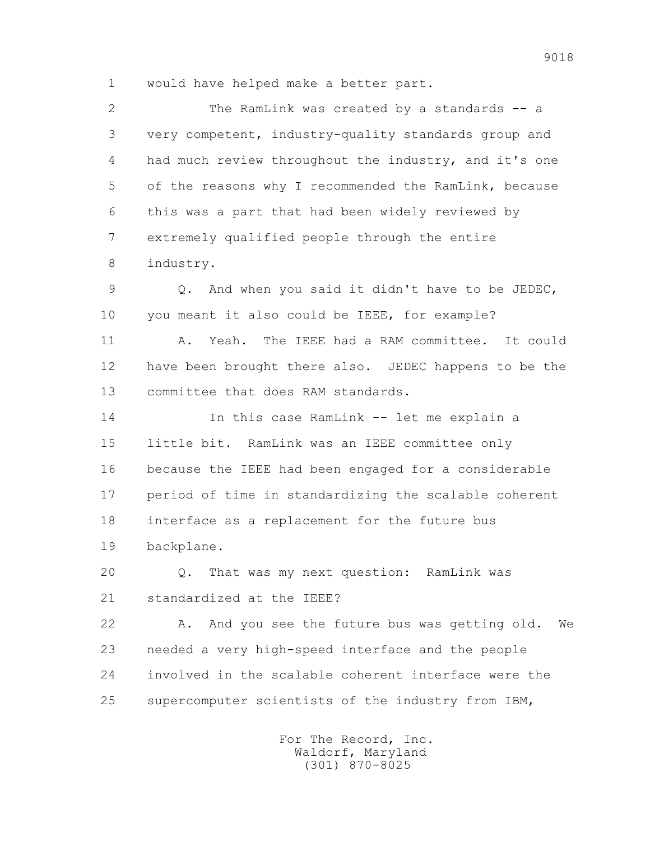1 would have helped make a better part.

 2 The RamLink was created by a standards -- a 3 very competent, industry-quality standards group and 4 had much review throughout the industry, and it's one 5 of the reasons why I recommended the RamLink, because 6 this was a part that had been widely reviewed by 7 extremely qualified people through the entire 8 industry. 9 Q. And when you said it didn't have to be JEDEC, 10 you meant it also could be IEEE, for example? 11 A. Yeah. The IEEE had a RAM committee. It could 12 have been brought there also. JEDEC happens to be the 13 committee that does RAM standards. 14 In this case RamLink -- let me explain a 15 little bit. RamLink was an IEEE committee only 16 because the IEEE had been engaged for a considerable 17 period of time in standardizing the scalable coherent 18 interface as a replacement for the future bus 19 backplane. 20 Q. That was my next question: RamLink was 21 standardized at the IEEE? 22 A. And you see the future bus was getting old. We 23 needed a very high-speed interface and the people 24 involved in the scalable coherent interface were the 25 supercomputer scientists of the industry from IBM,

> For The Record, Inc. Waldorf, Maryland (301) 870-8025

9018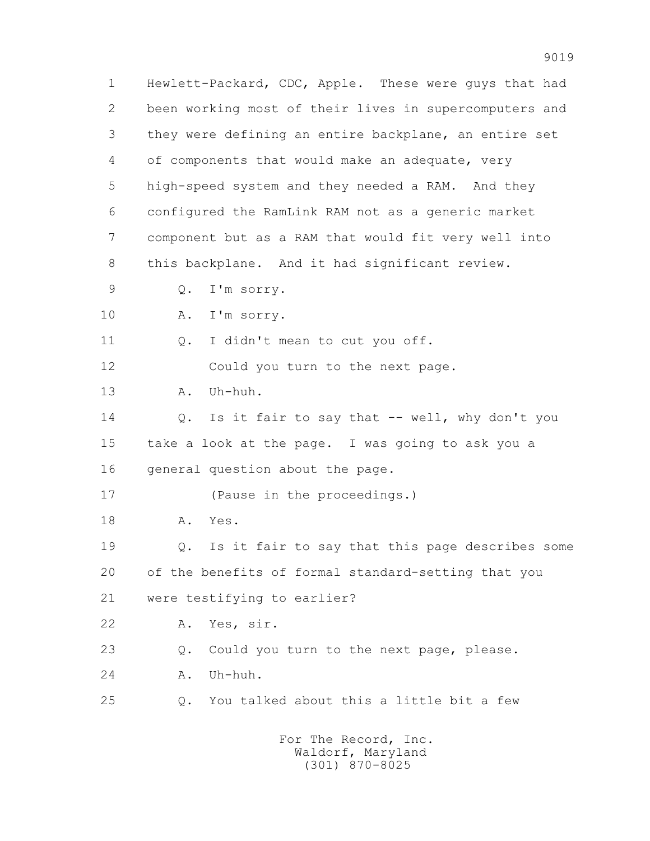1 Hewlett-Packard, CDC, Apple. These were guys that had 2 been working most of their lives in supercomputers and 3 they were defining an entire backplane, an entire set 4 of components that would make an adequate, very 5 high-speed system and they needed a RAM. And they 6 configured the RamLink RAM not as a generic market 7 component but as a RAM that would fit very well into 8 this backplane. And it had significant review. 9 Q. I'm sorry. 10 A. I'm sorry. 11 0. I didn't mean to cut you off. 12 Could you turn to the next page. 13 A. Uh-huh. 14 Q. Is it fair to say that -- well, why don't you 15 take a look at the page. I was going to ask you a 16 general question about the page. 17 (Pause in the proceedings.) 18 A. Yes. 19 Q. Is it fair to say that this page describes some 20 of the benefits of formal standard-setting that you 21 were testifying to earlier? 22 A. Yes, sir. 23 Q. Could you turn to the next page, please. 24 A. Uh-huh. 25 Q. You talked about this a little bit a few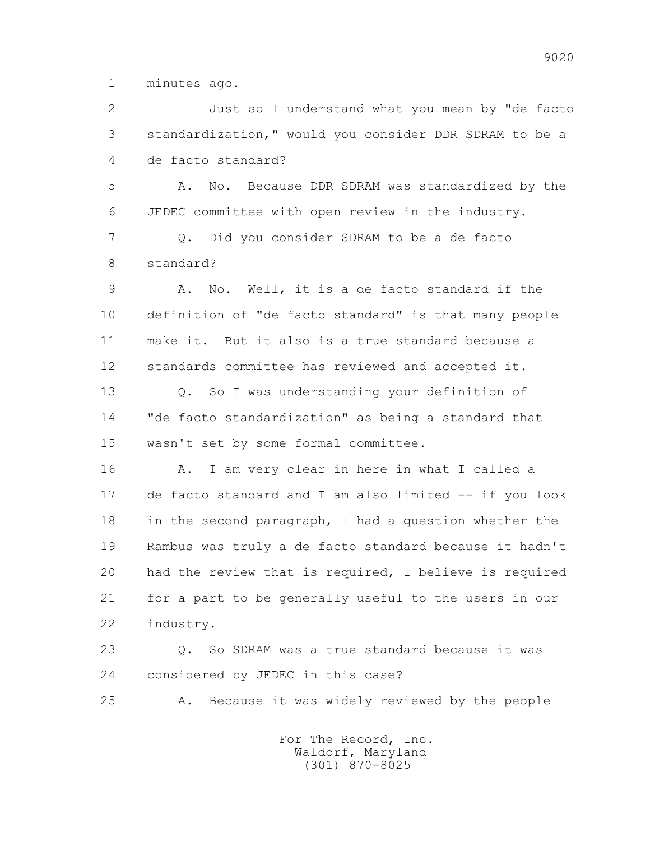1 minutes ago.

 2 Just so I understand what you mean by "de facto 3 standardization," would you consider DDR SDRAM to be a 4 de facto standard?

 5 A. No. Because DDR SDRAM was standardized by the 6 JEDEC committee with open review in the industry.

 7 Q. Did you consider SDRAM to be a de facto 8 standard?

 9 A. No. Well, it is a de facto standard if the 10 definition of "de facto standard" is that many people 11 make it. But it also is a true standard because a 12 standards committee has reviewed and accepted it.

 13 Q. So I was understanding your definition of 14 "de facto standardization" as being a standard that 15 wasn't set by some formal committee.

 16 A. I am very clear in here in what I called a 17 de facto standard and I am also limited -- if you look 18 in the second paragraph, I had a question whether the 19 Rambus was truly a de facto standard because it hadn't 20 had the review that is required, I believe is required 21 for a part to be generally useful to the users in our 22 industry.

 23 Q. So SDRAM was a true standard because it was 24 considered by JEDEC in this case?

25 A. Because it was widely reviewed by the people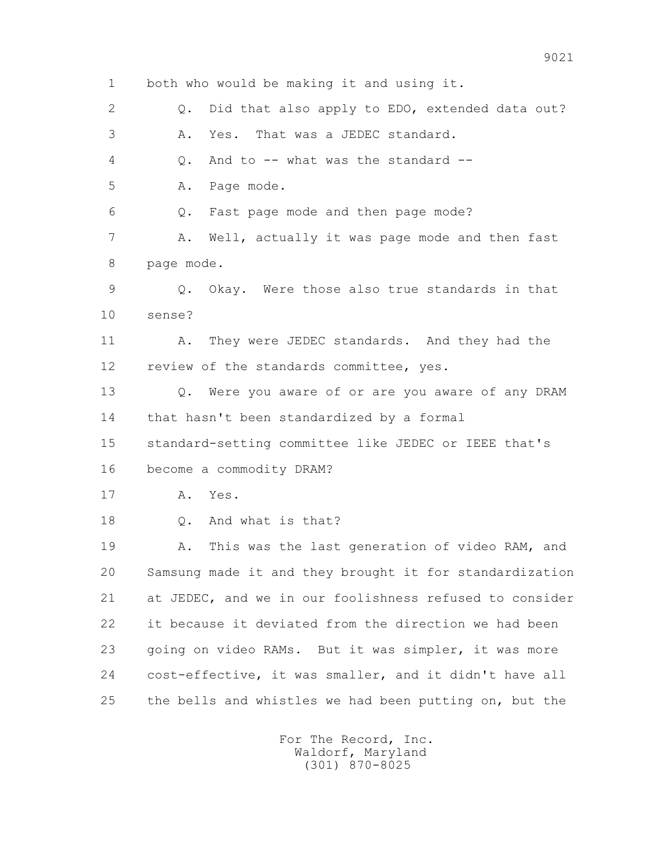1 both who would be making it and using it. 2 0. Did that also apply to EDO, extended data out? 3 A. Yes. That was a JEDEC standard. 4 Q. And to -- what was the standard -- 5 A. Page mode. 6 Q. Fast page mode and then page mode? 7 A. Well, actually it was page mode and then fast 8 page mode. 9 Q. Okay. Were those also true standards in that 10 sense? 11 A. They were JEDEC standards. And they had the 12 review of the standards committee, yes. 13 Q. Were you aware of or are you aware of any DRAM 14 that hasn't been standardized by a formal 15 standard-setting committee like JEDEC or IEEE that's 16 become a commodity DRAM? 17 A. Yes. 18 Q. And what is that? 19 A. This was the last generation of video RAM, and 20 Samsung made it and they brought it for standardization 21 at JEDEC, and we in our foolishness refused to consider 22 it because it deviated from the direction we had been 23 going on video RAMs. But it was simpler, it was more 24 cost-effective, it was smaller, and it didn't have all 25 the bells and whistles we had been putting on, but the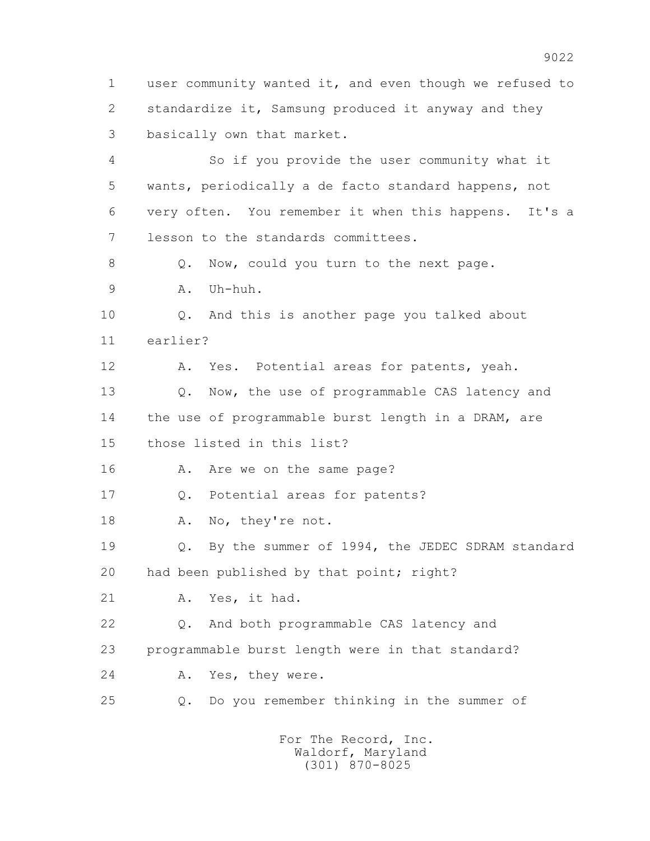1 user community wanted it, and even though we refused to 2 standardize it, Samsung produced it anyway and they 3 basically own that market. 4 So if you provide the user community what it 5 wants, periodically a de facto standard happens, not 6 very often. You remember it when this happens. It's a 7 lesson to the standards committees. 8 O. Now, could you turn to the next page. 9 A. Uh-huh. 10 Q. And this is another page you talked about 11 earlier? 12 A. Yes. Potential areas for patents, yeah. 13 0. Now, the use of programmable CAS latency and 14 the use of programmable burst length in a DRAM, are 15 those listed in this list? 16 A. Are we on the same page? 17 Q. Potential areas for patents? 18 A. No, they're not. 19 Q. By the summer of 1994, the JEDEC SDRAM standard 20 had been published by that point; right? 21 A. Yes, it had. 22 Q. And both programmable CAS latency and 23 programmable burst length were in that standard? 24 A. Yes, they were. 25 Q. Do you remember thinking in the summer of For The Record, Inc. Waldorf, Maryland

(301) 870-8025

9022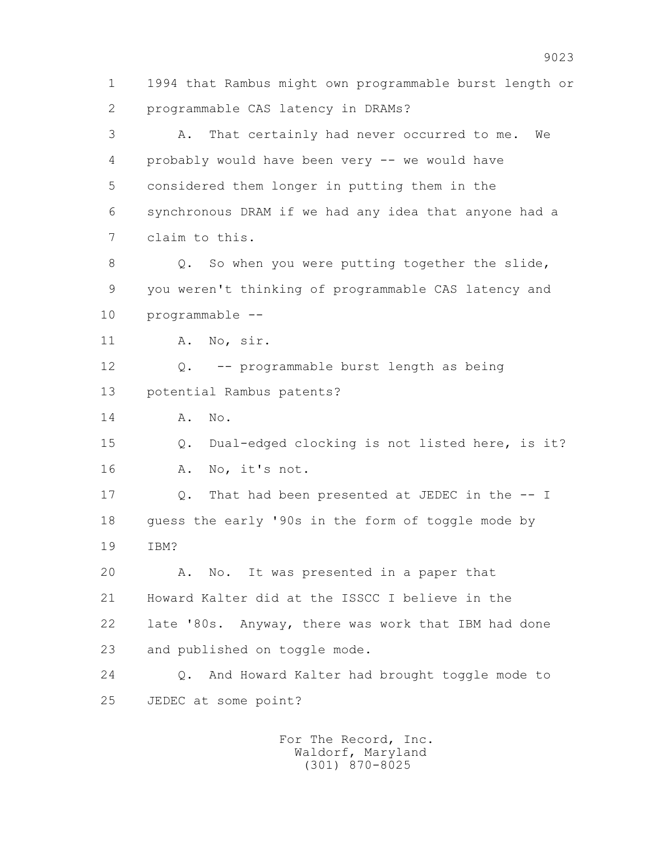1 1994 that Rambus might own programmable burst length or 2 programmable CAS latency in DRAMs?

 3 A. That certainly had never occurred to me. We 4 probably would have been very -- we would have 5 considered them longer in putting them in the 6 synchronous DRAM if we had any idea that anyone had a 7 claim to this.

8 Q. So when you were putting together the slide, 9 you weren't thinking of programmable CAS latency and 10 programmable --

11 A. No, sir.

 12 Q. -- programmable burst length as being 13 potential Rambus patents?

14 A. No.

 15 Q. Dual-edged clocking is not listed here, is it? 16 A. No, it's not.

 17 Q. That had been presented at JEDEC in the -- I 18 guess the early '90s in the form of toggle mode by 19 IBM?

 20 A. No. It was presented in a paper that 21 Howard Kalter did at the ISSCC I believe in the 22 late '80s. Anyway, there was work that IBM had done 23 and published on toggle mode.

 24 Q. And Howard Kalter had brought toggle mode to 25 JEDEC at some point?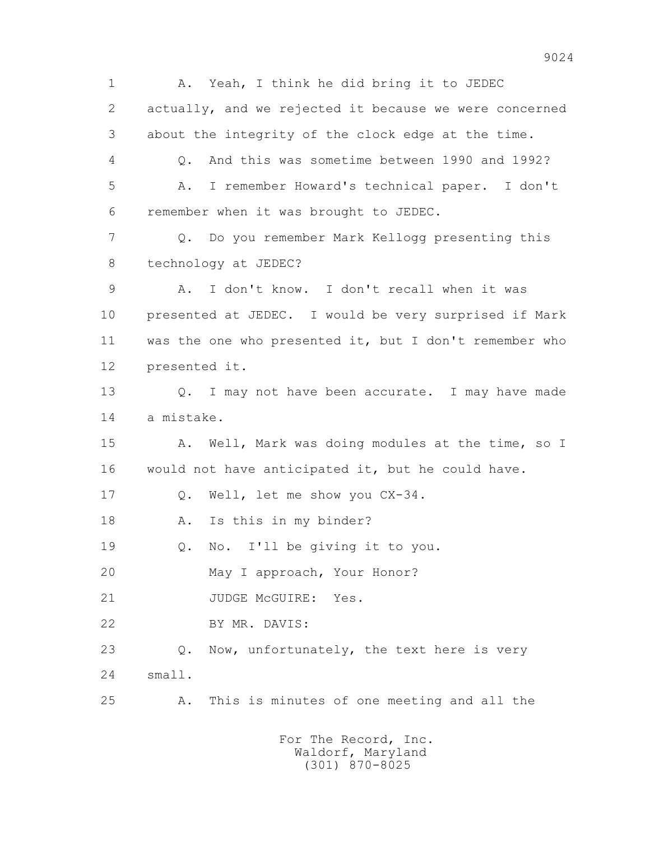1 A. Yeah, I think he did bring it to JEDEC 2 actually, and we rejected it because we were concerned 3 about the integrity of the clock edge at the time. 4 Q. And this was sometime between 1990 and 1992? 5 A. I remember Howard's technical paper. I don't 6 remember when it was brought to JEDEC. 7 Q. Do you remember Mark Kellogg presenting this 8 technology at JEDEC? 9 A. I don't know. I don't recall when it was 10 presented at JEDEC. I would be very surprised if Mark 11 was the one who presented it, but I don't remember who 12 presented it. 13 0. I may not have been accurate. I may have made 14 a mistake. 15 A. Well, Mark was doing modules at the time, so I 16 would not have anticipated it, but he could have. 17 Q. Well, let me show you CX-34. 18 A. Is this in my binder? 19 Q. No. I'll be giving it to you. 20 May I approach, Your Honor? 21 JUDGE McGUIRE: Yes. 22 BY MR. DAVIS: 23 Q. Now, unfortunately, the text here is very 24 small. 25 A. This is minutes of one meeting and all the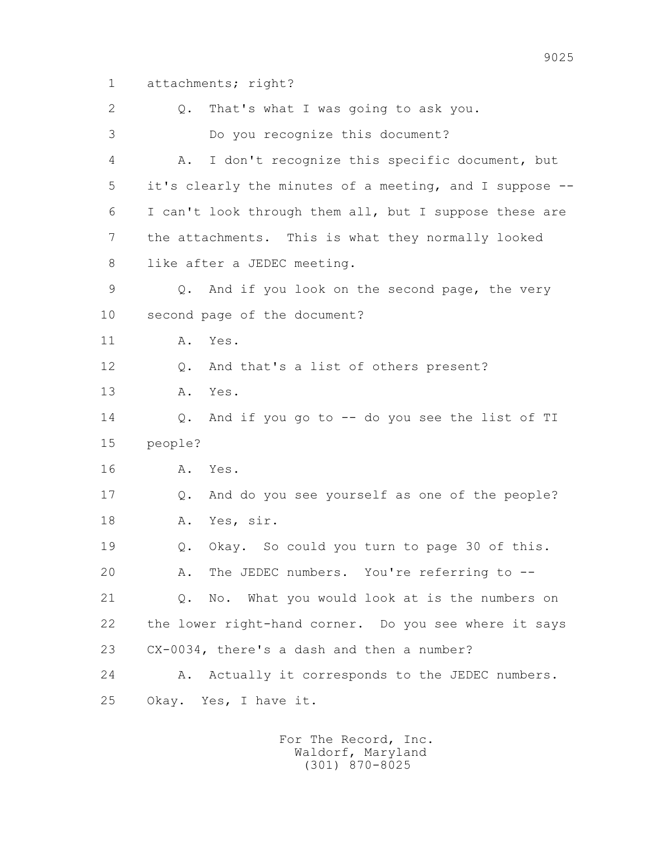1 attachments; right?

 2 Q. That's what I was going to ask you. 3 Do you recognize this document? 4 A. I don't recognize this specific document, but 5 it's clearly the minutes of a meeting, and I suppose -- 6 I can't look through them all, but I suppose these are 7 the attachments. This is what they normally looked 8 like after a JEDEC meeting. 9 Q. And if you look on the second page, the very 10 second page of the document? 11 A. Yes. 12 Q. And that's a list of others present? 13 A. Yes. 14 Q. And if you go to -- do you see the list of TI 15 people? 16 A. Yes. 17 Q. And do you see yourself as one of the people? 18 A. Yes, sir. 19 Q. Okay. So could you turn to page 30 of this. 20 A. The JEDEC numbers. You're referring to -- 21 Q. No. What you would look at is the numbers on 22 the lower right-hand corner. Do you see where it says 23 CX-0034, there's a dash and then a number? 24 A. Actually it corresponds to the JEDEC numbers. 25 Okay. Yes, I have it.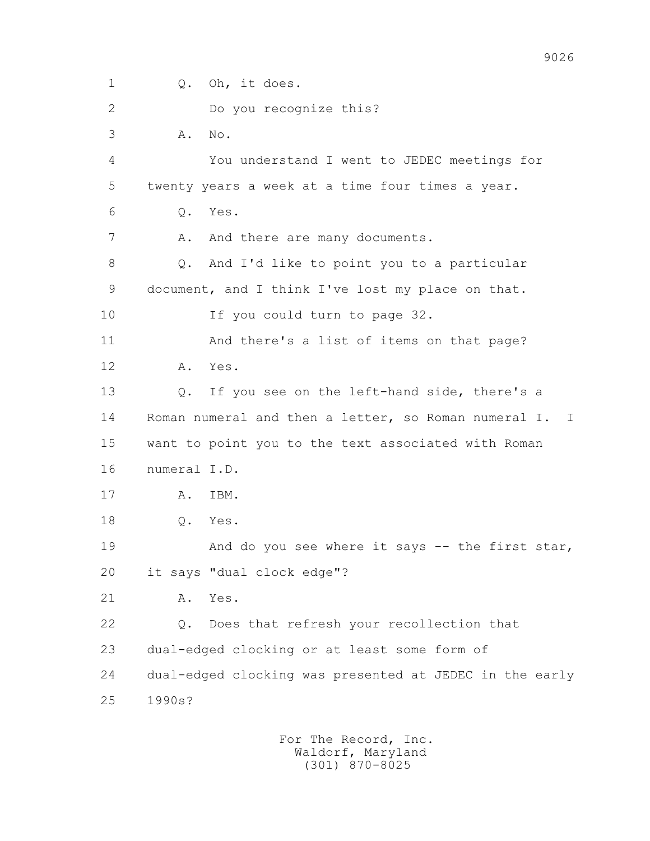1 Q. Oh, it does. 2 Do you recognize this? 3 A. No. 4 You understand I went to JEDEC meetings for 5 twenty years a week at a time four times a year. 6 Q. Yes. 7 A. And there are many documents. 8 Q. And I'd like to point you to a particular 9 document, and I think I've lost my place on that. 10 If you could turn to page 32. 11 And there's a list of items on that page? 12 A. Yes. 13 Q. If you see on the left-hand side, there's a 14 Roman numeral and then a letter, so Roman numeral I. I 15 want to point you to the text associated with Roman 16 numeral I.D. 17 A. IBM. 18 Q. Yes. 19 And do you see where it says -- the first star, 20 it says "dual clock edge"? 21 A. Yes. 22 Q. Does that refresh your recollection that 23 dual-edged clocking or at least some form of 24 dual-edged clocking was presented at JEDEC in the early 25 1990s?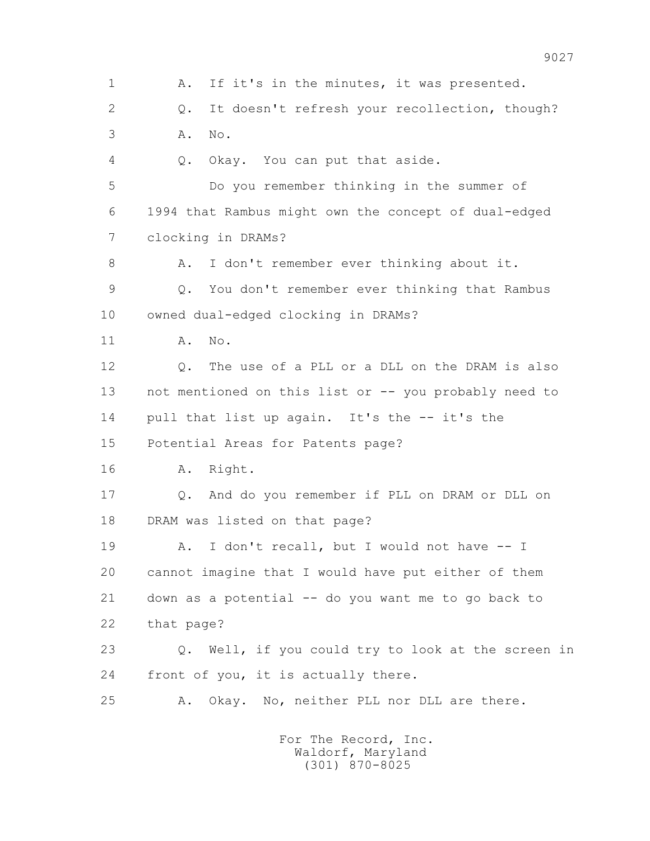1 A. If it's in the minutes, it was presented. 2 Q. It doesn't refresh your recollection, though? 3 A. No. 4 Q. Okay. You can put that aside. 5 Do you remember thinking in the summer of 6 1994 that Rambus might own the concept of dual-edged 7 clocking in DRAMs? 8 A. I don't remember ever thinking about it. 9 Q. You don't remember ever thinking that Rambus 10 owned dual-edged clocking in DRAMs? 11 A. No. 12 Q. The use of a PLL or a DLL on the DRAM is also 13 not mentioned on this list or -- you probably need to 14 pull that list up again. It's the -- it's the 15 Potential Areas for Patents page? 16 A. Right. 17 Q. And do you remember if PLL on DRAM or DLL on 18 DRAM was listed on that page? 19 A. I don't recall, but I would not have -- I 20 cannot imagine that I would have put either of them 21 down as a potential -- do you want me to go back to 22 that page? 23 Q. Well, if you could try to look at the screen in 24 front of you, it is actually there. 25 A. Okay. No, neither PLL nor DLL are there.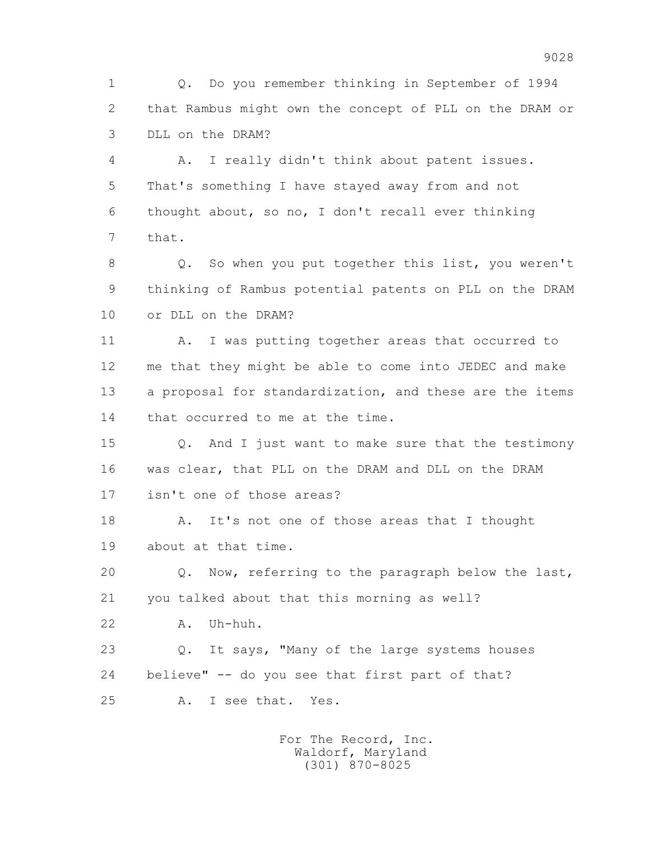1 Q. Do you remember thinking in September of 1994 2 that Rambus might own the concept of PLL on the DRAM or 3 DLL on the DRAM?

 4 A. I really didn't think about patent issues. 5 That's something I have stayed away from and not 6 thought about, so no, I don't recall ever thinking 7 that.

 8 Q. So when you put together this list, you weren't 9 thinking of Rambus potential patents on PLL on the DRAM 10 or DLL on the DRAM?

 11 A. I was putting together areas that occurred to 12 me that they might be able to come into JEDEC and make 13 a proposal for standardization, and these are the items 14 that occurred to me at the time.

 15 Q. And I just want to make sure that the testimony 16 was clear, that PLL on the DRAM and DLL on the DRAM 17 isn't one of those areas?

 18 A. It's not one of those areas that I thought 19 about at that time.

 20 Q. Now, referring to the paragraph below the last, 21 you talked about that this morning as well?

22 A. Uh-huh.

 23 Q. It says, "Many of the large systems houses 24 believe" -- do you see that first part of that?

25 A. I see that. Yes.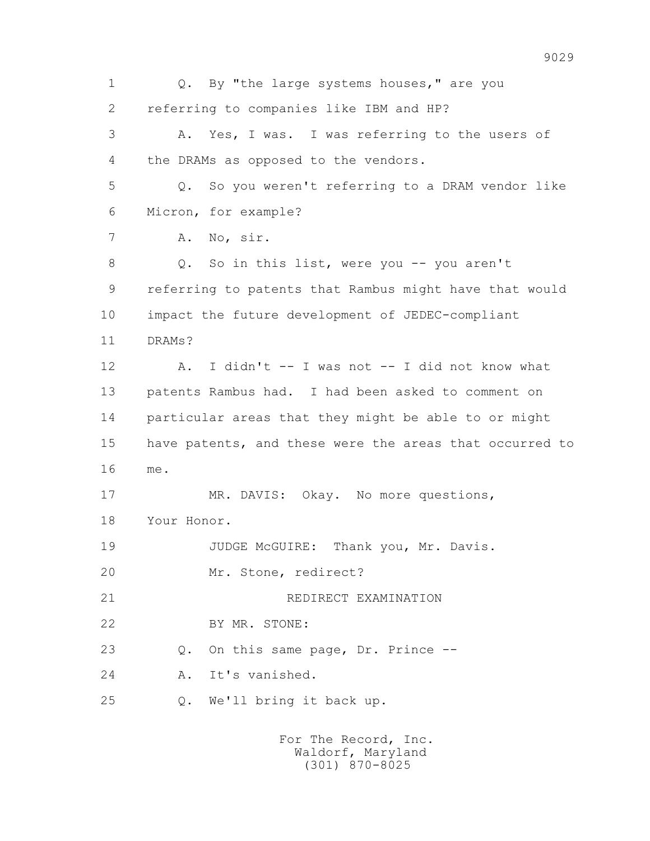1 0. By "the large systems houses," are you 2 referring to companies like IBM and HP? 3 A. Yes, I was. I was referring to the users of 4 the DRAMs as opposed to the vendors. 5 Q. So you weren't referring to a DRAM vendor like 6 Micron, for example? 7 A. No, sir. 8 Q. So in this list, were you -- you aren't 9 referring to patents that Rambus might have that would 10 impact the future development of JEDEC-compliant 11 DRAMs? 12 A. I didn't -- I was not -- I did not know what 13 patents Rambus had. I had been asked to comment on 14 particular areas that they might be able to or might 15 have patents, and these were the areas that occurred to 16 me. 17 MR. DAVIS: Okay. No more questions, 18 Your Honor. 19 JUDGE McGUIRE: Thank you, Mr. Davis. 20 Mr. Stone, redirect? 21 REDIRECT EXAMINATION 22 BY MR. STONE: 23 Q. On this same page, Dr. Prince -- 24 A. It's vanished. 25 Q. We'll bring it back up.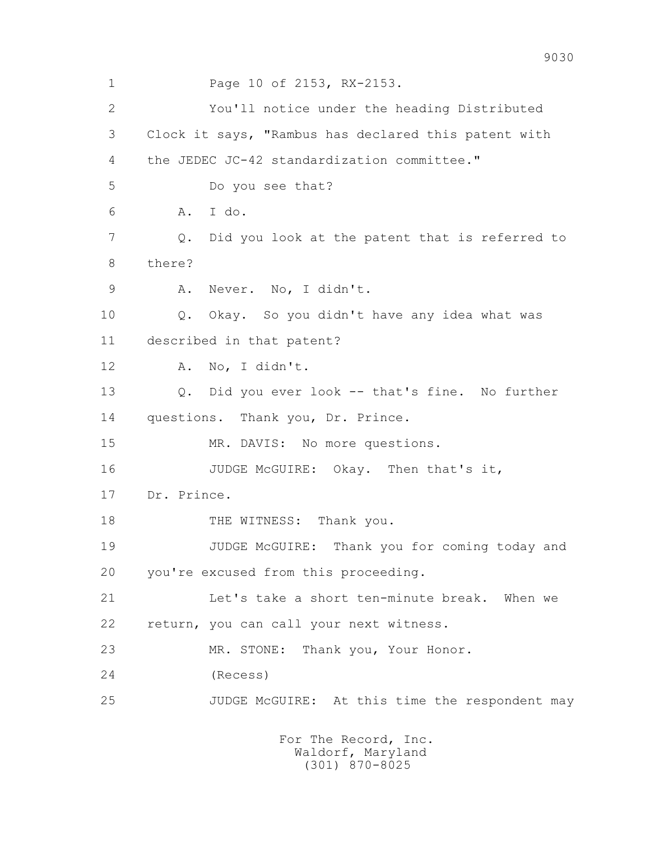1 Page 10 of 2153, RX-2153. 2 You'll notice under the heading Distributed 3 Clock it says, "Rambus has declared this patent with 4 the JEDEC JC-42 standardization committee." 5 Do you see that? 6 A. I do. 7 Q. Did you look at the patent that is referred to 8 there? 9 A. Never. No, I didn't. 10 Q. Okay. So you didn't have any idea what was 11 described in that patent? 12 A. No, I didn't. 13 Q. Did you ever look -- that's fine. No further 14 questions. Thank you, Dr. Prince. 15 MR. DAVIS: No more questions. 16 JUDGE McGUIRE: Okay. Then that's it, 17 Dr. Prince. 18 THE WITNESS: Thank you. 19 JUDGE McGUIRE: Thank you for coming today and 20 you're excused from this proceeding. 21 Let's take a short ten-minute break. When we 22 return, you can call your next witness. 23 MR. STONE: Thank you, Your Honor. 24 (Recess) 25 JUDGE McGUIRE: At this time the respondent may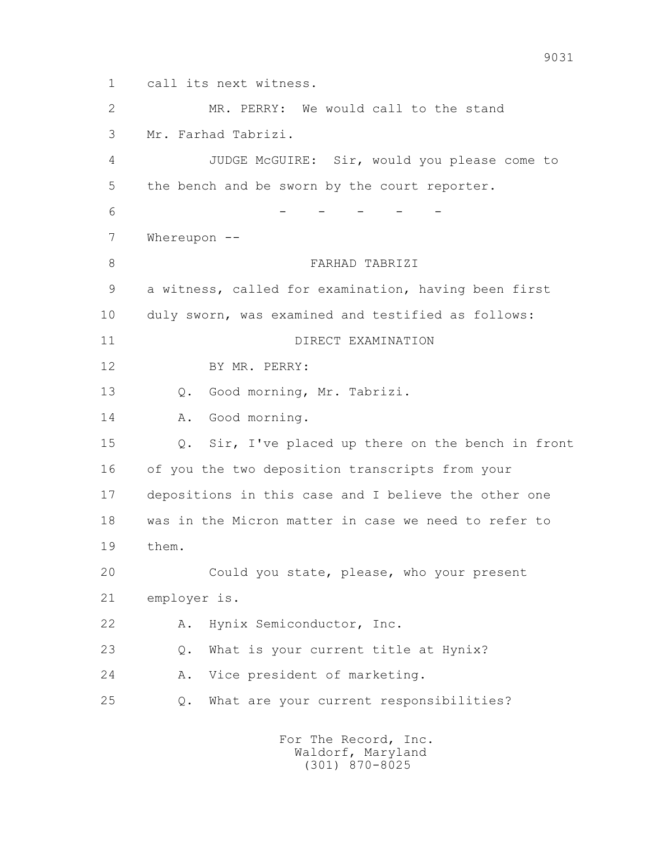1 call its next witness. 2 MR. PERRY: We would call to the stand 3 Mr. Farhad Tabrizi. 4 JUDGE McGUIRE: Sir, would you please come to 5 the bench and be sworn by the court reporter. 6 - - - - - - - - 7 Whereupon -- 8 FARHAD TABRIZI 9 a witness, called for examination, having been first 10 duly sworn, was examined and testified as follows: 11 DIRECT EXAMINATION 12 BY MR. PERRY: 13 Q. Good morning, Mr. Tabrizi. 14 A. Good morning. 15 Q. Sir, I've placed up there on the bench in front 16 of you the two deposition transcripts from your 17 depositions in this case and I believe the other one 18 was in the Micron matter in case we need to refer to 19 them. 20 Could you state, please, who your present 21 employer is. 22 A. Hynix Semiconductor, Inc. 23 Q. What is your current title at Hynix? 24 A. Vice president of marketing. 25 Q. What are your current responsibilities?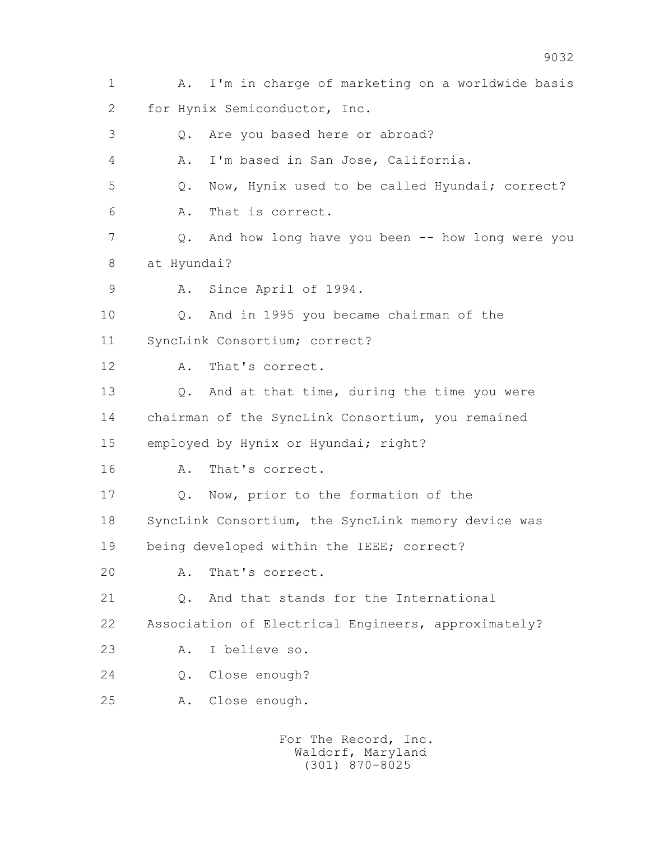| $\mathbf 1$ | I'm in charge of marketing on a worldwide basis<br>Α. |
|-------------|-------------------------------------------------------|
| 2           | for Hynix Semiconductor, Inc.                         |
| 3           | Are you based here or abroad?<br>Q.                   |
| 4           | I'm based in San Jose, California.<br>Α.              |
| 5           | Now, Hynix used to be called Hyundai; correct?<br>Q.  |
| 6           | That is correct.<br>Α.                                |
| 7           | And how long have you been -- how long were you<br>Q. |
| 8           | at Hyundai?                                           |
| 9           | Since April of 1994.<br>Α.                            |
| 10          | And in 1995 you became chairman of the<br>Q.          |
| 11          | SyncLink Consortium; correct?                         |
| 12          | That's correct.<br>Α.                                 |
| 13          | And at that time, during the time you were<br>Q.      |
| 14          | chairman of the SyncLink Consortium, you remained     |
| 15          | employed by Hynix or Hyundai; right?                  |
| 16          | That's correct.<br>Α.                                 |
| 17          | Now, prior to the formation of the<br>Q.              |
| 18          | SyncLink Consortium, the SyncLink memory device was   |
| 19          | being developed within the IEEE; correct?             |
| 20          | That's correct.<br>Α.                                 |
| 21          | And that stands for the International<br>Q.           |
| 22          | Association of Electrical Engineers, approximately?   |
| 23          | I believe so.<br>Α.                                   |
| 24          | Close enough?<br>Q.                                   |
| 25          | Close enough.<br>Α.                                   |
|             |                                                       |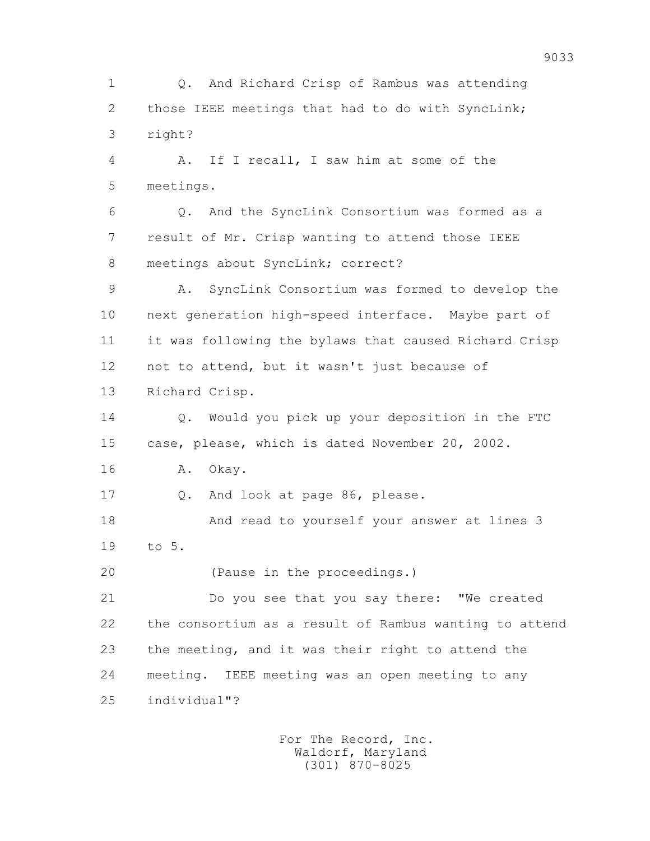1 Q. And Richard Crisp of Rambus was attending 2 those IEEE meetings that had to do with SyncLink; 3 right? 4 A. If I recall, I saw him at some of the 5 meetings. 6 Q. And the SyncLink Consortium was formed as a 7 result of Mr. Crisp wanting to attend those IEEE 8 meetings about SyncLink; correct? 9 A. SyncLink Consortium was formed to develop the 10 next generation high-speed interface. Maybe part of 11 it was following the bylaws that caused Richard Crisp 12 not to attend, but it wasn't just because of 13 Richard Crisp. 14 Q. Would you pick up your deposition in the FTC 15 case, please, which is dated November 20, 2002. 16 A. Okay. 17 Q. And look at page 86, please. 18 And read to yourself your answer at lines 3 19 to 5. 20 (Pause in the proceedings.) 21 Do you see that you say there: "We created 22 the consortium as a result of Rambus wanting to attend 23 the meeting, and it was their right to attend the 24 meeting. IEEE meeting was an open meeting to any 25 individual"?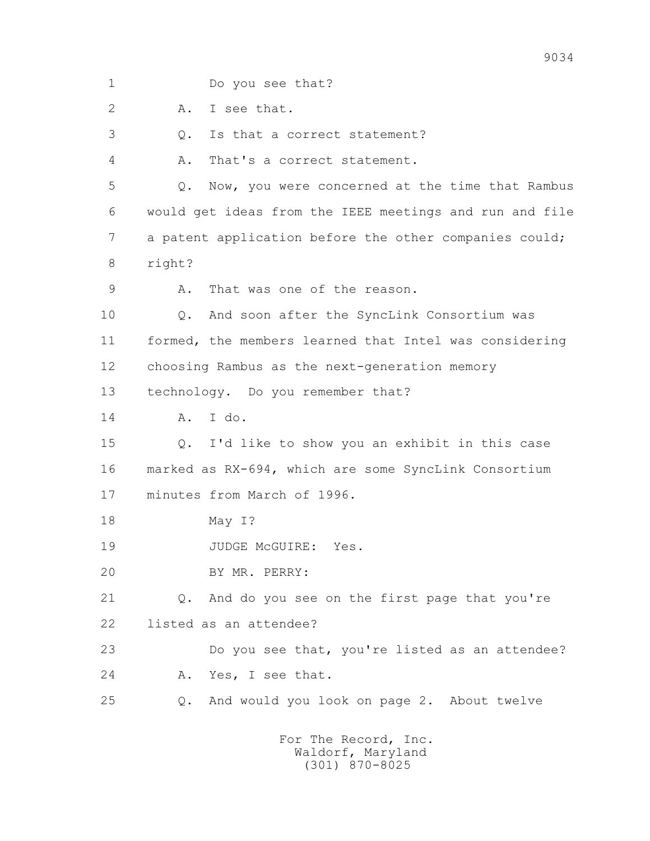| 1              | Do you see that?                                         |
|----------------|----------------------------------------------------------|
| $\overline{2}$ | I see that.<br>Α.                                        |
| 3              | Is that a correct statement?<br>$Q$ .                    |
| 4              | Α.<br>That's a correct statement.                        |
| 5              | Now, you were concerned at the time that Rambus<br>$Q$ . |
| 6              | would get ideas from the IEEE meetings and run and file  |
| 7              | a patent application before the other companies could;   |
| 8              | right?                                                   |
| 9              | That was one of the reason.<br>Α.                        |
| 10             | And soon after the SyncLink Consortium was<br>$Q$ .      |
| 11             | formed, the members learned that Intel was considering   |
| 12             | choosing Rambus as the next-generation memory            |
| 13             | technology. Do you remember that?                        |
| 14             | I do.<br>Α.                                              |
| 15             | I'd like to show you an exhibit in this case<br>Q.       |
| 16             | marked as RX-694, which are some SyncLink Consortium     |
| 17             | minutes from March of 1996.                              |
| 18             | May I?                                                   |
| 19             | JUDGE McGUIRE: Yes.                                      |
| 20             | BY MR. PERRY:                                            |
| 21             | And do you see on the first page that you're<br>Q.       |
| 22             | listed as an attendee?                                   |
| 23             | Do you see that, you're listed as an attendee?           |
| 24             | Yes, I see that.<br>Α.                                   |
| 25             | And would you look on page 2. About twelve<br>$Q$ .      |
|                |                                                          |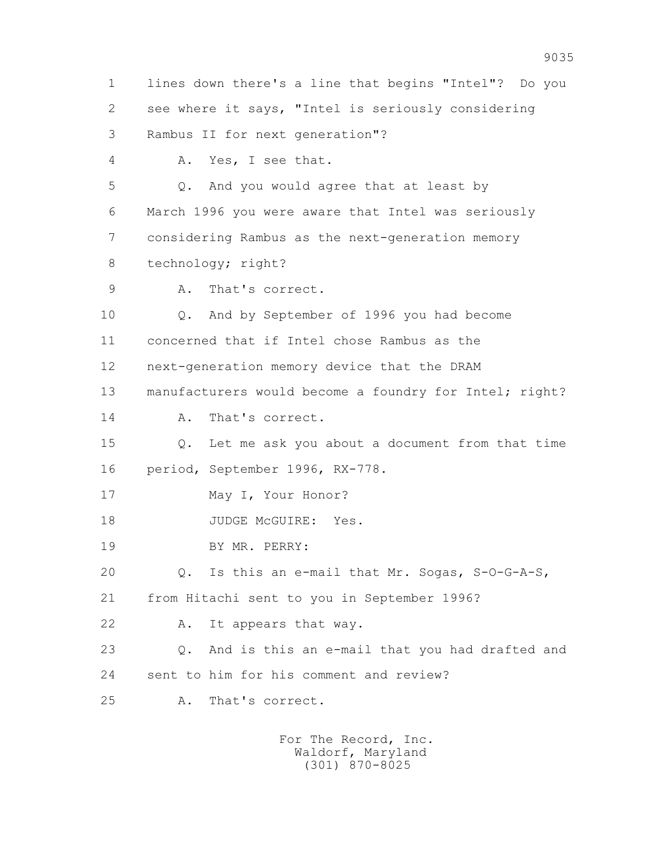1 lines down there's a line that begins "Intel"? Do you 2 see where it says, "Intel is seriously considering 3 Rambus II for next generation"? 4 A. Yes, I see that. 5 Q. And you would agree that at least by 6 March 1996 you were aware that Intel was seriously 7 considering Rambus as the next-generation memory 8 technology; right? 9 A. That's correct. 10 Q. And by September of 1996 you had become 11 concerned that if Intel chose Rambus as the 12 next-generation memory device that the DRAM 13 manufacturers would become a foundry for Intel; right? 14 A. That's correct. 15 Q. Let me ask you about a document from that time 16 period, September 1996, RX-778. 17 May I, Your Honor? 18 JUDGE McGUIRE: Yes. 19 BY MR. PERRY: 20 Q. Is this an e-mail that Mr. Sogas, S-O-G-A-S, 21 from Hitachi sent to you in September 1996? 22 A. It appears that way. 23 Q. And is this an e-mail that you had drafted and 24 sent to him for his comment and review? 25 A. That's correct.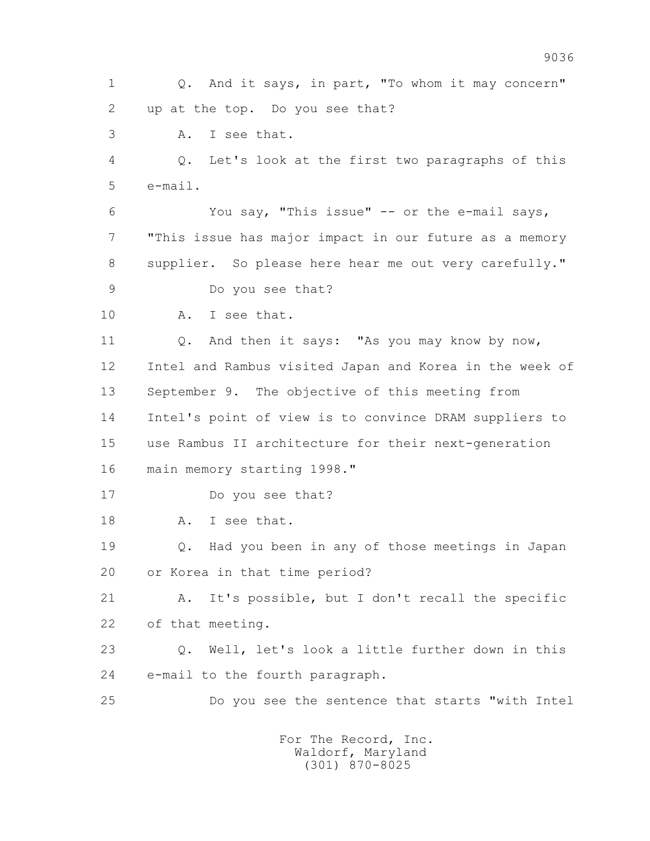1 Q. And it says, in part, "To whom it may concern" 2 up at the top. Do you see that? 3 A. I see that. 4 Q. Let's look at the first two paragraphs of this  $5 \qquad \qquad \text{e-mail}.$  6 You say, "This issue" -- or the e-mail says, 7 "This issue has major impact in our future as a memory 8 supplier. So please here hear me out very carefully." 9 Do you see that? 10 A. I see that. 11 Q. And then it says: "As you may know by now, 12 Intel and Rambus visited Japan and Korea in the week of 13 September 9. The objective of this meeting from 14 Intel's point of view is to convince DRAM suppliers to 15 use Rambus II architecture for their next-generation 16 main memory starting 1998." 17 Do you see that? 18 A. I see that. 19 Q. Had you been in any of those meetings in Japan 20 or Korea in that time period? 21 A. It's possible, but I don't recall the specific 22 of that meeting. 23 Q. Well, let's look a little further down in this 24 e-mail to the fourth paragraph. 25 Do you see the sentence that starts "with Intel For The Record, Inc.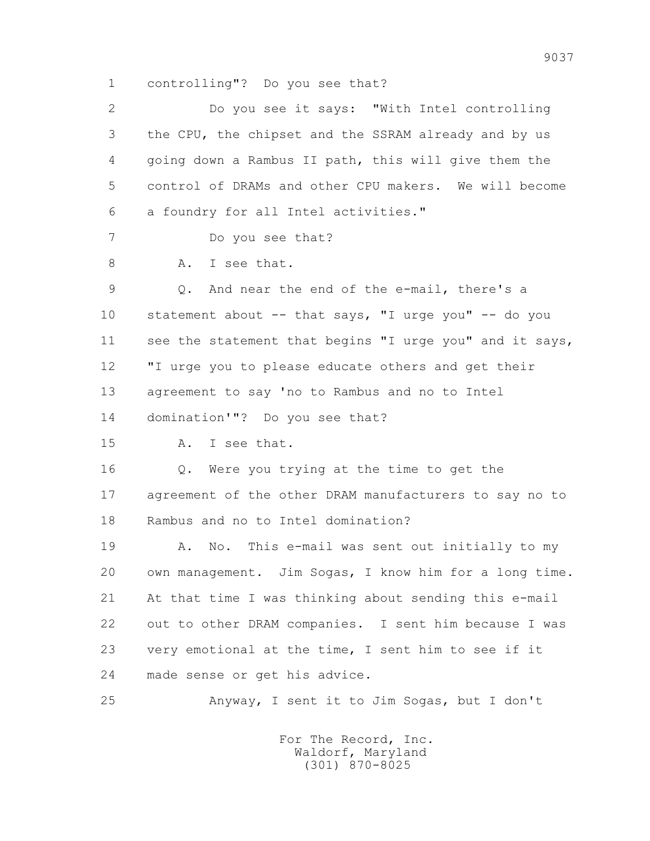1 controlling"? Do you see that?

| $\mathbf{2}^{\mathsf{I}}$ | Do you see it says: "With Intel controlling             |
|---------------------------|---------------------------------------------------------|
| 3                         | the CPU, the chipset and the SSRAM already and by us    |
| 4                         | going down a Rambus II path, this will give them the    |
| 5                         | control of DRAMs and other CPU makers. We will become   |
| 6                         | a foundry for all Intel activities."                    |
| 7                         | Do you see that?                                        |
| 8                         | I see that.<br>Α.                                       |
| 9                         | And near the end of the e-mail, there's a<br>Q.         |
| 10                        | statement about -- that says, "I urge you" -- do you    |
| 11                        | see the statement that begins "I urge you" and it says, |
| 12                        | "I urge you to please educate others and get their      |
| 13                        | agreement to say 'no to Rambus and no to Intel          |
| 14                        | domination'"? Do you see that?                          |
| 15                        | I see that.<br>A.                                       |
| 16                        | Q. Were you trying at the time to get the               |
| 17                        | agreement of the other DRAM manufacturers to say no to  |
| 18                        | Rambus and no to Intel domination?                      |
| 19                        | No. This e-mail was sent out initially to my<br>Α.      |
| 20                        | own management. Jim Sogas, I know him for a long time.  |
| 21                        | At that time I was thinking about sending this e-mail   |
| 22                        | out to other DRAM companies. I sent him because I was   |
| 23                        | very emotional at the time, I sent him to see if it     |
| 24                        | made sense or get his advice.                           |
| 25                        | Anyway, I sent it to Jim Sogas, but I don't             |
|                           |                                                         |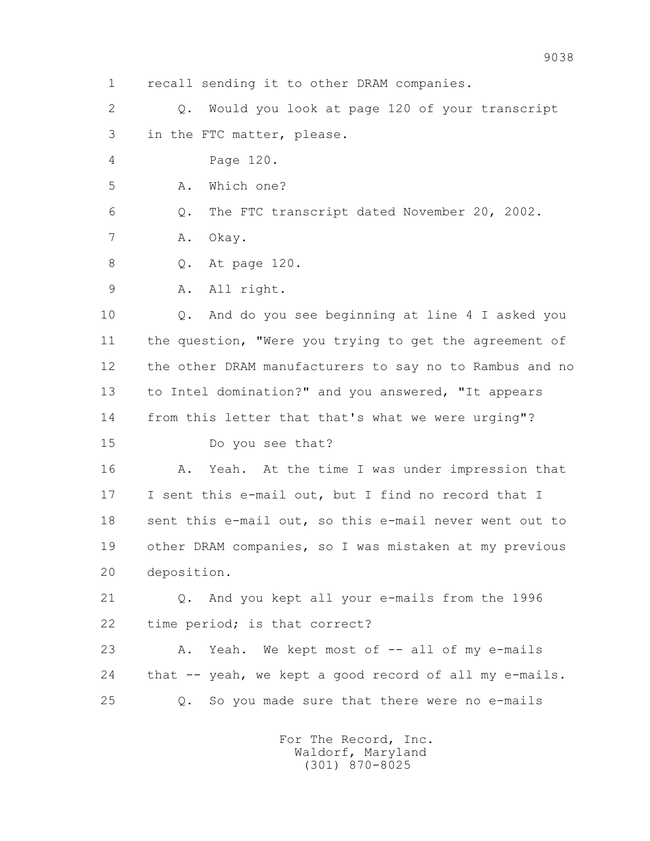1 recall sending it to other DRAM companies.

 2 Q. Would you look at page 120 of your transcript 3 in the FTC matter, please.

4 Page 120.

5 A. Which one?

6 Q. The FTC transcript dated November 20, 2002.

7 A. Okay.

8 Q. At page 120.

9 A. All right.

 10 Q. And do you see beginning at line 4 I asked you 11 the question, "Were you trying to get the agreement of 12 the other DRAM manufacturers to say no to Rambus and no 13 to Intel domination?" and you answered, "It appears 14 from this letter that that's what we were urging"?

15 Do you see that?

 16 A. Yeah. At the time I was under impression that 17 I sent this e-mail out, but I find no record that I 18 sent this e-mail out, so this e-mail never went out to 19 other DRAM companies, so I was mistaken at my previous 20 deposition.

 21 Q. And you kept all your e-mails from the 1996 22 time period; is that correct?

23 A. Yeah. We kept most of -- all of my e-mails 24 that -- yeah, we kept a good record of all my e-mails. 25 Q. So you made sure that there were no e-mails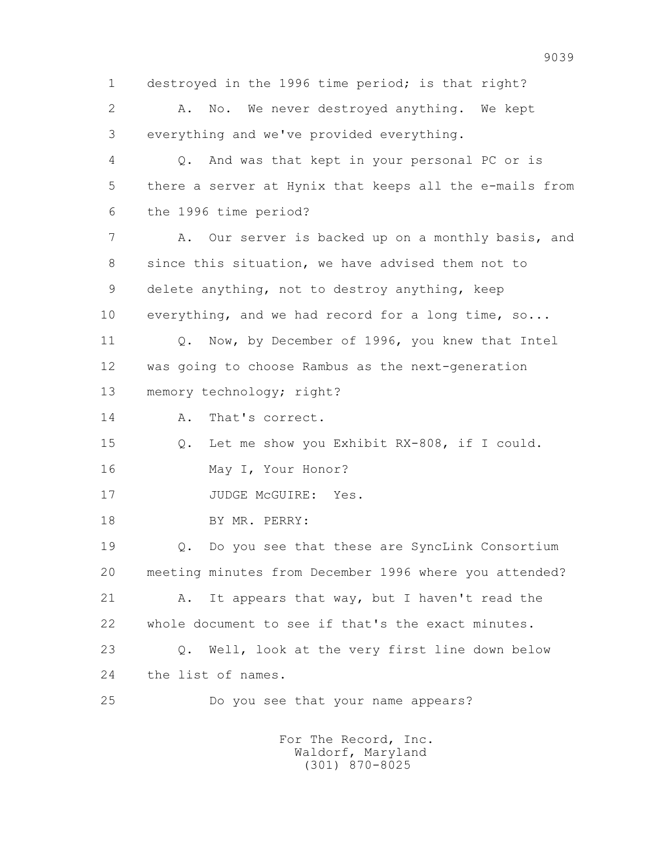1 destroyed in the 1996 time period; is that right? 2 A. No. We never destroyed anything. We kept 3 everything and we've provided everything. 4 Q. And was that kept in your personal PC or is 5 there a server at Hynix that keeps all the e-mails from 6 the 1996 time period? 7 A. Our server is backed up on a monthly basis, and 8 since this situation, we have advised them not to 9 delete anything, not to destroy anything, keep 10 everything, and we had record for a long time, so... 11 O. Now, by December of 1996, you knew that Intel 12 was going to choose Rambus as the next-generation 13 memory technology; right? 14 A. That's correct. 15 Q. Let me show you Exhibit RX-808, if I could. 16 May I, Your Honor? 17 JUDGE McGUIRE: Yes. 18 BY MR. PERRY: 19 Q. Do you see that these are SyncLink Consortium 20 meeting minutes from December 1996 where you attended? 21 A. It appears that way, but I haven't read the 22 whole document to see if that's the exact minutes. 23 Q. Well, look at the very first line down below 24 the list of names. 25 Do you see that your name appears? For The Record, Inc.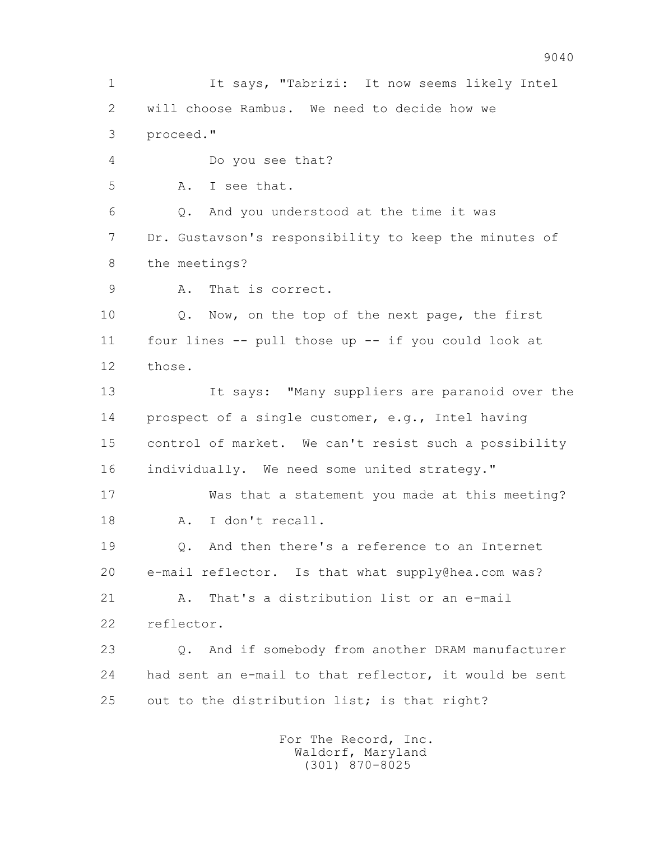1 It says, "Tabrizi: It now seems likely Intel 2 will choose Rambus. We need to decide how we 3 proceed." 4 Do you see that? 5 A. I see that. 6 Q. And you understood at the time it was 7 Dr. Gustavson's responsibility to keep the minutes of 8 the meetings? 9 A. That is correct. 10 Q. Now, on the top of the next page, the first 11 four lines -- pull those up -- if you could look at 12 those. 13 It says: "Many suppliers are paranoid over the 14 prospect of a single customer, e.g., Intel having 15 control of market. We can't resist such a possibility 16 individually. We need some united strategy." 17 Was that a statement you made at this meeting? 18 A. I don't recall. 19 Q. And then there's a reference to an Internet 20 e-mail reflector. Is that what supply@hea.com was? 21 A. That's a distribution list or an e-mail 22 reflector. 23 Q. And if somebody from another DRAM manufacturer 24 had sent an e-mail to that reflector, it would be sent 25 out to the distribution list; is that right? For The Record, Inc.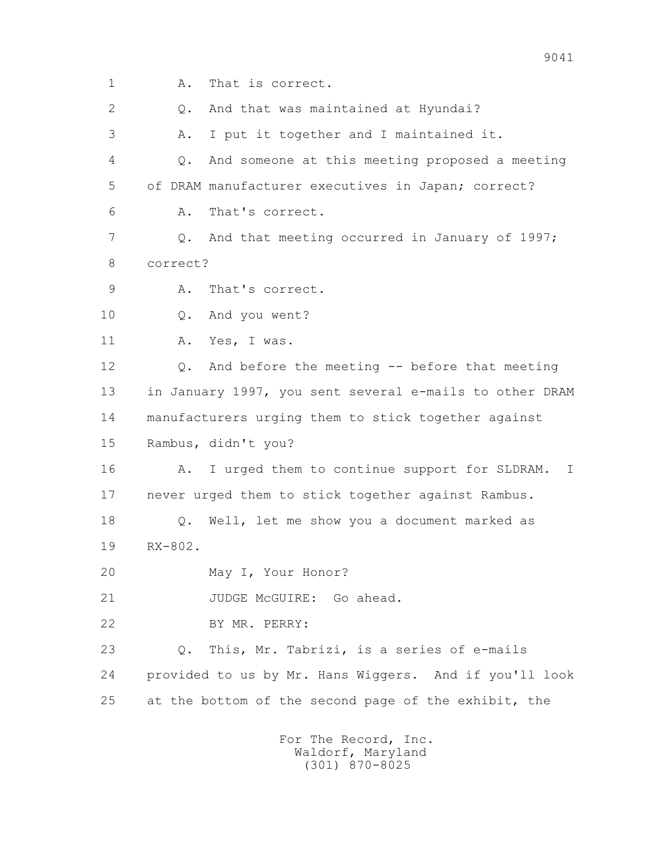1 A. That is correct. 2 Q. And that was maintained at Hyundai? 3 A. I put it together and I maintained it. 4 Q. And someone at this meeting proposed a meeting 5 of DRAM manufacturer executives in Japan; correct? 6 A. That's correct. 7 9. And that meeting occurred in January of 1997; 8 correct? 9 A. That's correct. 10 Q. And you went? 11 A. Yes, I was. 12 Q. And before the meeting -- before that meeting 13 in January 1997, you sent several e-mails to other DRAM 14 manufacturers urging them to stick together against 15 Rambus, didn't you? 16 A. I urged them to continue support for SLDRAM. I 17 never urged them to stick together against Rambus. 18 Q. Well, let me show you a document marked as 19 RX-802. 20 May I, Your Honor? 21 JUDGE McGUIRE: Go ahead. 22 BY MR. PERRY: 23 Q. This, Mr. Tabrizi, is a series of e-mails 24 provided to us by Mr. Hans Wiggers. And if you'll look 25 at the bottom of the second page of the exhibit, the For The Record, Inc.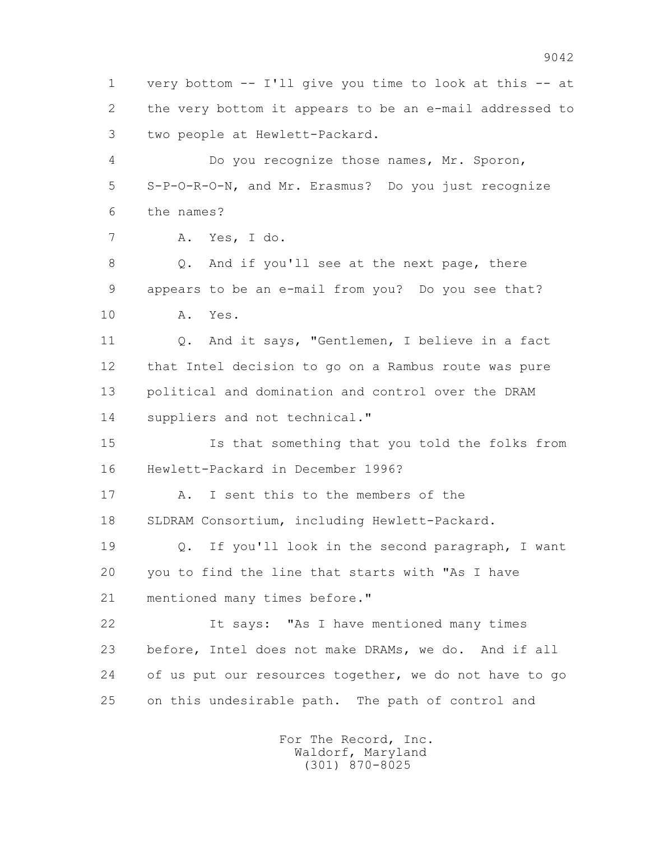1 very bottom -- I'll give you time to look at this -- at 2 the very bottom it appears to be an e-mail addressed to 3 two people at Hewlett-Packard.

 4 Do you recognize those names, Mr. Sporon, 5 S-P-O-R-O-N, and Mr. Erasmus? Do you just recognize 6 the names?

7 A. Yes, I do.

 8 Q. And if you'll see at the next page, there 9 appears to be an e-mail from you? Do you see that? 10 A. Yes.

 11 Q. And it says, "Gentlemen, I believe in a fact 12 that Intel decision to go on a Rambus route was pure 13 political and domination and control over the DRAM 14 suppliers and not technical."

 15 Is that something that you told the folks from 16 Hewlett-Packard in December 1996?

 17 A. I sent this to the members of the 18 SLDRAM Consortium, including Hewlett-Packard.

 19 Q. If you'll look in the second paragraph, I want 20 you to find the line that starts with "As I have 21 mentioned many times before."

 22 It says: "As I have mentioned many times 23 before, Intel does not make DRAMs, we do. And if all 24 of us put our resources together, we do not have to go 25 on this undesirable path. The path of control and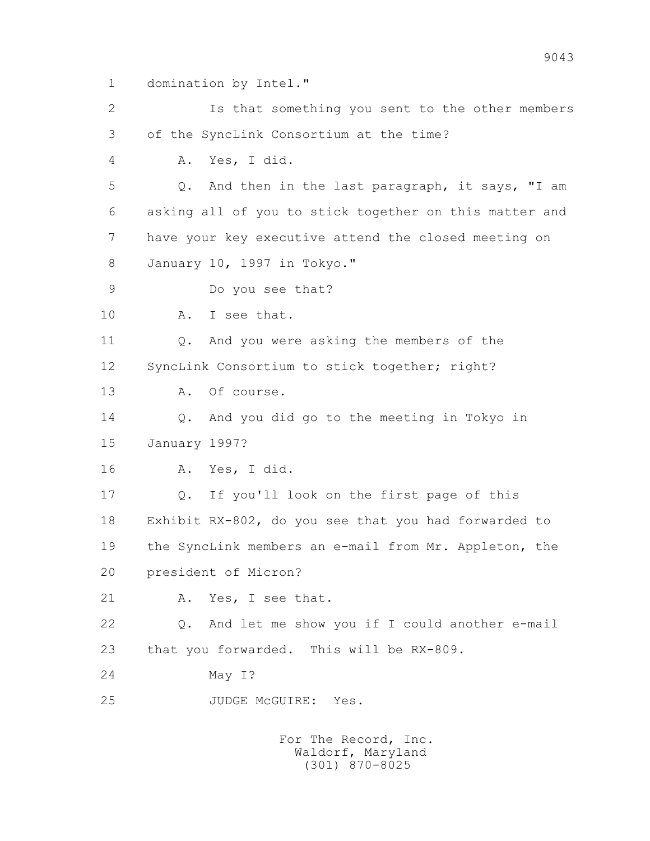1 domination by Intel."

 2 Is that something you sent to the other members 3 of the SyncLink Consortium at the time? 4 A. Yes, I did. 5 Q. And then in the last paragraph, it says, "I am 6 asking all of you to stick together on this matter and 7 have your key executive attend the closed meeting on

8 January 10, 1997 in Tokyo."

9 Do you see that?

10 A. I see that.

11 Q. And you were asking the members of the

12 SyncLink Consortium to stick together; right?

13 A. Of course.

14 Q. And you did go to the meeting in Tokyo in

15 January 1997?

16 A. Yes, I did.

 17 Q. If you'll look on the first page of this 18 Exhibit RX-802, do you see that you had forwarded to 19 the SyncLink members an e-mail from Mr. Appleton, the 20 president of Micron?

21 A. Yes, I see that.

 22 Q. And let me show you if I could another e-mail 23 that you forwarded. This will be RX-809.

24 May I?

25 JUDGE McGUIRE: Yes.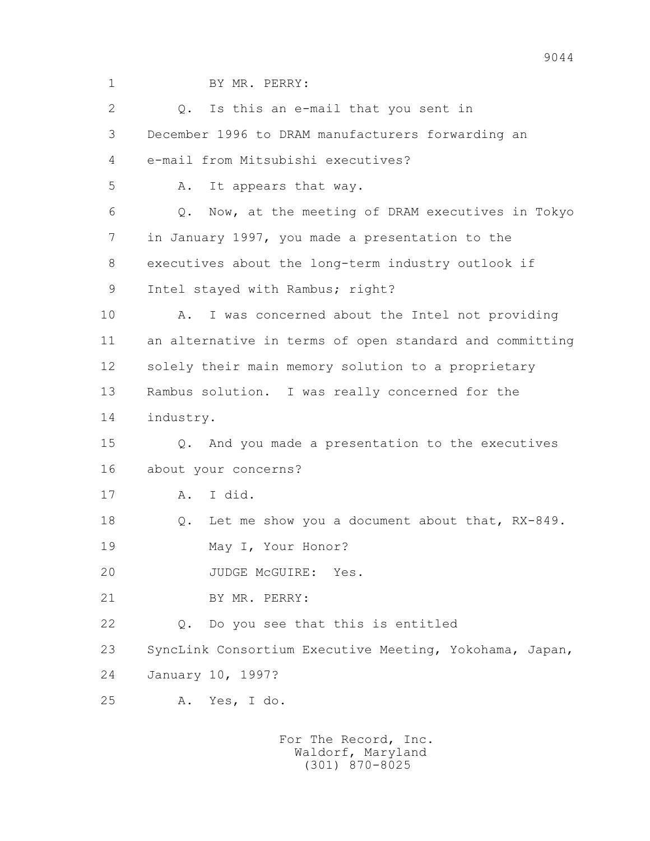1 BY MR. PERRY: 2 0. Is this an e-mail that you sent in 3 December 1996 to DRAM manufacturers forwarding an 4 e-mail from Mitsubishi executives? 5 A. It appears that way. 6 Q. Now, at the meeting of DRAM executives in Tokyo 7 in January 1997, you made a presentation to the 8 executives about the long-term industry outlook if 9 Intel stayed with Rambus; right? 10 A. I was concerned about the Intel not providing 11 an alternative in terms of open standard and committing 12 solely their main memory solution to a proprietary 13 Rambus solution. I was really concerned for the 14 industry. 15 Q. And you made a presentation to the executives 16 about your concerns? 17 A. I did. 18 Q. Let me show you a document about that, RX-849. 19 May I, Your Honor? 20 JUDGE McGUIRE: Yes. 21 BY MR. PERRY: 22 Q. Do you see that this is entitled 23 SyncLink Consortium Executive Meeting, Yokohama, Japan, 24 January 10, 1997? 25 A. Yes, I do.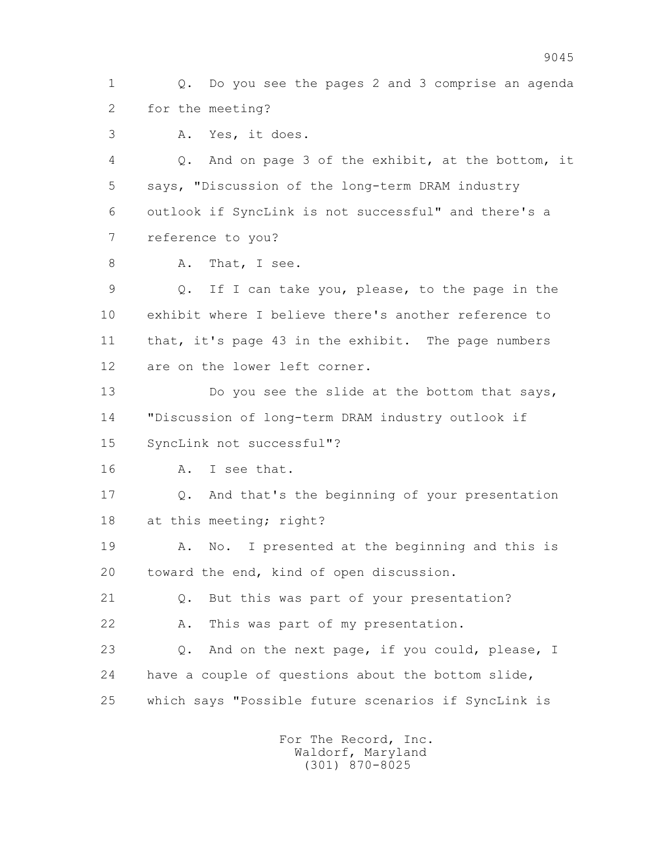1 Q. Do you see the pages 2 and 3 comprise an agenda 2 for the meeting?

3 A. Yes, it does.

 4 Q. And on page 3 of the exhibit, at the bottom, it 5 says, "Discussion of the long-term DRAM industry 6 outlook if SyncLink is not successful" and there's a 7 reference to you?

8 A. That, I see.

 9 Q. If I can take you, please, to the page in the 10 exhibit where I believe there's another reference to 11 that, it's page 43 in the exhibit. The page numbers 12 are on the lower left corner.

13 Do you see the slide at the bottom that says, 14 "Discussion of long-term DRAM industry outlook if 15 SyncLink not successful"?

16 A. I see that.

 17 Q. And that's the beginning of your presentation 18 at this meeting; right?

 19 A. No. I presented at the beginning and this is 20 toward the end, kind of open discussion.

21 Q. But this was part of your presentation?

22 A. This was part of my presentation.

 23 Q. And on the next page, if you could, please, I 24 have a couple of questions about the bottom slide, 25 which says "Possible future scenarios if SyncLink is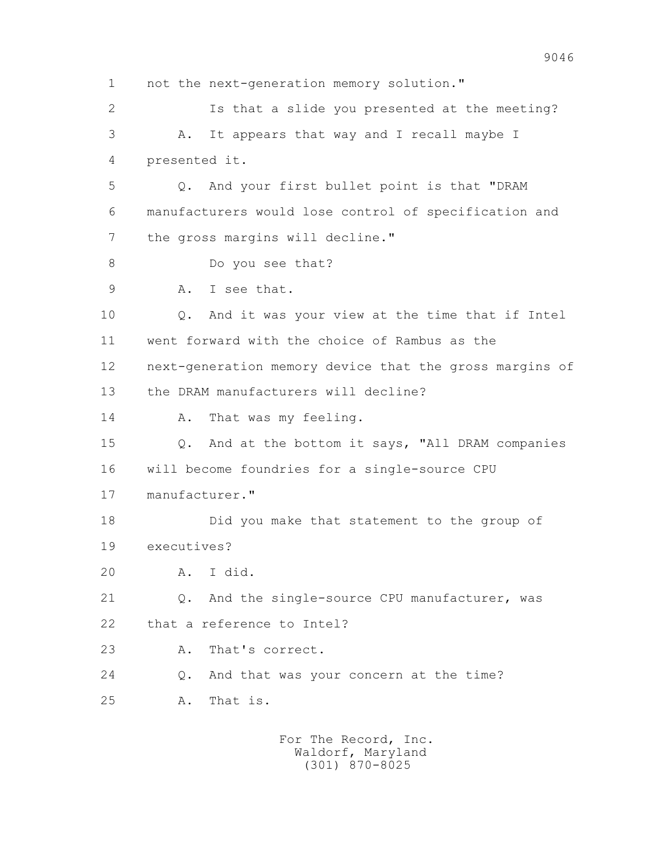1 not the next-generation memory solution." 2 Is that a slide you presented at the meeting? 3 A. It appears that way and I recall maybe I 4 presented it. 5 Q. And your first bullet point is that "DRAM 6 manufacturers would lose control of specification and 7 the gross margins will decline." 8 Do you see that? 9 A. I see that. 10 Q. And it was your view at the time that if Intel 11 went forward with the choice of Rambus as the 12 next-generation memory device that the gross margins of 13 the DRAM manufacturers will decline? 14 A. That was my feeling. 15 Q. And at the bottom it says, "All DRAM companies 16 will become foundries for a single-source CPU 17 manufacturer." 18 Did you make that statement to the group of 19 executives? 20 A. I did. 21 Q. And the single-source CPU manufacturer, was 22 that a reference to Intel? 23 A. That's correct. 24 Q. And that was your concern at the time? 25 A. That is.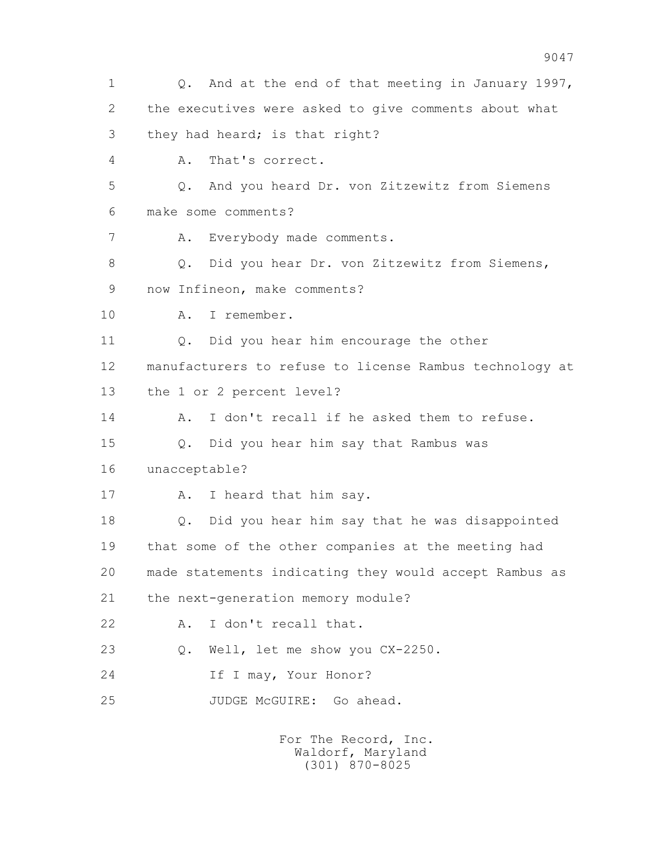1 Q. And at the end of that meeting in January 1997, 2 the executives were asked to give comments about what 3 they had heard; is that right? 4 A. That's correct. 5 Q. And you heard Dr. von Zitzewitz from Siemens 6 make some comments? 7 A. Everybody made comments. 8 Q. Did you hear Dr. von Zitzewitz from Siemens, 9 now Infineon, make comments? 10 A. I remember. 11 Q. Did you hear him encourage the other 12 manufacturers to refuse to license Rambus technology at 13 the 1 or 2 percent level? 14 A. I don't recall if he asked them to refuse. 15 Q. Did you hear him say that Rambus was 16 unacceptable? 17 A. I heard that him say. 18 Q. Did you hear him say that he was disappointed 19 that some of the other companies at the meeting had 20 made statements indicating they would accept Rambus as 21 the next-generation memory module? 22 A. I don't recall that. 23 Q. Well, let me show you CX-2250. 24 If I may, Your Honor? 25 JUDGE McGUIRE: Go ahead.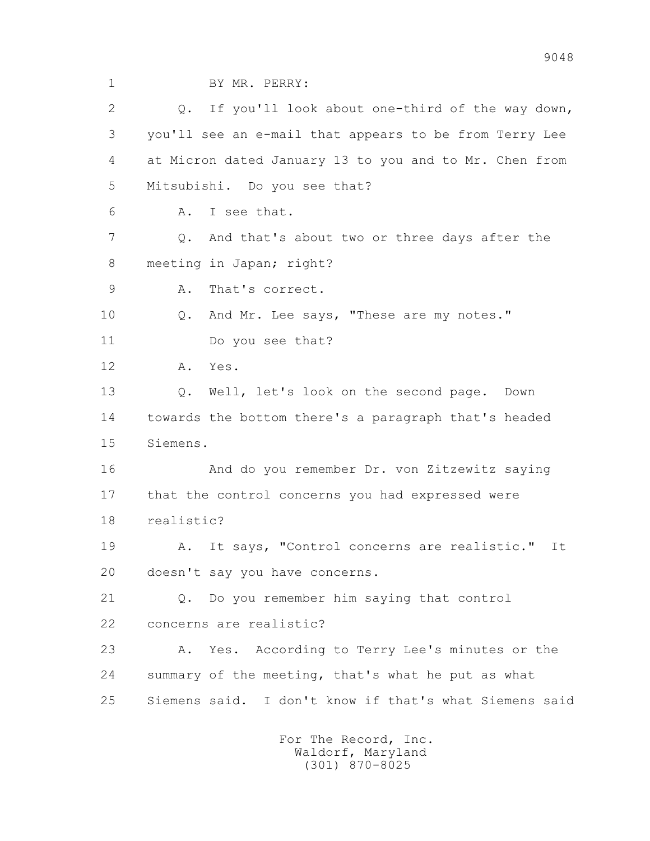| $\mathbf 1$ | BY MR. PERRY:                                            |
|-------------|----------------------------------------------------------|
| 2           | If you'll look about one-third of the way down,<br>Q.    |
| 3           | you'll see an e-mail that appears to be from Terry Lee   |
| 4           | at Micron dated January 13 to you and to Mr. Chen from   |
| 5           | Mitsubishi. Do you see that?                             |
| 6           | I see that.<br>Α.                                        |
| 7           | And that's about two or three days after the<br>Q.       |
| 8           | meeting in Japan; right?                                 |
| 9           | That's correct.<br>Α.                                    |
| 10          | And Mr. Lee says, "These are my notes."<br>Q.            |
| 11          | Do you see that?                                         |
| 12          | Yes.<br>Α.                                               |
| 13          | Well, let's look on the second page.<br>$Q$ .<br>Down    |
| 14          | towards the bottom there's a paragraph that's headed     |
| 15          | Siemens.                                                 |
| 16          | And do you remember Dr. von Zitzewitz saying             |
| 17          | that the control concerns you had expressed were         |
| 18          | realistic?                                               |
| 19          | It says, "Control concerns are realistic."<br>It<br>Α.   |
| 20          | doesn't say you have concerns.                           |
| 21          | Do you remember him saying that control<br>$Q_{\bullet}$ |
| 22          | concerns are realistic?                                  |
| 23          | According to Terry Lee's minutes or the<br>Α.<br>Yes.    |
| 24          | summary of the meeting, that's what he put as what       |
| 25          | Siemens said. I don't know if that's what Siemens said   |
|             | For The Record, Inc.                                     |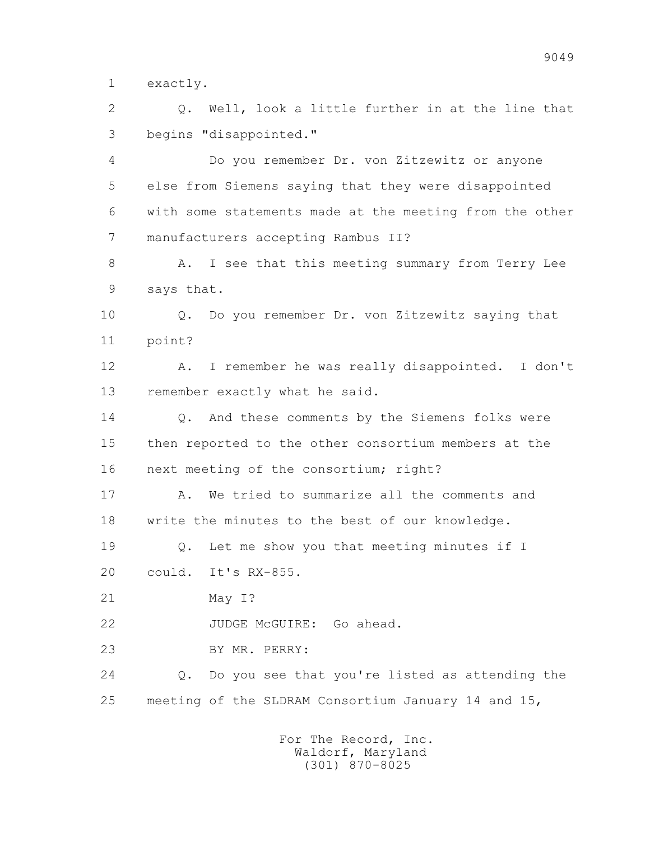1 exactly.

 2 Q. Well, look a little further in at the line that 3 begins "disappointed."

 4 Do you remember Dr. von Zitzewitz or anyone 5 else from Siemens saying that they were disappointed 6 with some statements made at the meeting from the other 7 manufacturers accepting Rambus II?

8 A. I see that this meeting summary from Terry Lee 9 says that.

 10 Q. Do you remember Dr. von Zitzewitz saying that 11 point?

 12 A. I remember he was really disappointed. I don't 13 remember exactly what he said.

14 0. And these comments by the Siemens folks were 15 then reported to the other consortium members at the 16 next meeting of the consortium; right?

17 A. We tried to summarize all the comments and 18 write the minutes to the best of our knowledge.

 19 Q. Let me show you that meeting minutes if I 20 could. It's RX-855.

21 May I?

22 JUDGE McGUIRE: Go ahead.

23 BY MR. PERRY:

 24 Q. Do you see that you're listed as attending the 25 meeting of the SLDRAM Consortium January 14 and 15,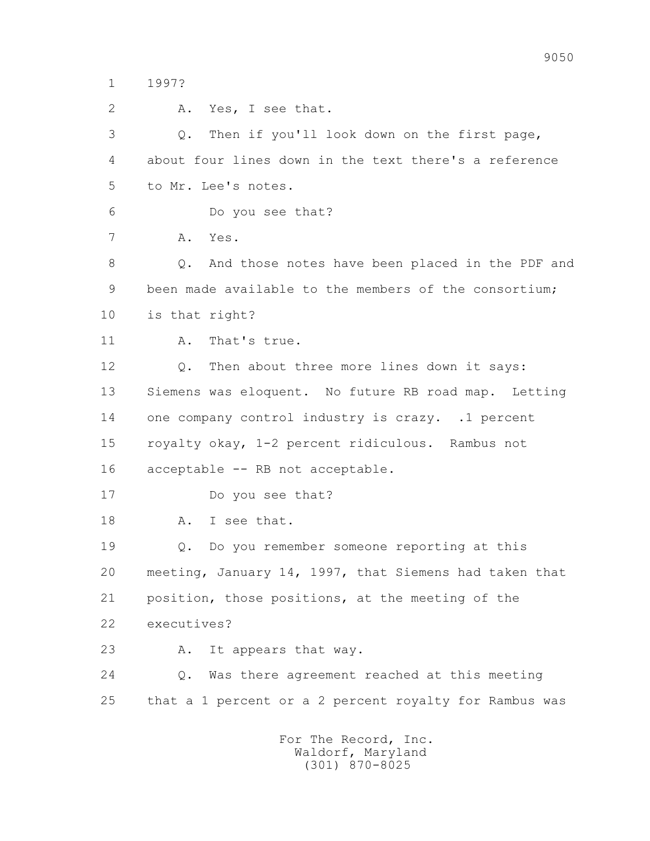1 1997?

 2 A. Yes, I see that. 3 Q. Then if you'll look down on the first page, 4 about four lines down in the text there's a reference 5 to Mr. Lee's notes. 6 Do you see that? 7 A. Yes. 8 Q. And those notes have been placed in the PDF and 9 been made available to the members of the consortium; 10 is that right? 11 A. That's true. 12 Q. Then about three more lines down it says: 13 Siemens was eloquent. No future RB road map. Letting 14 one company control industry is crazy. .1 percent 15 royalty okay, 1-2 percent ridiculous. Rambus not 16 acceptable -- RB not acceptable. 17 Do you see that? 18 A. I see that. 19 Q. Do you remember someone reporting at this 20 meeting, January 14, 1997, that Siemens had taken that 21 position, those positions, at the meeting of the 22 executives? 23 A. It appears that way. 24 Q. Was there agreement reached at this meeting 25 that a 1 percent or a 2 percent royalty for Rambus was For The Record, Inc. Waldorf, Maryland (301) 870-8025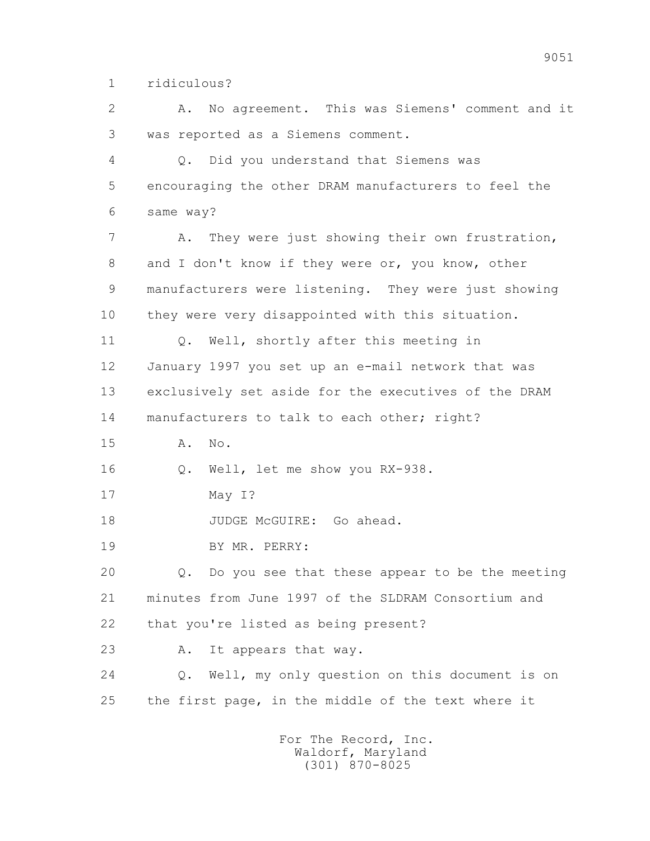1 ridiculous?

 2 A. No agreement. This was Siemens' comment and it 3 was reported as a Siemens comment.

 4 Q. Did you understand that Siemens was 5 encouraging the other DRAM manufacturers to feel the 6 same way?

 7 A. They were just showing their own frustration, 8 and I don't know if they were or, you know, other 9 manufacturers were listening. They were just showing 10 they were very disappointed with this situation.

 11 Q. Well, shortly after this meeting in 12 January 1997 you set up an e-mail network that was 13 exclusively set aside for the executives of the DRAM 14 manufacturers to talk to each other; right?

15 A. No.

16 Q. Well, let me show you RX-938.

17 May I?

18 JUDGE McGUIRE: Go ahead.

19 BY MR. PERRY:

 20 Q. Do you see that these appear to be the meeting 21 minutes from June 1997 of the SLDRAM Consortium and 22 that you're listed as being present?

23 A. It appears that way.

 24 Q. Well, my only question on this document is on 25 the first page, in the middle of the text where it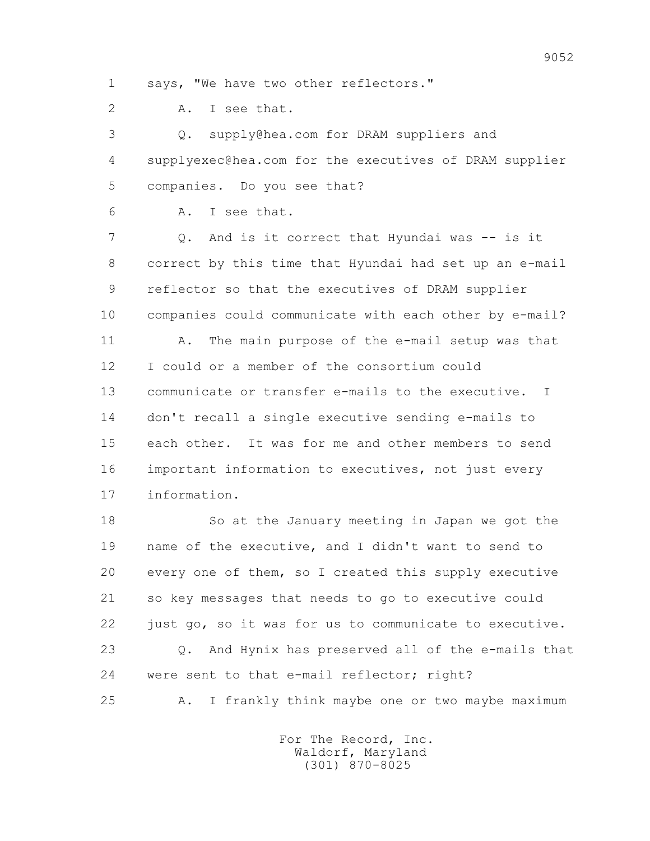1 says, "We have two other reflectors."

2 A. I see that.

 3 Q. supply@hea.com for DRAM suppliers and 4 supplyexec@hea.com for the executives of DRAM supplier 5 companies. Do you see that?

6 A. I see that.

 7 Q. And is it correct that Hyundai was -- is it 8 correct by this time that Hyundai had set up an e-mail 9 reflector so that the executives of DRAM supplier 10 companies could communicate with each other by e-mail? 11 A. The main purpose of the e-mail setup was that 12 I could or a member of the consortium could 13 communicate or transfer e-mails to the executive. I 14 don't recall a single executive sending e-mails to 15 each other. It was for me and other members to send 16 important information to executives, not just every 17 information.

 18 So at the January meeting in Japan we got the 19 name of the executive, and I didn't want to send to 20 every one of them, so I created this supply executive 21 so key messages that needs to go to executive could 22 just go, so it was for us to communicate to executive. 23 Q. And Hynix has preserved all of the e-mails that 24 were sent to that e-mail reflector; right? 25 A. I frankly think maybe one or two maybe maximum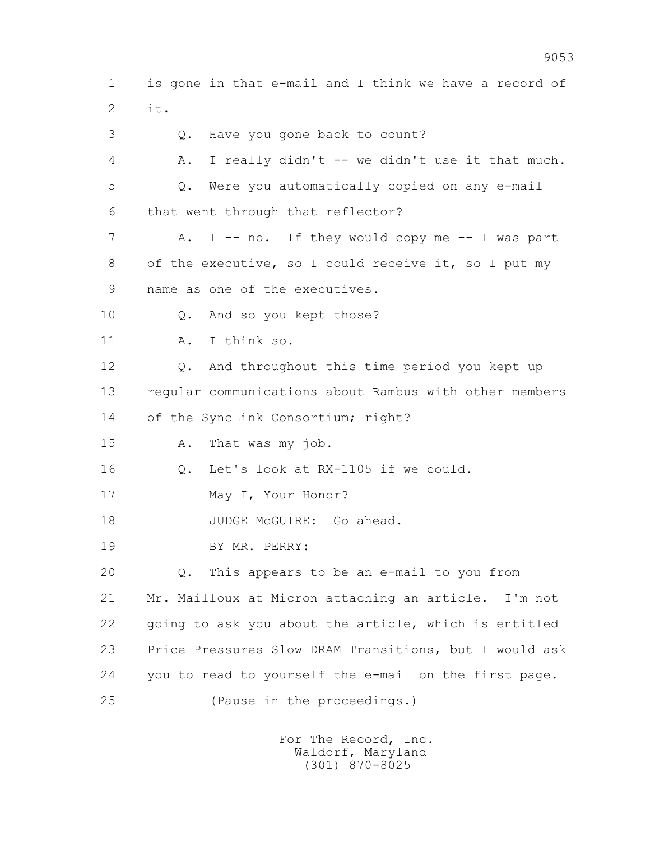1 is gone in that e-mail and I think we have a record of 2 it.

3 Q. Have you gone back to count?

 4 A. I really didn't -- we didn't use it that much. 5 Q. Were you automatically copied on any e-mail 6 that went through that reflector?

- 7 A. I -- no. If they would copy me -- I was part 8 of the executive, so I could receive it, so I put my
- 9 name as one of the executives.

10 Q. And so you kept those?

11 A. I think so.

 12 Q. And throughout this time period you kept up 13 regular communications about Rambus with other members 14 of the SyncLink Consortium; right?

15 A. That was my job.

16 Q. Let's look at RX-1105 if we could.

17 May I, Your Honor?

18 JUDGE McGUIRE: Go ahead.

19 BY MR. PERRY:

 20 Q. This appears to be an e-mail to you from 21 Mr. Mailloux at Micron attaching an article. I'm not 22 going to ask you about the article, which is entitled 23 Price Pressures Slow DRAM Transitions, but I would ask 24 you to read to yourself the e-mail on the first page.

25 (Pause in the proceedings.)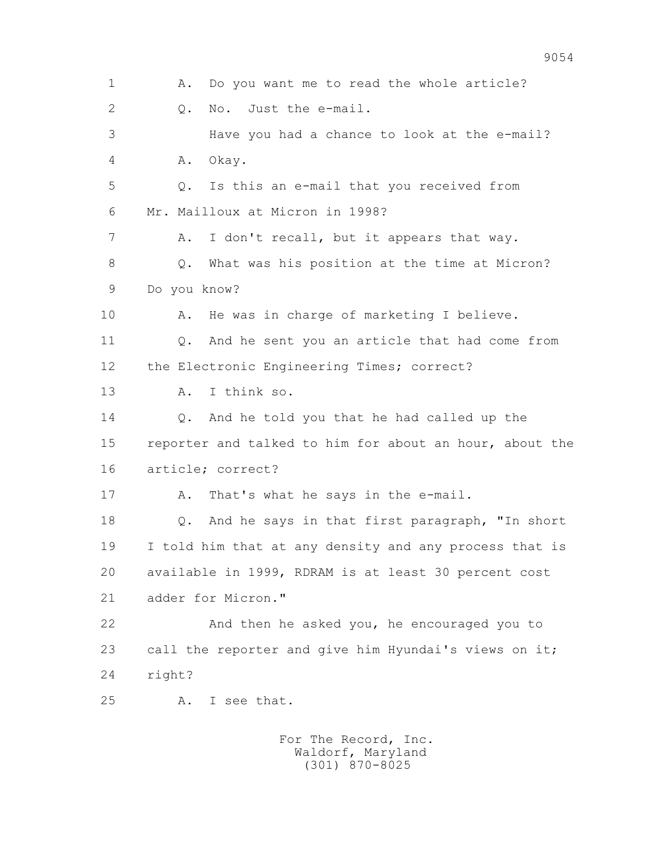1 A. Do you want me to read the whole article? 2 0. No. Just the e-mail. 3 Have you had a chance to look at the e-mail? 4 A. Okay. 5 Q. Is this an e-mail that you received from 6 Mr. Mailloux at Micron in 1998? 7 A. I don't recall, but it appears that way. 8 0. What was his position at the time at Micron? 9 Do you know? 10 A. He was in charge of marketing I believe. 11 Q. And he sent you an article that had come from 12 the Electronic Engineering Times; correct? 13 A. I think so. 14 Q. And he told you that he had called up the 15 reporter and talked to him for about an hour, about the 16 article; correct? 17 A. That's what he says in the e-mail. 18 Q. And he says in that first paragraph, "In short 19 I told him that at any density and any process that is 20 available in 1999, RDRAM is at least 30 percent cost 21 adder for Micron." 22 And then he asked you, he encouraged you to 23 call the reporter and give him Hyundai's views on it; 24 right? 25 A. I see that.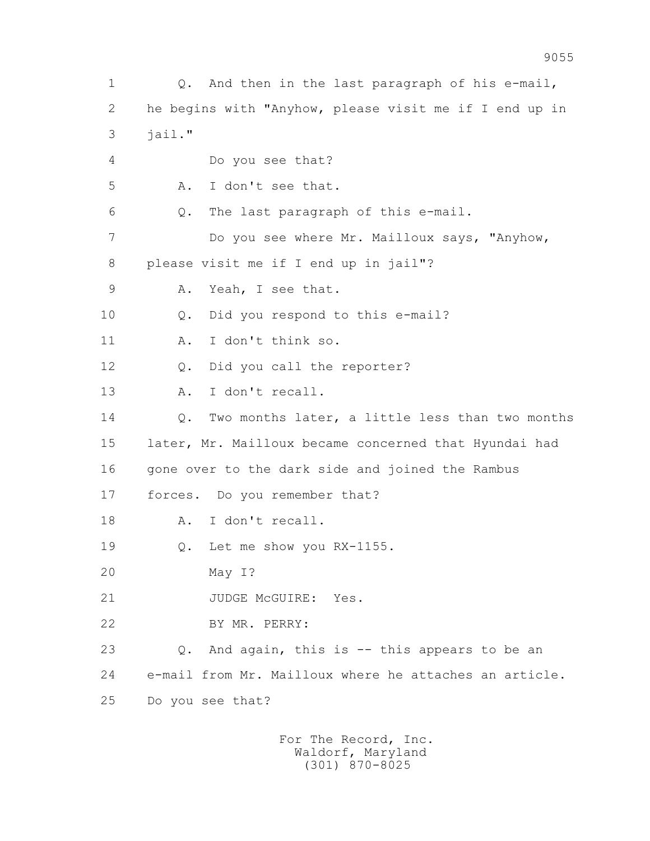1 Q. And then in the last paragraph of his e-mail, 2 he begins with "Anyhow, please visit me if I end up in  $3$   $\dot{1}$ ail." 4 Do you see that? 5 A. I don't see that. 6 Q. The last paragraph of this e-mail. 7 Do you see where Mr. Mailloux says, "Anyhow, 8 please visit me if I end up in jail"? 9 A. Yeah, I see that. 10 Q. Did you respond to this e-mail? 11 A. I don't think so. 12 Q. Did you call the reporter? 13 A. I don't recall. 14 0. Two months later, a little less than two months 15 later, Mr. Mailloux became concerned that Hyundai had 16 gone over to the dark side and joined the Rambus 17 forces. Do you remember that? 18 A. I don't recall. 19 Q. Let me show you RX-1155. 20 May I? 21 JUDGE McGUIRE: Yes. 22 BY MR. PERRY: 23 Q. And again, this is -- this appears to be an 24 e-mail from Mr. Mailloux where he attaches an article. 25 Do you see that?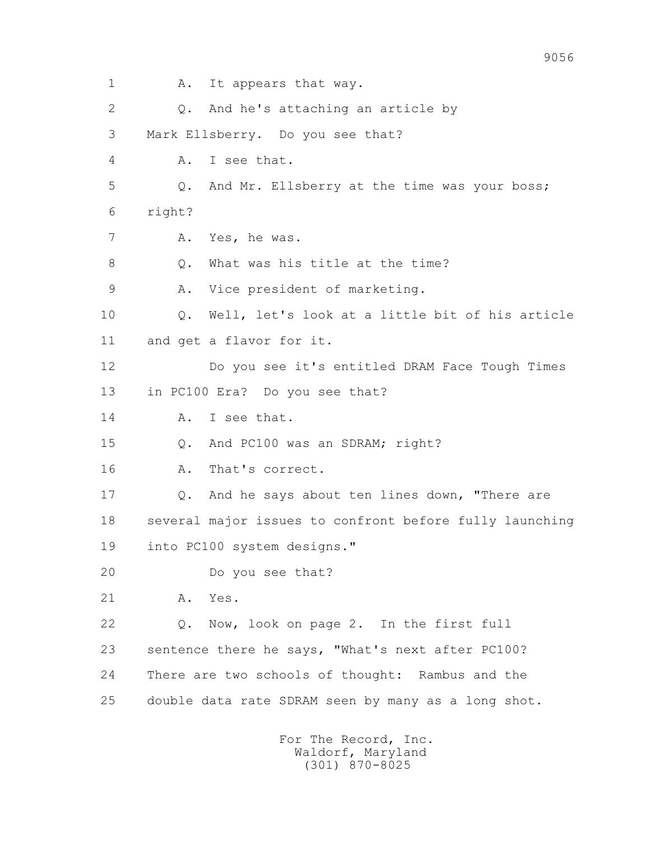1 A. It appears that way. 2 Q. And he's attaching an article by 3 Mark Ellsberry. Do you see that? 4 A. I see that. 5 Q. And Mr. Ellsberry at the time was your boss; 6 right? 7 A. Yes, he was. 8 0. What was his title at the time? 9 A. Vice president of marketing. 10 Q. Well, let's look at a little bit of his article 11 and get a flavor for it. 12 Do you see it's entitled DRAM Face Tough Times 13 in PC100 Era? Do you see that? 14 A. I see that. 15 Q. And PC100 was an SDRAM; right? 16 A. That's correct. 17 Q. And he says about ten lines down, "There are 18 several major issues to confront before fully launching 19 into PC100 system designs." 20 Do you see that? 21 A. Yes. 22 Q. Now, look on page 2. In the first full 23 sentence there he says, "What's next after PC100? 24 There are two schools of thought: Rambus and the 25 double data rate SDRAM seen by many as a long shot. For The Record, Inc.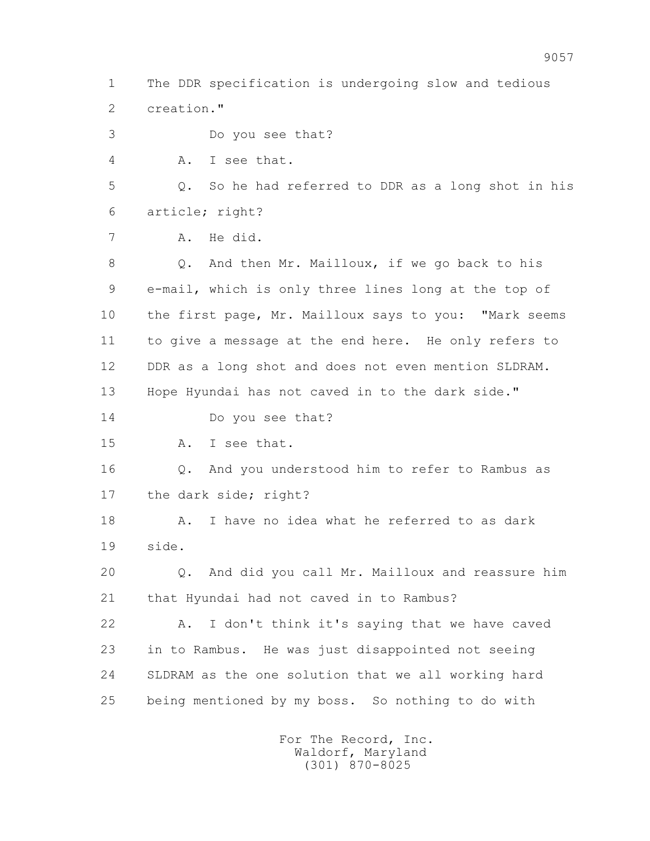1 The DDR specification is undergoing slow and tedious 2 creation." 3 Do you see that? 4 A. I see that. 5 Q. So he had referred to DDR as a long shot in his 6 article; right? 7 A. He did. 8 Q. And then Mr. Mailloux, if we go back to his 9 e-mail, which is only three lines long at the top of 10 the first page, Mr. Mailloux says to you: "Mark seems 11 to give a message at the end here. He only refers to 12 DDR as a long shot and does not even mention SLDRAM. 13 Hope Hyundai has not caved in to the dark side." 14 Do you see that? 15 A. I see that. 16 Q. And you understood him to refer to Rambus as 17 the dark side; right? 18 A. I have no idea what he referred to as dark 19 side. 20 Q. And did you call Mr. Mailloux and reassure him 21 that Hyundai had not caved in to Rambus? 22 A. I don't think it's saying that we have caved 23 in to Rambus. He was just disappointed not seeing 24 SLDRAM as the one solution that we all working hard 25 being mentioned by my boss. So nothing to do with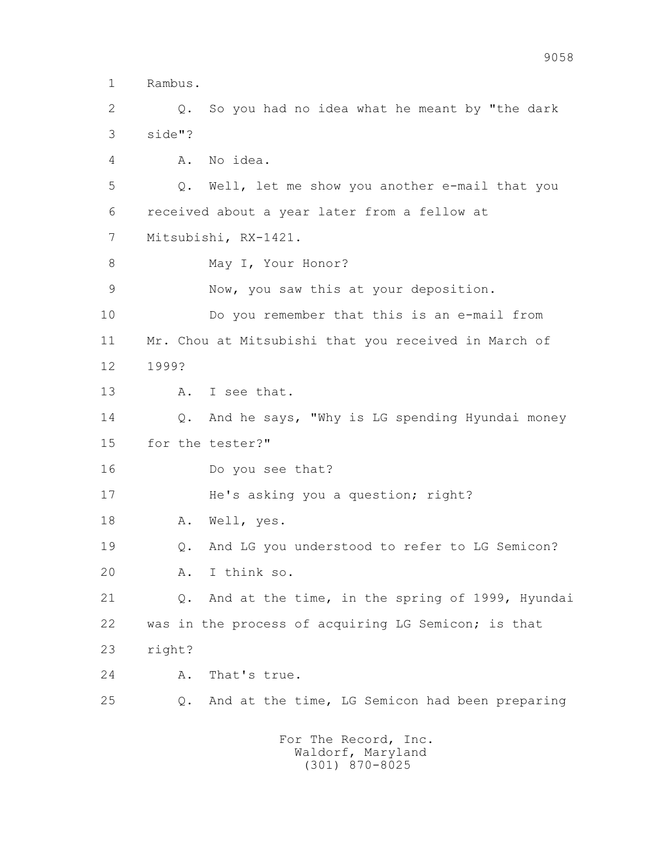1 Rambus.

 2 Q. So you had no idea what he meant by "the dark 3 side"?

4 A. No idea.

 5 Q. Well, let me show you another e-mail that you 6 received about a year later from a fellow at 7 Mitsubishi, RX-1421.

8 May I, Your Honor?

9 Now, you saw this at your deposition.

 10 Do you remember that this is an e-mail from 11 Mr. Chou at Mitsubishi that you received in March of 12 1999?

13 A. I see that.

 14 Q. And he says, "Why is LG spending Hyundai money 15 for the tester?"

16 Do you see that?

17 He's asking you a question; right?

18 A. Well, yes.

 19 Q. And LG you understood to refer to LG Semicon? 20 A. I think so.

 21 Q. And at the time, in the spring of 1999, Hyundai 22 was in the process of acquiring LG Semicon; is that 23 right?

24 A. That's true.

25 Q. And at the time, LG Semicon had been preparing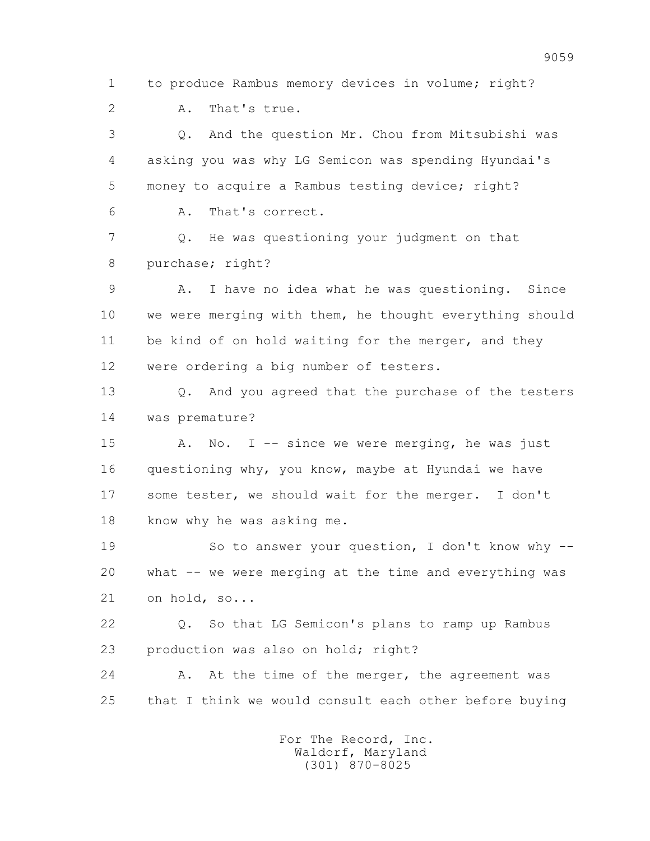1 to produce Rambus memory devices in volume; right?

2 A. That's true.

 3 Q. And the question Mr. Chou from Mitsubishi was 4 asking you was why LG Semicon was spending Hyundai's 5 money to acquire a Rambus testing device; right? 6 A. That's correct.

 7 Q. He was questioning your judgment on that 8 purchase; right?

 9 A. I have no idea what he was questioning. Since 10 we were merging with them, he thought everything should 11 be kind of on hold waiting for the merger, and they 12 were ordering a big number of testers.

 13 Q. And you agreed that the purchase of the testers 14 was premature?

15 A. No. I -- since we were merging, he was just 16 questioning why, you know, maybe at Hyundai we have 17 some tester, we should wait for the merger. I don't 18 know why he was asking me.

 19 So to answer your question, I don't know why -- 20 what -- we were merging at the time and everything was 21 on hold, so...

 22 Q. So that LG Semicon's plans to ramp up Rambus 23 production was also on hold; right?

24 A. At the time of the merger, the agreement was 25 that I think we would consult each other before buying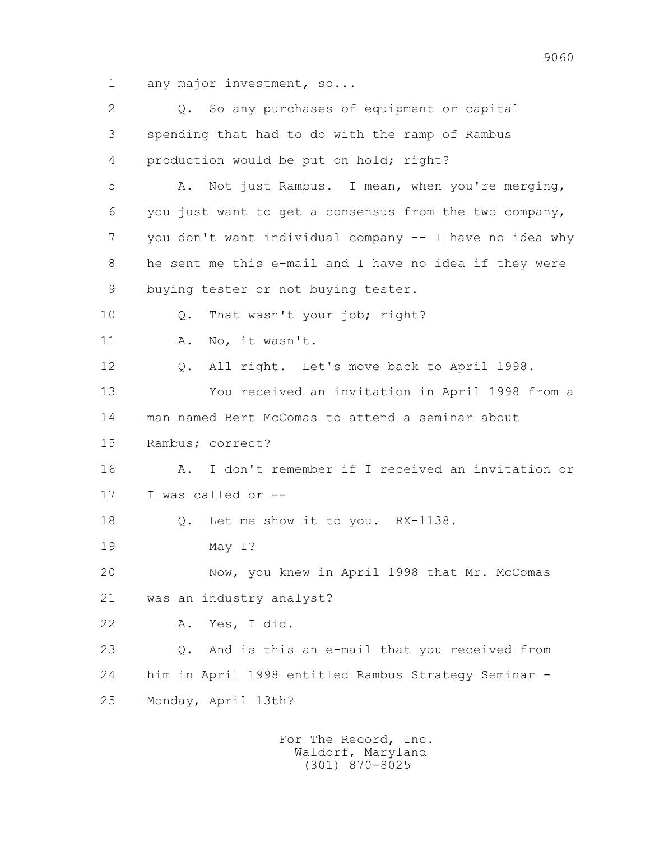1 any major investment, so...

 2 Q. So any purchases of equipment or capital 3 spending that had to do with the ramp of Rambus 4 production would be put on hold; right? 5 A. Not just Rambus. I mean, when you're merging, 6 you just want to get a consensus from the two company, 7 you don't want individual company -- I have no idea why 8 he sent me this e-mail and I have no idea if they were 9 buying tester or not buying tester. 10 Q. That wasn't your job; right? 11 A. No, it wasn't. 12 Q. All right. Let's move back to April 1998. 13 You received an invitation in April 1998 from a 14 man named Bert McComas to attend a seminar about 15 Rambus; correct? 16 A. I don't remember if I received an invitation or 17 I was called or -- 18 Q. Let me show it to you. RX-1138. 19 May I? 20 Now, you knew in April 1998 that Mr. McComas 21 was an industry analyst? 22 A. Yes, I did. 23 Q. And is this an e-mail that you received from 24 him in April 1998 entitled Rambus Strategy Seminar - 25 Monday, April 13th?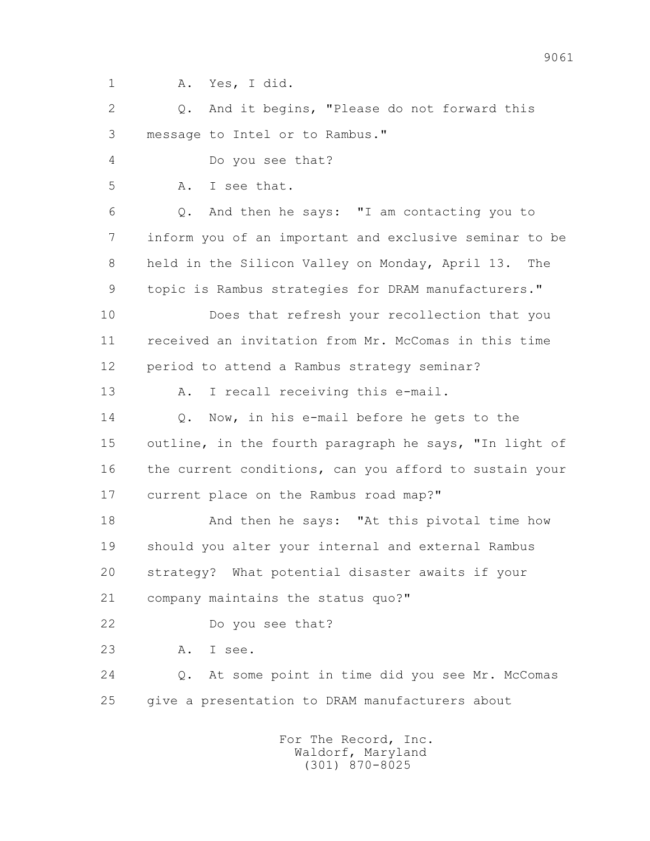1 A. Yes, I did.

 2 Q. And it begins, "Please do not forward this 3 message to Intel or to Rambus."

4 Do you see that?

5 A. I see that.

 6 Q. And then he says: "I am contacting you to 7 inform you of an important and exclusive seminar to be 8 held in the Silicon Valley on Monday, April 13. The 9 topic is Rambus strategies for DRAM manufacturers."

 10 Does that refresh your recollection that you 11 received an invitation from Mr. McComas in this time 12 period to attend a Rambus strategy seminar?

13 A. I recall receiving this e-mail.

14 0. Now, in his e-mail before he gets to the 15 outline, in the fourth paragraph he says, "In light of 16 the current conditions, can you afford to sustain your 17 current place on the Rambus road map?"

 18 And then he says: "At this pivotal time how 19 should you alter your internal and external Rambus 20 strategy? What potential disaster awaits if your 21 company maintains the status quo?"

22 Do you see that?

23 A. I see.

 24 Q. At some point in time did you see Mr. McComas 25 give a presentation to DRAM manufacturers about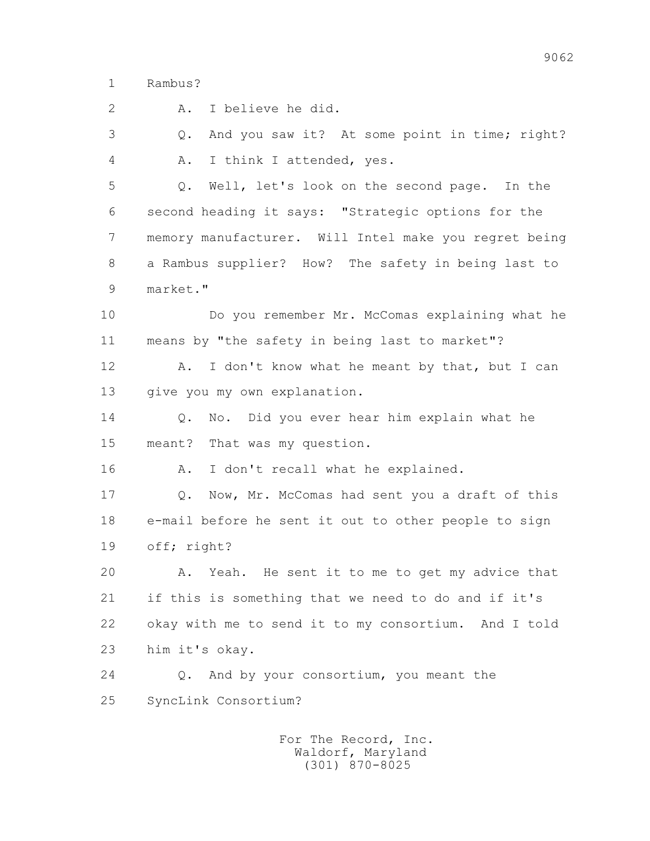1 Rambus?

2 A. I believe he did.

 3 Q. And you saw it? At some point in time; right? 4 A. I think I attended, yes.

 5 Q. Well, let's look on the second page. In the 6 second heading it says: "Strategic options for the 7 memory manufacturer. Will Intel make you regret being 8 a Rambus supplier? How? The safety in being last to 9 market."

 10 Do you remember Mr. McComas explaining what he 11 means by "the safety in being last to market"?

12 A. I don't know what he meant by that, but I can 13 give you my own explanation.

 14 Q. No. Did you ever hear him explain what he 15 meant? That was my question.

16 A. I don't recall what he explained.

 17 Q. Now, Mr. McComas had sent you a draft of this 18 e-mail before he sent it out to other people to sign 19 off; right?

 20 A. Yeah. He sent it to me to get my advice that 21 if this is something that we need to do and if it's 22 okay with me to send it to my consortium. And I told 23 him it's okay.

 24 Q. And by your consortium, you meant the 25 SyncLink Consortium?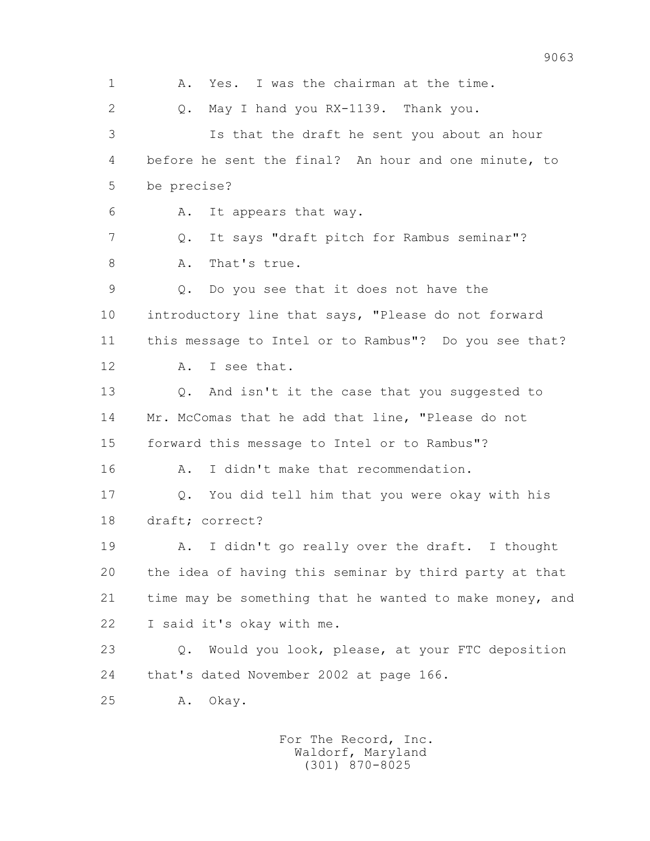1 A. Yes. I was the chairman at the time. 2 Q. May I hand you RX-1139. Thank you. 3 Is that the draft he sent you about an hour 4 before he sent the final? An hour and one minute, to 5 be precise? 6 A. It appears that way. 7 Q. It says "draft pitch for Rambus seminar"? 8 A. That's true. 9 Q. Do you see that it does not have the 10 introductory line that says, "Please do not forward 11 this message to Intel or to Rambus"? Do you see that? 12 A. I see that. 13 Q. And isn't it the case that you suggested to 14 Mr. McComas that he add that line, "Please do not 15 forward this message to Intel or to Rambus"? 16 A. I didn't make that recommendation. 17 Q. You did tell him that you were okay with his 18 draft; correct? 19 A. I didn't go really over the draft. I thought 20 the idea of having this seminar by third party at that 21 time may be something that he wanted to make money, and 22 I said it's okay with me. 23 Q. Would you look, please, at your FTC deposition 24 that's dated November 2002 at page 166. 25 A. Okay.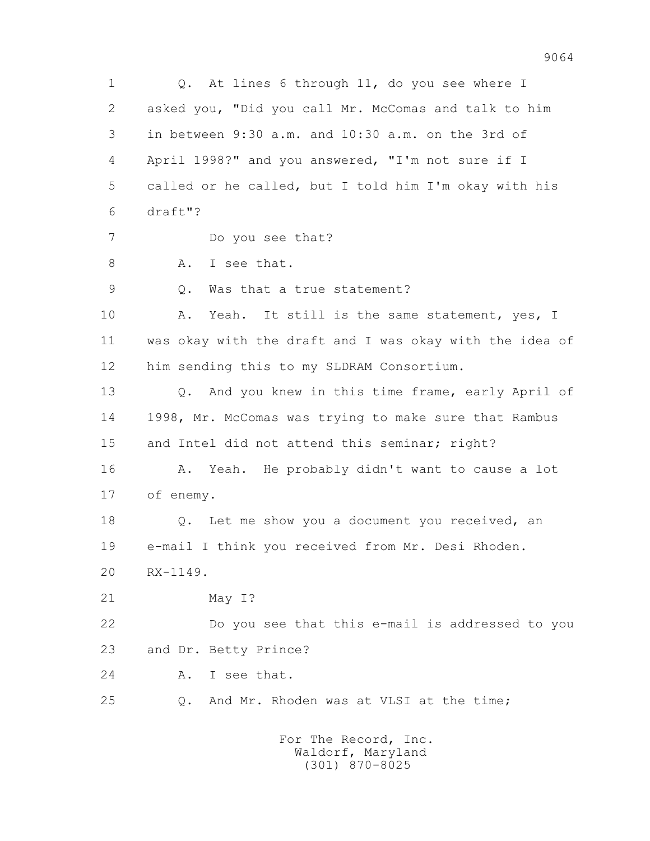1 Q. At lines 6 through 11, do you see where I 2 asked you, "Did you call Mr. McComas and talk to him 3 in between 9:30 a.m. and 10:30 a.m. on the 3rd of 4 April 1998?" and you answered, "I'm not sure if I 5 called or he called, but I told him I'm okay with his 6 draft"? 7 Do you see that? 8 A. I see that. 9 Q. Was that a true statement? 10 A. Yeah. It still is the same statement, yes, I 11 was okay with the draft and I was okay with the idea of 12 him sending this to my SLDRAM Consortium. 13 Q. And you knew in this time frame, early April of 14 1998, Mr. McComas was trying to make sure that Rambus 15 and Intel did not attend this seminar; right? 16 A. Yeah. He probably didn't want to cause a lot 17 of enemy. 18 Q. Let me show you a document you received, an 19 e-mail I think you received from Mr. Desi Rhoden. 20 RX-1149. 21 May I? 22 Do you see that this e-mail is addressed to you 23 and Dr. Betty Prince? 24 A. I see that. 25 Q. And Mr. Rhoden was at VLSI at the time;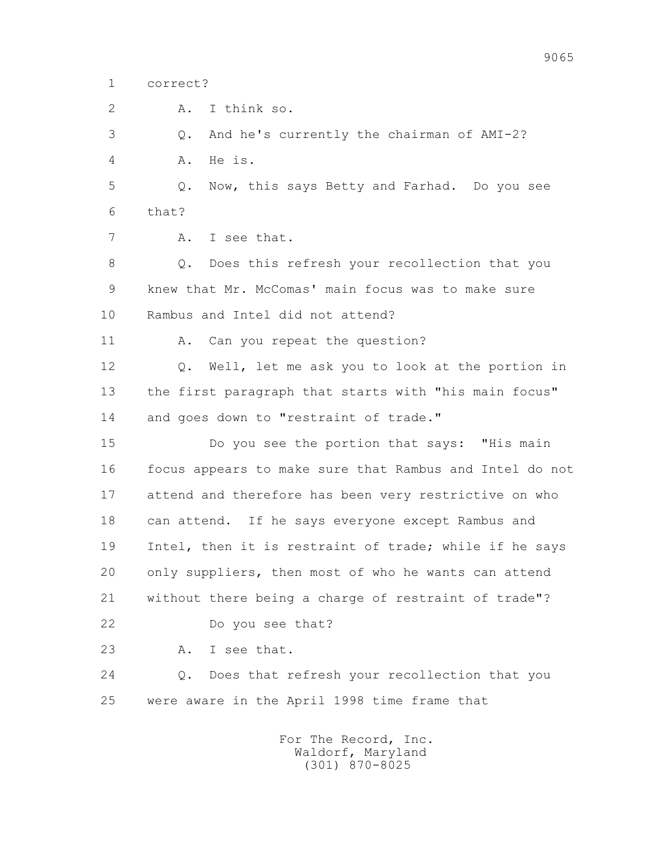1 correct?

2 A. I think so.

3 Q. And he's currently the chairman of AMI-2?

4 A. He is.

 5 Q. Now, this says Betty and Farhad. Do you see 6 that?

7 A. I see that.

 8 Q. Does this refresh your recollection that you 9 knew that Mr. McComas' main focus was to make sure 10 Rambus and Intel did not attend?

11 A. Can you repeat the question?

 12 Q. Well, let me ask you to look at the portion in 13 the first paragraph that starts with "his main focus" 14 and goes down to "restraint of trade."

 15 Do you see the portion that says: "His main 16 focus appears to make sure that Rambus and Intel do not 17 attend and therefore has been very restrictive on who 18 can attend. If he says everyone except Rambus and 19 Intel, then it is restraint of trade; while if he says 20 only suppliers, then most of who he wants can attend 21 without there being a charge of restraint of trade"? 22 Do you see that?

23 A. I see that.

 24 Q. Does that refresh your recollection that you 25 were aware in the April 1998 time frame that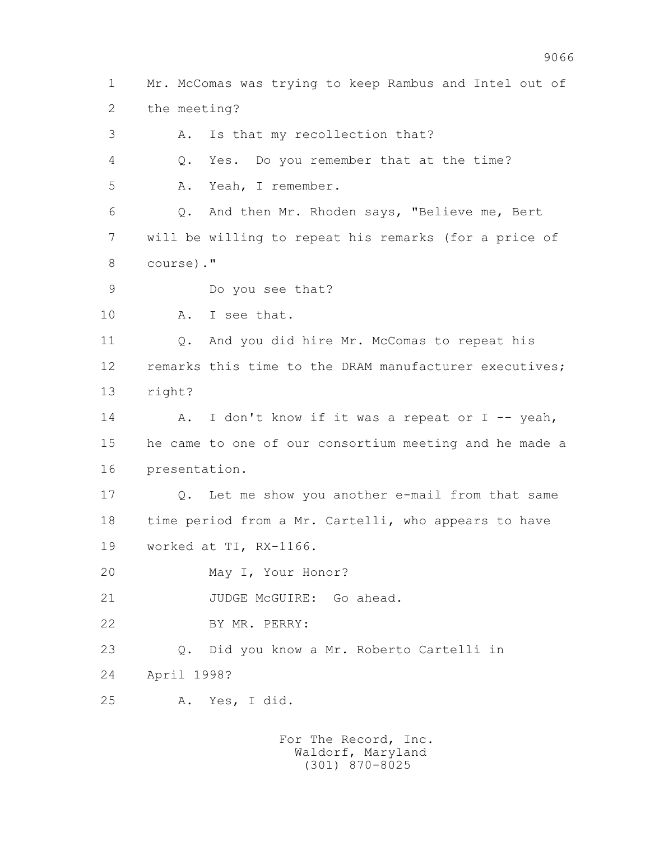1 Mr. McComas was trying to keep Rambus and Intel out of 2 the meeting? 3 A. Is that my recollection that? 4 Q. Yes. Do you remember that at the time? 5 A. Yeah, I remember. 6 Q. And then Mr. Rhoden says, "Believe me, Bert 7 will be willing to repeat his remarks (for a price of 8 course)." 9 Do you see that? 10 A. I see that. 11 Q. And you did hire Mr. McComas to repeat his 12 remarks this time to the DRAM manufacturer executives; 13 right? 14 A. I don't know if it was a repeat or I -- yeah, 15 he came to one of our consortium meeting and he made a 16 presentation. 17 Q. Let me show you another e-mail from that same 18 time period from a Mr. Cartelli, who appears to have 19 worked at TI, RX-1166. 20 May I, Your Honor? 21 JUDGE McGUIRE: Go ahead. 22 BY MR. PERRY: 23 Q. Did you know a Mr. Roberto Cartelli in 24 April 1998? 25 A. Yes, I did.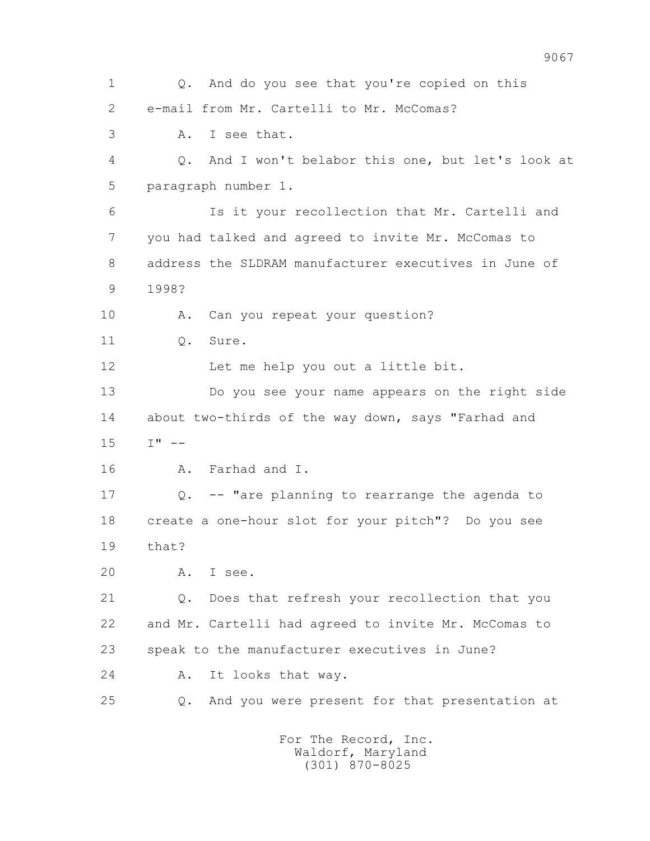1 Q. And do you see that you're copied on this 2 e-mail from Mr. Cartelli to Mr. McComas? 3 A. I see that. 4 Q. And I won't belabor this one, but let's look at 5 paragraph number 1. 6 Is it your recollection that Mr. Cartelli and 7 you had talked and agreed to invite Mr. McComas to 8 address the SLDRAM manufacturer executives in June of 9 1998? 10 A. Can you repeat your question? 11 0. Sure. 12 Let me help you out a little bit. 13 Do you see your name appears on the right side 14 about two-thirds of the way down, says "Farhad and  $15 \tI'' -$  16 A. Farhad and I. 17 Q. -- "are planning to rearrange the agenda to 18 create a one-hour slot for your pitch"? Do you see 19 that? 20 A. I see. 21 Q. Does that refresh your recollection that you 22 and Mr. Cartelli had agreed to invite Mr. McComas to 23 speak to the manufacturer executives in June? 24 A. It looks that way. 25 Q. And you were present for that presentation at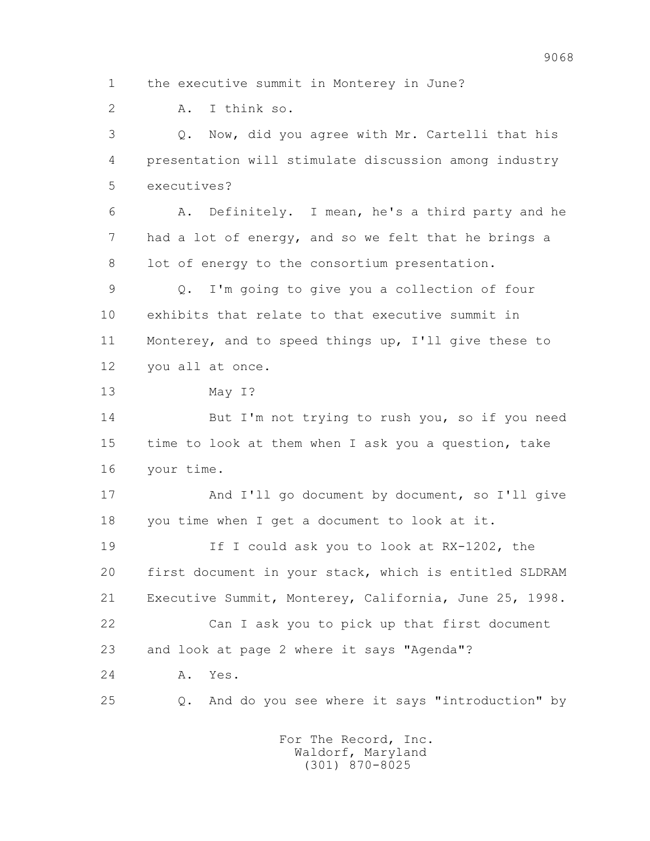1 the executive summit in Monterey in June? 2 A. I think so. 3 Q. Now, did you agree with Mr. Cartelli that his 4 presentation will stimulate discussion among industry 5 executives? 6 A. Definitely. I mean, he's a third party and he 7 had a lot of energy, and so we felt that he brings a 8 lot of energy to the consortium presentation. 9 Q. I'm going to give you a collection of four 10 exhibits that relate to that executive summit in 11 Monterey, and to speed things up, I'll give these to 12 you all at once. 13 May I? 14 But I'm not trying to rush you, so if you need 15 time to look at them when I ask you a question, take 16 your time. 17 And I'll go document by document, so I'll give 18 you time when I get a document to look at it. 19 If I could ask you to look at RX-1202, the 20 first document in your stack, which is entitled SLDRAM 21 Executive Summit, Monterey, California, June 25, 1998. 22 Can I ask you to pick up that first document 23 and look at page 2 where it says "Agenda"? 24 A. Yes. 25 Q. And do you see where it says "introduction" by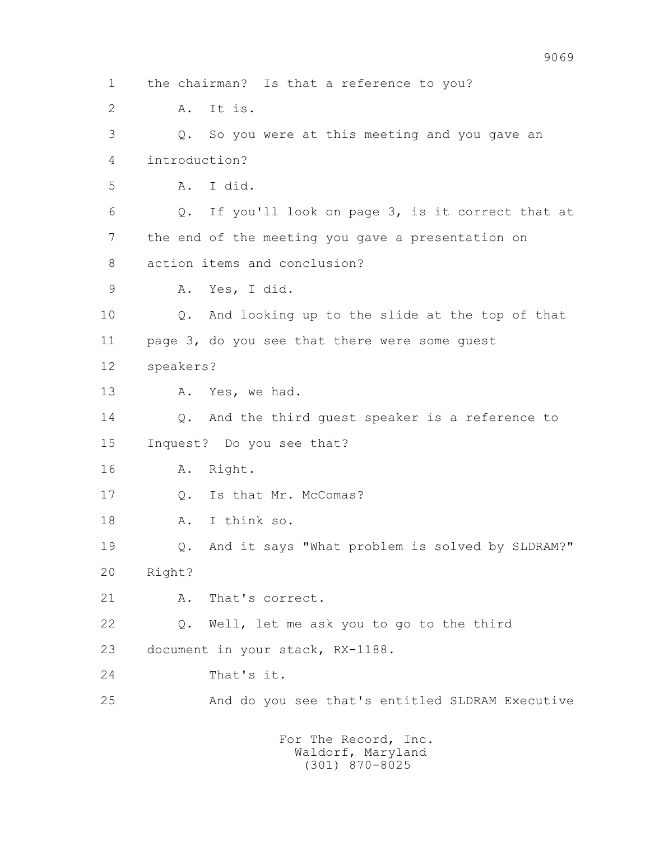1 the chairman? Is that a reference to you? 2 A. It is. 3 Q. So you were at this meeting and you gave an 4 introduction? 5 A. I did. 6 Q. If you'll look on page 3, is it correct that at 7 the end of the meeting you gave a presentation on 8 action items and conclusion? 9 A. Yes, I did. 10 Q. And looking up to the slide at the top of that 11 page 3, do you see that there were some guest 12 speakers? 13 A. Yes, we had. 14 Q. And the third guest speaker is a reference to 15 Inquest? Do you see that? 16 A. Right. 17 Q. Is that Mr. McComas? 18 A. I think so. 19 Q. And it says "What problem is solved by SLDRAM?" 20 Right? 21 A. That's correct. 22 Q. Well, let me ask you to go to the third 23 document in your stack, RX-1188. 24 That's it. 25 And do you see that's entitled SLDRAM Executive For The Record, Inc.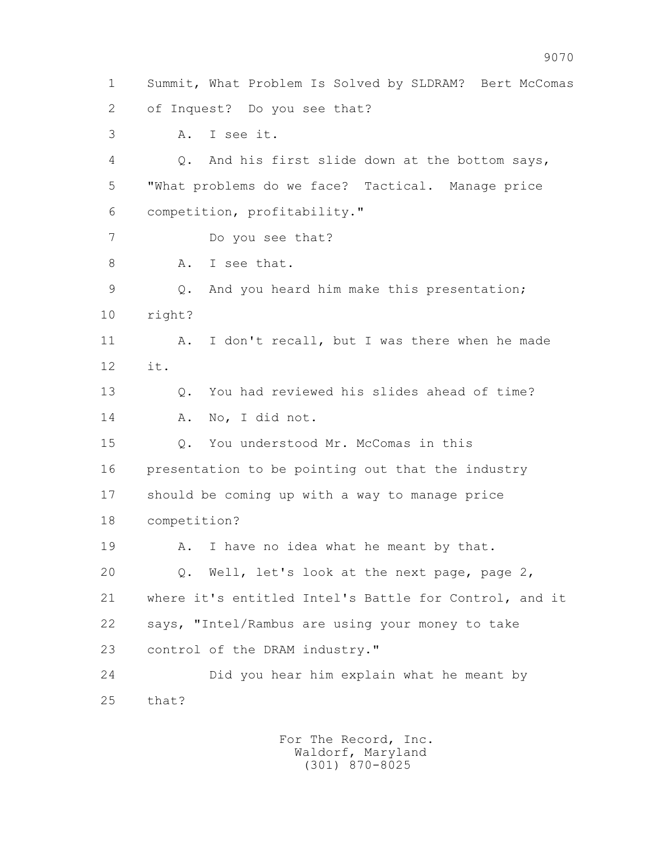1 Summit, What Problem Is Solved by SLDRAM? Bert McComas 2 of Inquest? Do you see that? 3 A. I see it. 4 Q. And his first slide down at the bottom says, 5 "What problems do we face? Tactical. Manage price 6 competition, profitability." 7 Do you see that? 8 A. I see that. 9 Q. And you heard him make this presentation; 10 right? 11 A. I don't recall, but I was there when he made 12 it. 13 Q. You had reviewed his slides ahead of time? 14 A. No, I did not. 15 Q. You understood Mr. McComas in this 16 presentation to be pointing out that the industry 17 should be coming up with a way to manage price 18 competition? 19 A. I have no idea what he meant by that. 20 Q. Well, let's look at the next page, page 2, 21 where it's entitled Intel's Battle for Control, and it 22 says, "Intel/Rambus are using your money to take 23 control of the DRAM industry." 24 Did you hear him explain what he meant by 25 that?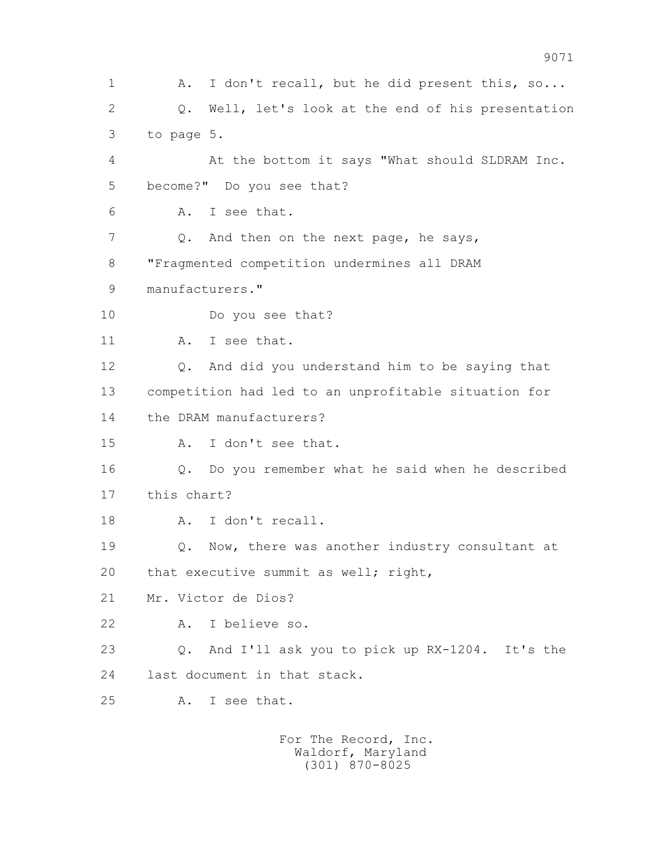1 A. I don't recall, but he did present this, so... 2 Q. Well, let's look at the end of his presentation 3 to page 5. 4 At the bottom it says "What should SLDRAM Inc. 5 become?" Do you see that? 6 A. I see that. 7 Q. And then on the next page, he says, 8 "Fragmented competition undermines all DRAM 9 manufacturers." 10 Do you see that? 11 A. I see that. 12 Q. And did you understand him to be saying that 13 competition had led to an unprofitable situation for 14 the DRAM manufacturers? 15 A. I don't see that. 16 Q. Do you remember what he said when he described 17 this chart? 18 A. I don't recall. 19 Q. Now, there was another industry consultant at 20 that executive summit as well; right, 21 Mr. Victor de Dios? 22 A. I believe so. 23 Q. And I'll ask you to pick up RX-1204. It's the 24 last document in that stack. 25 A. I see that.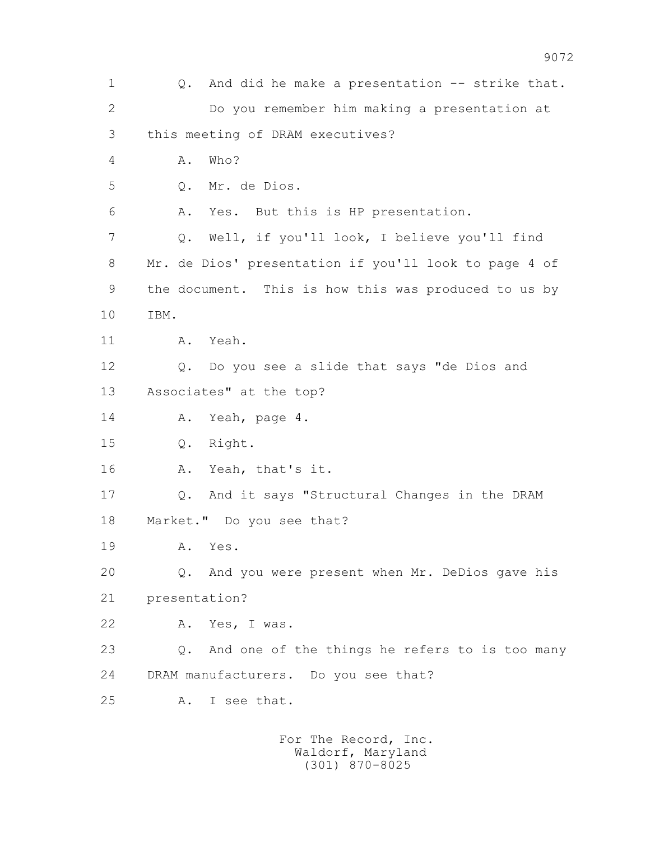1 Q. And did he make a presentation -- strike that. 2 Do you remember him making a presentation at 3 this meeting of DRAM executives? 4 A. Who? 5 Q. Mr. de Dios. 6 A. Yes. But this is HP presentation. 7 Q. Well, if you'll look, I believe you'll find 8 Mr. de Dios' presentation if you'll look to page 4 of 9 the document. This is how this was produced to us by 10 IBM. 11 A. Yeah. 12 Q. Do you see a slide that says "de Dios and 13 Associates" at the top? 14 A. Yeah, page 4. 15 Q. Right. 16 A. Yeah, that's it. 17 Q. And it says "Structural Changes in the DRAM 18 Market." Do you see that? 19 A. Yes. 20 Q. And you were present when Mr. DeDios gave his 21 presentation? 22 A. Yes, I was. 23 Q. And one of the things he refers to is too many 24 DRAM manufacturers. Do you see that? 25 A. I see that.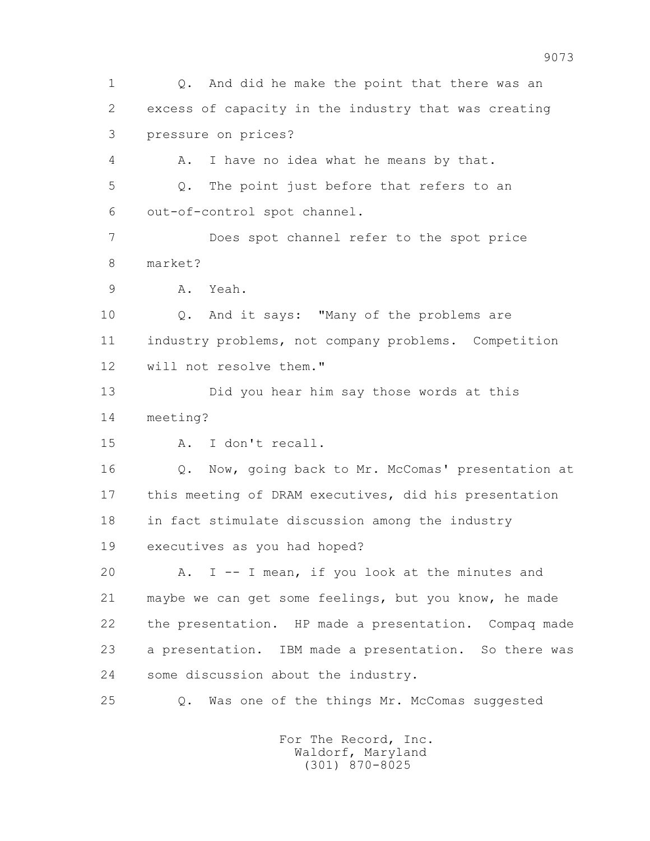1 Q. And did he make the point that there was an 2 excess of capacity in the industry that was creating 3 pressure on prices? 4 A. I have no idea what he means by that. 5 Q. The point just before that refers to an 6 out-of-control spot channel. 7 Does spot channel refer to the spot price 8 market? 9 A. Yeah. 10 Q. And it says: "Many of the problems are 11 industry problems, not company problems. Competition 12 will not resolve them." 13 Did you hear him say those words at this 14 meeting? 15 A. I don't recall. 16 Q. Now, going back to Mr. McComas' presentation at 17 this meeting of DRAM executives, did his presentation 18 in fact stimulate discussion among the industry 19 executives as you had hoped? 20 A. I -- I mean, if you look at the minutes and 21 maybe we can get some feelings, but you know, he made 22 the presentation. HP made a presentation. Compaq made 23 a presentation. IBM made a presentation. So there was 24 some discussion about the industry. 25 Q. Was one of the things Mr. McComas suggested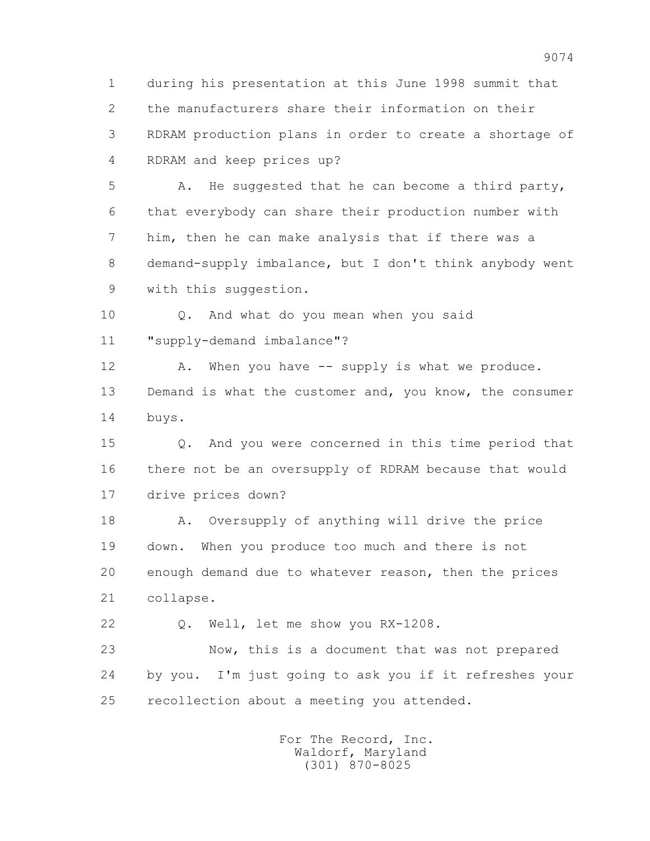1 during his presentation at this June 1998 summit that 2 the manufacturers share their information on their 3 RDRAM production plans in order to create a shortage of 4 RDRAM and keep prices up?

 5 A. He suggested that he can become a third party, 6 that everybody can share their production number with 7 him, then he can make analysis that if there was a 8 demand-supply imbalance, but I don't think anybody went 9 with this suggestion.

 10 Q. And what do you mean when you said 11 "supply-demand imbalance"?

12 A. When you have -- supply is what we produce. 13 Demand is what the customer and, you know, the consumer 14 buys.

 15 Q. And you were concerned in this time period that 16 there not be an oversupply of RDRAM because that would 17 drive prices down?

18 A. Oversupply of anything will drive the price 19 down. When you produce too much and there is not 20 enough demand due to whatever reason, then the prices 21 collapse.

22 Q. Well, let me show you RX-1208.

 23 Now, this is a document that was not prepared 24 by you. I'm just going to ask you if it refreshes your 25 recollection about a meeting you attended.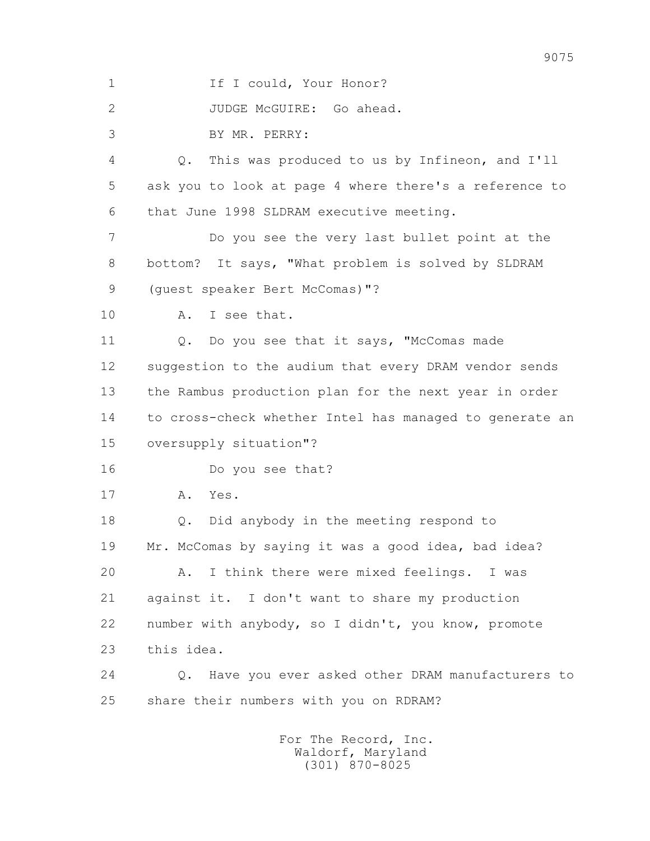1 If I could, Your Honor?

2 JUDGE McGUIRE: Go ahead.

3 BY MR. PERRY:

 4 Q. This was produced to us by Infineon, and I'll 5 ask you to look at page 4 where there's a reference to 6 that June 1998 SLDRAM executive meeting.

 7 Do you see the very last bullet point at the 8 bottom? It says, "What problem is solved by SLDRAM 9 (quest speaker Bert McComas)"?

10 A. I see that.

11 Q. Do you see that it says, "McComas made 12 suggestion to the audium that every DRAM vendor sends 13 the Rambus production plan for the next year in order 14 to cross-check whether Intel has managed to generate an 15 oversupply situation"?

16 Do you see that?

17 A. Yes.

 18 Q. Did anybody in the meeting respond to 19 Mr. McComas by saying it was a good idea, bad idea? 20 A. I think there were mixed feelings. I was 21 against it. I don't want to share my production 22 number with anybody, so I didn't, you know, promote 23 this idea.

 24 Q. Have you ever asked other DRAM manufacturers to 25 share their numbers with you on RDRAM?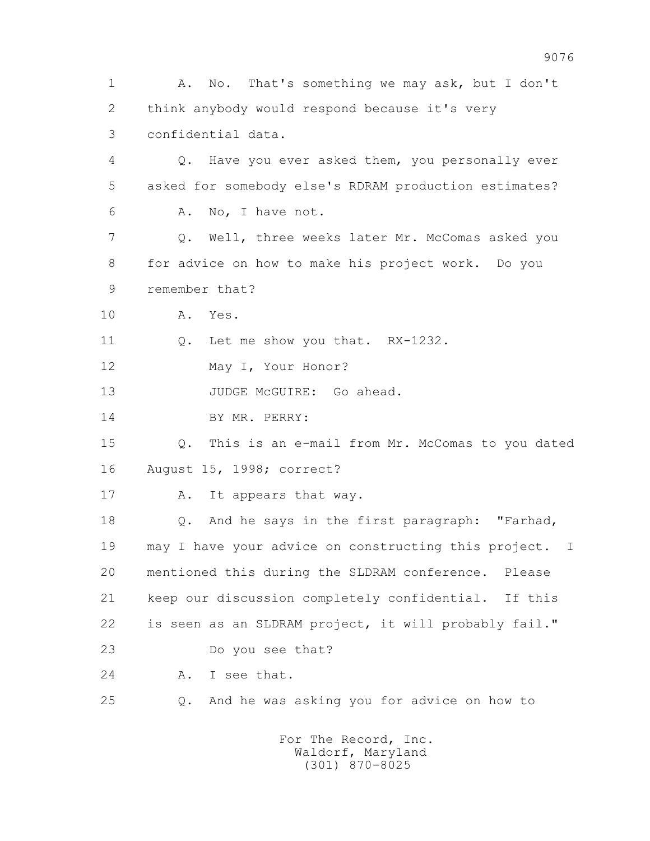1 A. No. That's something we may ask, but I don't 2 think anybody would respond because it's very 3 confidential data. 4 Q. Have you ever asked them, you personally ever 5 asked for somebody else's RDRAM production estimates? 6 A. No, I have not. 7 Q. Well, three weeks later Mr. McComas asked you 8 for advice on how to make his project work. Do you 9 remember that? 10 A. Yes. 11 0. Let me show you that. RX-1232. 12 May I, Your Honor? 13 JUDGE McGUIRE: Go ahead. 14 BY MR. PERRY: 15 Q. This is an e-mail from Mr. McComas to you dated 16 August 15, 1998; correct? 17 A. It appears that way. 18 Q. And he says in the first paragraph: "Farhad, 19 may I have your advice on constructing this project. I 20 mentioned this during the SLDRAM conference. Please 21 keep our discussion completely confidential. If this 22 is seen as an SLDRAM project, it will probably fail." 23 Do you see that? 24 A. I see that. 25 Q. And he was asking you for advice on how to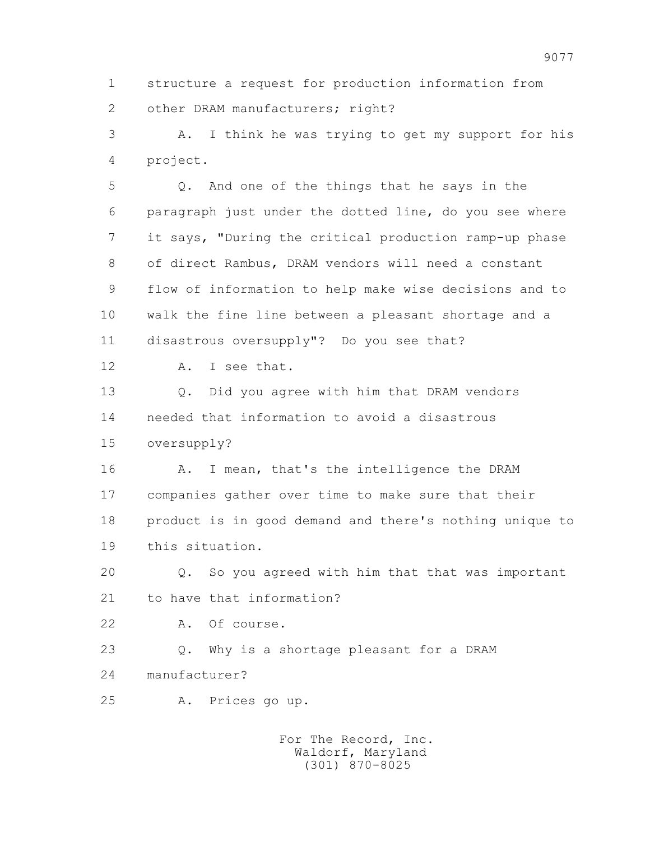1 structure a request for production information from 2 other DRAM manufacturers; right?

 3 A. I think he was trying to get my support for his 4 project.

 5 Q. And one of the things that he says in the 6 paragraph just under the dotted line, do you see where 7 it says, "During the critical production ramp-up phase 8 of direct Rambus, DRAM vendors will need a constant 9 flow of information to help make wise decisions and to 10 walk the fine line between a pleasant shortage and a 11 disastrous oversupply"? Do you see that?

12 A. I see that.

 13 Q. Did you agree with him that DRAM vendors 14 needed that information to avoid a disastrous 15 oversupply?

16 A. I mean, that's the intelligence the DRAM 17 companies gather over time to make sure that their 18 product is in good demand and there's nothing unique to 19 this situation.

 20 Q. So you agreed with him that that was important 21 to have that information?

22 A. Of course.

 23 Q. Why is a shortage pleasant for a DRAM 24 manufacturer?

25 A. Prices go up.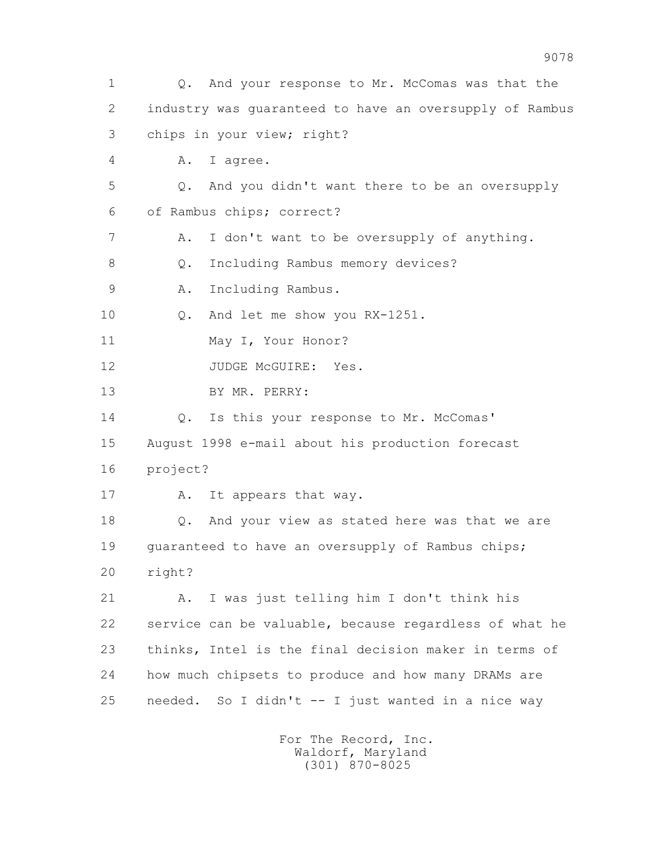1 Q. And your response to Mr. McComas was that the 2 industry was guaranteed to have an oversupply of Rambus 3 chips in your view; right? 4 A. I agree. 5 Q. And you didn't want there to be an oversupply 6 of Rambus chips; correct? 7 A. I don't want to be oversupply of anything. 8 Q. Including Rambus memory devices? 9 A. Including Rambus. 10 Q. And let me show you RX-1251. 11 May I, Your Honor? 12 JUDGE McGUIRE: Yes. 13 BY MR. PERRY: 14 Q. Is this your response to Mr. McComas' 15 August 1998 e-mail about his production forecast 16 project? 17 A. It appears that way. 18 Q. And your view as stated here was that we are 19 guaranteed to have an oversupply of Rambus chips; 20 right? 21 A. I was just telling him I don't think his 22 service can be valuable, because regardless of what he 23 thinks, Intel is the final decision maker in terms of 24 how much chipsets to produce and how many DRAMs are 25 needed. So I didn't -- I just wanted in a nice way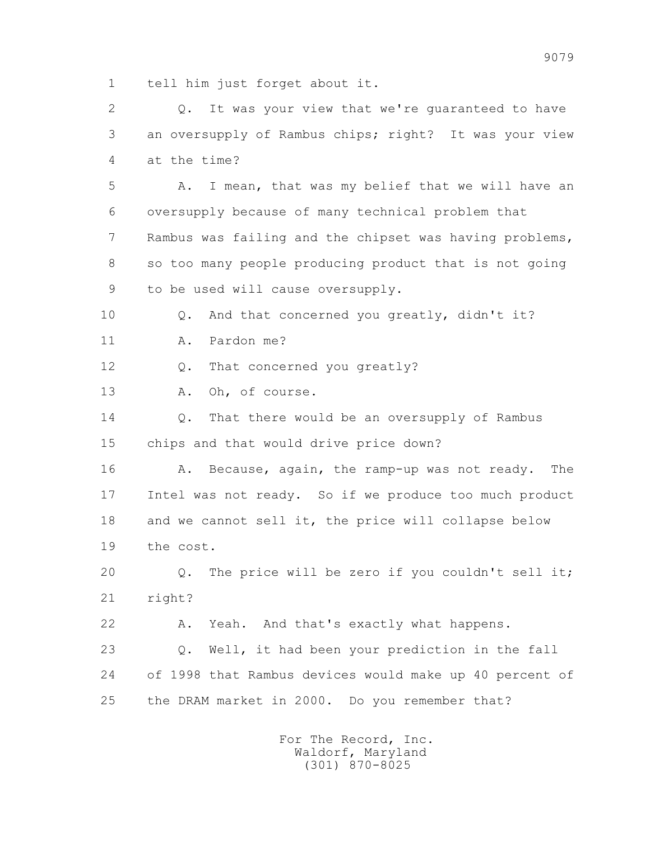1 tell him just forget about it.

 2 Q. It was your view that we're guaranteed to have 3 an oversupply of Rambus chips; right? It was your view 4 at the time? 5 A. I mean, that was my belief that we will have an 6 oversupply because of many technical problem that 7 Rambus was failing and the chipset was having problems, 8 so too many people producing product that is not going 9 to be used will cause oversupply. 10 Q. And that concerned you greatly, didn't it? 11 A. Pardon me? 12 Q. That concerned you greatly? 13 A. Oh, of course. 14 0. That there would be an oversupply of Rambus 15 chips and that would drive price down? 16 A. Because, again, the ramp-up was not ready. The 17 Intel was not ready. So if we produce too much product 18 and we cannot sell it, the price will collapse below 19 the cost. 20 Q. The price will be zero if you couldn't sell it; 21 right? 22 A. Yeah. And that's exactly what happens. 23 Q. Well, it had been your prediction in the fall 24 of 1998 that Rambus devices would make up 40 percent of 25 the DRAM market in 2000. Do you remember that?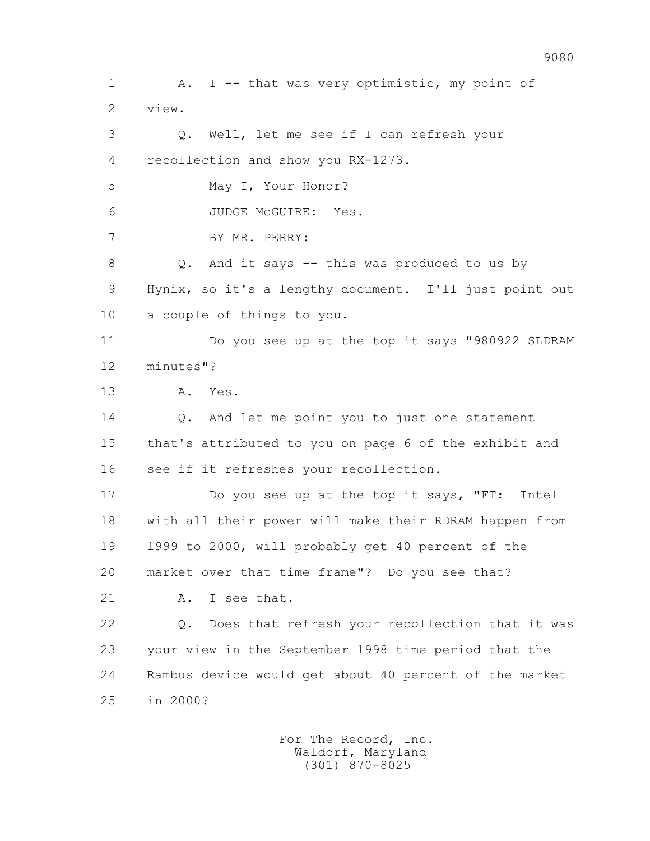1 A. I -- that was very optimistic, my point of 2 view. 3 Q. Well, let me see if I can refresh your 4 recollection and show you RX-1273. 5 May I, Your Honor? 6 JUDGE McGUIRE: Yes. 7 BY MR. PERRY: 8 Q. And it says -- this was produced to us by 9 Hynix, so it's a lengthy document. I'll just point out 10 a couple of things to you. 11 Do you see up at the top it says "980922 SLDRAM 12 minutes"? 13 A. Yes. 14 Q. And let me point you to just one statement 15 that's attributed to you on page 6 of the exhibit and 16 see if it refreshes your recollection. 17 Do you see up at the top it says, "FT: Intel 18 with all their power will make their RDRAM happen from 19 1999 to 2000, will probably get 40 percent of the 20 market over that time frame"? Do you see that? 21 A. I see that. 22 Q. Does that refresh your recollection that it was 23 your view in the September 1998 time period that the 24 Rambus device would get about 40 percent of the market 25 in 2000?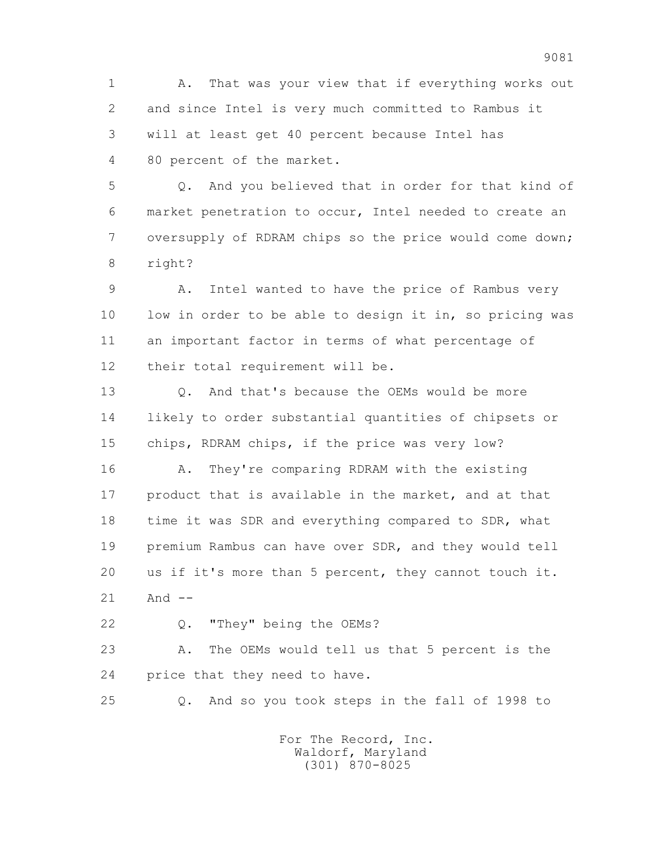1 A. That was your view that if everything works out 2 and since Intel is very much committed to Rambus it 3 will at least get 40 percent because Intel has 4 80 percent of the market.

 5 Q. And you believed that in order for that kind of 6 market penetration to occur, Intel needed to create an 7 oversupply of RDRAM chips so the price would come down; 8 right?

 9 A. Intel wanted to have the price of Rambus very 10 low in order to be able to design it in, so pricing was 11 an important factor in terms of what percentage of 12 their total requirement will be.

 13 Q. And that's because the OEMs would be more 14 likely to order substantial quantities of chipsets or 15 chips, RDRAM chips, if the price was very low?

 16 A. They're comparing RDRAM with the existing 17 product that is available in the market, and at that 18 time it was SDR and everything compared to SDR, what 19 premium Rambus can have over SDR, and they would tell 20 us if it's more than 5 percent, they cannot touch it.  $21$  And  $-$ 

22 Q. "They" being the OEMs?

 23 A. The OEMs would tell us that 5 percent is the 24 price that they need to have.

25 Q. And so you took steps in the fall of 1998 to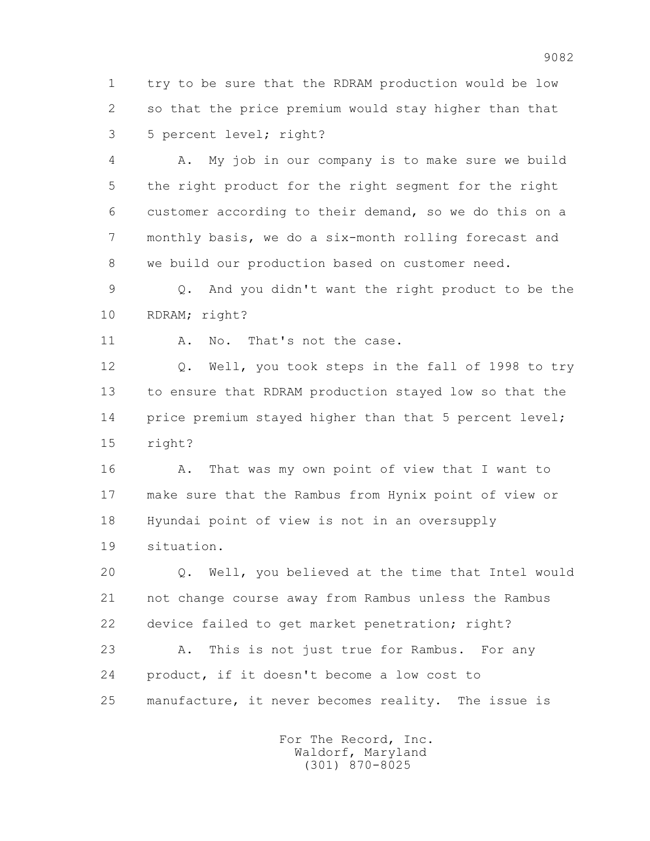1 try to be sure that the RDRAM production would be low 2 so that the price premium would stay higher than that 3 5 percent level; right?

 4 A. My job in our company is to make sure we build 5 the right product for the right segment for the right 6 customer according to their demand, so we do this on a 7 monthly basis, we do a six-month rolling forecast and 8 we build our production based on customer need.

 9 Q. And you didn't want the right product to be the 10 RDRAM; right?

11 A. No. That's not the case.

 12 Q. Well, you took steps in the fall of 1998 to try 13 to ensure that RDRAM production stayed low so that the 14 price premium stayed higher than that 5 percent level; 15 right?

16 A. That was my own point of view that I want to 17 make sure that the Rambus from Hynix point of view or 18 Hyundai point of view is not in an oversupply 19 situation.

 20 Q. Well, you believed at the time that Intel would 21 not change course away from Rambus unless the Rambus 22 device failed to get market penetration; right?

 23 A. This is not just true for Rambus. For any 24 product, if it doesn't become a low cost to 25 manufacture, it never becomes reality. The issue is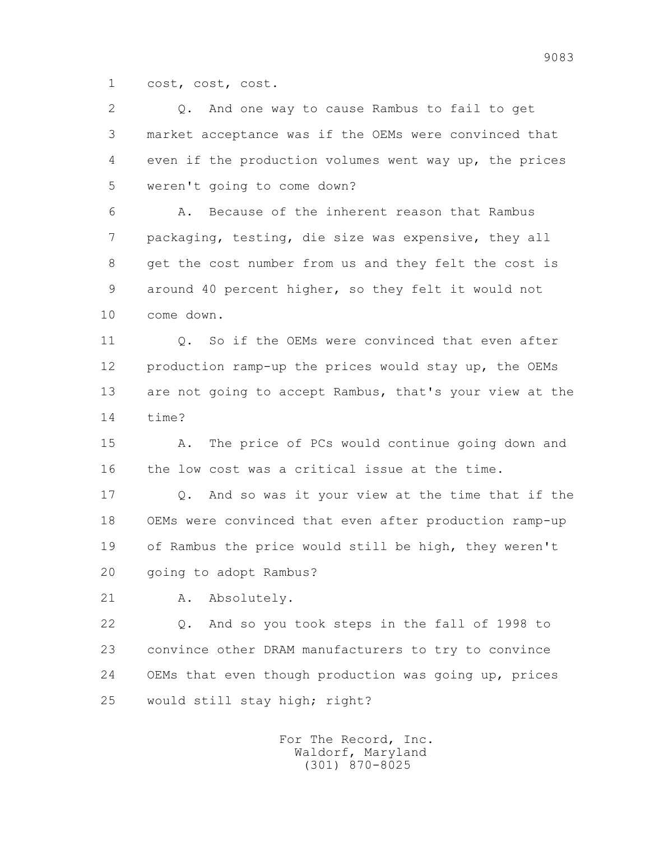1 cost, cost, cost.

| $\overline{2}$ | And one way to cause Rambus to fail to get<br>Q.        |
|----------------|---------------------------------------------------------|
| 3              | market acceptance was if the OEMs were convinced that   |
| 4              | even if the production volumes went way up, the prices  |
| 5              | weren't going to come down?                             |
| 6              | Because of the inherent reason that Rambus<br>Α.        |
| 7              | packaging, testing, die size was expensive, they all    |
| 8              | get the cost number from us and they felt the cost is   |
| 9              | around 40 percent higher, so they felt it would not     |
| 10             | come down.                                              |
| 11             | Q. So if the OEMs were convinced that even after        |
| 12             | production ramp-up the prices would stay up, the OEMs   |
| 13             | are not going to accept Rambus, that's your view at the |
| 14             | time?                                                   |
| 15             | The price of PCs would continue going down and<br>Α.    |
| 16             | the low cost was a critical issue at the time.          |
| 17             | And so was it your view at the time that if the<br>Q.   |
| 18             | OEMs were convinced that even after production ramp-up  |
| 19             | of Rambus the price would still be high, they weren't   |
| 20             | going to adopt Rambus?                                  |
| 21             | Absolutely.<br>Α.                                       |
| 22             | And so you took steps in the fall of 1998 to<br>Q.      |
| 23             | convince other DRAM manufacturers to try to convince    |
| 24             | OEMs that even though production was going up, prices   |
| 25             | would still stay high; right?                           |
|                |                                                         |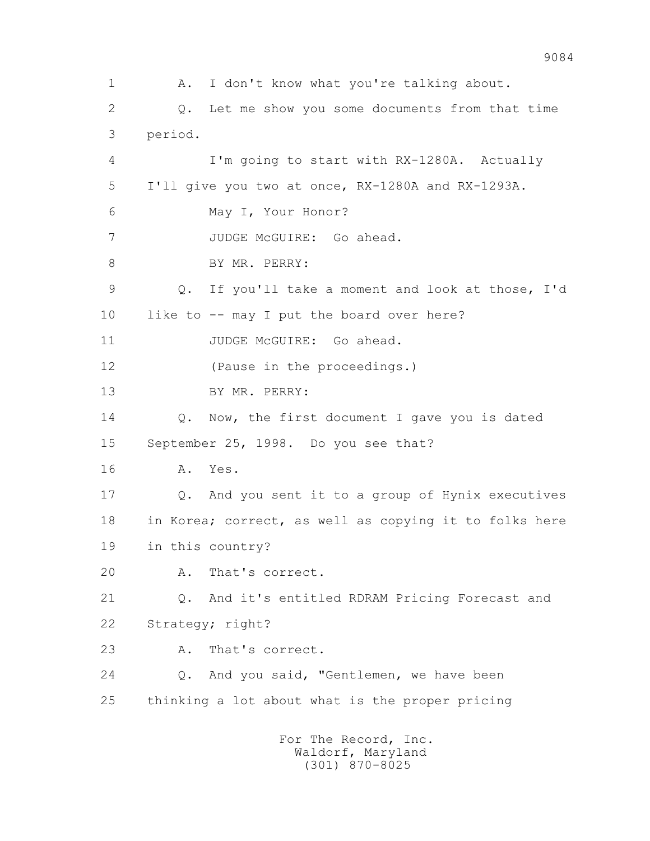1 A. I don't know what you're talking about. 2 Q. Let me show you some documents from that time 3 period. 4 I'm going to start with RX-1280A. Actually 5 I'll give you two at once, RX-1280A and RX-1293A. 6 May I, Your Honor? 7 JUDGE McGUIRE: Go ahead. 8 BY MR. PERRY: 9 Q. If you'll take a moment and look at those, I'd 10 like to -- may I put the board over here? 11 JUDGE McGUIRE: Go ahead. 12 (Pause in the proceedings.) 13 BY MR. PERRY: 14 Q. Now, the first document I gave you is dated 15 September 25, 1998. Do you see that? 16 A. Yes. 17 Q. And you sent it to a group of Hynix executives 18 in Korea; correct, as well as copying it to folks here 19 in this country? 20 A. That's correct. 21 Q. And it's entitled RDRAM Pricing Forecast and 22 Strategy; right? 23 A. That's correct. 24 Q. And you said, "Gentlemen, we have been 25 thinking a lot about what is the proper pricing For The Record, Inc. Waldorf, Maryland

(301) 870-8025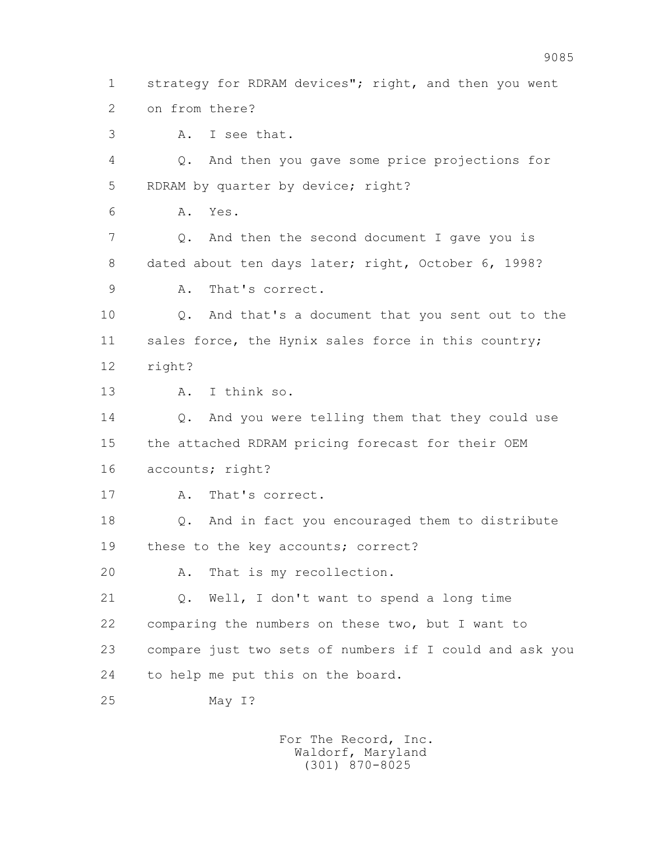3 A. I see that. 4 Q. And then you gave some price projections for 5 RDRAM by quarter by device; right? 6 A. Yes. 7 Q. And then the second document I gave you is 8 dated about ten days later; right, October 6, 1998? 9 A. That's correct. 10 Q. And that's a document that you sent out to the 11 sales force, the Hynix sales force in this country; 12 right? 13 A. I think so. 14 0. And you were telling them that they could use 15 the attached RDRAM pricing forecast for their OEM 16 accounts; right? 17 A. That's correct. 18 Q. And in fact you encouraged them to distribute 19 these to the key accounts; correct? 20 A. That is my recollection. 21 Q. Well, I don't want to spend a long time 22 comparing the numbers on these two, but I want to 23 compare just two sets of numbers if I could and ask you 24 to help me put this on the board. 25 May I?

1 strategy for RDRAM devices"; right, and then you went

2 on from there?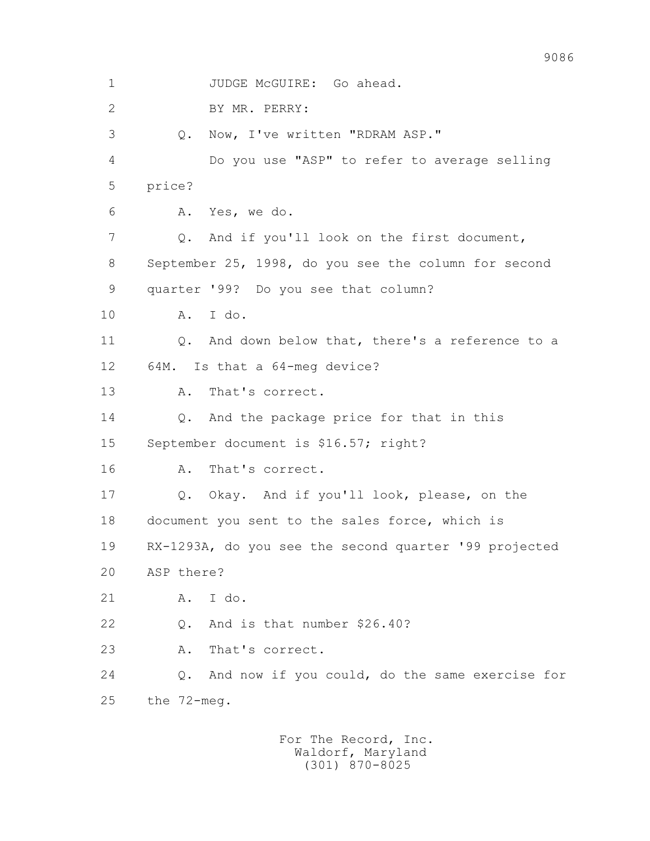1 JUDGE McGUIRE: Go ahead. 2 BY MR. PERRY: 3 Q. Now, I've written "RDRAM ASP." 4 Do you use "ASP" to refer to average selling 5 price? 6 A. Yes, we do. 7 Q. And if you'll look on the first document, 8 September 25, 1998, do you see the column for second 9 quarter '99? Do you see that column? 10 A. I do. 11 Q. And down below that, there's a reference to a 12 64M. Is that a 64-meg device? 13 A. That's correct. 14 Q. And the package price for that in this 15 September document is \$16.57; right? 16 A. That's correct. 17 Q. Okay. And if you'll look, please, on the 18 document you sent to the sales force, which is 19 RX-1293A, do you see the second quarter '99 projected 20 ASP there? 21 A. I do. 22 Q. And is that number \$26.40? 23 A. That's correct. 24 Q. And now if you could, do the same exercise for 25 the 72-meg.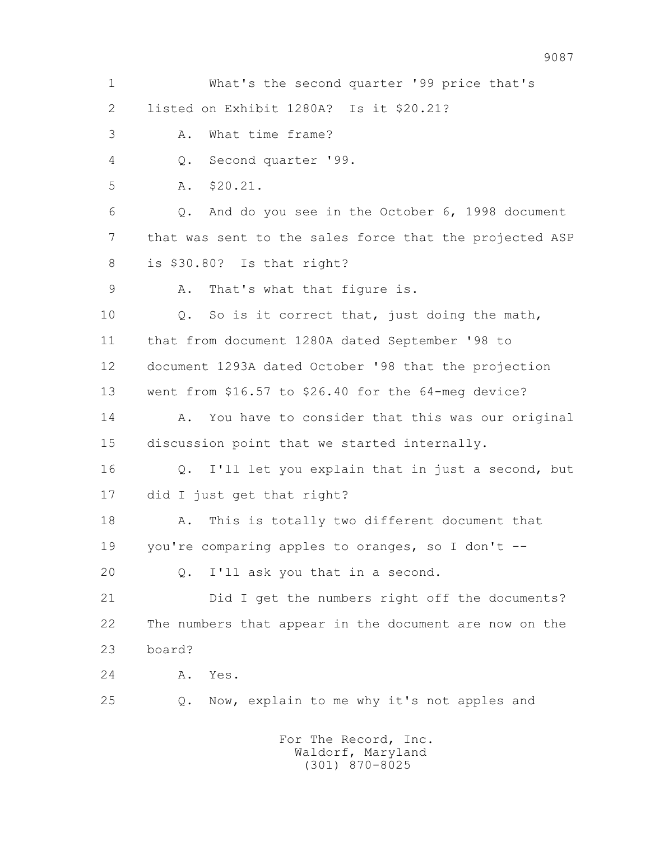1 What's the second quarter '99 price that's 2 listed on Exhibit 1280A? Is it \$20.21? 3 A. What time frame? 4 Q. Second quarter '99. 5 A. \$20.21. 6 Q. And do you see in the October 6, 1998 document 7 that was sent to the sales force that the projected ASP 8 is \$30.80? Is that right? 9 A. That's what that figure is. 10 Q. So is it correct that, just doing the math, 11 that from document 1280A dated September '98 to 12 document 1293A dated October '98 that the projection 13 went from \$16.57 to \$26.40 for the 64-meg device? 14 A. You have to consider that this was our original 15 discussion point that we started internally. 16 Q. I'll let you explain that in just a second, but 17 did I just get that right? 18 A. This is totally two different document that 19 you're comparing apples to oranges, so I don't -- 20 Q. I'll ask you that in a second. 21 Did I get the numbers right off the documents? 22 The numbers that appear in the document are now on the 23 board? 24 A. Yes. 25 Q. Now, explain to me why it's not apples and For The Record, Inc.

9087

 Waldorf, Maryland (301) 870-8025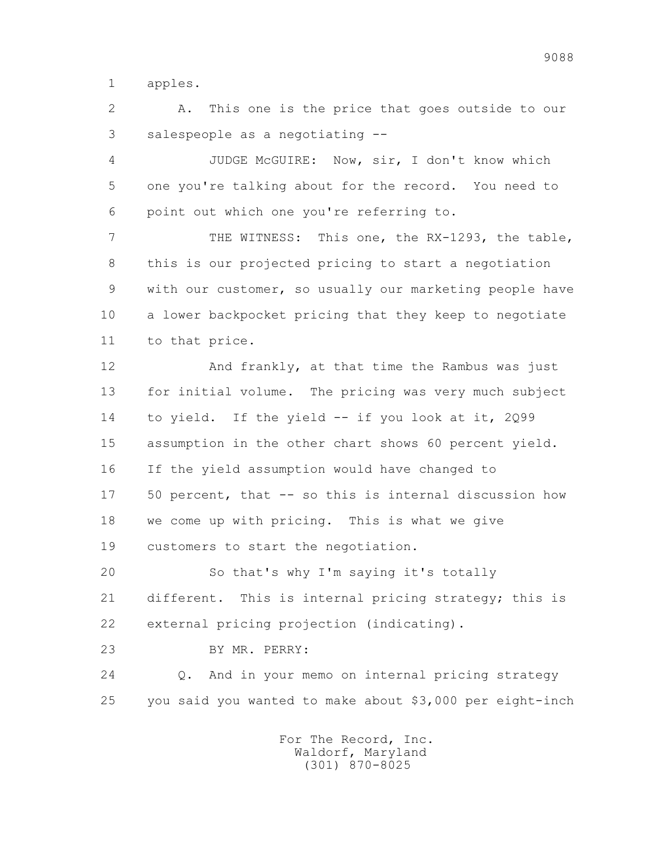1 apples.

 2 A. This one is the price that goes outside to our 3 salespeople as a negotiating --

 4 JUDGE McGUIRE: Now, sir, I don't know which 5 one you're talking about for the record. You need to 6 point out which one you're referring to.

 7 THE WITNESS: This one, the RX-1293, the table, 8 this is our projected pricing to start a negotiation 9 with our customer, so usually our marketing people have 10 a lower backpocket pricing that they keep to negotiate 11 to that price.

 12 And frankly, at that time the Rambus was just 13 for initial volume. The pricing was very much subject 14 to yield. If the yield -- if you look at it, 2Q99 15 assumption in the other chart shows 60 percent yield. 16 If the yield assumption would have changed to 17 50 percent, that -- so this is internal discussion how 18 we come up with pricing. This is what we give 19 customers to start the negotiation.

 20 So that's why I'm saying it's totally 21 different. This is internal pricing strategy; this is 22 external pricing projection (indicating).

23 BY MR. PERRY:

 24 Q. And in your memo on internal pricing strategy 25 you said you wanted to make about \$3,000 per eight-inch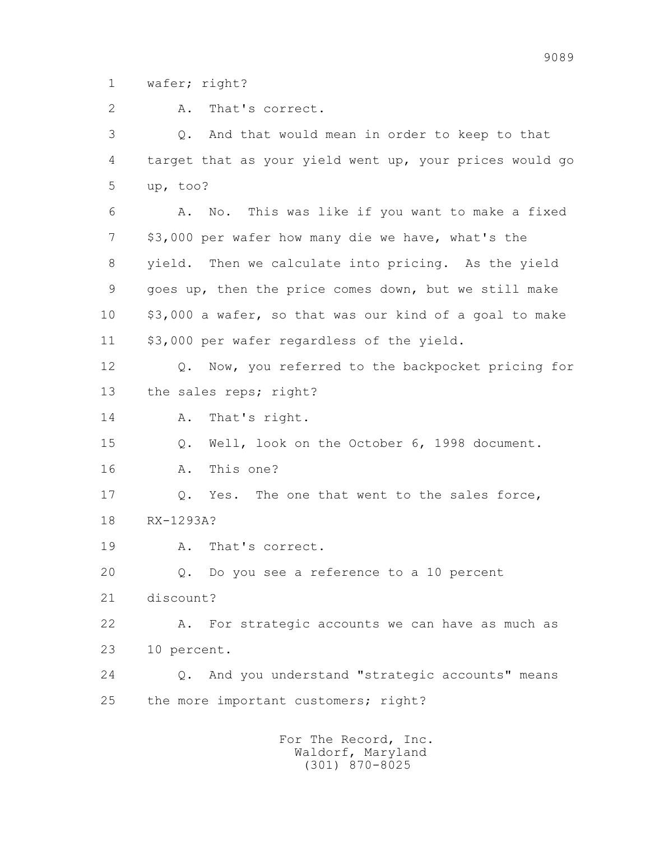1 wafer; right?

2 A. That's correct.

 3 Q. And that would mean in order to keep to that 4 target that as your yield went up, your prices would go 5 up, too?

 6 A. No. This was like if you want to make a fixed 7 \$3,000 per wafer how many die we have, what's the 8 yield. Then we calculate into pricing. As the yield 9 goes up, then the price comes down, but we still make 10 \$3,000 a wafer, so that was our kind of a goal to make 11 \$3,000 per wafer regardless of the yield.

 12 Q. Now, you referred to the backpocket pricing for 13 the sales reps; right?

14 A. That's right.

15 Q. Well, look on the October 6, 1998 document.

16 A. This one?

17 Q. Yes. The one that went to the sales force, 18 RX-1293A?

19 A. That's correct.

20 Q. Do you see a reference to a 10 percent

21 discount?

 22 A. For strategic accounts we can have as much as 23 10 percent.

 24 Q. And you understand "strategic accounts" means 25 the more important customers; right?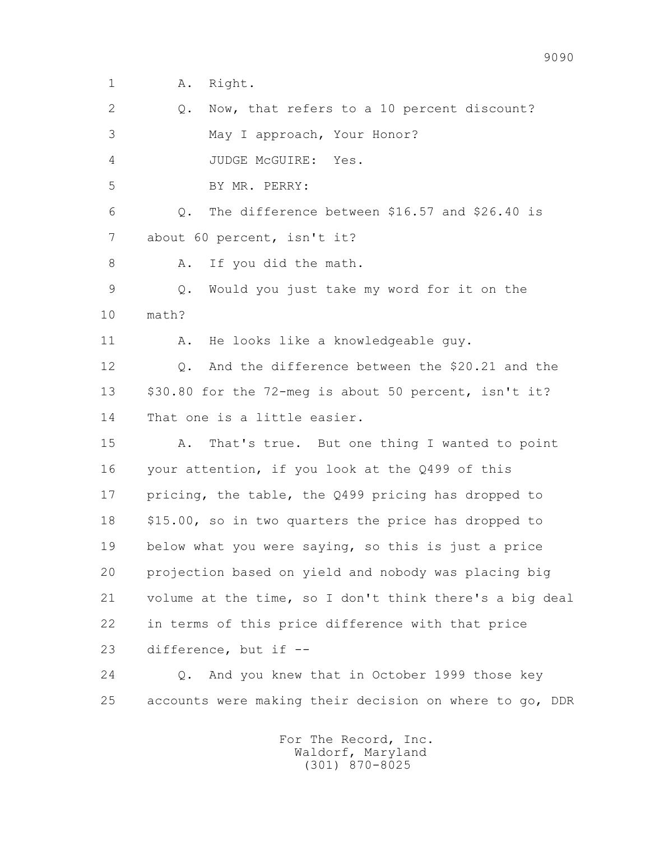1 A. Right.

2 0. Now, that refers to a 10 percent discount? 3 May I approach, Your Honor? 4 JUDGE McGUIRE: Yes. 5 BY MR. PERRY: 6 Q. The difference between \$16.57 and \$26.40 is 7 about 60 percent, isn't it? 8 A. If you did the math. 9 Q. Would you just take my word for it on the 10 math? 11 A. He looks like a knowledgeable guy. 12 0. And the difference between the \$20.21 and the 13 \$30.80 for the 72-meg is about 50 percent, isn't it? 14 That one is a little easier. 15 A. That's true. But one thing I wanted to point 16 your attention, if you look at the Q499 of this 17 pricing, the table, the Q499 pricing has dropped to 18 \$15.00, so in two quarters the price has dropped to 19 below what you were saying, so this is just a price 20 projection based on yield and nobody was placing big 21 volume at the time, so I don't think there's a big deal 22 in terms of this price difference with that price 23 difference, but if -- 24 Q. And you knew that in October 1999 those key

> For The Record, Inc. Waldorf, Maryland (301) 870-8025

25 accounts were making their decision on where to go, DDR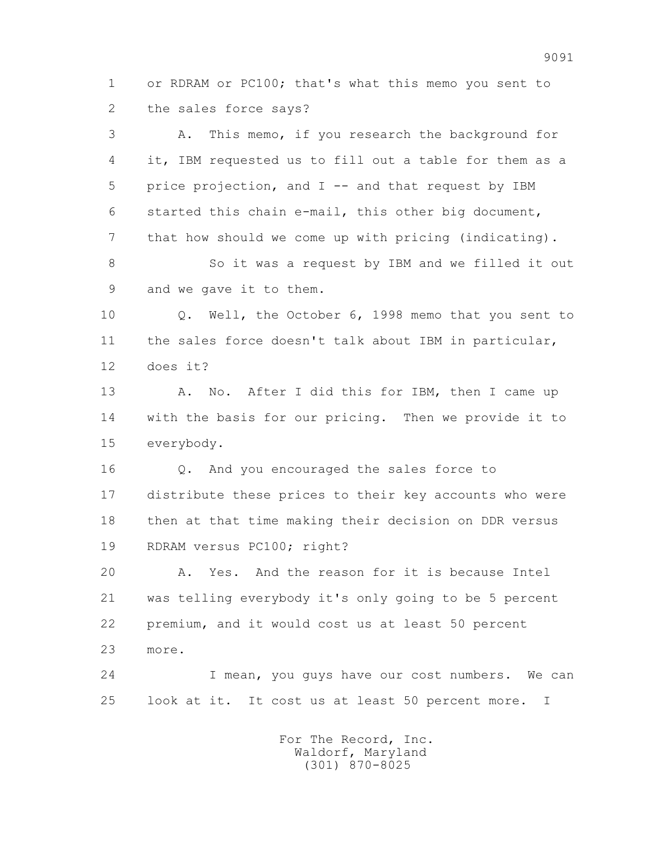1 or RDRAM or PC100; that's what this memo you sent to 2 the sales force says?

 3 A. This memo, if you research the background for 4 it, IBM requested us to fill out a table for them as a 5 price projection, and I -- and that request by IBM 6 started this chain e-mail, this other big document, 7 that how should we come up with pricing (indicating). 8 So it was a request by IBM and we filled it out 9 and we gave it to them. 10 Q. Well, the October 6, 1998 memo that you sent to 11 the sales force doesn't talk about IBM in particular, 12 does it? 13 A. No. After I did this for IBM, then I came up 14 with the basis for our pricing. Then we provide it to 15 everybody. 16 Q. And you encouraged the sales force to 17 distribute these prices to their key accounts who were 18 then at that time making their decision on DDR versus

19 RDRAM versus PC100; right?

 20 A. Yes. And the reason for it is because Intel 21 was telling everybody it's only going to be 5 percent 22 premium, and it would cost us at least 50 percent 23 more.

 24 I mean, you guys have our cost numbers. We can 25 look at it. It cost us at least 50 percent more. I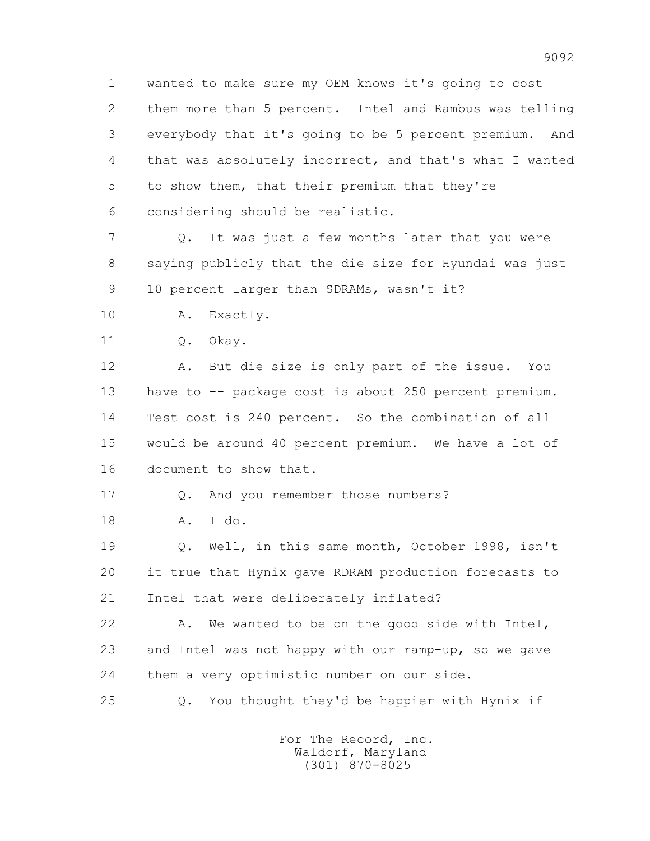1 wanted to make sure my OEM knows it's going to cost 2 them more than 5 percent. Intel and Rambus was telling 3 everybody that it's going to be 5 percent premium. And 4 that was absolutely incorrect, and that's what I wanted 5 to show them, that their premium that they're 6 considering should be realistic.

 7 Q. It was just a few months later that you were 8 saying publicly that the die size for Hyundai was just 9 10 percent larger than SDRAMs, wasn't it?

10 A. Exactly.

11 0. Okay.

 12 A. But die size is only part of the issue. You 13 have to -- package cost is about 250 percent premium. 14 Test cost is 240 percent. So the combination of all 15 would be around 40 percent premium. We have a lot of 16 document to show that.

17 Q. And you remember those numbers?

18 A. I do.

 19 Q. Well, in this same month, October 1998, isn't 20 it true that Hynix gave RDRAM production forecasts to 21 Intel that were deliberately inflated?

 22 A. We wanted to be on the good side with Intel, 23 and Intel was not happy with our ramp-up, so we gave 24 them a very optimistic number on our side.

25 Q. You thought they'd be happier with Hynix if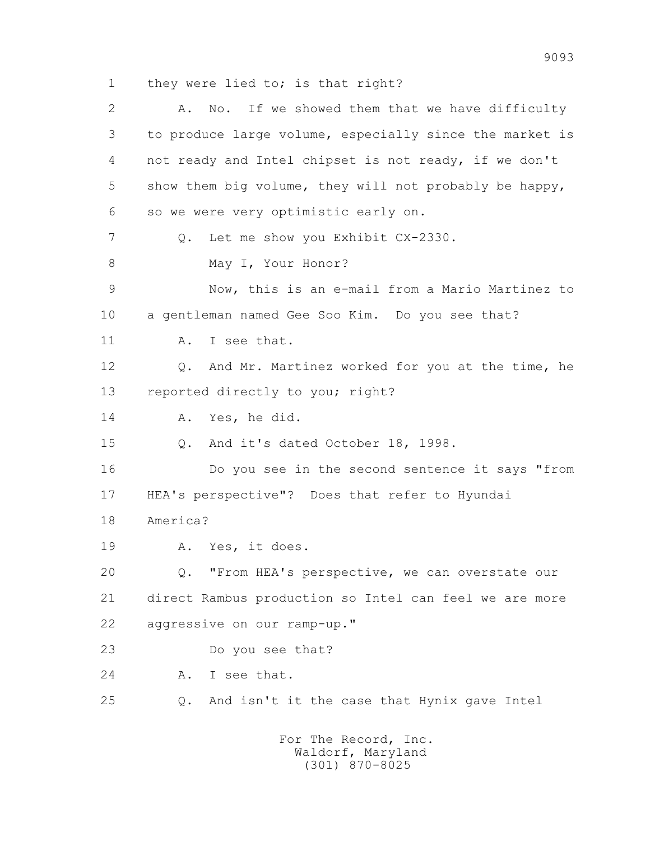1 they were lied to; is that right?

 2 A. No. If we showed them that we have difficulty 3 to produce large volume, especially since the market is 4 not ready and Intel chipset is not ready, if we don't 5 show them big volume, they will not probably be happy, 6 so we were very optimistic early on. 7 Q. Let me show you Exhibit CX-2330. 8 May I, Your Honor? 9 Now, this is an e-mail from a Mario Martinez to 10 a gentleman named Gee Soo Kim. Do you see that? 11 A. I see that. 12 Q. And Mr. Martinez worked for you at the time, he 13 reported directly to you; right? 14 A. Yes, he did. 15 Q. And it's dated October 18, 1998. 16 Do you see in the second sentence it says "from 17 HEA's perspective"? Does that refer to Hyundai 18 America? 19 A. Yes, it does. 20 Q. "From HEA's perspective, we can overstate our 21 direct Rambus production so Intel can feel we are more 22 aggressive on our ramp-up." 23 Do you see that? 24 A. I see that. 25 Q. And isn't it the case that Hynix gave Intel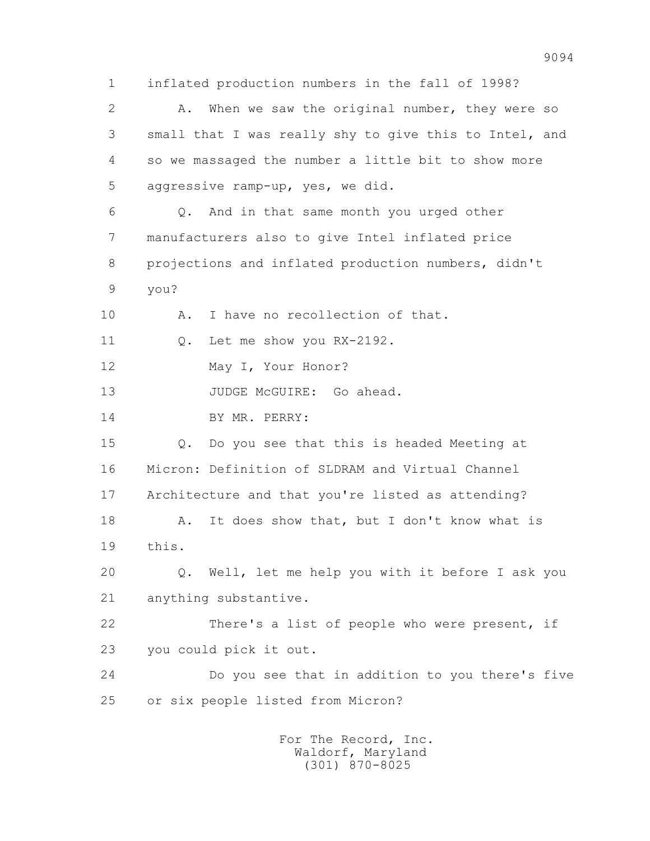1 inflated production numbers in the fall of 1998? 2 A. When we saw the original number, they were so 3 small that I was really shy to give this to Intel, and 4 so we massaged the number a little bit to show more 5 aggressive ramp-up, yes, we did. 6 Q. And in that same month you urged other 7 manufacturers also to give Intel inflated price 8 projections and inflated production numbers, didn't 9 you? 10 A. I have no recollection of that. 11 O. Let me show you RX-2192. 12 May I, Your Honor? 13 JUDGE McGUIRE: Go ahead. 14 BY MR. PERRY: 15 Q. Do you see that this is headed Meeting at 16 Micron: Definition of SLDRAM and Virtual Channel 17 Architecture and that you're listed as attending? 18 A. It does show that, but I don't know what is 19 this. 20 Q. Well, let me help you with it before I ask you 21 anything substantive. 22 There's a list of people who were present, if 23 you could pick it out. 24 Do you see that in addition to you there's five 25 or six people listed from Micron? For The Record, Inc.

 Waldorf, Maryland (301) 870-8025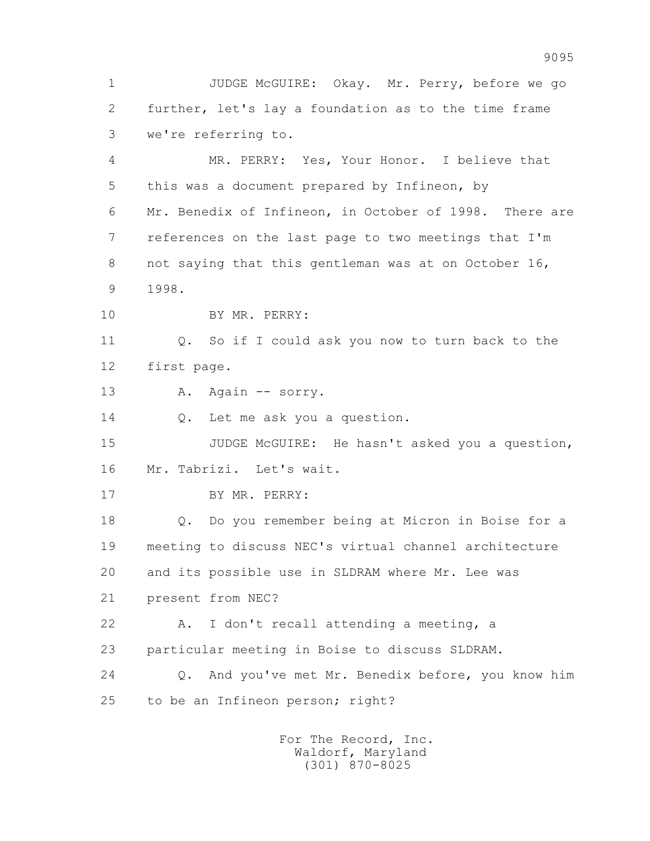1 JUDGE McGUIRE: Okay. Mr. Perry, before we go 2 further, let's lay a foundation as to the time frame 3 we're referring to.

 4 MR. PERRY: Yes, Your Honor. I believe that 5 this was a document prepared by Infineon, by 6 Mr. Benedix of Infineon, in October of 1998. There are 7 references on the last page to two meetings that I'm 8 not saying that this gentleman was at on October 16, 9 1998.

10 BY MR. PERRY:

 11 Q. So if I could ask you now to turn back to the 12 first page.

13 A. Again -- sorry.

14 Q. Let me ask you a question.

 15 JUDGE McGUIRE: He hasn't asked you a question, 16 Mr. Tabrizi. Let's wait.

17 BY MR. PERRY:

 18 Q. Do you remember being at Micron in Boise for a 19 meeting to discuss NEC's virtual channel architecture 20 and its possible use in SLDRAM where Mr. Lee was 21 present from NEC?

 22 A. I don't recall attending a meeting, a 23 particular meeting in Boise to discuss SLDRAM.

 24 Q. And you've met Mr. Benedix before, you know him 25 to be an Infineon person; right?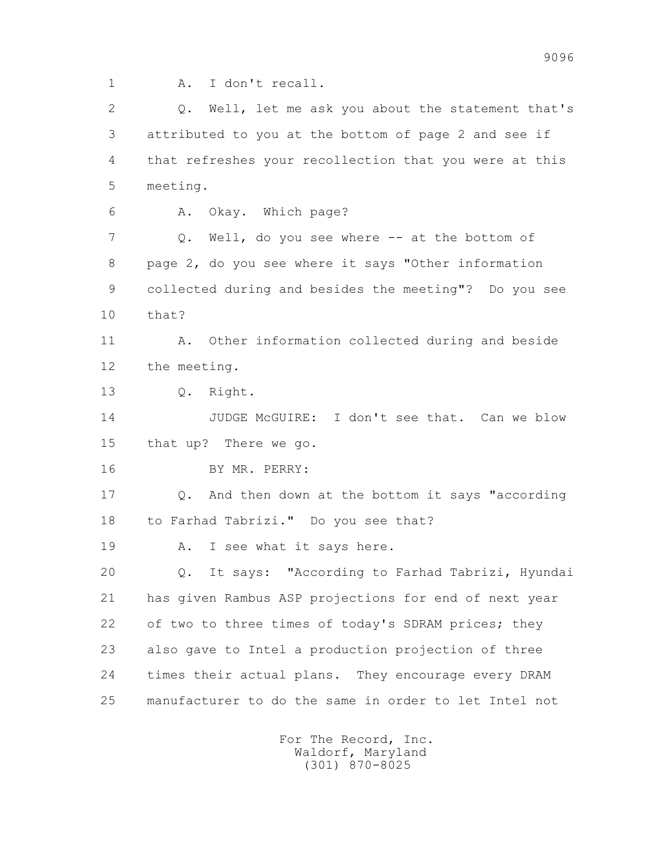1 A. I don't recall.

 2 Q. Well, let me ask you about the statement that's 3 attributed to you at the bottom of page 2 and see if 4 that refreshes your recollection that you were at this 5 meeting. 6 A. Okay. Which page? 7 Q. Well, do you see where -- at the bottom of 8 page 2, do you see where it says "Other information 9 collected during and besides the meeting"? Do you see 10 that? 11 A. Other information collected during and beside 12 the meeting. 13 Q. Right. 14 JUDGE McGUIRE: I don't see that. Can we blow 15 that up? There we go. 16 BY MR. PERRY: 17 Q. And then down at the bottom it says "according 18 to Farhad Tabrizi." Do you see that? 19 A. I see what it says here. 20 Q. It says: "According to Farhad Tabrizi, Hyundai 21 has given Rambus ASP projections for end of next year 22 of two to three times of today's SDRAM prices; they 23 also gave to Intel a production projection of three 24 times their actual plans. They encourage every DRAM 25 manufacturer to do the same in order to let Intel not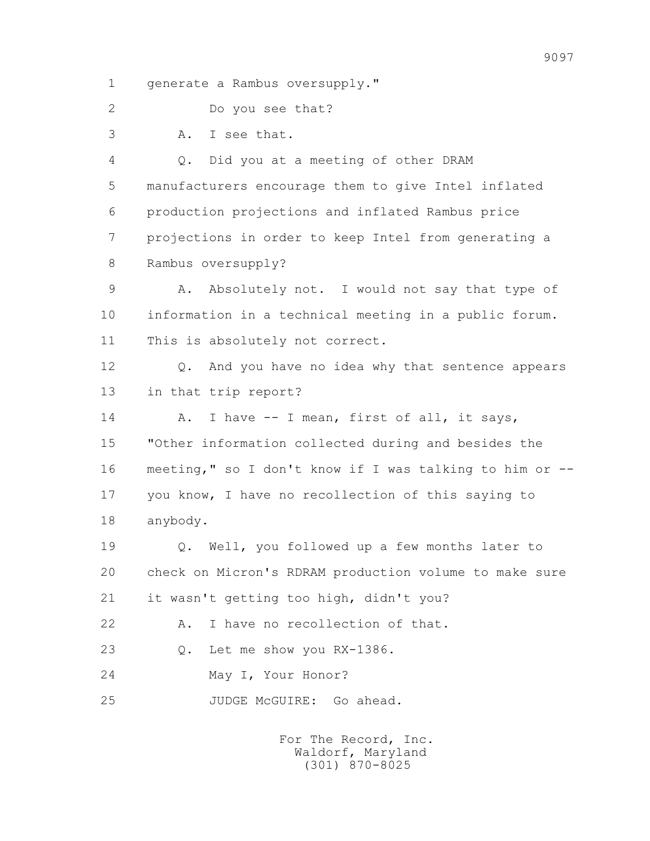1 generate a Rambus oversupply."

2 Do you see that?

3 A. I see that.

 4 Q. Did you at a meeting of other DRAM 5 manufacturers encourage them to give Intel inflated 6 production projections and inflated Rambus price 7 projections in order to keep Intel from generating a 8 Rambus oversupply?

 9 A. Absolutely not. I would not say that type of 10 information in a technical meeting in a public forum. 11 This is absolutely not correct.

 12 Q. And you have no idea why that sentence appears 13 in that trip report?

 14 A. I have -- I mean, first of all, it says, 15 "Other information collected during and besides the 16 meeting," so I don't know if I was talking to him or -- 17 you know, I have no recollection of this saying to 18 anybody.

 19 Q. Well, you followed up a few months later to 20 check on Micron's RDRAM production volume to make sure 21 it wasn't getting too high, didn't you?

22 A. I have no recollection of that.

23 Q. Let me show you RX-1386.

24 May I, Your Honor?

25 JUDGE McGUIRE: Go ahead.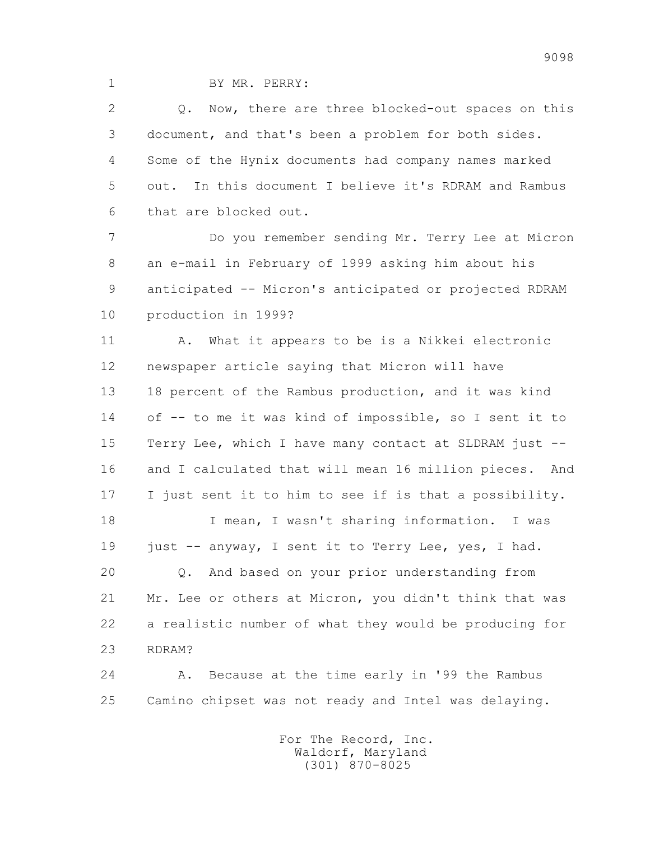1 BY MR. PERRY:

2 0. Now, there are three blocked-out spaces on this 3 document, and that's been a problem for both sides. 4 Some of the Hynix documents had company names marked 5 out. In this document I believe it's RDRAM and Rambus 6 that are blocked out.

 7 Do you remember sending Mr. Terry Lee at Micron 8 an e-mail in February of 1999 asking him about his 9 anticipated -- Micron's anticipated or projected RDRAM 10 production in 1999?

 11 A. What it appears to be is a Nikkei electronic 12 newspaper article saying that Micron will have 13 18 percent of the Rambus production, and it was kind 14 of -- to me it was kind of impossible, so I sent it to 15 Terry Lee, which I have many contact at SLDRAM just -- 16 and I calculated that will mean 16 million pieces. And 17 I just sent it to him to see if is that a possibility.

 18 I mean, I wasn't sharing information. I was 19 just -- anyway, I sent it to Terry Lee, yes, I had. 20 Q. And based on your prior understanding from 21 Mr. Lee or others at Micron, you didn't think that was 22 a realistic number of what they would be producing for

23 RDRAM?

 24 A. Because at the time early in '99 the Rambus 25 Camino chipset was not ready and Intel was delaying.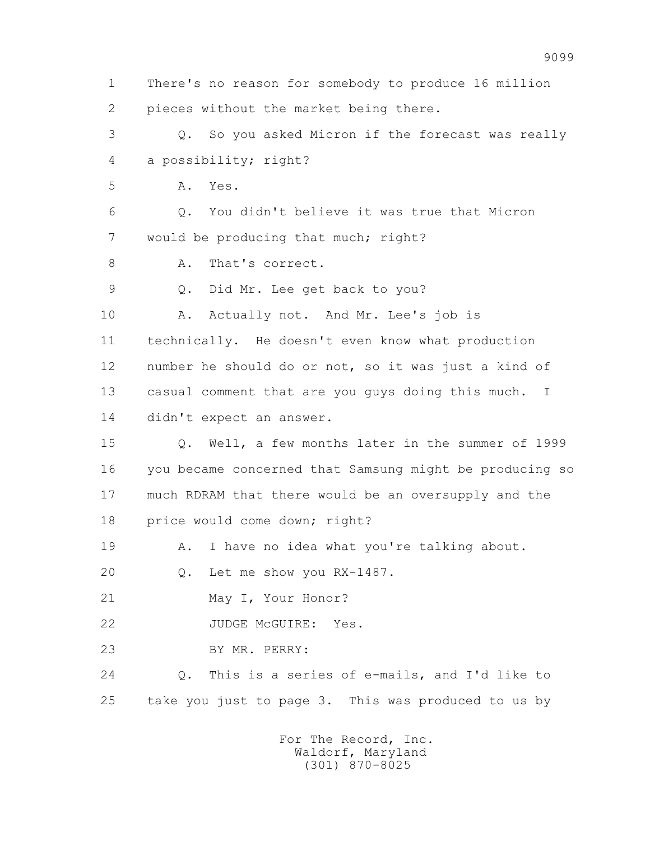2 pieces without the market being there. 3 Q. So you asked Micron if the forecast was really 4 a possibility; right? 5 A. Yes. 6 Q. You didn't believe it was true that Micron 7 would be producing that much; right? 8 A. That's correct. 9 Q. Did Mr. Lee get back to you? 10 A. Actually not. And Mr. Lee's job is 11 technically. He doesn't even know what production 12 number he should do or not, so it was just a kind of 13 casual comment that are you guys doing this much. I 14 didn't expect an answer. 15 Q. Well, a few months later in the summer of 1999 16 you became concerned that Samsung might be producing so 17 much RDRAM that there would be an oversupply and the 18 price would come down; right? 19 A. I have no idea what you're talking about. 20 Q. Let me show you RX-1487. 21 May I, Your Honor? 22 JUDGE McGUIRE: Yes. 23 BY MR. PERRY: 24 Q. This is a series of e-mails, and I'd like to 25 take you just to page 3. This was produced to us by For The Record, Inc. Waldorf, Maryland (301) 870-8025

1 There's no reason for somebody to produce 16 million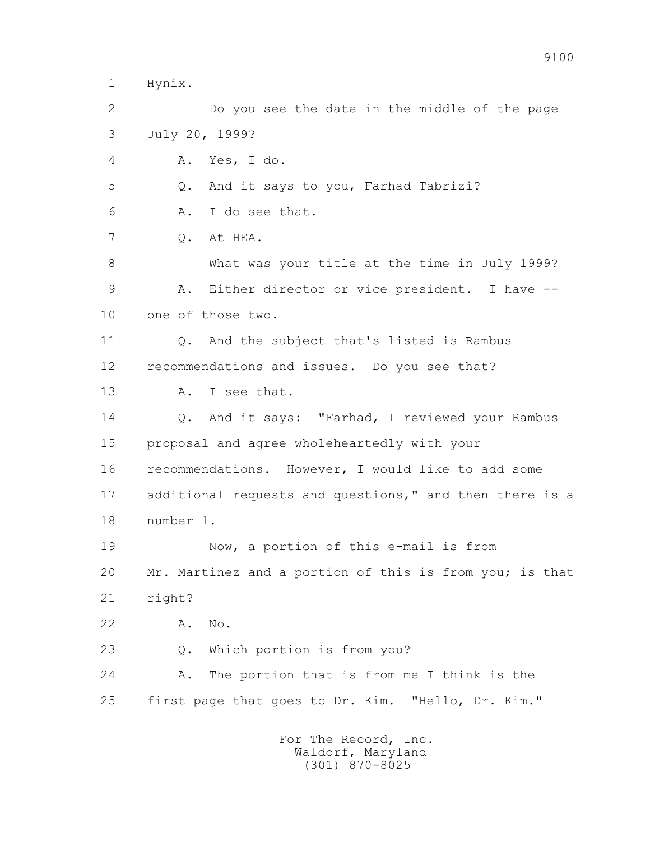1 Hynix.

 2 Do you see the date in the middle of the page 3 July 20, 1999? 4 A. Yes, I do. 5 Q. And it says to you, Farhad Tabrizi? 6 A. I do see that. 7 Q. At HEA. 8 What was your title at the time in July 1999? 9 A. Either director or vice president. I have -- 10 one of those two. 11 Q. And the subject that's listed is Rambus 12 recommendations and issues. Do you see that? 13 A. I see that. 14 Q. And it says: "Farhad, I reviewed your Rambus 15 proposal and agree wholeheartedly with your 16 recommendations. However, I would like to add some 17 additional requests and questions," and then there is a 18 number 1. 19 Now, a portion of this e-mail is from 20 Mr. Martinez and a portion of this is from you; is that 21 right? 22 A. No. 23 Q. Which portion is from you? 24 A. The portion that is from me I think is the 25 first page that goes to Dr. Kim. "Hello, Dr. Kim."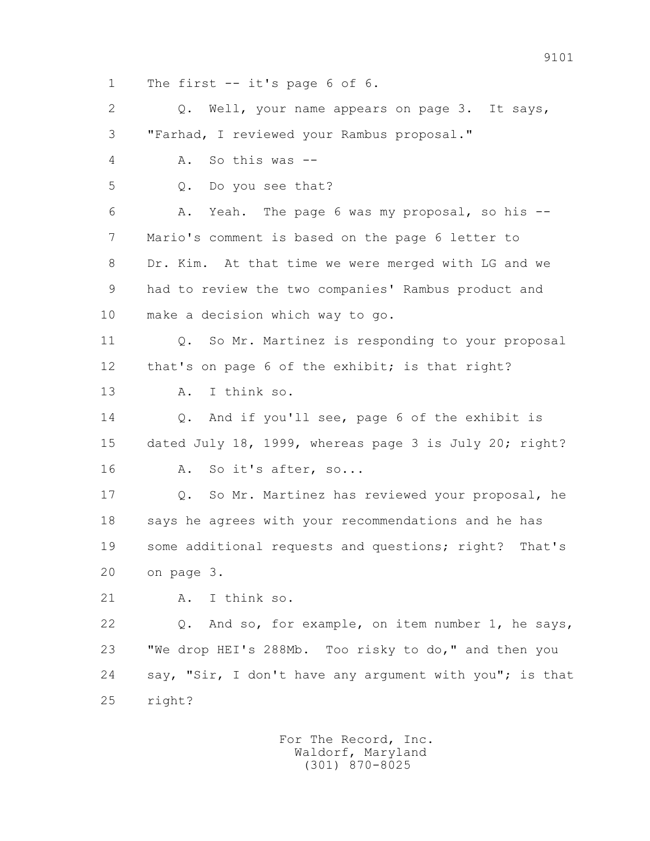1 The first -- it's page 6 of 6.

2 0. Well, your name appears on page 3. It says, 3 "Farhad, I reviewed your Rambus proposal." 4 A. So this was -- 5 Q. Do you see that? 6 A. Yeah. The page 6 was my proposal, so his -- 7 Mario's comment is based on the page 6 letter to 8 Dr. Kim. At that time we were merged with LG and we 9 had to review the two companies' Rambus product and 10 make a decision which way to go. 11 Q. So Mr. Martinez is responding to your proposal 12 that's on page 6 of the exhibit; is that right? 13 A. I think so. 14 0. And if you'll see, page 6 of the exhibit is 15 dated July 18, 1999, whereas page 3 is July 20; right? 16 A. So it's after, so... 17 Q. So Mr. Martinez has reviewed your proposal, he 18 says he agrees with your recommendations and he has 19 some additional requests and questions; right? That's 20 on page 3. 21 A. I think so. 22 Q. And so, for example, on item number 1, he says, 23 "We drop HEI's 288Mb. Too risky to do," and then you 24 say, "Sir, I don't have any argument with you"; is that 25 right?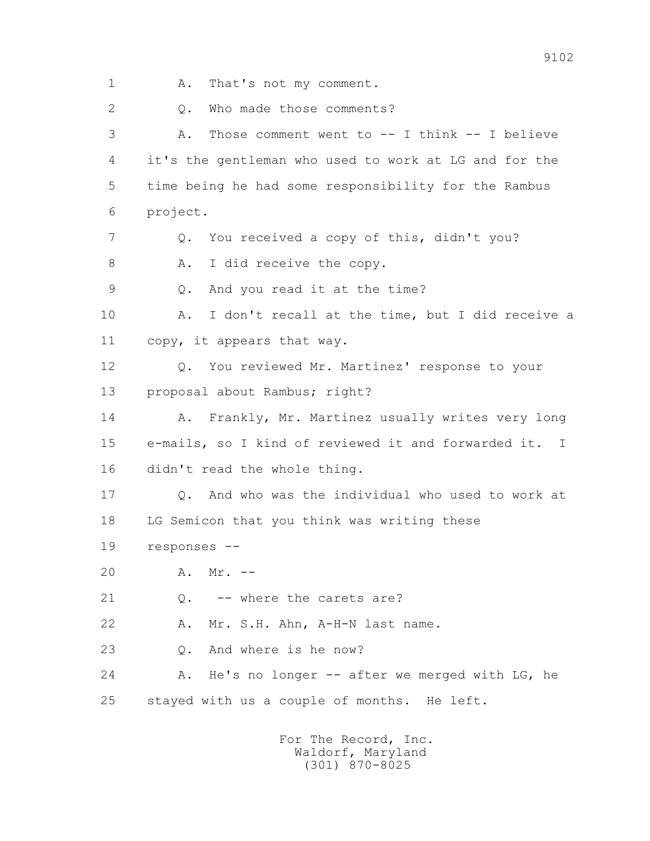1 A. That's not my comment. 2 0. Who made those comments? 3 A. Those comment went to -- I think -- I believe 4 it's the gentleman who used to work at LG and for the 5 time being he had some responsibility for the Rambus 6 project. 7 Q. You received a copy of this, didn't you? 8 A. I did receive the copy. 9 Q. And you read it at the time? 10 A. I don't recall at the time, but I did receive a 11 copy, it appears that way. 12 Q. You reviewed Mr. Martinez' response to your 13 proposal about Rambus; right? 14 A. Frankly, Mr. Martinez usually writes very long 15 e-mails, so I kind of reviewed it and forwarded it. I 16 didn't read the whole thing. 17 Q. And who was the individual who used to work at 18 LG Semicon that you think was writing these 19 responses -- 20 A. Mr. -- 21 Q. -- where the carets are? 22 A. Mr. S.H. Ahn, A-H-N last name. 23 Q. And where is he now? 24 A. He's no longer -- after we merged with LG, he 25 stayed with us a couple of months. He left.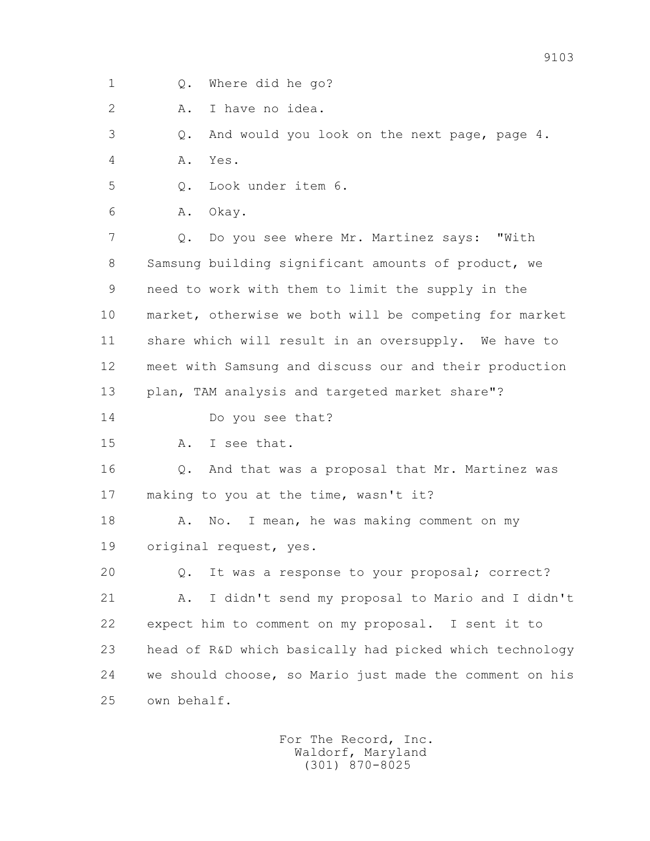1 Q. Where did he go?

2 A. I have no idea.

3 Q. And would you look on the next page, page 4.

4 A. Yes.

5 Q. Look under item 6.

6 A. Okay.

 7 Q. Do you see where Mr. Martinez says: "With 8 Samsung building significant amounts of product, we 9 need to work with them to limit the supply in the 10 market, otherwise we both will be competing for market 11 share which will result in an oversupply. We have to 12 meet with Samsung and discuss our and their production 13 plan, TAM analysis and targeted market share"?

14 Do you see that?

15 A. I see that.

16 0. And that was a proposal that Mr. Martinez was 17 making to you at the time, wasn't it?

18 A. No. I mean, he was making comment on my 19 original request, yes.

 20 Q. It was a response to your proposal; correct? 21 A. I didn't send my proposal to Mario and I didn't 22 expect him to comment on my proposal. I sent it to 23 head of R&D which basically had picked which technology 24 we should choose, so Mario just made the comment on his 25 own behalf.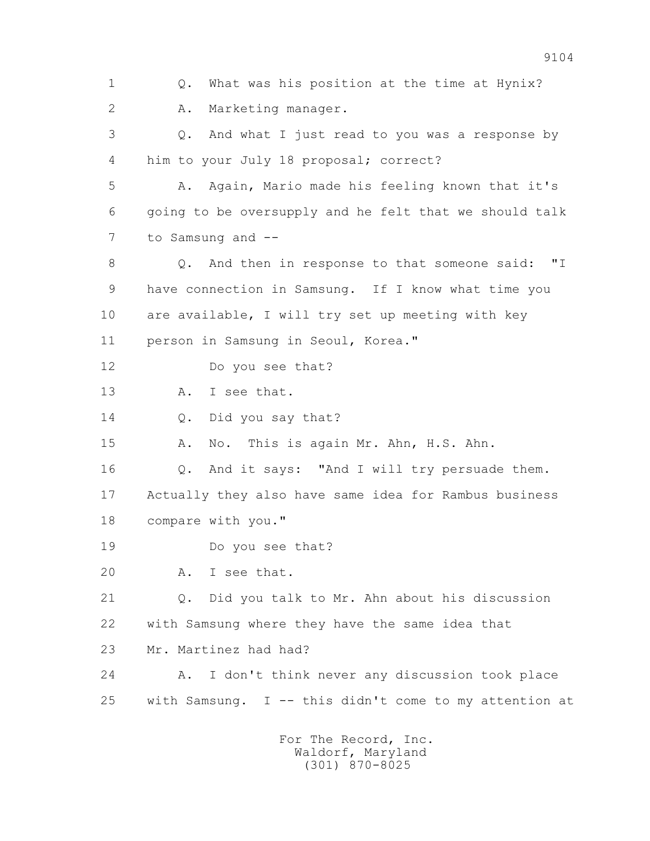1 Q. What was his position at the time at Hynix? 2 A. Marketing manager. 3 Q. And what I just read to you was a response by 4 him to your July 18 proposal; correct? 5 A. Again, Mario made his feeling known that it's 6 going to be oversupply and he felt that we should talk 7 to Samsung and -- 8 Q. And then in response to that someone said: "I 9 have connection in Samsung. If I know what time you 10 are available, I will try set up meeting with key 11 person in Samsung in Seoul, Korea." 12 Do you see that? 13 A. I see that. 14 O. Did you say that? 15 A. No. This is again Mr. Ahn, H.S. Ahn. 16 Q. And it says: "And I will try persuade them. 17 Actually they also have same idea for Rambus business 18 compare with you." 19 Do you see that? 20 A. I see that. 21 Q. Did you talk to Mr. Ahn about his discussion 22 with Samsung where they have the same idea that 23 Mr. Martinez had had? 24 A. I don't think never any discussion took place 25 with Samsung. I -- this didn't come to my attention at For The Record, Inc.

 Waldorf, Maryland (301) 870-8025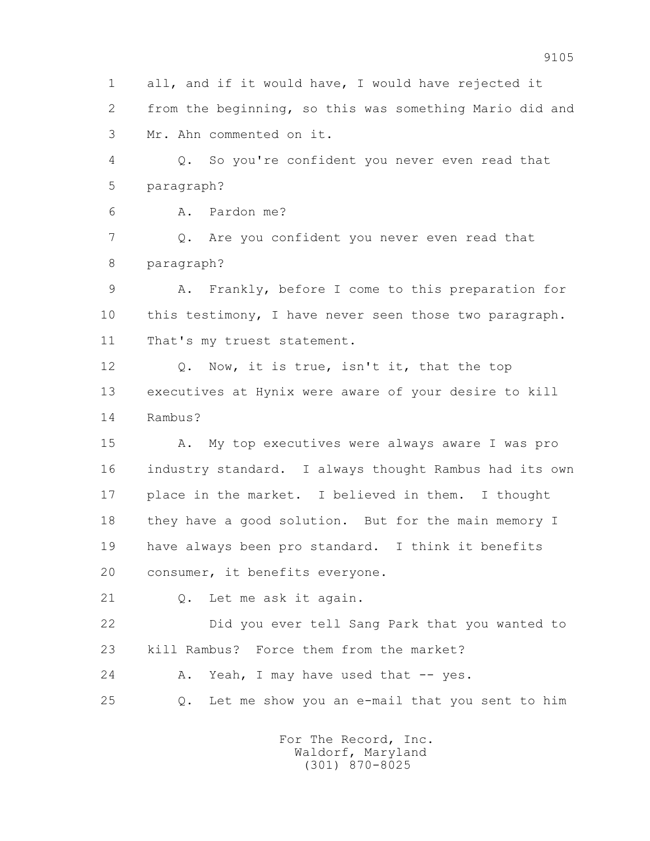1 all, and if it would have, I would have rejected it 2 from the beginning, so this was something Mario did and 3 Mr. Ahn commented on it.

 4 Q. So you're confident you never even read that 5 paragraph?

6 A. Pardon me?

 7 Q. Are you confident you never even read that 8 paragraph?

 9 A. Frankly, before I come to this preparation for 10 this testimony, I have never seen those two paragraph. 11 That's my truest statement.

 12 Q. Now, it is true, isn't it, that the top 13 executives at Hynix were aware of your desire to kill 14 Rambus?

 15 A. My top executives were always aware I was pro 16 industry standard. I always thought Rambus had its own 17 place in the market. I believed in them. I thought 18 they have a good solution. But for the main memory I 19 have always been pro standard. I think it benefits 20 consumer, it benefits everyone.

21 Q. Let me ask it again.

 22 Did you ever tell Sang Park that you wanted to 23 kill Rambus? Force them from the market?

24 A. Yeah, I may have used that -- yes.

25 Q. Let me show you an e-mail that you sent to him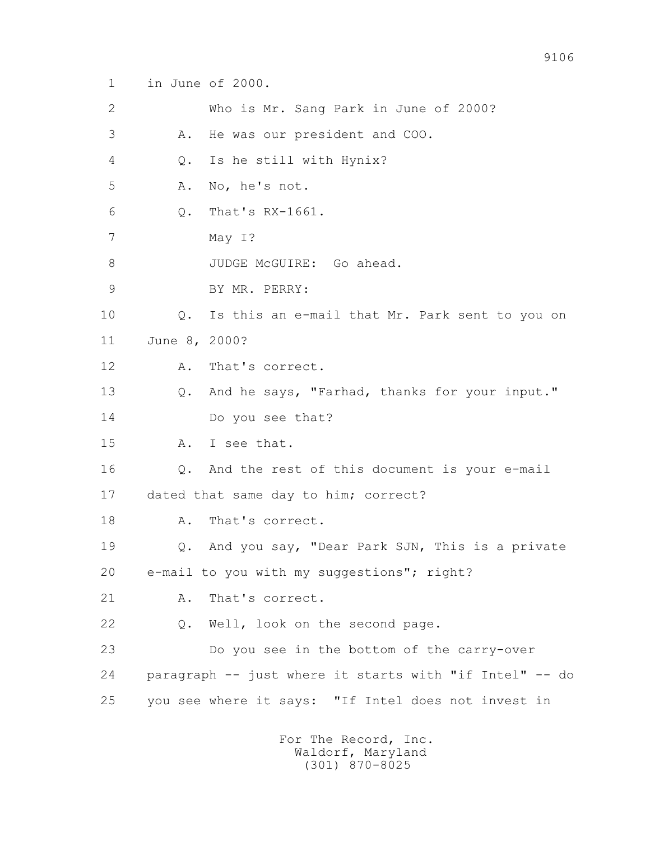1 in June of 2000.

 2 Who is Mr. Sang Park in June of 2000? 3 A. He was our president and COO. 4 Q. Is he still with Hynix? 5 A. No, he's not. 6 Q. That's RX-1661. 7 May I? 8 JUDGE McGUIRE: Go ahead. 9 BY MR. PERRY: 10 Q. Is this an e-mail that Mr. Park sent to you on 11 June 8, 2000? 12 A. That's correct. 13 Q. And he says, "Farhad, thanks for your input." 14 Do you see that? 15 A. I see that. 16 Q. And the rest of this document is your e-mail 17 dated that same day to him; correct? 18 A. That's correct. 19 Q. And you say, "Dear Park SJN, This is a private 20 e-mail to you with my suggestions"; right? 21 A. That's correct. 22 Q. Well, look on the second page. 23 Do you see in the bottom of the carry-over 24 paragraph -- just where it starts with "if Intel" -- do 25 you see where it says: "If Intel does not invest in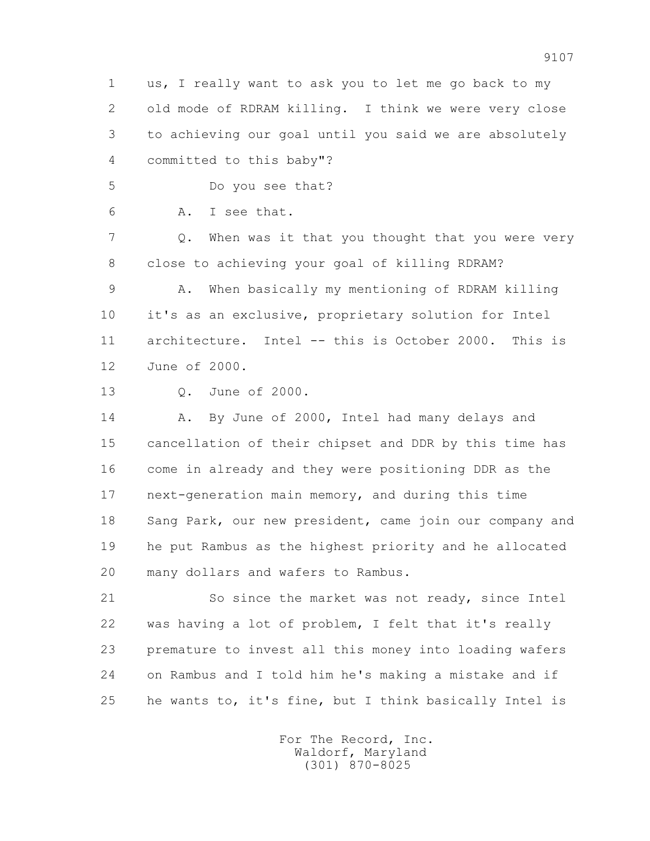1 us, I really want to ask you to let me go back to my 2 old mode of RDRAM killing. I think we were very close 3 to achieving our goal until you said we are absolutely 4 committed to this baby"?

5 Do you see that?

6 A. I see that.

 7 Q. When was it that you thought that you were very 8 close to achieving your goal of killing RDRAM?

 9 A. When basically my mentioning of RDRAM killing 10 it's as an exclusive, proprietary solution for Intel 11 architecture. Intel -- this is October 2000. This is 12 June of 2000.

13 Q. June of 2000.

14 A. By June of 2000, Intel had many delays and 15 cancellation of their chipset and DDR by this time has 16 come in already and they were positioning DDR as the 17 next-generation main memory, and during this time 18 Sang Park, our new president, came join our company and 19 he put Rambus as the highest priority and he allocated 20 many dollars and wafers to Rambus.

 21 So since the market was not ready, since Intel 22 was having a lot of problem, I felt that it's really 23 premature to invest all this money into loading wafers 24 on Rambus and I told him he's making a mistake and if 25 he wants to, it's fine, but I think basically Intel is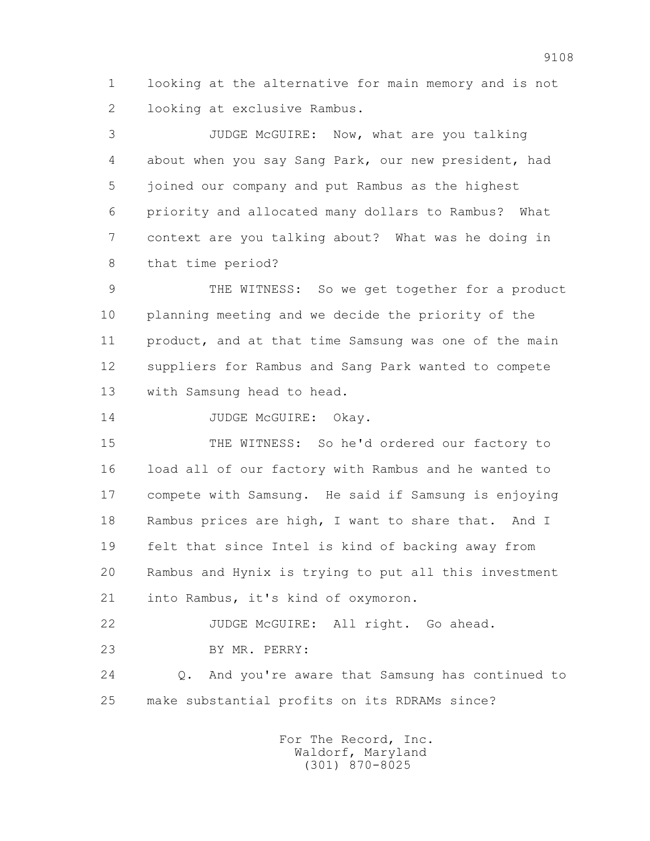1 looking at the alternative for main memory and is not 2 looking at exclusive Rambus.

 3 JUDGE McGUIRE: Now, what are you talking 4 about when you say Sang Park, our new president, had 5 joined our company and put Rambus as the highest 6 priority and allocated many dollars to Rambus? What 7 context are you talking about? What was he doing in 8 that time period?

 9 THE WITNESS: So we get together for a product 10 planning meeting and we decide the priority of the 11 product, and at that time Samsung was one of the main 12 suppliers for Rambus and Sang Park wanted to compete 13 with Samsung head to head.

14 JUDGE McGUIRE: Okav.

 15 THE WITNESS: So he'd ordered our factory to 16 load all of our factory with Rambus and he wanted to 17 compete with Samsung. He said if Samsung is enjoying 18 Rambus prices are high, I want to share that. And I 19 felt that since Intel is kind of backing away from 20 Rambus and Hynix is trying to put all this investment 21 into Rambus, it's kind of oxymoron.

22 JUDGE McGUIRE: All right. Go ahead. 23 BY MR. PERRY:

 24 Q. And you're aware that Samsung has continued to 25 make substantial profits on its RDRAMs since?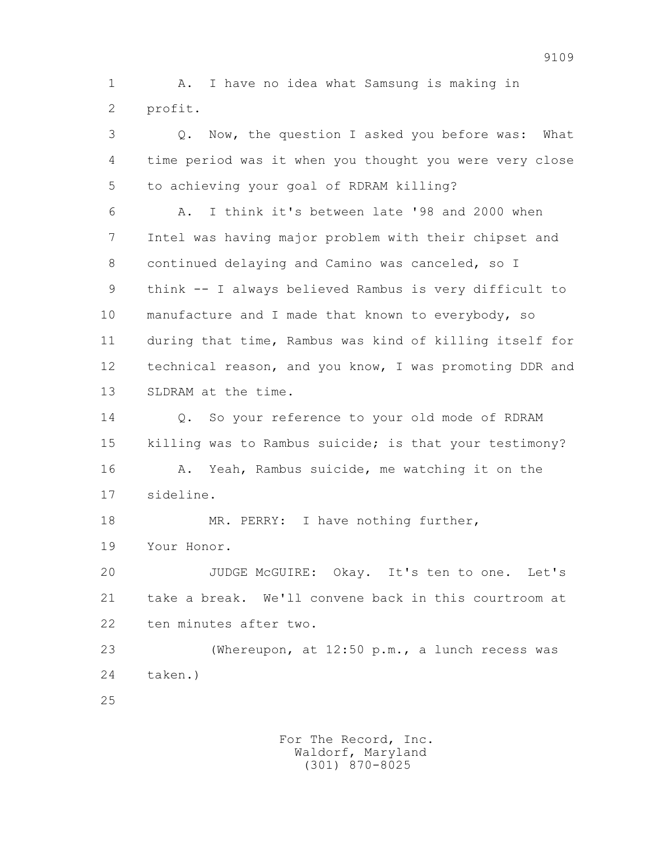1 A. I have no idea what Samsung is making in 2 profit.

 3 Q. Now, the question I asked you before was: What 4 time period was it when you thought you were very close 5 to achieving your goal of RDRAM killing?

 6 A. I think it's between late '98 and 2000 when 7 Intel was having major problem with their chipset and 8 continued delaying and Camino was canceled, so I 9 think -- I always believed Rambus is very difficult to 10 manufacture and I made that known to everybody, so 11 during that time, Rambus was kind of killing itself for 12 technical reason, and you know, I was promoting DDR and 13 SLDRAM at the time.

14 0. So your reference to your old mode of RDRAM 15 killing was to Rambus suicide; is that your testimony? 16 A. Yeah, Rambus suicide, me watching it on the 17 sideline.

18 MR. PERRY: I have nothing further, 19 Your Honor.

 20 JUDGE McGUIRE: Okay. It's ten to one. Let's 21 take a break. We'll convene back in this courtroom at 22 ten minutes after two.

 23 (Whereupon, at 12:50 p.m., a lunch recess was 24 taken.)

25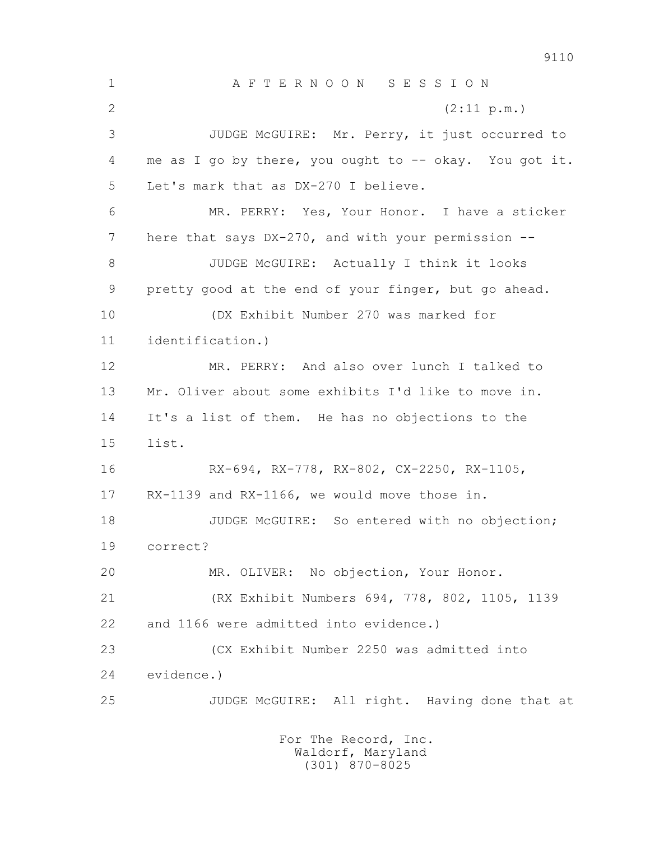1 A F T E R N O O N S E S S I O N 2  $(2:11 \text{ p.m.})$  3 JUDGE McGUIRE: Mr. Perry, it just occurred to 4 me as I go by there, you ought to -- okay. You got it. 5 Let's mark that as DX-270 I believe. 6 MR. PERRY: Yes, Your Honor. I have a sticker 7 here that says DX-270, and with your permission -- 8 JUDGE McGUIRE: Actually I think it looks 9 pretty good at the end of your finger, but go ahead. 10 (DX Exhibit Number 270 was marked for 11 identification.) 12 MR. PERRY: And also over lunch I talked to 13 Mr. Oliver about some exhibits I'd like to move in. 14 It's a list of them. He has no objections to the 15 list. 16 RX-694, RX-778, RX-802, CX-2250, RX-1105, 17 RX-1139 and RX-1166, we would move those in. 18 JUDGE McGUIRE: So entered with no objection; 19 correct? 20 MR. OLIVER: No objection, Your Honor. 21 (RX Exhibit Numbers 694, 778, 802, 1105, 1139 22 and 1166 were admitted into evidence.) 23 (CX Exhibit Number 2250 was admitted into 24 evidence.) 25 JUDGE McGUIRE: All right. Having done that at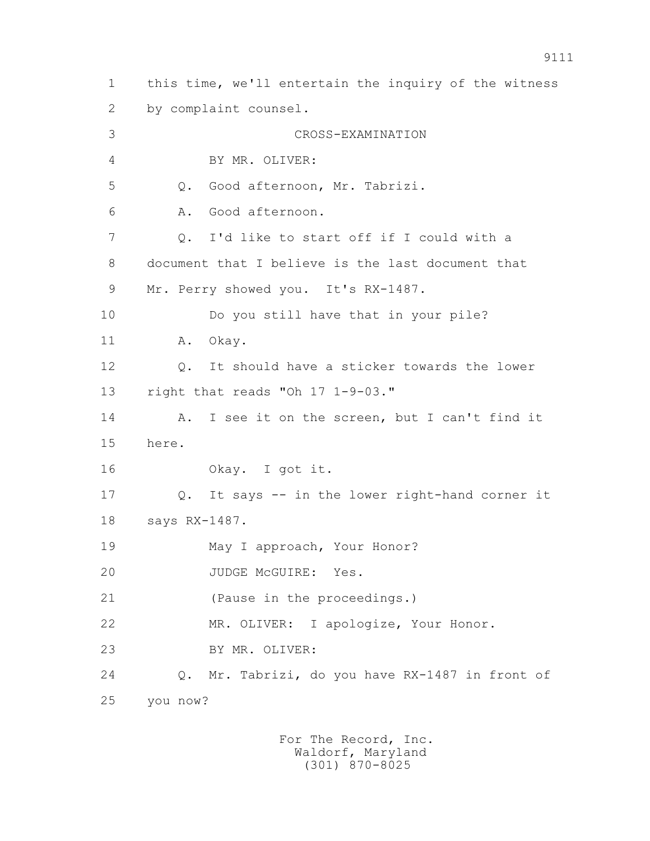1 this time, we'll entertain the inquiry of the witness 2 by complaint counsel. 3 CROSS-EXAMINATION 4 BY MR. OLIVER: 5 Q. Good afternoon, Mr. Tabrizi. 6 A. Good afternoon. 7 Q. I'd like to start off if I could with a 8 document that I believe is the last document that 9 Mr. Perry showed you. It's RX-1487. 10 Do you still have that in your pile? 11 A. Okav. 12 Q. It should have a sticker towards the lower 13 right that reads "Oh 17 1-9-03." 14 A. I see it on the screen, but I can't find it 15 here. 16 Okay. I got it. 17 Q. It says -- in the lower right-hand corner it 18 says RX-1487. 19 May I approach, Your Honor? 20 JUDGE McGUIRE: Yes. 21 (Pause in the proceedings.) 22 MR. OLIVER: I apologize, Your Honor. 23 BY MR. OLIVER: 24 Q. Mr. Tabrizi, do you have RX-1487 in front of 25 you now?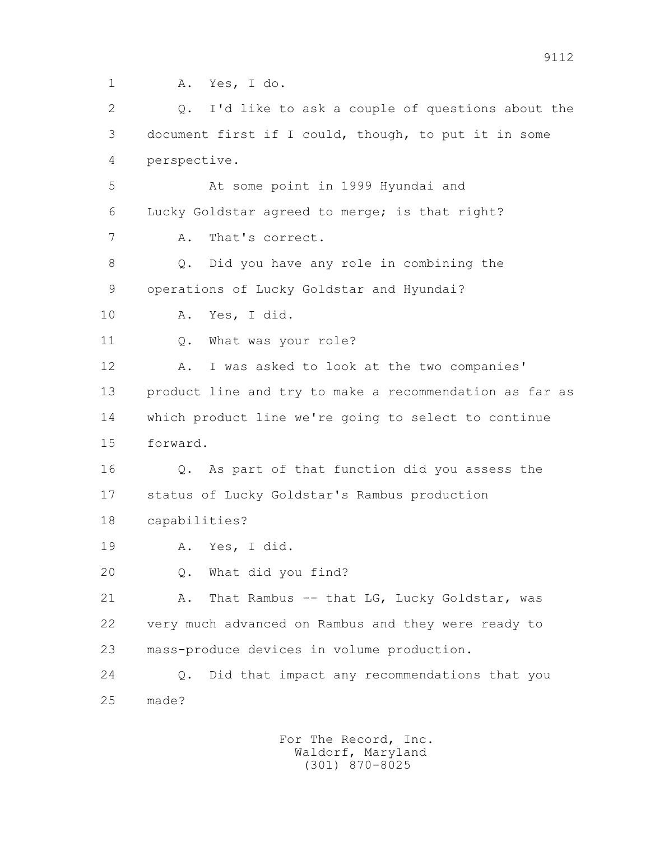1 A. Yes, I do.

 2 Q. I'd like to ask a couple of questions about the 3 document first if I could, though, to put it in some 4 perspective. 5 At some point in 1999 Hyundai and 6 Lucky Goldstar agreed to merge; is that right? 7 A. That's correct. 8 Q. Did you have any role in combining the

9 operations of Lucky Goldstar and Hyundai?

10 A. Yes, I did.

11 0. What was your role?

 12 A. I was asked to look at the two companies' 13 product line and try to make a recommendation as far as 14 which product line we're going to select to continue 15 forward.

 16 Q. As part of that function did you assess the 17 status of Lucky Goldstar's Rambus production

18 capabilities?

19 A. Yes, I did.

20 Q. What did you find?

21 A. That Rambus -- that LG, Lucky Goldstar, was 22 very much advanced on Rambus and they were ready to 23 mass-produce devices in volume production.

 24 Q. Did that impact any recommendations that you 25 made?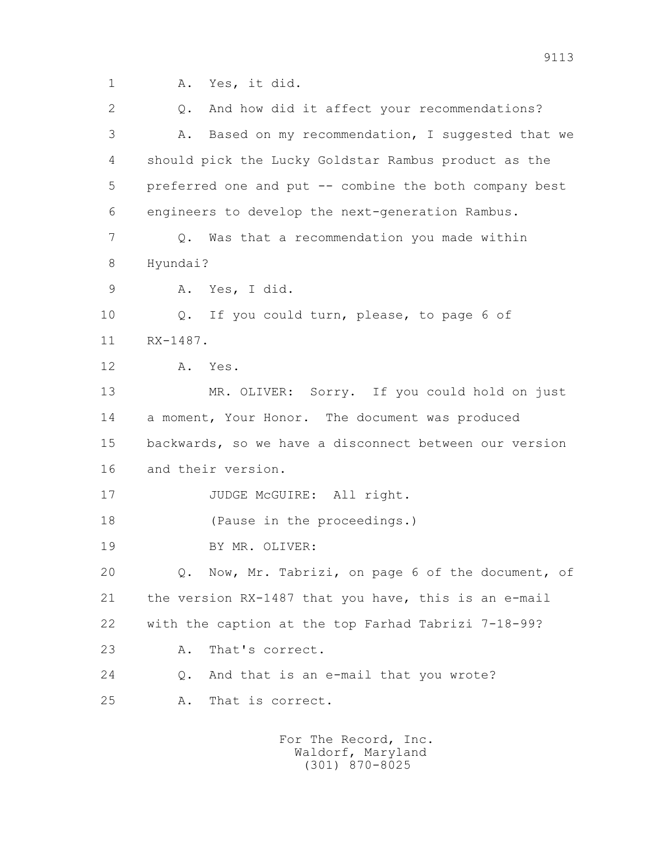1 A. Yes, it did.

 2 Q. And how did it affect your recommendations? 3 A. Based on my recommendation, I suggested that we 4 should pick the Lucky Goldstar Rambus product as the 5 preferred one and put -- combine the both company best 6 engineers to develop the next-generation Rambus. 7 Q. Was that a recommendation you made within 8 Hyundai? 9 A. Yes, I did. 10 Q. If you could turn, please, to page 6 of 11 RX-1487. 12 A. Yes. 13 MR. OLIVER: Sorry. If you could hold on just 14 a moment, Your Honor. The document was produced 15 backwards, so we have a disconnect between our version 16 and their version. 17 JUDGE McGUIRE: All right. 18 (Pause in the proceedings.) 19 BY MR. OLIVER: 20 Q. Now, Mr. Tabrizi, on page 6 of the document, of 21 the version RX-1487 that you have, this is an e-mail 22 with the caption at the top Farhad Tabrizi 7-18-99? 23 A. That's correct. 24 Q. And that is an e-mail that you wrote? 25 A. That is correct.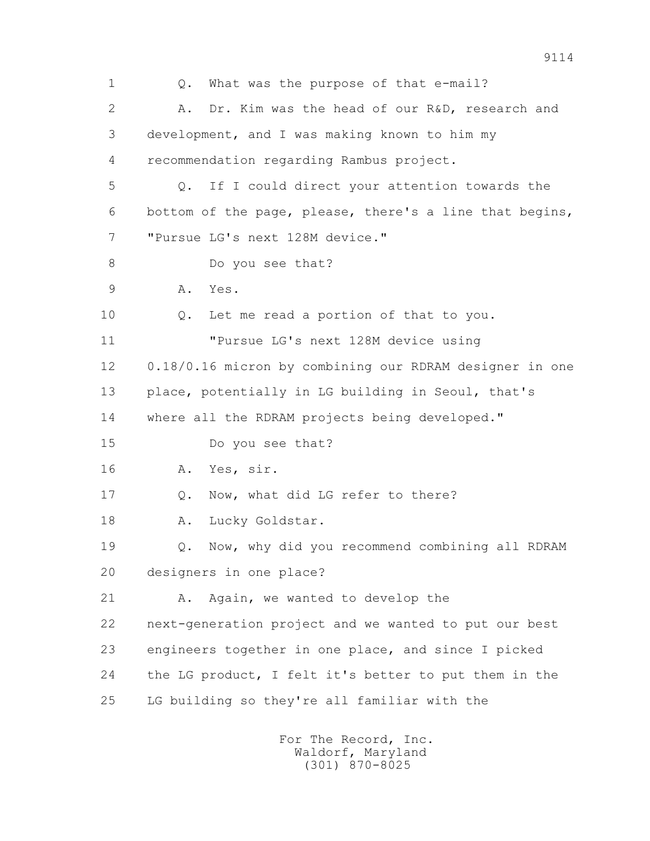1 Q. What was the purpose of that e-mail? 2 A. Dr. Kim was the head of our R&D, research and 3 development, and I was making known to him my 4 recommendation regarding Rambus project. 5 Q. If I could direct your attention towards the 6 bottom of the page, please, there's a line that begins, 7 "Pursue LG's next 128M device." 8 Do you see that? 9 A. Yes. 10 Q. Let me read a portion of that to you. 11 "Pursue LG's next 128M device using 12 0.18/0.16 micron by combining our RDRAM designer in one 13 place, potentially in LG building in Seoul, that's 14 where all the RDRAM projects being developed." 15 Do you see that? 16 A. Yes, sir. 17 Q. Now, what did LG refer to there? 18 A. Lucky Goldstar. 19 Q. Now, why did you recommend combining all RDRAM 20 designers in one place? 21 A. Again, we wanted to develop the 22 next-generation project and we wanted to put our best 23 engineers together in one place, and since I picked 24 the LG product, I felt it's better to put them in the 25 LG building so they're all familiar with the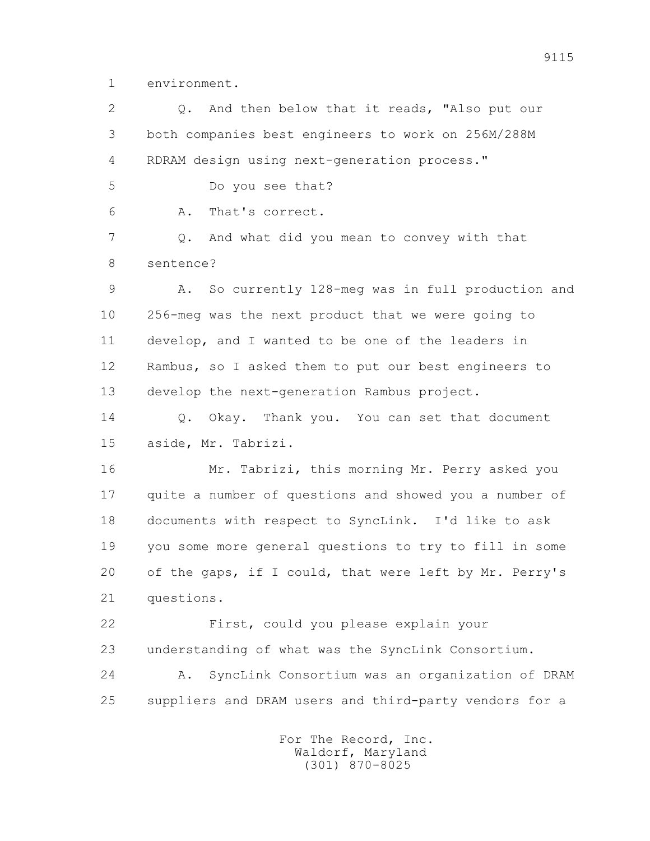1 environment.

2 0. And then below that it reads, "Also put our 3 both companies best engineers to work on 256M/288M 4 RDRAM design using next-generation process." 5 Do you see that? 6 A. That's correct. 7 Q. And what did you mean to convey with that 8 sentence? 9 A. So currently 128-meg was in full production and 10 256-meg was the next product that we were going to 11 develop, and I wanted to be one of the leaders in 12 Rambus, so I asked them to put our best engineers to 13 develop the next-generation Rambus project. 14 0. Okay. Thank you. You can set that document 15 aside, Mr. Tabrizi. 16 Mr. Tabrizi, this morning Mr. Perry asked you 17 quite a number of questions and showed you a number of 18 documents with respect to SyncLink. I'd like to ask 19 you some more general questions to try to fill in some 20 of the gaps, if I could, that were left by Mr. Perry's 21 questions. 22 First, could you please explain your 23 understanding of what was the SyncLink Consortium. 24 A. SyncLink Consortium was an organization of DRAM 25 suppliers and DRAM users and third-party vendors for a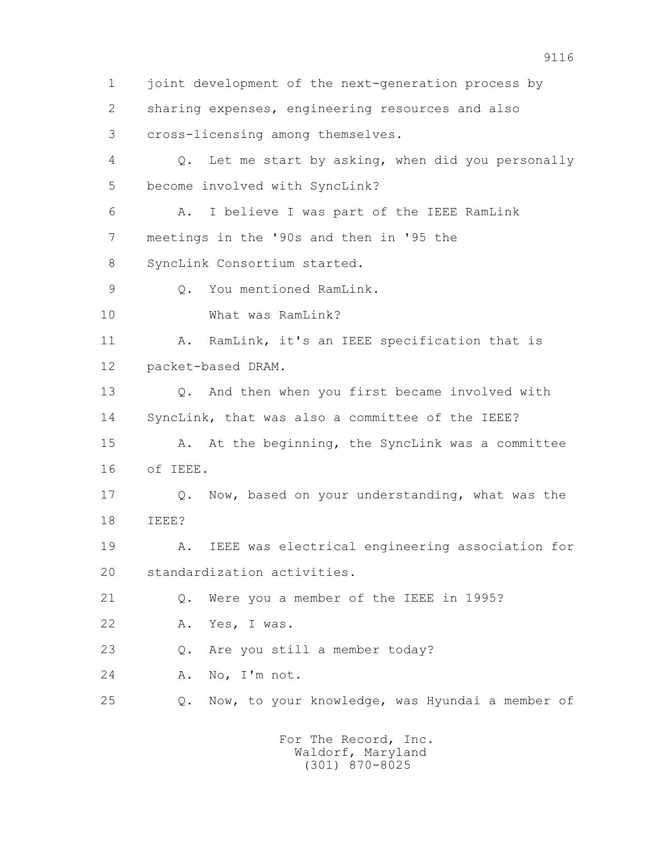1 joint development of the next-generation process by 2 sharing expenses, engineering resources and also 3 cross-licensing among themselves. 4 Q. Let me start by asking, when did you personally 5 become involved with SyncLink? 6 A. I believe I was part of the IEEE RamLink 7 meetings in the '90s and then in '95 the 8 SyncLink Consortium started. 9 0. You mentioned RamLink. 10 What was RamLink? 11 A. RamLink, it's an IEEE specification that is 12 packet-based DRAM. 13 Q. And then when you first became involved with 14 SyncLink, that was also a committee of the IEEE? 15 A. At the beginning, the SyncLink was a committee 16 of IEEE. 17 Q. Now, based on your understanding, what was the 18 IEEE? 19 A. IEEE was electrical engineering association for 20 standardization activities. 21 Q. Were you a member of the IEEE in 1995? 22 A. Yes, I was. 23 Q. Are you still a member today? 24 A. No, I'm not. 25 Q. Now, to your knowledge, was Hyundai a member of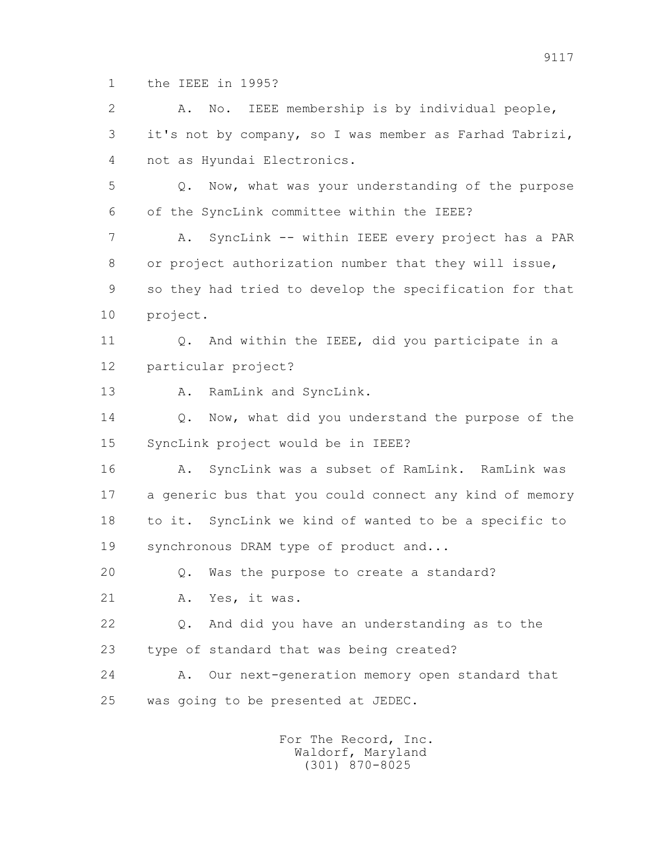1 the IEEE in 1995?

 2 A. No. IEEE membership is by individual people, 3 it's not by company, so I was member as Farhad Tabrizi, 4 not as Hyundai Electronics. 5 Q. Now, what was your understanding of the purpose 6 of the SyncLink committee within the IEEE? 7 A. SyncLink -- within IEEE every project has a PAR 8 or project authorization number that they will issue, 9 so they had tried to develop the specification for that 10 project. 11 0. And within the IEEE, did you participate in a 12 particular project? 13 A. RamLink and SyncLink. 14 0. Now, what did you understand the purpose of the 15 SyncLink project would be in IEEE? 16 A. SyncLink was a subset of RamLink. RamLink was 17 a generic bus that you could connect any kind of memory 18 to it. SyncLink we kind of wanted to be a specific to 19 synchronous DRAM type of product and... 20 Q. Was the purpose to create a standard? 21 A. Yes, it was. 22 Q. And did you have an understanding as to the 23 type of standard that was being created? 24 A. Our next-generation memory open standard that 25 was going to be presented at JEDEC.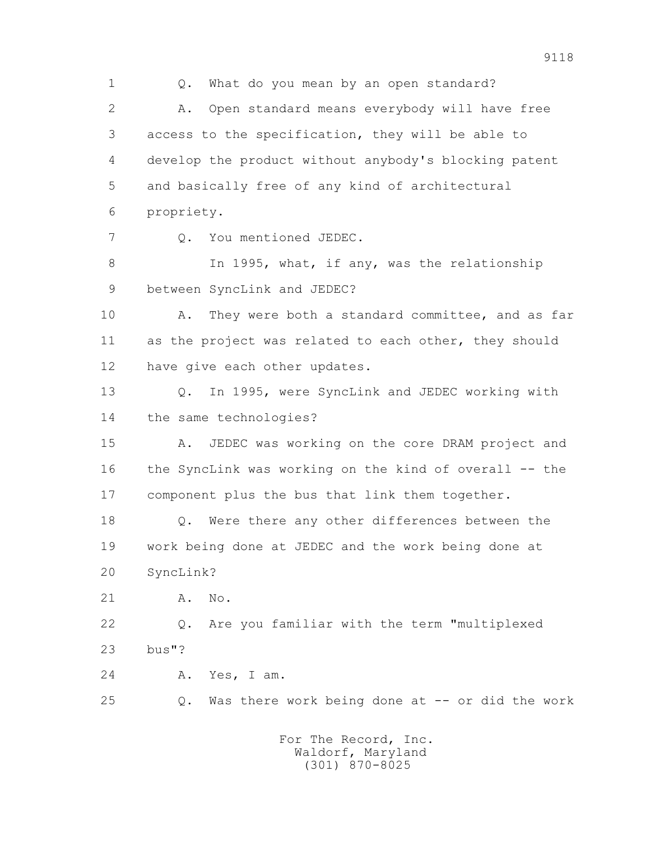1 Q. What do you mean by an open standard? 2 A. Open standard means everybody will have free 3 access to the specification, they will be able to 4 develop the product without anybody's blocking patent 5 and basically free of any kind of architectural 6 propriety. 7 Q. You mentioned JEDEC. 8 In 1995, what, if any, was the relationship 9 between SyncLink and JEDEC? 10 A. They were both a standard committee, and as far 11 as the project was related to each other, they should 12 have give each other updates. 13 Q. In 1995, were SyncLink and JEDEC working with 14 the same technologies? 15 A. JEDEC was working on the core DRAM project and 16 the SyncLink was working on the kind of overall -- the 17 component plus the bus that link them together. 18 Q. Were there any other differences between the 19 work being done at JEDEC and the work being done at 20 SyncLink? 21 A. No. 22 Q. Are you familiar with the term "multiplexed 23 bus"? 24 A. Yes, I am. 25 Q. Was there work being done at -- or did the work For The Record, Inc.

 Waldorf, Maryland (301) 870-8025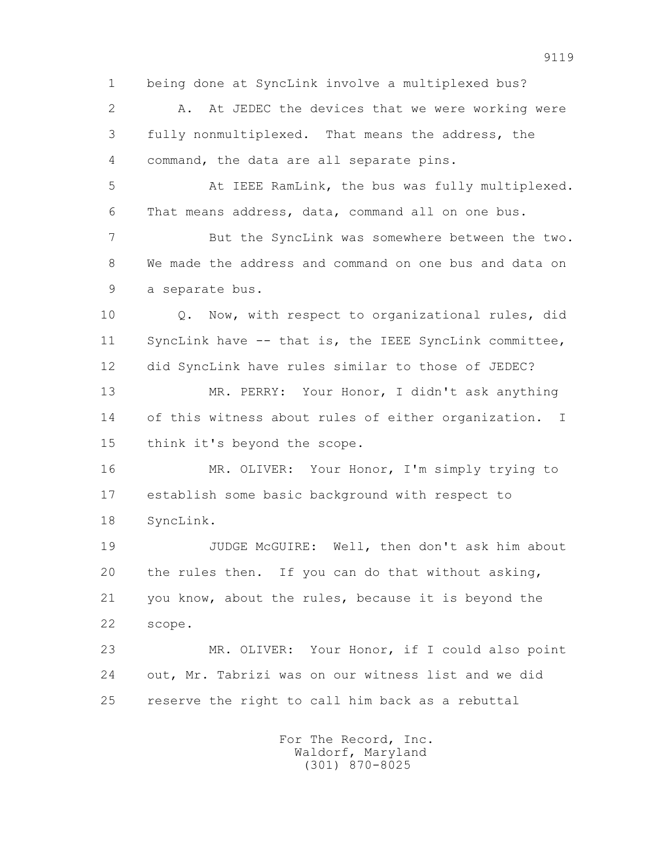1 being done at SyncLink involve a multiplexed bus? 2 A. At JEDEC the devices that we were working were 3 fully nonmultiplexed. That means the address, the 4 command, the data are all separate pins. 5 At IEEE RamLink, the bus was fully multiplexed. 6 That means address, data, command all on one bus. 7 But the SyncLink was somewhere between the two. 8 We made the address and command on one bus and data on 9 a separate bus. 10 Q. Now, with respect to organizational rules, did 11 SyncLink have -- that is, the IEEE SyncLink committee, 12 did SyncLink have rules similar to those of JEDEC? 13 MR. PERRY: Your Honor, I didn't ask anything 14 of this witness about rules of either organization. I 15 think it's beyond the scope. 16 MR. OLIVER: Your Honor, I'm simply trying to 17 establish some basic background with respect to 18 SyncLink. 19 JUDGE McGUIRE: Well, then don't ask him about 20 the rules then. If you can do that without asking, 21 you know, about the rules, because it is beyond the 22 scope. 23 MR. OLIVER: Your Honor, if I could also point 24 out, Mr. Tabrizi was on our witness list and we did 25 reserve the right to call him back as a rebuttal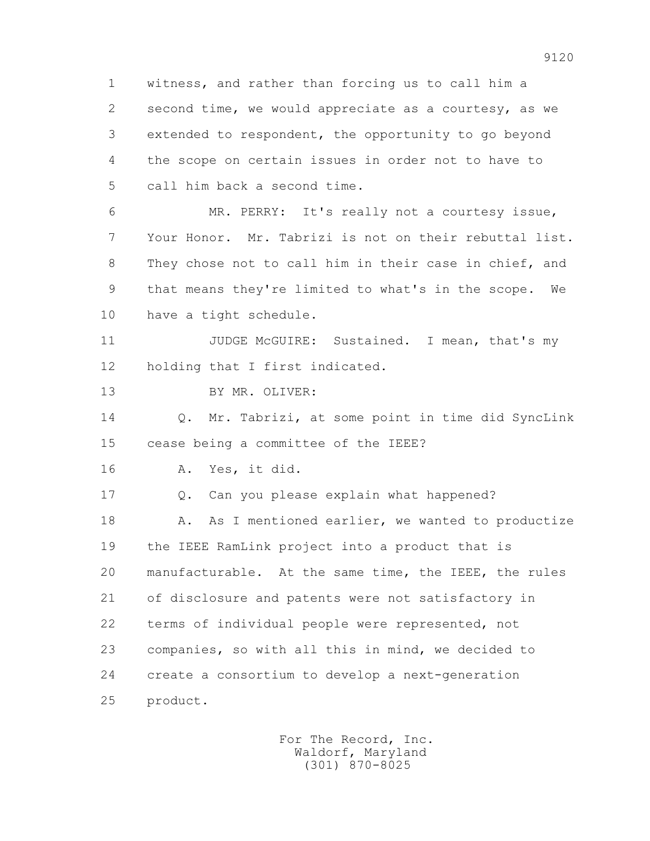1 witness, and rather than forcing us to call him a 2 second time, we would appreciate as a courtesy, as we 3 extended to respondent, the opportunity to go beyond 4 the scope on certain issues in order not to have to 5 call him back a second time. 6 MR. PERRY: It's really not a courtesy issue, 7 Your Honor. Mr. Tabrizi is not on their rebuttal list.

 8 They chose not to call him in their case in chief, and 9 that means they're limited to what's in the scope. We 10 have a tight schedule.

11 JUDGE McGUIRE: Sustained. I mean, that's my 12 holding that I first indicated.

13 BY MR. OLIVER:

 14 Q. Mr. Tabrizi, at some point in time did SyncLink 15 cease being a committee of the IEEE?

16 A. Yes, it did.

 17 Q. Can you please explain what happened? 18 A. As I mentioned earlier, we wanted to productize 19 the IEEE RamLink project into a product that is 20 manufacturable. At the same time, the IEEE, the rules 21 of disclosure and patents were not satisfactory in 22 terms of individual people were represented, not 23 companies, so with all this in mind, we decided to 24 create a consortium to develop a next-generation 25 product.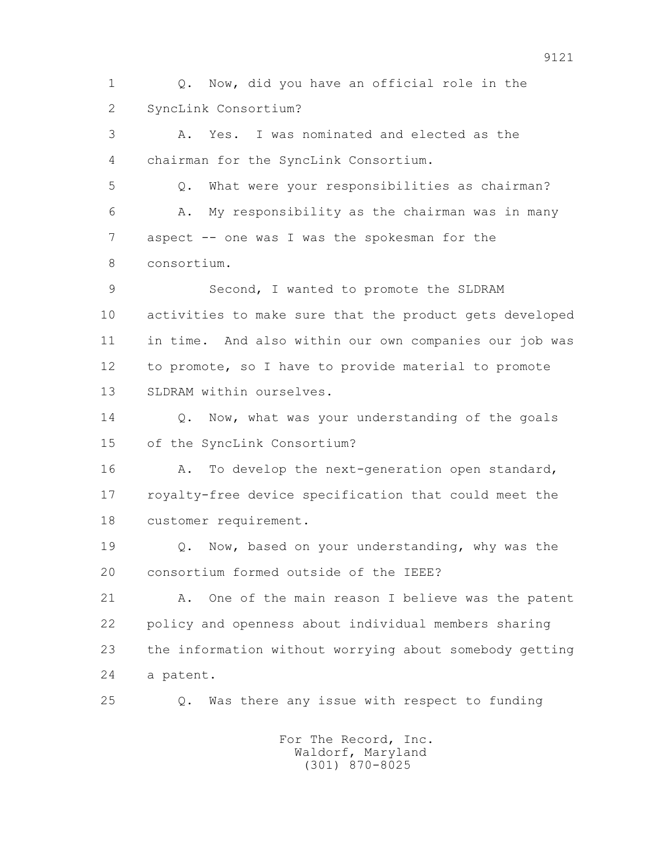1 Q. Now, did you have an official role in the 2 SyncLink Consortium?

 3 A. Yes. I was nominated and elected as the 4 chairman for the SyncLink Consortium.

 5 Q. What were your responsibilities as chairman? 6 A. My responsibility as the chairman was in many 7 aspect -- one was I was the spokesman for the 8 consortium.

 9 Second, I wanted to promote the SLDRAM 10 activities to make sure that the product gets developed 11 in time. And also within our own companies our job was 12 to promote, so I have to provide material to promote 13 SLDRAM within ourselves.

14 0. Now, what was your understanding of the goals 15 of the SyncLink Consortium?

16 A. To develop the next-generation open standard, 17 royalty-free device specification that could meet the 18 customer requirement.

 19 Q. Now, based on your understanding, why was the 20 consortium formed outside of the IEEE?

 21 A. One of the main reason I believe was the patent 22 policy and openness about individual members sharing 23 the information without worrying about somebody getting 24 a patent.

25 Q. Was there any issue with respect to funding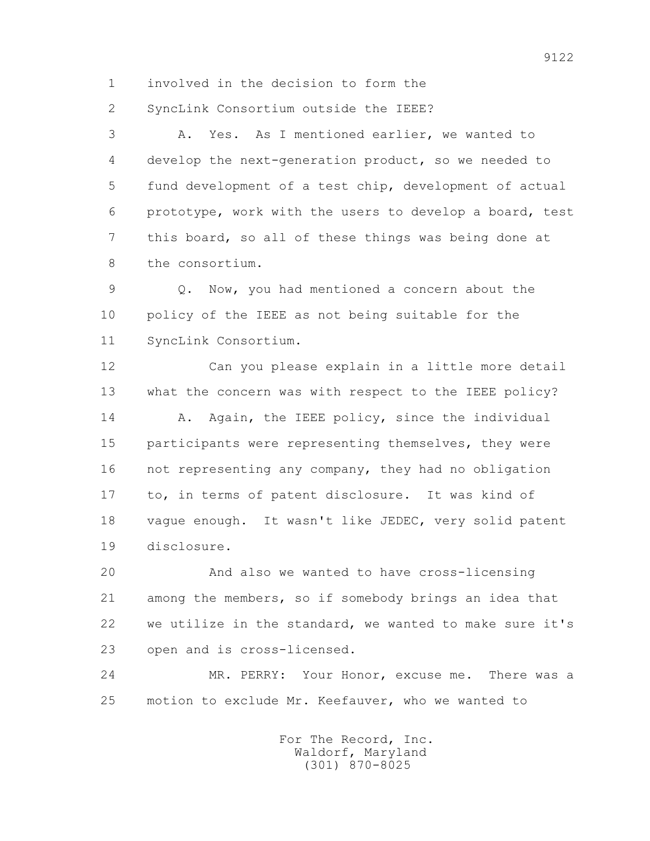1 involved in the decision to form the

2 SyncLink Consortium outside the IEEE?

 3 A. Yes. As I mentioned earlier, we wanted to 4 develop the next-generation product, so we needed to 5 fund development of a test chip, development of actual 6 prototype, work with the users to develop a board, test 7 this board, so all of these things was being done at 8 the consortium.

 9 Q. Now, you had mentioned a concern about the 10 policy of the IEEE as not being suitable for the 11 SyncLink Consortium.

 12 Can you please explain in a little more detail 13 what the concern was with respect to the IEEE policy? 14 A. Again, the IEEE policy, since the individual 15 participants were representing themselves, they were 16 not representing any company, they had no obligation 17 to, in terms of patent disclosure. It was kind of 18 vague enough. It wasn't like JEDEC, very solid patent 19 disclosure.

 20 And also we wanted to have cross-licensing 21 among the members, so if somebody brings an idea that 22 we utilize in the standard, we wanted to make sure it's 23 open and is cross-licensed.

 24 MR. PERRY: Your Honor, excuse me. There was a 25 motion to exclude Mr. Keefauver, who we wanted to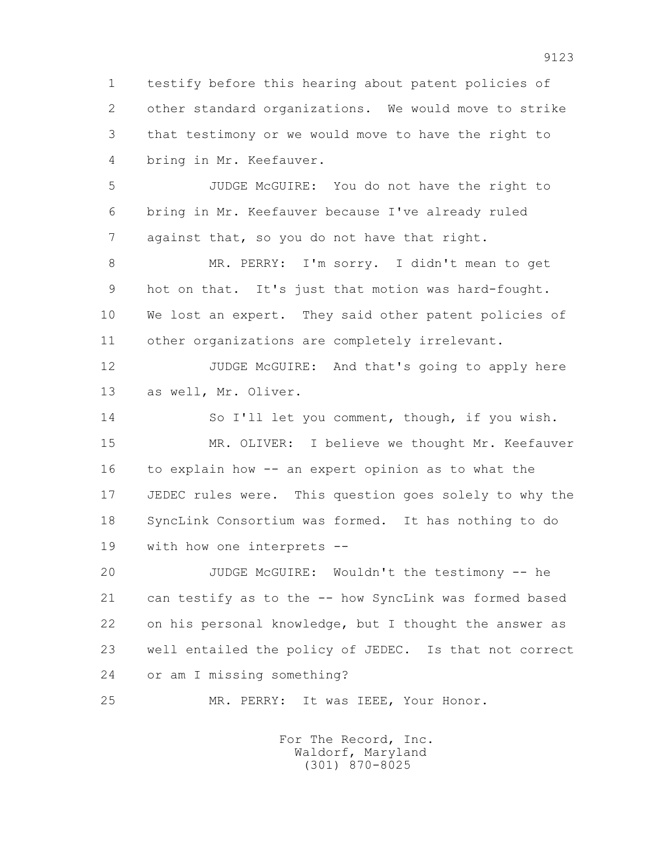1 testify before this hearing about patent policies of 2 other standard organizations. We would move to strike 3 that testimony or we would move to have the right to 4 bring in Mr. Keefauver.

 5 JUDGE McGUIRE: You do not have the right to 6 bring in Mr. Keefauver because I've already ruled 7 against that, so you do not have that right.

 8 MR. PERRY: I'm sorry. I didn't mean to get 9 hot on that. It's just that motion was hard-fought. 10 We lost an expert. They said other patent policies of 11 other organizations are completely irrelevant.

 12 JUDGE McGUIRE: And that's going to apply here 13 as well, Mr. Oliver.

 14 So I'll let you comment, though, if you wish. 15 MR. OLIVER: I believe we thought Mr. Keefauver 16 to explain how -- an expert opinion as to what the 17 JEDEC rules were. This question goes solely to why the 18 SyncLink Consortium was formed. It has nothing to do 19 with how one interprets --

 20 JUDGE McGUIRE: Wouldn't the testimony -- he 21 can testify as to the -- how SyncLink was formed based 22 on his personal knowledge, but I thought the answer as 23 well entailed the policy of JEDEC. Is that not correct 24 or am I missing something?

25 MR. PERRY: It was IEEE, Your Honor.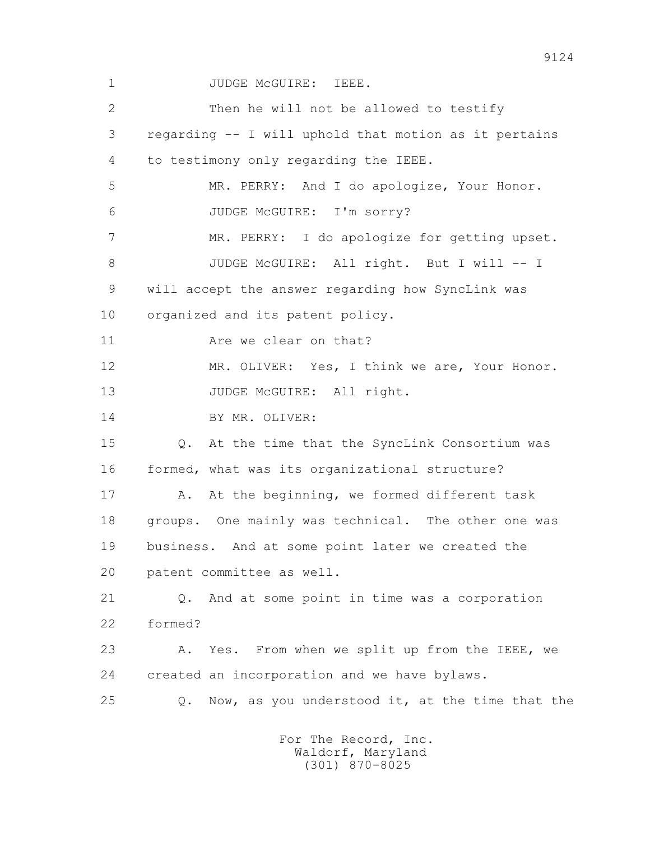1 JUDGE McGUIRE: IEEE. 2 Then he will not be allowed to testify 3 regarding -- I will uphold that motion as it pertains 4 to testimony only regarding the IEEE. 5 MR. PERRY: And I do apologize, Your Honor. 6 JUDGE McGUIRE: I'm sorry? 7 MR. PERRY: I do apologize for getting upset. 8 JUDGE McGUIRE: All right. But I will -- I 9 will accept the answer regarding how SyncLink was 10 organized and its patent policy. 11 Are we clear on that? 12 MR. OLIVER: Yes, I think we are, Your Honor. 13 JUDGE McGUIRE: All right. 14 BY MR. OLIVER: 15 Q. At the time that the SyncLink Consortium was 16 formed, what was its organizational structure? 17 A. At the beginning, we formed different task 18 groups. One mainly was technical. The other one was 19 business. And at some point later we created the 20 patent committee as well. 21 Q. And at some point in time was a corporation 22 formed? 23 A. Yes. From when we split up from the IEEE, we 24 created an incorporation and we have bylaws. 25 Q. Now, as you understood it, at the time that the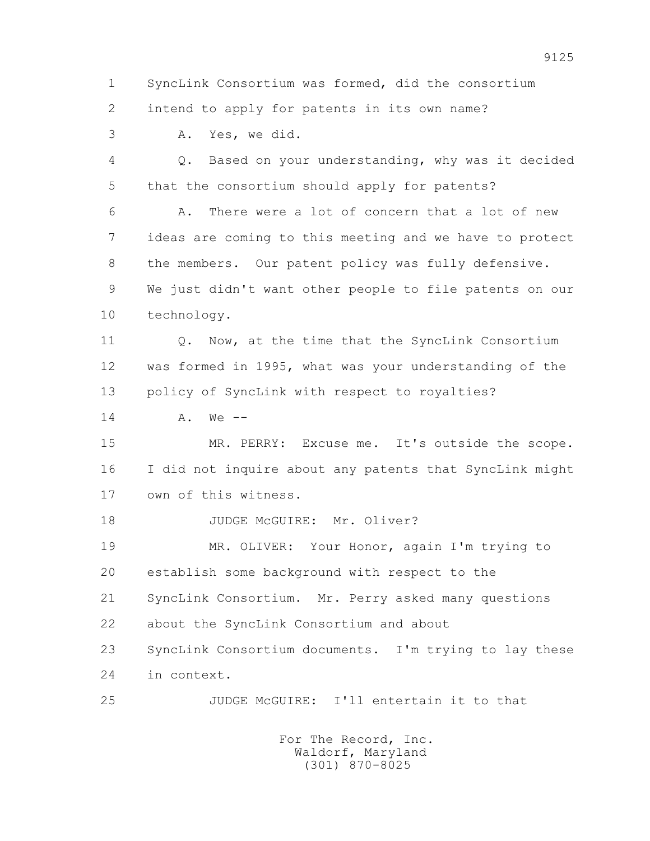1 SyncLink Consortium was formed, did the consortium 2 intend to apply for patents in its own name?

3 A. Yes, we did.

 4 Q. Based on your understanding, why was it decided 5 that the consortium should apply for patents?

 6 A. There were a lot of concern that a lot of new 7 ideas are coming to this meeting and we have to protect 8 the members. Our patent policy was fully defensive. 9 We just didn't want other people to file patents on our 10 technology.

11 0. Now, at the time that the SyncLink Consortium 12 was formed in 1995, what was your understanding of the 13 policy of SyncLink with respect to royalties?

 $14$   $A$ ,  $W_{\Theta}$  --

 15 MR. PERRY: Excuse me. It's outside the scope. 16 I did not inquire about any patents that SyncLink might 17 own of this witness.

18 JUDGE McGUIRE: Mr. Oliver?

 19 MR. OLIVER: Your Honor, again I'm trying to 20 establish some background with respect to the 21 SyncLink Consortium. Mr. Perry asked many questions 22 about the SyncLink Consortium and about

 23 SyncLink Consortium documents. I'm trying to lay these 24 in context.

25 JUDGE McGUIRE: I'll entertain it to that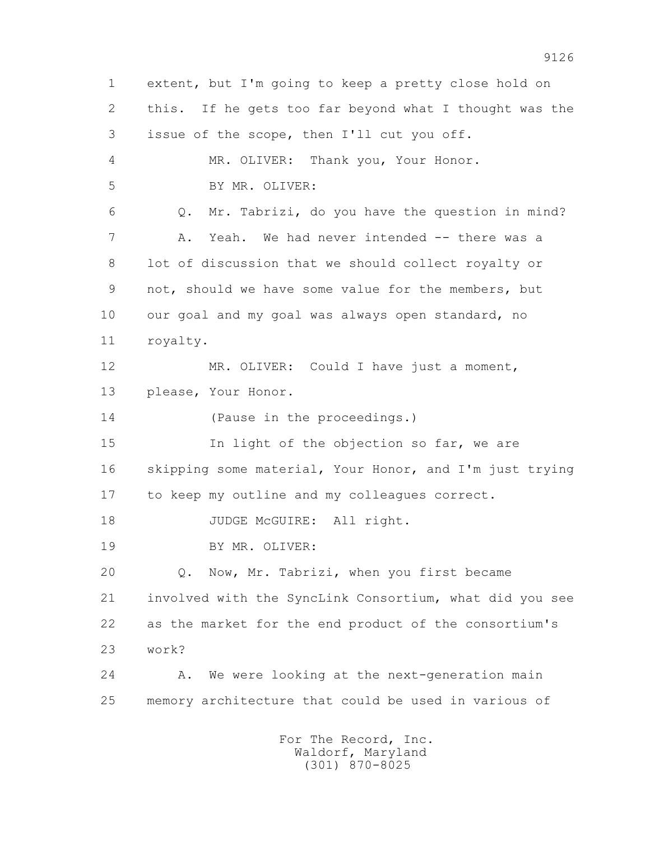1 extent, but I'm going to keep a pretty close hold on 2 this. If he gets too far beyond what I thought was the 3 issue of the scope, then I'll cut you off. 4 MR. OLIVER: Thank you, Your Honor. 5 BY MR. OLIVER: 6 Q. Mr. Tabrizi, do you have the question in mind? 7 A. Yeah. We had never intended -- there was a 8 lot of discussion that we should collect royalty or 9 not, should we have some value for the members, but 10 our goal and my goal was always open standard, no 11 royalty. 12 MR. OLIVER: Could I have just a moment, 13 please, Your Honor. 14 (Pause in the proceedings.) 15 In light of the objection so far, we are 16 skipping some material, Your Honor, and I'm just trying 17 to keep my outline and my colleagues correct. 18 JUDGE McGUIRE: All right. 19 BY MR. OLIVER: 20 Q. Now, Mr. Tabrizi, when you first became 21 involved with the SyncLink Consortium, what did you see 22 as the market for the end product of the consortium's 23 work? 24 A. We were looking at the next-generation main 25 memory architecture that could be used in various of For The Record, Inc. Waldorf, Maryland (301) 870-8025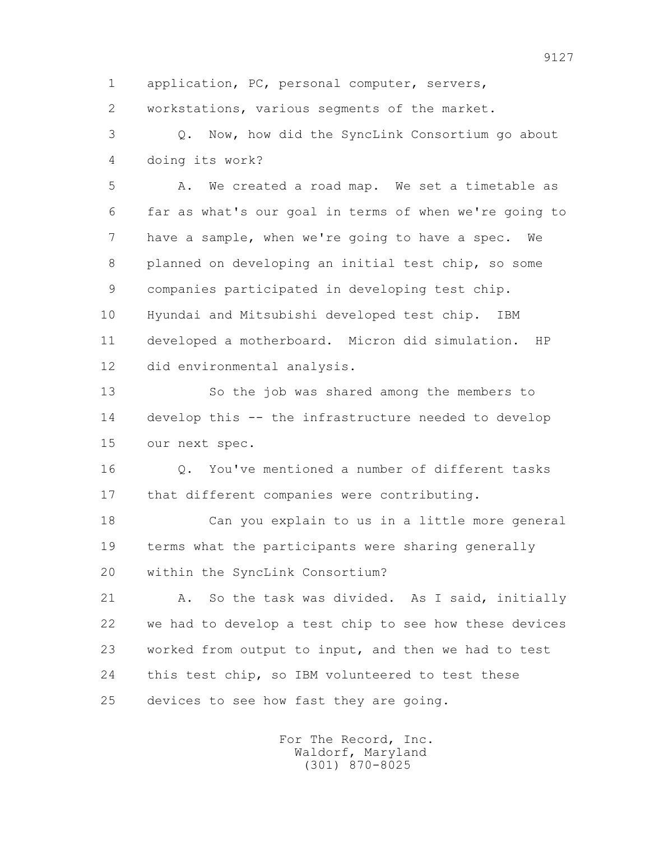1 application, PC, personal computer, servers,

2 workstations, various segments of the market.

 3 Q. Now, how did the SyncLink Consortium go about 4 doing its work?

 5 A. We created a road map. We set a timetable as 6 far as what's our goal in terms of when we're going to 7 have a sample, when we're going to have a spec. We 8 planned on developing an initial test chip, so some 9 companies participated in developing test chip. 10 Hyundai and Mitsubishi developed test chip. IBM 11 developed a motherboard. Micron did simulation. HP 12 did environmental analysis.

 13 So the job was shared among the members to 14 develop this -- the infrastructure needed to develop 15 our next spec.

 16 Q. You've mentioned a number of different tasks 17 that different companies were contributing.

 18 Can you explain to us in a little more general 19 terms what the participants were sharing generally 20 within the SyncLink Consortium?

 21 A. So the task was divided. As I said, initially 22 we had to develop a test chip to see how these devices 23 worked from output to input, and then we had to test 24 this test chip, so IBM volunteered to test these 25 devices to see how fast they are going.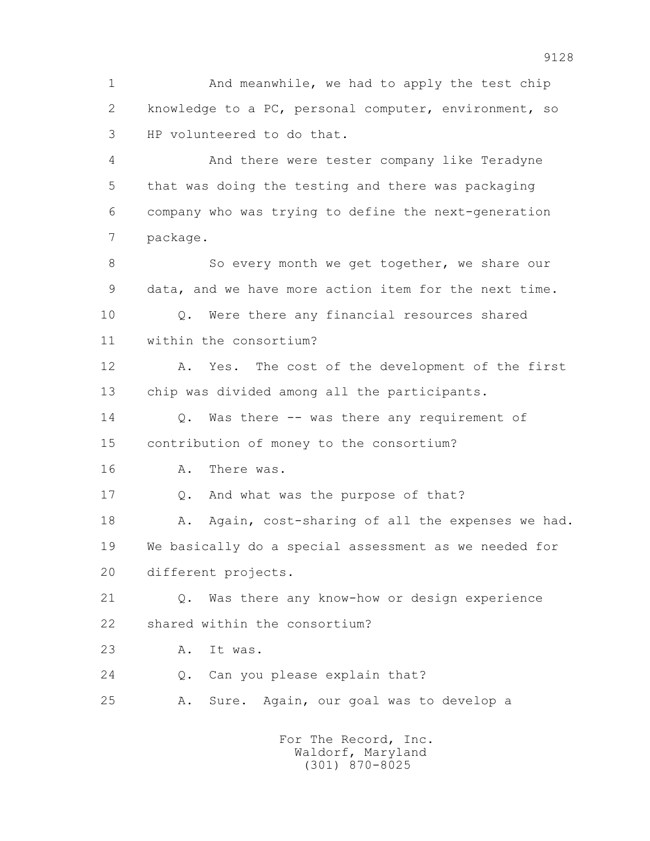1 And meanwhile, we had to apply the test chip 2 knowledge to a PC, personal computer, environment, so 3 HP volunteered to do that.

 4 And there were tester company like Teradyne 5 that was doing the testing and there was packaging 6 company who was trying to define the next-generation 7 package.

8 So every month we get together, we share our 9 data, and we have more action item for the next time. 10 Q. Were there any financial resources shared 11 within the consortium?

 12 A. Yes. The cost of the development of the first 13 chip was divided among all the participants.

 14 Q. Was there -- was there any requirement of 15 contribution of money to the consortium?

16 A. There was.

17 Q. And what was the purpose of that?

18 A. Again, cost-sharing of all the expenses we had. 19 We basically do a special assessment as we needed for 20 different projects.

 21 Q. Was there any know-how or design experience 22 shared within the consortium?

23 A. It was.

24 Q. Can you please explain that?

25 A. Sure. Again, our goal was to develop a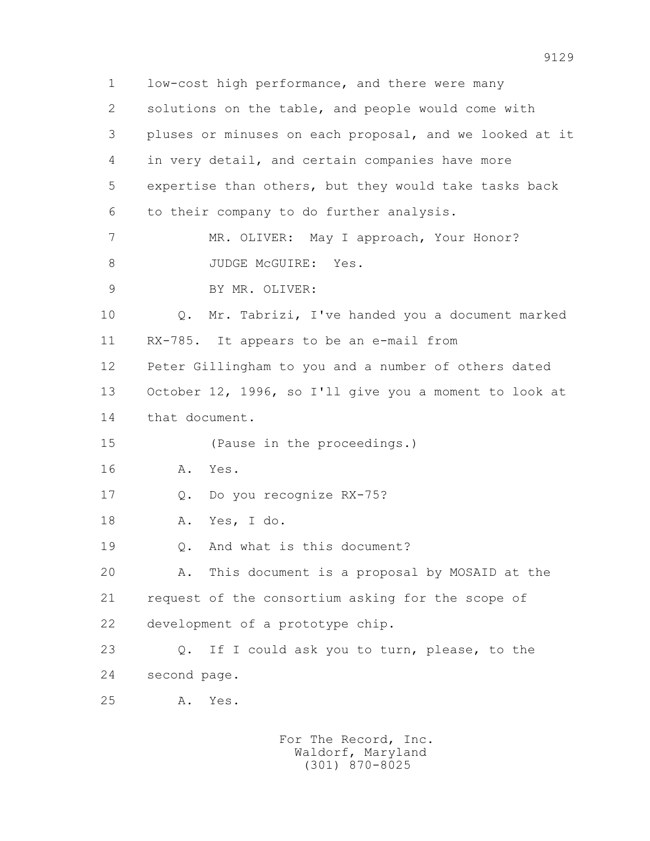1 low-cost high performance, and there were many 2 solutions on the table, and people would come with 3 pluses or minuses on each proposal, and we looked at it 4 in very detail, and certain companies have more 5 expertise than others, but they would take tasks back 6 to their company to do further analysis. 7 MR. OLIVER: May I approach, Your Honor? 8 JUDGE McGUIRE: Yes. 9 BY MR. OLIVER: 10 Q. Mr. Tabrizi, I've handed you a document marked 11 RX-785. It appears to be an e-mail from 12 Peter Gillingham to you and a number of others dated 13 October 12, 1996, so I'll give you a moment to look at 14 that document. 15 (Pause in the proceedings.) 16 A. Yes. 17 Q. Do you recognize RX-75? 18 A. Yes, I do. 19 Q. And what is this document? 20 A. This document is a proposal by MOSAID at the 21 request of the consortium asking for the scope of 22 development of a prototype chip. 23 Q. If I could ask you to turn, please, to the 24 second page. 25 A. Yes.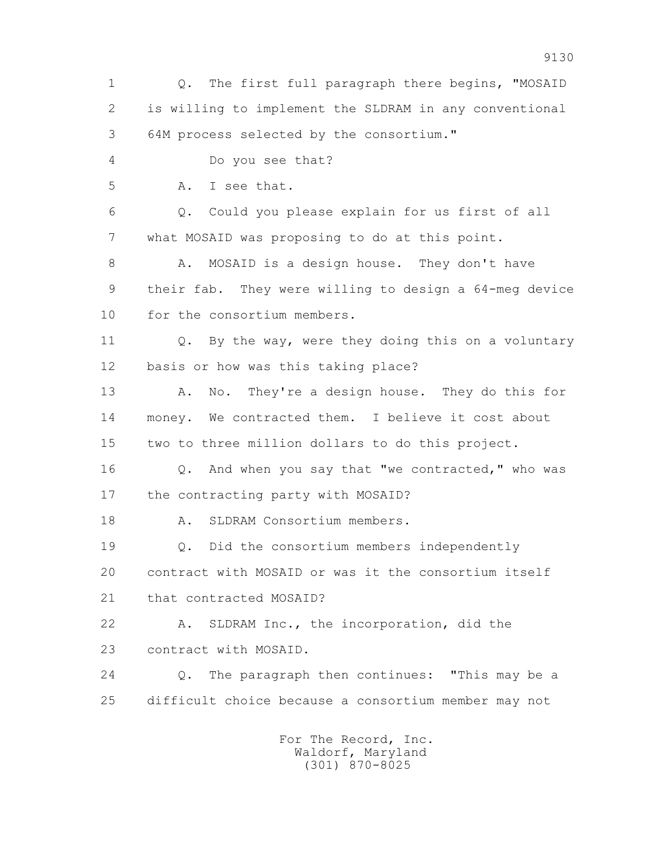1 Q. The first full paragraph there begins, "MOSAID 2 is willing to implement the SLDRAM in any conventional 3 64M process selected by the consortium." 4 Do you see that? 5 A. I see that. 6 Q. Could you please explain for us first of all 7 what MOSAID was proposing to do at this point. 8 A. MOSAID is a design house. They don't have 9 their fab. They were willing to design a 64-meg device 10 for the consortium members. 11 Q. By the way, were they doing this on a voluntary 12 basis or how was this taking place? 13 A. No. They're a design house. They do this for 14 money. We contracted them. I believe it cost about 15 two to three million dollars to do this project. 16 Q. And when you say that "we contracted," who was 17 the contracting party with MOSAID? 18 A. SLDRAM Consortium members. 19 Q. Did the consortium members independently 20 contract with MOSAID or was it the consortium itself 21 that contracted MOSAID? 22 A. SLDRAM Inc., the incorporation, did the 23 contract with MOSAID. 24 Q. The paragraph then continues: "This may be a 25 difficult choice because a consortium member may not For The Record, Inc. Waldorf, Maryland (301) 870-8025

9130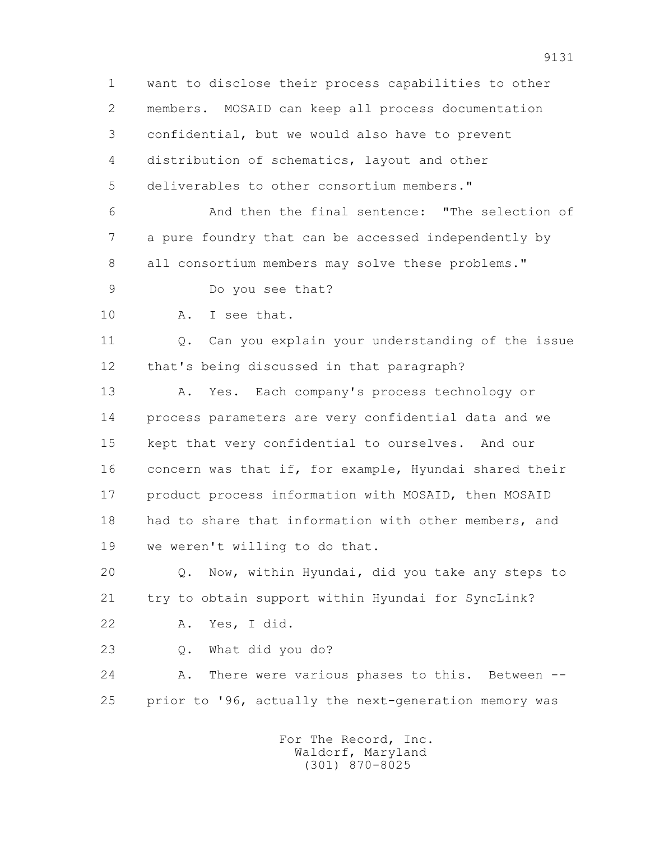1 want to disclose their process capabilities to other 2 members. MOSAID can keep all process documentation 3 confidential, but we would also have to prevent 4 distribution of schematics, layout and other 5 deliverables to other consortium members." 6 And then the final sentence: "The selection of 7 a pure foundry that can be accessed independently by 8 all consortium members may solve these problems." 9 Do you see that? 10 A. I see that. 11 Q. Can you explain your understanding of the issue 12 that's being discussed in that paragraph? 13 A. Yes. Each company's process technology or 14 process parameters are very confidential data and we 15 kept that very confidential to ourselves. And our 16 concern was that if, for example, Hyundai shared their 17 product process information with MOSAID, then MOSAID 18 had to share that information with other members, and 19 we weren't willing to do that. 20 Q. Now, within Hyundai, did you take any steps to 21 try to obtain support within Hyundai for SyncLink? 22 A. Yes, I did. 23 Q. What did you do? 24 A. There were various phases to this. Between -- 25 prior to '96, actually the next-generation memory was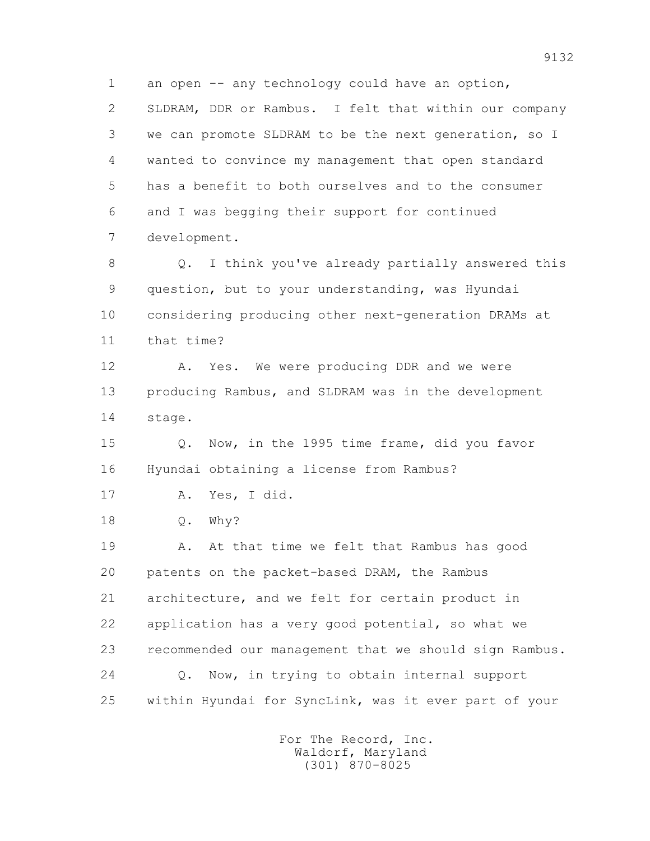1 an open -- any technology could have an option, 2 SLDRAM, DDR or Rambus. I felt that within our company 3 we can promote SLDRAM to be the next generation, so I 4 wanted to convince my management that open standard 5 has a benefit to both ourselves and to the consumer 6 and I was begging their support for continued 7 development.

 8 Q. I think you've already partially answered this 9 question, but to your understanding, was Hyundai 10 considering producing other next-generation DRAMs at 11 that time?

12 A. Yes. We were producing DDR and we were 13 producing Rambus, and SLDRAM was in the development 14 stage.

 15 Q. Now, in the 1995 time frame, did you favor 16 Hyundai obtaining a license from Rambus?

17 A. Yes, I did.

18 Q. Why?

 19 A. At that time we felt that Rambus has good 20 patents on the packet-based DRAM, the Rambus 21 architecture, and we felt for certain product in 22 application has a very good potential, so what we 23 recommended our management that we should sign Rambus. 24 Q. Now, in trying to obtain internal support 25 within Hyundai for SyncLink, was it ever part of your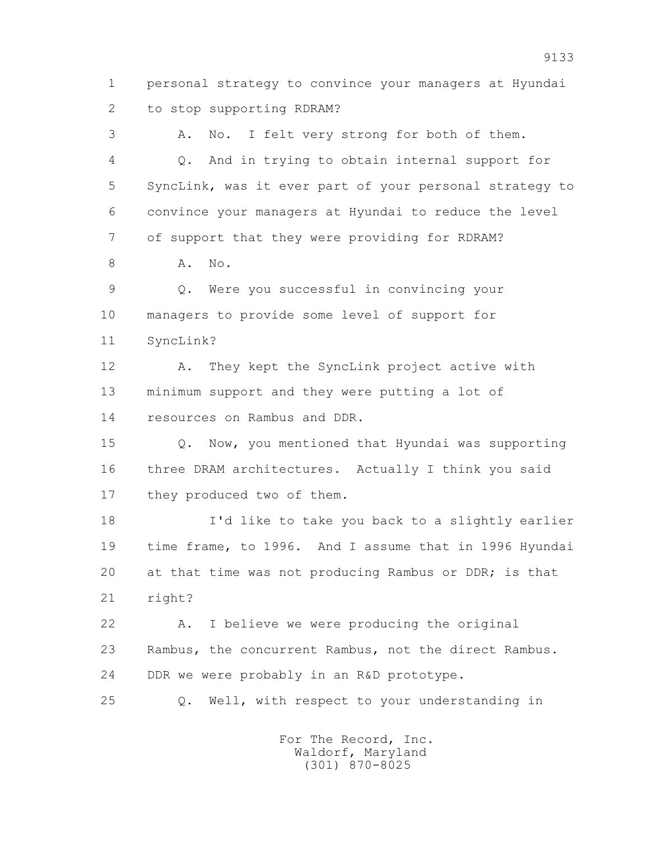1 personal strategy to convince your managers at Hyundai 2 to stop supporting RDRAM?

 3 A. No. I felt very strong for both of them. 4 Q. And in trying to obtain internal support for 5 SyncLink, was it ever part of your personal strategy to 6 convince your managers at Hyundai to reduce the level 7 of support that they were providing for RDRAM? 8 **A.** No. 9 Q. Were you successful in convincing your 10 managers to provide some level of support for

11 SyncLink?

 12 A. They kept the SyncLink project active with 13 minimum support and they were putting a lot of 14 resources on Rambus and DDR.

 15 Q. Now, you mentioned that Hyundai was supporting 16 three DRAM architectures. Actually I think you said 17 they produced two of them.

 18 I'd like to take you back to a slightly earlier 19 time frame, to 1996. And I assume that in 1996 Hyundai 20 at that time was not producing Rambus or DDR; is that 21 right?

 22 A. I believe we were producing the original 23 Rambus, the concurrent Rambus, not the direct Rambus. 24 DDR we were probably in an R&D prototype.

25 Q. Well, with respect to your understanding in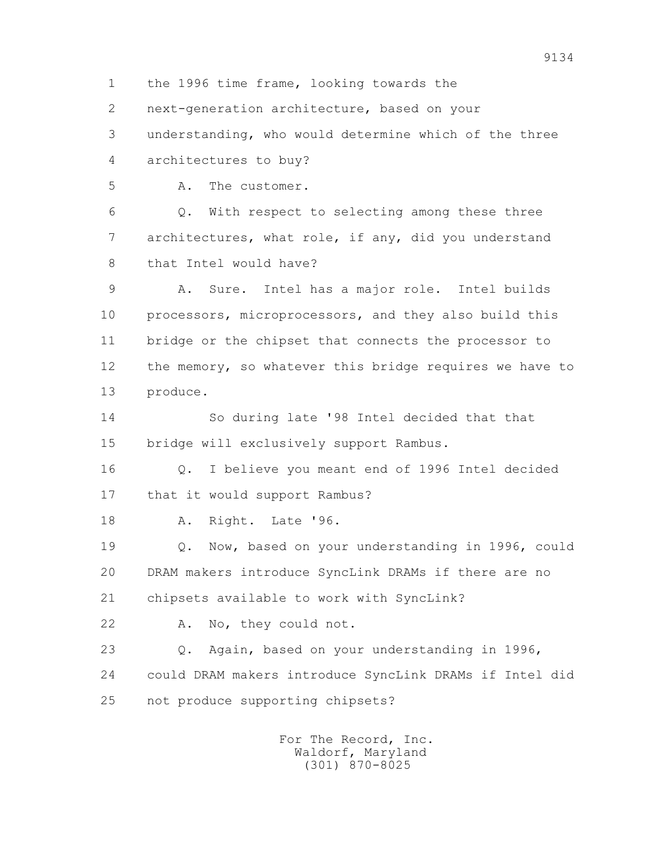1 the 1996 time frame, looking towards the

2 next-generation architecture, based on your

 3 understanding, who would determine which of the three 4 architectures to buy?

5 A. The customer.

 6 Q. With respect to selecting among these three 7 architectures, what role, if any, did you understand 8 that Intel would have?

 9 A. Sure. Intel has a major role. Intel builds 10 processors, microprocessors, and they also build this 11 bridge or the chipset that connects the processor to 12 the memory, so whatever this bridge requires we have to 13 produce.

 14 So during late '98 Intel decided that that 15 bridge will exclusively support Rambus.

 16 Q. I believe you meant end of 1996 Intel decided 17 that it would support Rambus?

18 A. Right. Late '96.

 19 Q. Now, based on your understanding in 1996, could 20 DRAM makers introduce SyncLink DRAMs if there are no 21 chipsets available to work with SyncLink?

22 A. No, they could not.

 23 Q. Again, based on your understanding in 1996, 24 could DRAM makers introduce SyncLink DRAMs if Intel did 25 not produce supporting chipsets?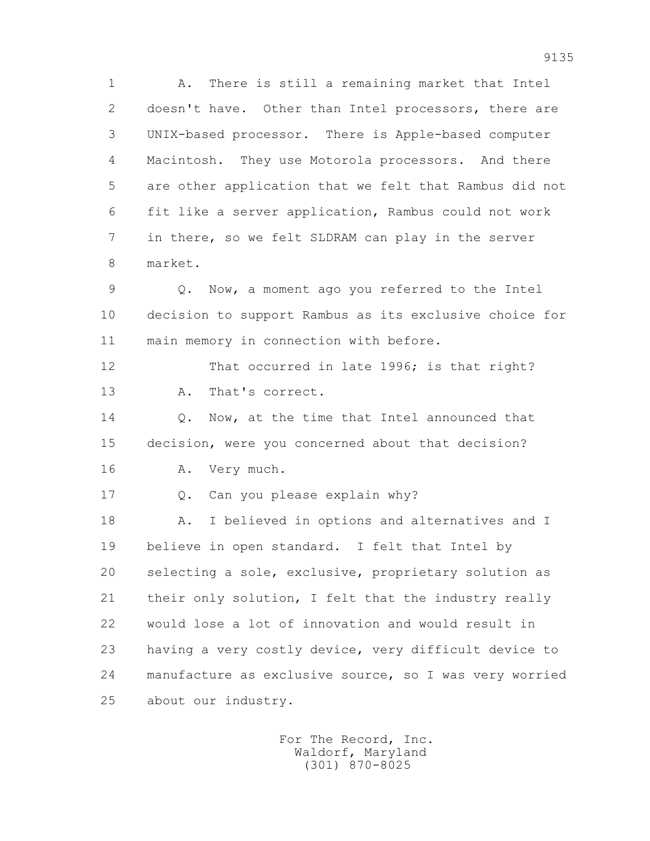1 A. There is still a remaining market that Intel 2 doesn't have. Other than Intel processors, there are 3 UNIX-based processor. There is Apple-based computer 4 Macintosh. They use Motorola processors. And there 5 are other application that we felt that Rambus did not 6 fit like a server application, Rambus could not work 7 in there, so we felt SLDRAM can play in the server 8 market.

 9 Q. Now, a moment ago you referred to the Intel 10 decision to support Rambus as its exclusive choice for 11 main memory in connection with before.

 12 That occurred in late 1996; is that right? 13 A. That's correct.

14 0. Now, at the time that Intel announced that 15 decision, were you concerned about that decision?

16 A. Very much.

17 Q. Can you please explain why?

 18 A. I believed in options and alternatives and I 19 believe in open standard. I felt that Intel by 20 selecting a sole, exclusive, proprietary solution as 21 their only solution, I felt that the industry really 22 would lose a lot of innovation and would result in 23 having a very costly device, very difficult device to 24 manufacture as exclusive source, so I was very worried 25 about our industry.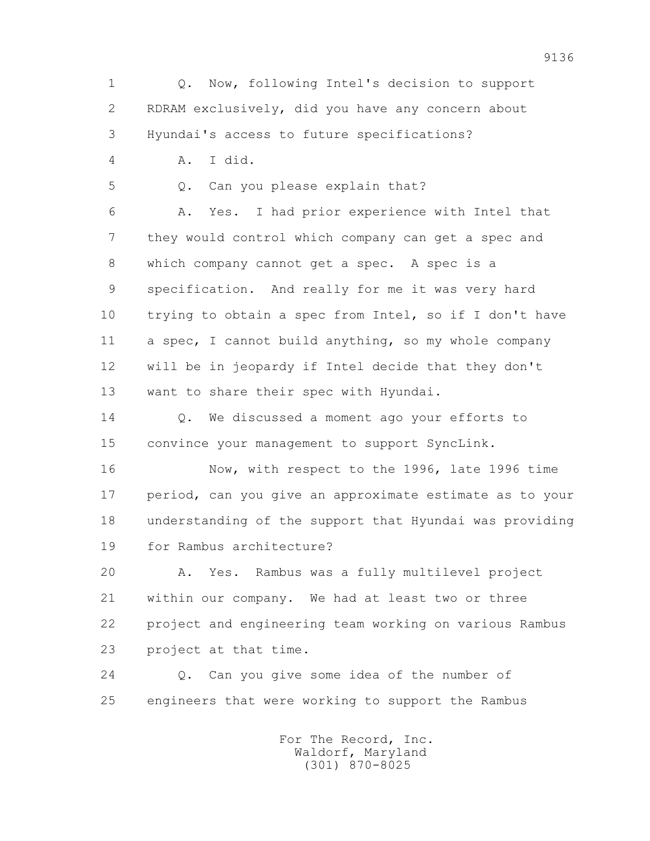1 Q. Now, following Intel's decision to support 2 RDRAM exclusively, did you have any concern about 3 Hyundai's access to future specifications? 4 A. I did. 5 Q. Can you please explain that? 6 A. Yes. I had prior experience with Intel that 7 they would control which company can get a spec and 8 which company cannot get a spec. A spec is a 9 specification. And really for me it was very hard 10 trying to obtain a spec from Intel, so if I don't have 11 a spec, I cannot build anything, so my whole company 12 will be in jeopardy if Intel decide that they don't 13 want to share their spec with Hyundai. 14 Q. We discussed a moment ago your efforts to 15 convince your management to support SyncLink. 16 Now, with respect to the 1996, late 1996 time 17 period, can you give an approximate estimate as to your

 18 understanding of the support that Hyundai was providing 19 for Rambus architecture?

 20 A. Yes. Rambus was a fully multilevel project 21 within our company. We had at least two or three 22 project and engineering team working on various Rambus 23 project at that time.

 24 Q. Can you give some idea of the number of 25 engineers that were working to support the Rambus

> For The Record, Inc. Waldorf, Maryland (301) 870-8025

9136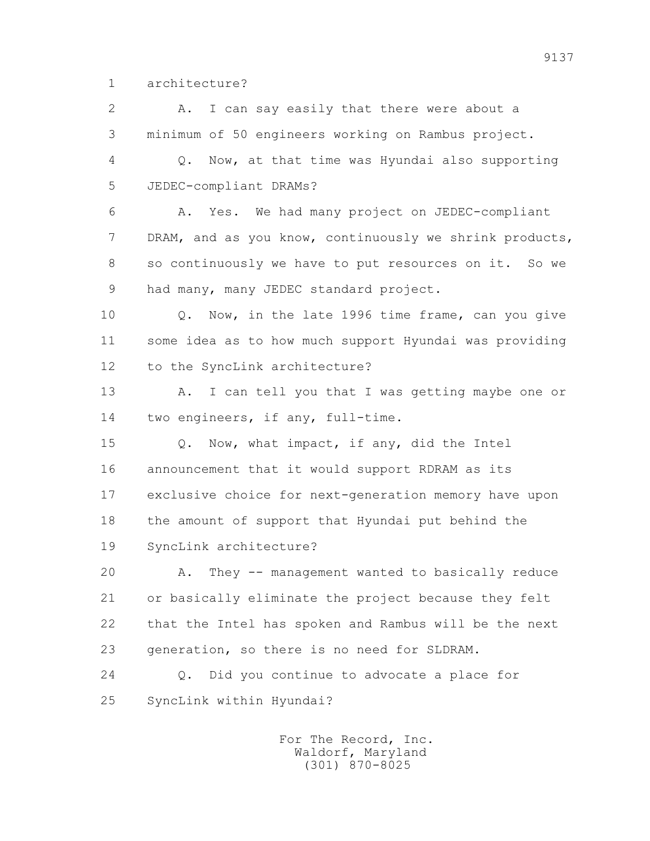1 architecture?

 2 A. I can say easily that there were about a 3 minimum of 50 engineers working on Rambus project. 4 Q. Now, at that time was Hyundai also supporting 5 JEDEC-compliant DRAMs? 6 A. Yes. We had many project on JEDEC-compliant 7 DRAM, and as you know, continuously we shrink products, 8 so continuously we have to put resources on it. So we 9 had many, many JEDEC standard project. 10 Q. Now, in the late 1996 time frame, can you give 11 some idea as to how much support Hyundai was providing 12 to the SyncLink architecture? 13 A. I can tell you that I was getting maybe one or 14 two engineers, if any, full-time. 15 Q. Now, what impact, if any, did the Intel 16 announcement that it would support RDRAM as its 17 exclusive choice for next-generation memory have upon 18 the amount of support that Hyundai put behind the 19 SyncLink architecture? 20 A. They -- management wanted to basically reduce 21 or basically eliminate the project because they felt 22 that the Intel has spoken and Rambus will be the next 23 generation, so there is no need for SLDRAM. 24 Q. Did you continue to advocate a place for 25 SyncLink within Hyundai?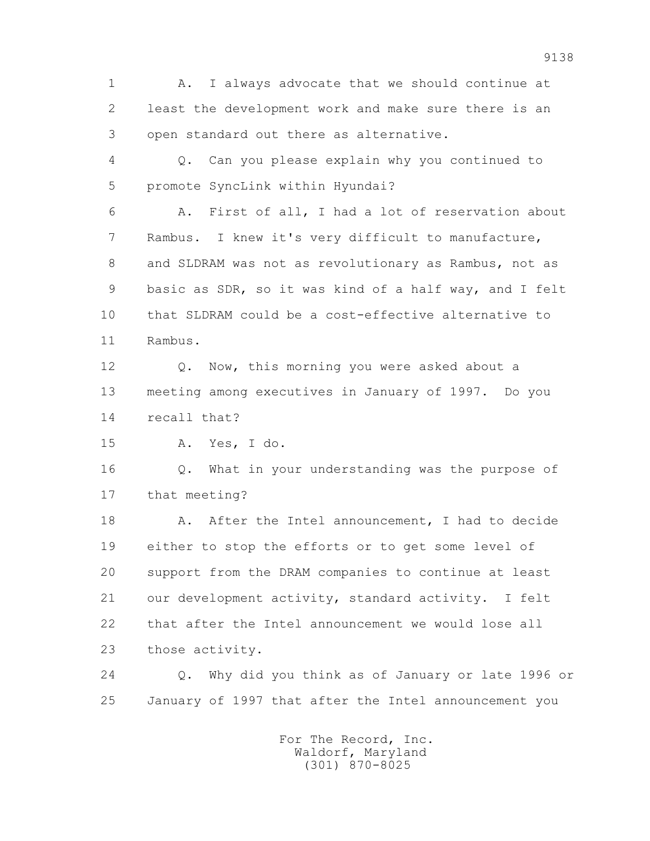1 A. I always advocate that we should continue at 2 least the development work and make sure there is an 3 open standard out there as alternative.

 4 Q. Can you please explain why you continued to 5 promote SyncLink within Hyundai?

 6 A. First of all, I had a lot of reservation about 7 Rambus. I knew it's very difficult to manufacture, 8 and SLDRAM was not as revolutionary as Rambus, not as 9 basic as SDR, so it was kind of a half way, and I felt 10 that SLDRAM could be a cost-effective alternative to 11 Rambus.

12 Q. Now, this morning you were asked about a 13 meeting among executives in January of 1997. Do you 14 recall that?

15 A. Yes, I do.

 16 Q. What in your understanding was the purpose of 17 that meeting?

18 A. After the Intel announcement, I had to decide 19 either to stop the efforts or to get some level of 20 support from the DRAM companies to continue at least 21 our development activity, standard activity. I felt 22 that after the Intel announcement we would lose all 23 those activity.

 24 Q. Why did you think as of January or late 1996 or 25 January of 1997 that after the Intel announcement you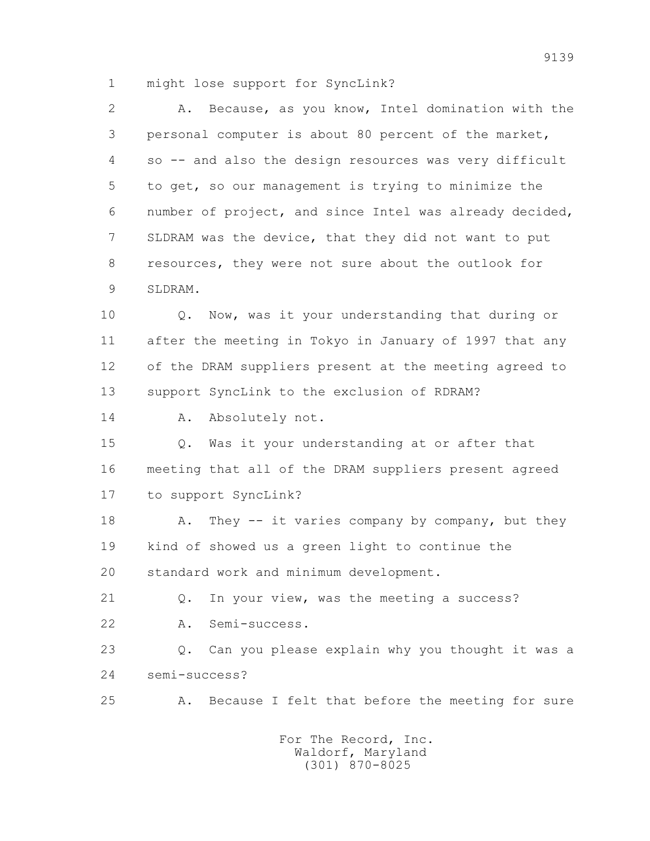1 might lose support for SyncLink?

| $\mathbf{2}$ | Because, as you know, Intel domination with the<br>Α.            |
|--------------|------------------------------------------------------------------|
| 3            | personal computer is about 80 percent of the market,             |
| 4            | so -- and also the design resources was very difficult           |
| 5            | to get, so our management is trying to minimize the              |
| 6            | number of project, and since Intel was already decided,          |
| 7            | SLDRAM was the device, that they did not want to put             |
| 8            | resources, they were not sure about the outlook for              |
| 9            | SLDRAM.                                                          |
| 10           | Now, was it your understanding that during or<br>Q.              |
| 11           | after the meeting in Tokyo in January of 1997 that any           |
| 12           | of the DRAM suppliers present at the meeting agreed to           |
| 13           | support SyncLink to the exclusion of RDRAM?                      |
| 14           | Absolutely not.<br>Α.                                            |
| 15           | Was it your understanding at or after that<br>Q.                 |
| 16           | meeting that all of the DRAM suppliers present agreed            |
| 17           | to support SyncLink?                                             |
| 18           | They -- it varies company by company, but they<br>Α.             |
| 19           | kind of showed us a green light to continue the                  |
| 20           | standard work and minimum development.                           |
| 21           | In your view, was the meeting a success?<br>$Q$ .                |
| 22           | Semi-success.<br>Α.                                              |
| 23           | Can you please explain why you thought it was a<br>$Q_{\bullet}$ |
| 24           | semi-success?                                                    |
| 25           | Because I felt that before the meeting for sure<br>Α.            |
|              |                                                                  |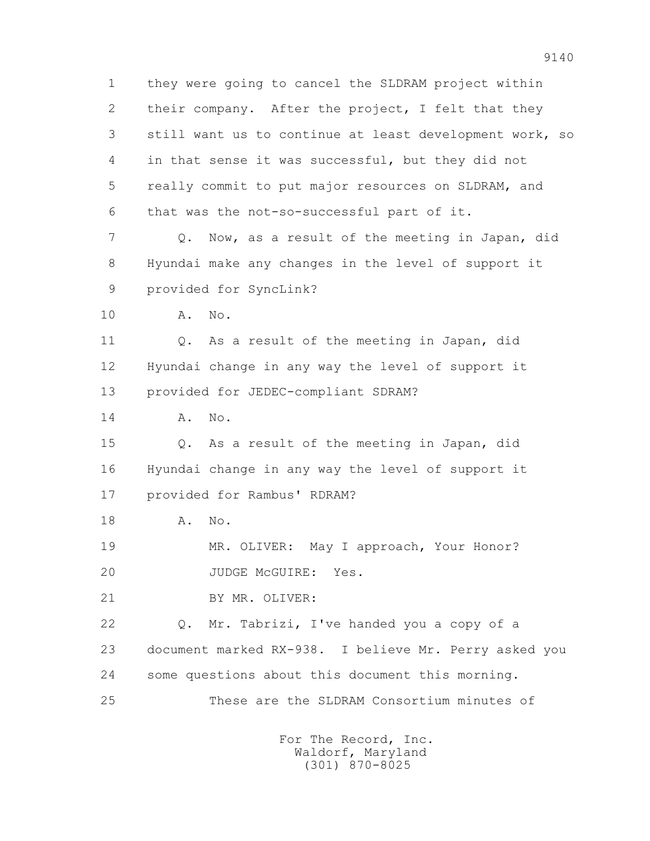1 they were going to cancel the SLDRAM project within 2 their company. After the project, I felt that they 3 still want us to continue at least development work, so 4 in that sense it was successful, but they did not 5 really commit to put major resources on SLDRAM, and 6 that was the not-so-successful part of it. 7 Q. Now, as a result of the meeting in Japan, did 8 Hyundai make any changes in the level of support it 9 provided for SyncLink? 10 A. No. 11 Q. As a result of the meeting in Japan, did 12 Hyundai change in any way the level of support it 13 provided for JEDEC-compliant SDRAM? 14 A. No. 15 Q. As a result of the meeting in Japan, did 16 Hyundai change in any way the level of support it 17 provided for Rambus' RDRAM? 18 A. No. 19 MR. OLIVER: May I approach, Your Honor? 20 JUDGE McGUIRE: Yes. 21 BY MR. OLIVER: 22 Q. Mr. Tabrizi, I've handed you a copy of a 23 document marked RX-938. I believe Mr. Perry asked you 24 some questions about this document this morning. 25 These are the SLDRAM Consortium minutes of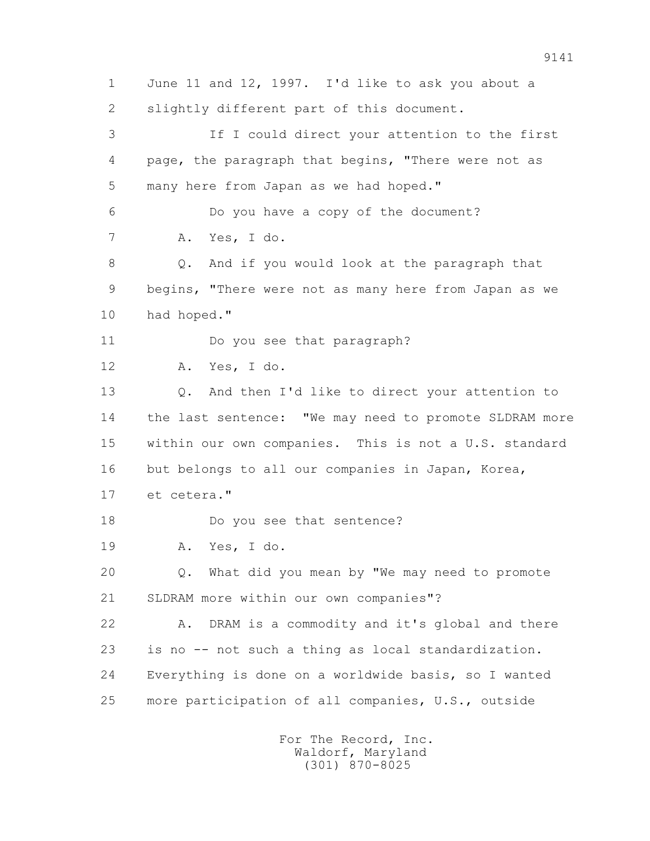1 June 11 and 12, 1997. I'd like to ask you about a 2 slightly different part of this document. 3 If I could direct your attention to the first 4 page, the paragraph that begins, "There were not as 5 many here from Japan as we had hoped." 6 Do you have a copy of the document? 7 A. Yes, I do. 8 Q. And if you would look at the paragraph that 9 begins, "There were not as many here from Japan as we 10 had hoped." 11 Do you see that paragraph? 12 A. Yes, I do. 13 Q. And then I'd like to direct your attention to 14 the last sentence: "We may need to promote SLDRAM more 15 within our own companies. This is not a U.S. standard 16 but belongs to all our companies in Japan, Korea, 17 et cetera." 18 Do you see that sentence? 19 A. Yes, I do. 20 Q. What did you mean by "We may need to promote 21 SLDRAM more within our own companies"? 22 A. DRAM is a commodity and it's global and there 23 is no -- not such a thing as local standardization. 24 Everything is done on a worldwide basis, so I wanted 25 more participation of all companies, U.S., outside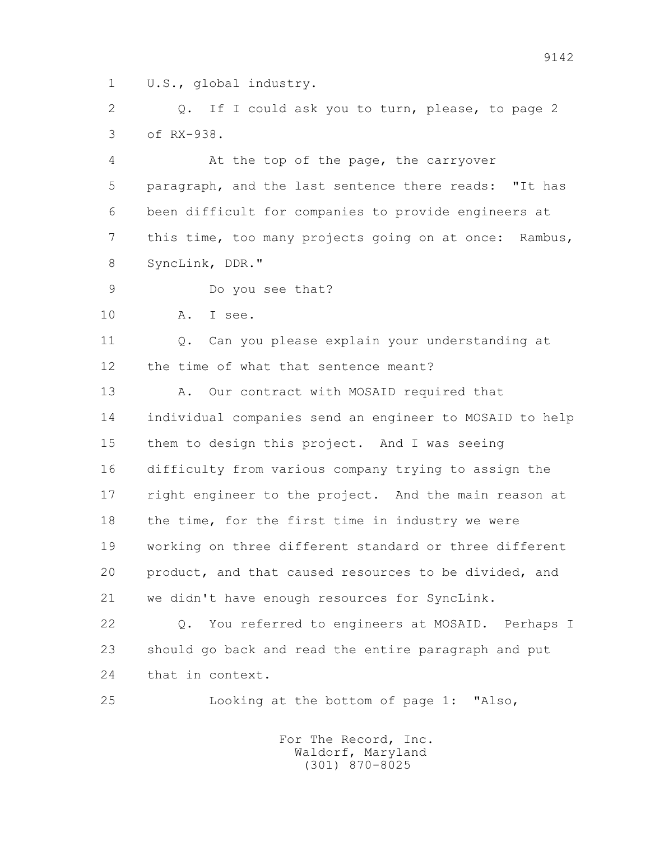1 U.S., global industry.

 2 Q. If I could ask you to turn, please, to page 2 3 of RX-938.

 4 At the top of the page, the carryover 5 paragraph, and the last sentence there reads: "It has 6 been difficult for companies to provide engineers at 7 this time, too many projects going on at once: Rambus, 8 SyncLink, DDR."

9 Do you see that?

10 A. I see.

11 0. Can you please explain your understanding at 12 the time of what that sentence meant?

13 A. Our contract with MOSAID required that 14 individual companies send an engineer to MOSAID to help 15 them to design this project. And I was seeing 16 difficulty from various company trying to assign the 17 right engineer to the project. And the main reason at 18 the time, for the first time in industry we were 19 working on three different standard or three different 20 product, and that caused resources to be divided, and 21 we didn't have enough resources for SyncLink.

 22 Q. You referred to engineers at MOSAID. Perhaps I 23 should go back and read the entire paragraph and put 24 that in context.

25 Looking at the bottom of page 1: "Also,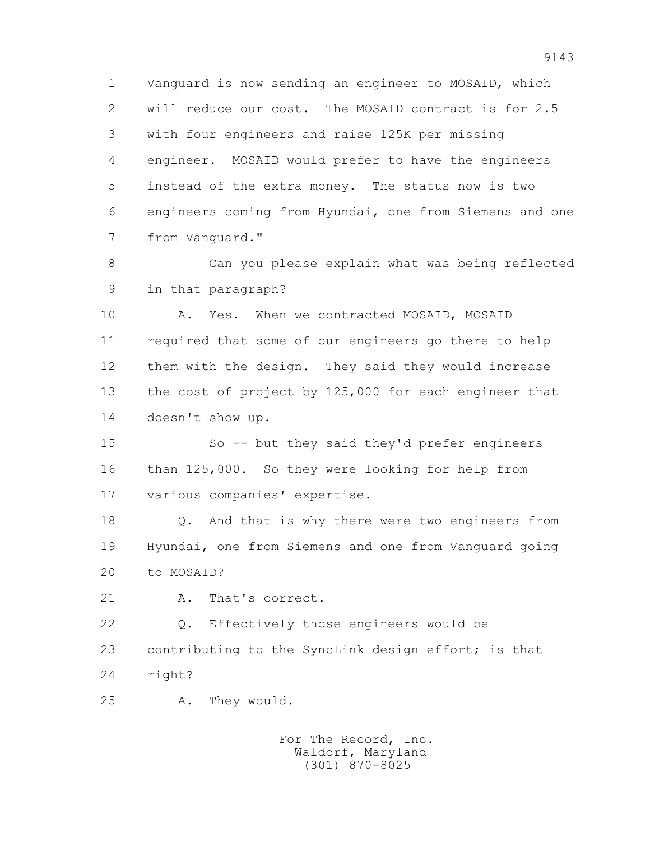1 Vanguard is now sending an engineer to MOSAID, which 2 will reduce our cost. The MOSAID contract is for 2.5 3 with four engineers and raise 125K per missing 4 engineer. MOSAID would prefer to have the engineers 5 instead of the extra money. The status now is two 6 engineers coming from Hyundai, one from Siemens and one 7 from Vanguard."

 8 Can you please explain what was being reflected 9 in that paragraph?

10 A. Yes. When we contracted MOSAID, MOSAID 11 required that some of our engineers go there to help 12 them with the design. They said they would increase 13 the cost of project by 125,000 for each engineer that 14 doesn't show up.

 15 So -- but they said they'd prefer engineers 16 than 125,000. So they were looking for help from 17 various companies' expertise.

 18 Q. And that is why there were two engineers from 19 Hyundai, one from Siemens and one from Vanguard going 20 to MOSAID?

21 A. That's correct.

 22 Q. Effectively those engineers would be 23 contributing to the SyncLink design effort; is that 24 right?

25 A. They would.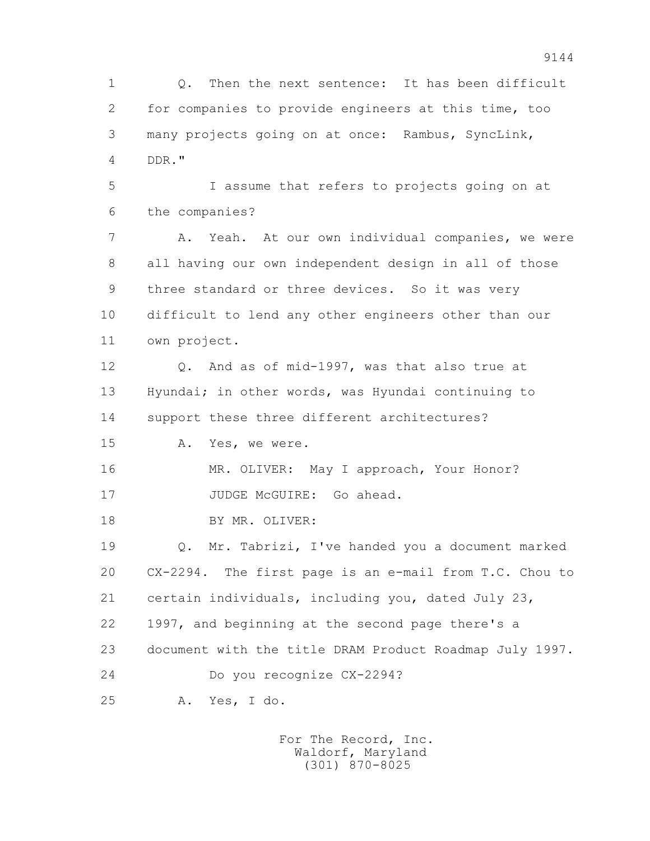1 Q. Then the next sentence: It has been difficult 2 for companies to provide engineers at this time, too 3 many projects going on at once: Rambus, SyncLink, 4 DDR." 5 I assume that refers to projects going on at 6 the companies? 7 A. Yeah. At our own individual companies, we were 8 all having our own independent design in all of those 9 three standard or three devices. So it was very 10 difficult to lend any other engineers other than our 11 own project. 12 Q. And as of mid-1997, was that also true at 13 Hyundai; in other words, was Hyundai continuing to 14 support these three different architectures? 15 A. Yes, we were. 16 MR. OLIVER: May I approach, Your Honor? 17 JUDGE McGUIRE: Go ahead. 18 BY MR. OLIVER: 19 Q. Mr. Tabrizi, I've handed you a document marked 20 CX-2294. The first page is an e-mail from T.C. Chou to 21 certain individuals, including you, dated July 23, 22 1997, and beginning at the second page there's a 23 document with the title DRAM Product Roadmap July 1997. 24 Do you recognize CX-2294? 25 A. Yes, I do.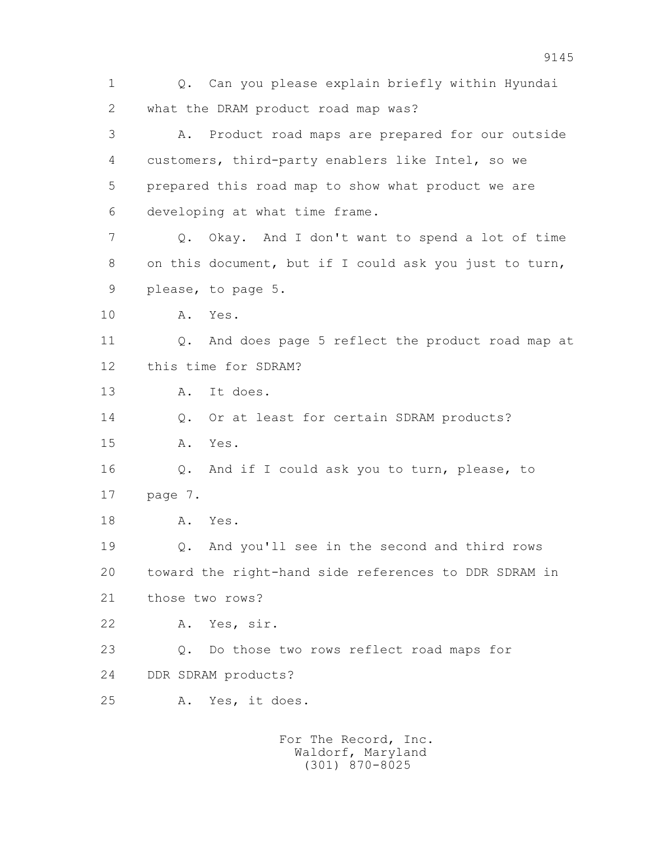1 Q. Can you please explain briefly within Hyundai 2 what the DRAM product road map was? 3 A. Product road maps are prepared for our outside 4 customers, third-party enablers like Intel, so we 5 prepared this road map to show what product we are 6 developing at what time frame. 7 Q. Okay. And I don't want to spend a lot of time 8 on this document, but if I could ask you just to turn, 9 please, to page 5. 10 A. Yes. 11 Q. And does page 5 reflect the product road map at 12 this time for SDRAM? 13 A. It does. 14 0. Or at least for certain SDRAM products? 15 A. Yes. 16 Q. And if I could ask you to turn, please, to 17 page 7. 18 A. Yes. 19 Q. And you'll see in the second and third rows 20 toward the right-hand side references to DDR SDRAM in 21 those two rows? 22 A. Yes, sir. 23 Q. Do those two rows reflect road maps for 24 DDR SDRAM products? 25 A. Yes, it does. For The Record, Inc.

 Waldorf, Maryland (301) 870-8025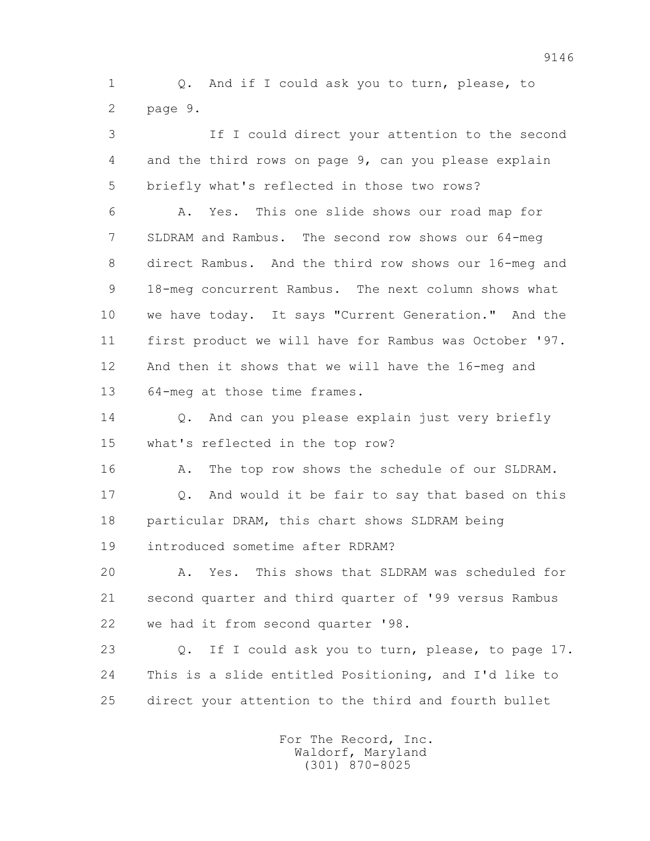1 Q. And if I could ask you to turn, please, to 2 page 9.

 3 If I could direct your attention to the second 4 and the third rows on page 9, can you please explain 5 briefly what's reflected in those two rows? 6 A. Yes. This one slide shows our road map for 7 SLDRAM and Rambus. The second row shows our 64-meg 8 direct Rambus. And the third row shows our 16-meg and 9 18-meg concurrent Rambus. The next column shows what 10 we have today. It says "Current Generation." And the 11 first product we will have for Rambus was October '97. 12 And then it shows that we will have the 16-meg and 13 64-meg at those time frames.

14 0. And can you please explain just very briefly 15 what's reflected in the top row?

16 A. The top row shows the schedule of our SLDRAM.

 17 Q. And would it be fair to say that based on this 18 particular DRAM, this chart shows SLDRAM being 19 introduced sometime after RDRAM?

 20 A. Yes. This shows that SLDRAM was scheduled for 21 second quarter and third quarter of '99 versus Rambus 22 we had it from second quarter '98.

 23 Q. If I could ask you to turn, please, to page 17. 24 This is a slide entitled Positioning, and I'd like to 25 direct your attention to the third and fourth bullet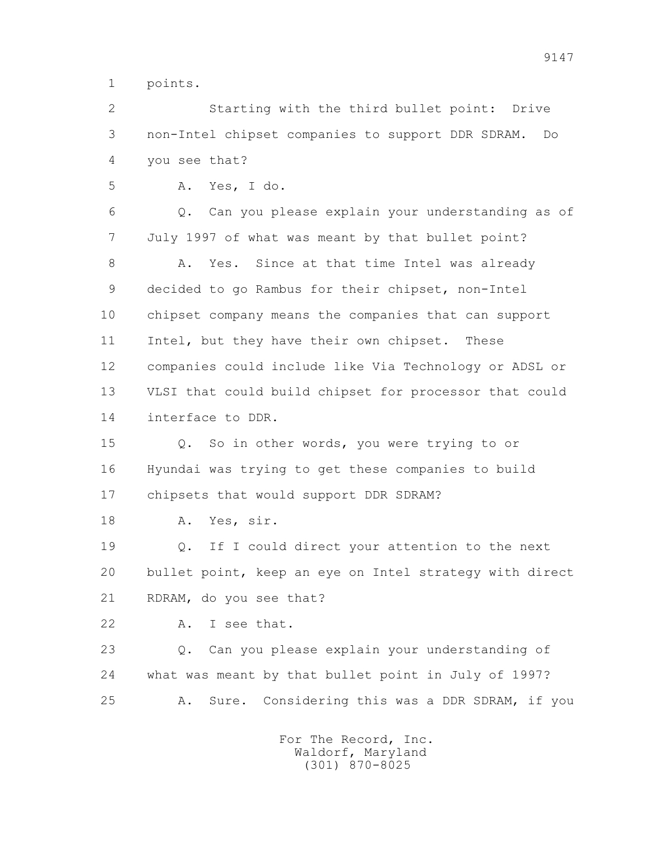1 points.

 2 Starting with the third bullet point: Drive 3 non-Intel chipset companies to support DDR SDRAM. Do 4 you see that?

5 A. Yes, I do.

 6 Q. Can you please explain your understanding as of 7 July 1997 of what was meant by that bullet point? 8 A. Yes. Since at that time Intel was already 9 decided to go Rambus for their chipset, non-Intel 10 chipset company means the companies that can support 11 Intel, but they have their own chipset. These 12 companies could include like Via Technology or ADSL or 13 VLSI that could build chipset for processor that could 14 interface to DDR.

 15 Q. So in other words, you were trying to or 16 Hyundai was trying to get these companies to build 17 chipsets that would support DDR SDRAM?

18 A. Yes, sir.

 19 Q. If I could direct your attention to the next 20 bullet point, keep an eye on Intel strategy with direct 21 RDRAM, do you see that?

22 A. I see that.

 23 Q. Can you please explain your understanding of 24 what was meant by that bullet point in July of 1997? 25 A. Sure. Considering this was a DDR SDRAM, if you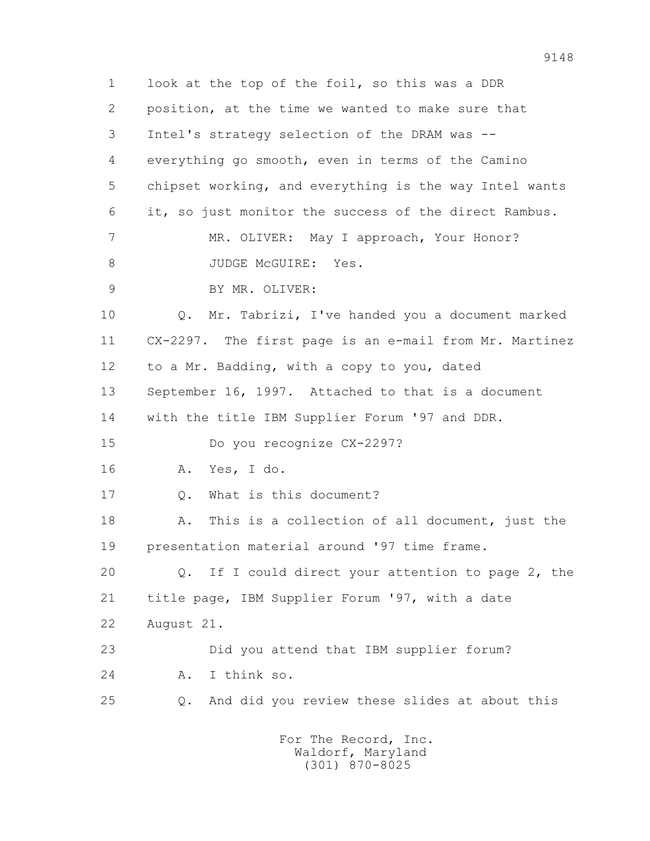1 look at the top of the foil, so this was a DDR 2 position, at the time we wanted to make sure that 3 Intel's strategy selection of the DRAM was -- 4 everything go smooth, even in terms of the Camino 5 chipset working, and everything is the way Intel wants 6 it, so just monitor the success of the direct Rambus. 7 MR. OLIVER: May I approach, Your Honor? 8 JUDGE McGUIRE: Yes. 9 BY MR. OLIVER: 10 Q. Mr. Tabrizi, I've handed you a document marked 11 CX-2297. The first page is an e-mail from Mr. Martinez 12 to a Mr. Badding, with a copy to you, dated 13 September 16, 1997. Attached to that is a document 14 with the title IBM Supplier Forum '97 and DDR. 15 Do you recognize CX-2297? 16 A. Yes, I do. 17 Q. What is this document? 18 A. This is a collection of all document, just the 19 presentation material around '97 time frame. 20 Q. If I could direct your attention to page 2, the 21 title page, IBM Supplier Forum '97, with a date 22 August 21. 23 Did you attend that IBM supplier forum? 24 A. I think so. 25 Q. And did you review these slides at about this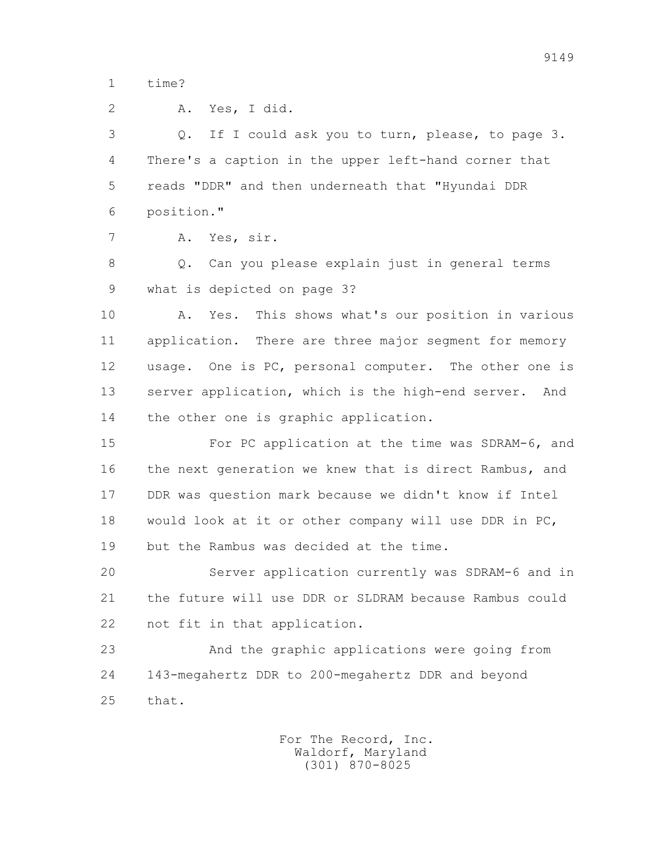1 time?

| $\overline{2}$ | Yes, I did.<br>Α.                                        |
|----------------|----------------------------------------------------------|
| 3              | If I could ask you to turn, please, to page 3.<br>Q.     |
| 4              | There's a caption in the upper left-hand corner that     |
| 5              | reads "DDR" and then underneath that "Hyundai DDR        |
| 6              | position."                                               |
| 7              | Yes, sir.<br>Α.                                          |
| 8              | Can you please explain just in general terms<br>Q.       |
| 9              | what is depicted on page 3?                              |
| 10             | This shows what's our position in various<br>Α.<br>Yes.  |
| 11             | application. There are three major segment for memory    |
| 12             | usage. One is PC, personal computer. The other one is    |
| 13             | server application, which is the high-end server. And    |
| 14             | the other one is graphic application.                    |
| 15             | For PC application at the time was SDRAM-6, and          |
| 16             | the next generation we knew that is direct Rambus, and   |
| 17             | DDR was question mark because we didn't know if Intel    |
| 18             | would look at it or other company will use DDR in $PC$ , |
| 19             | but the Rambus was decided at the time.                  |
| 20             | Server application currently was SDRAM-6 and in          |
| 21             | the future will use DDR or SLDRAM because Rambus could   |
| 22             | not fit in that application.                             |
| 23             | And the graphic applications were going from             |
| 24             | 143-megahertz DDR to 200-megahertz DDR and beyond        |
| 25             | that.                                                    |
|                |                                                          |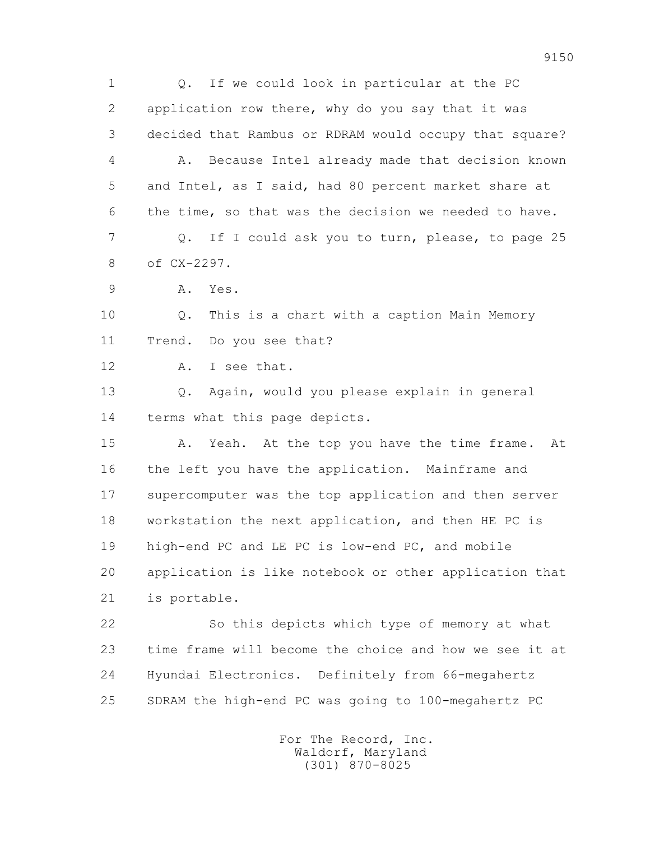1 Q. If we could look in particular at the PC 2 application row there, why do you say that it was 3 decided that Rambus or RDRAM would occupy that square? 4 A. Because Intel already made that decision known 5 and Intel, as I said, had 80 percent market share at 6 the time, so that was the decision we needed to have. 7 Q. If I could ask you to turn, please, to page 25 8 of CX-2297. 9 A. Yes. 10 Q. This is a chart with a caption Main Memory 11 Trend. Do you see that? 12 A. I see that. 13 Q. Again, would you please explain in general 14 terms what this page depicts. 15 A. Yeah. At the top you have the time frame. At 16 the left you have the application. Mainframe and 17 supercomputer was the top application and then server 18 workstation the next application, and then HE PC is 19 high-end PC and LE PC is low-end PC, and mobile 20 application is like notebook or other application that 21 is portable. 22 So this depicts which type of memory at what 23 time frame will become the choice and how we see it at 24 Hyundai Electronics. Definitely from 66-megahertz 25 SDRAM the high-end PC was going to 100-megahertz PC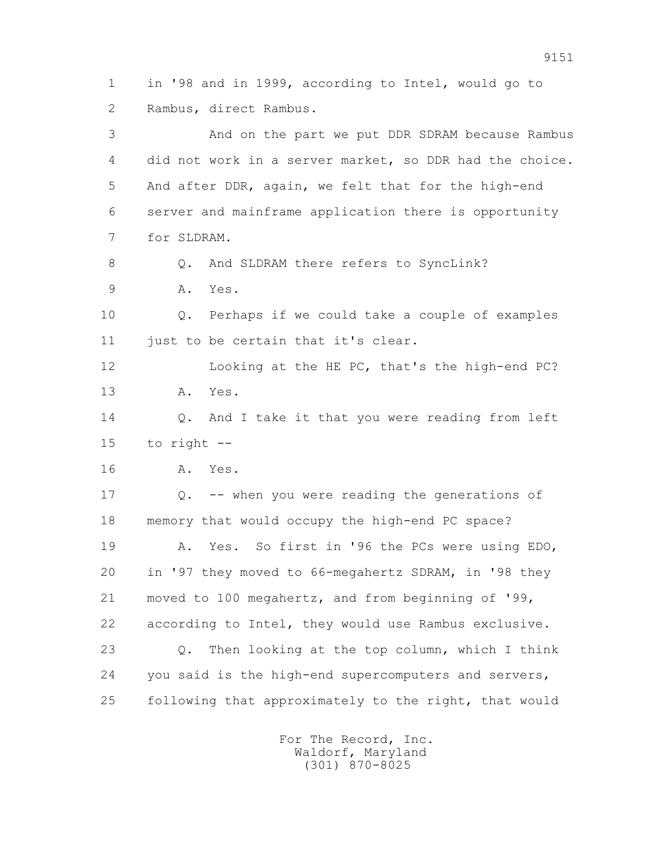1 in '98 and in 1999, according to Intel, would go to 2 Rambus, direct Rambus.

 3 And on the part we put DDR SDRAM because Rambus 4 did not work in a server market, so DDR had the choice. 5 And after DDR, again, we felt that for the high-end 6 server and mainframe application there is opportunity 7 for SLDRAM.

8 0. And SLDRAM there refers to SyncLink?

9 A. Yes.

 10 Q. Perhaps if we could take a couple of examples 11 just to be certain that it's clear.

 12 Looking at the HE PC, that's the high-end PC? 13 A. Yes.

14 0. And I take it that you were reading from left 15 to right --

16 A. Yes.

 17 Q. -- when you were reading the generations of 18 memory that would occupy the high-end PC space? 19 A. Yes. So first in '96 the PCs were using EDO, 20 in '97 they moved to 66-megahertz SDRAM, in '98 they 21 moved to 100 megahertz, and from beginning of '99, 22 according to Intel, they would use Rambus exclusive. 23 Q. Then looking at the top column, which I think 24 you said is the high-end supercomputers and servers, 25 following that approximately to the right, that would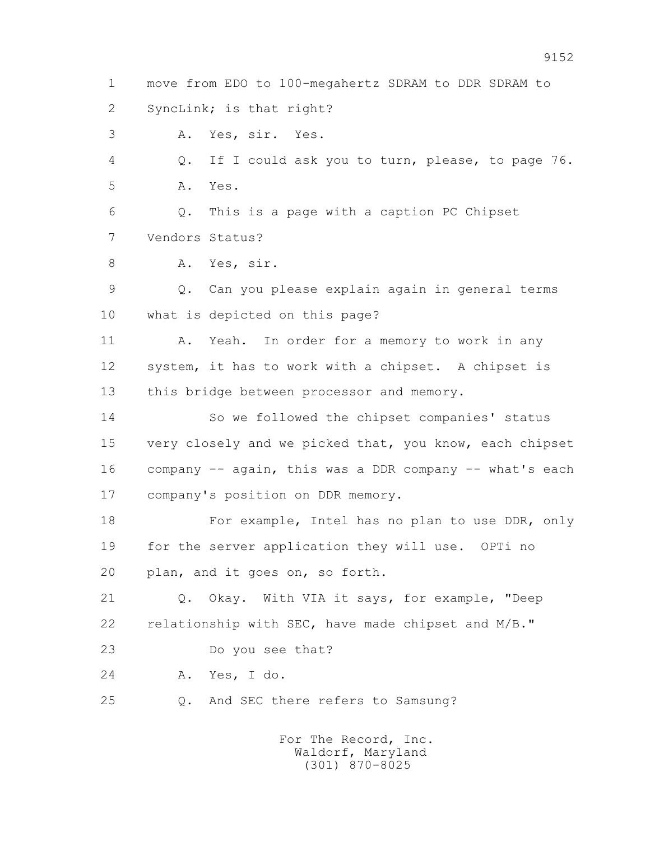1 move from EDO to 100-megahertz SDRAM to DDR SDRAM to 2 SyncLink; is that right?

3 A. Yes, sir. Yes.

 4 Q. If I could ask you to turn, please, to page 76. 5 A. Yes.

 6 Q. This is a page with a caption PC Chipset 7 Vendors Status?

8 A. Yes, sir.

 9 Q. Can you please explain again in general terms 10 what is depicted on this page?

11 A. Yeah. In order for a memory to work in any 12 system, it has to work with a chipset. A chipset is 13 this bridge between processor and memory.

 14 So we followed the chipset companies' status 15 very closely and we picked that, you know, each chipset 16 company -- again, this was a DDR company -- what's each 17 company's position on DDR memory.

 18 For example, Intel has no plan to use DDR, only 19 for the server application they will use. OPTi no 20 plan, and it goes on, so forth.

 21 Q. Okay. With VIA it says, for example, "Deep 22 relationship with SEC, have made chipset and M/B."

23 Do you see that?

24 A. Yes, I do.

25 Q. And SEC there refers to Samsung?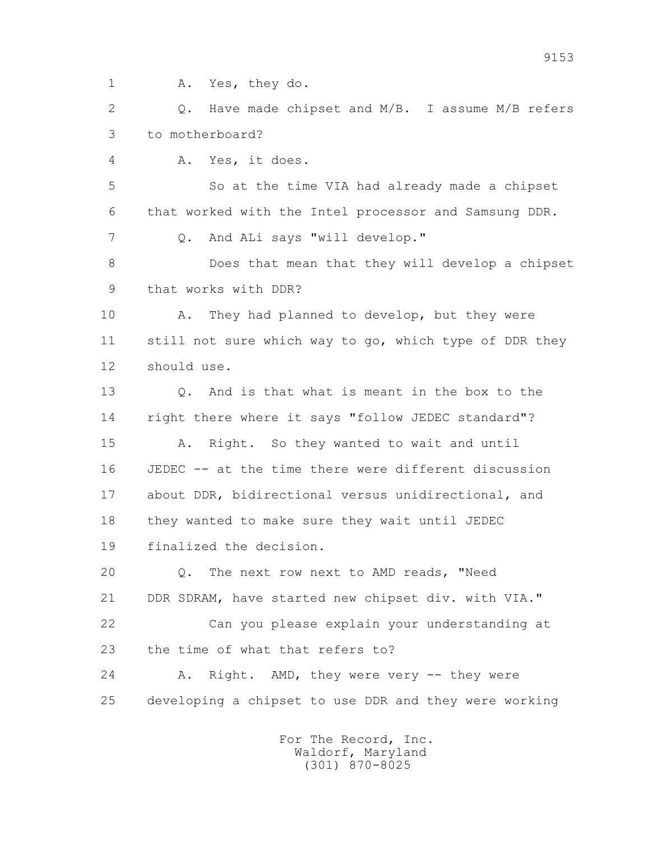1 A. Yes, they do.

2 0. Have made chipset and M/B. I assume M/B refers 3 to motherboard?

4 A. Yes, it does.

 5 So at the time VIA had already made a chipset 6 that worked with the Intel processor and Samsung DDR. 7 Q. And ALi says "will develop."

 8 Does that mean that they will develop a chipset 9 that works with DDR?

 10 A. They had planned to develop, but they were 11 still not sure which way to go, which type of DDR they 12 should use.

 13 Q. And is that what is meant in the box to the 14 right there where it says "follow JEDEC standard"?

 15 A. Right. So they wanted to wait and until 16 JEDEC -- at the time there were different discussion 17 about DDR, bidirectional versus unidirectional, and 18 they wanted to make sure they wait until JEDEC 19 finalized the decision.

 20 Q. The next row next to AMD reads, "Need 21 DDR SDRAM, have started new chipset div. with VIA."

 22 Can you please explain your understanding at 23 the time of what that refers to?

24 A. Right. AMD, they were very -- they were 25 developing a chipset to use DDR and they were working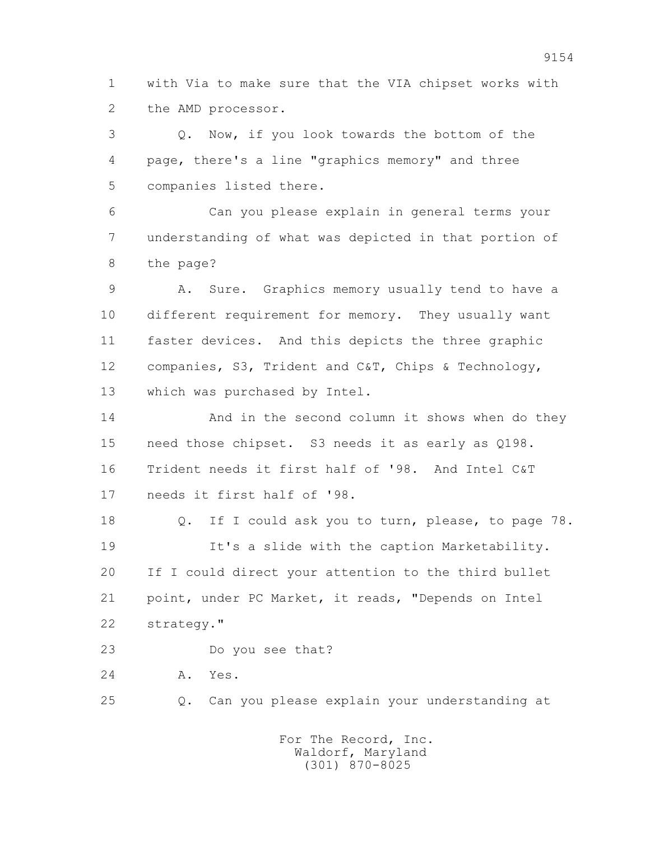1 with Via to make sure that the VIA chipset works with 2 the AMD processor.

 3 Q. Now, if you look towards the bottom of the 4 page, there's a line "graphics memory" and three 5 companies listed there.

 6 Can you please explain in general terms your 7 understanding of what was depicted in that portion of 8 the page?

 9 A. Sure. Graphics memory usually tend to have a 10 different requirement for memory. They usually want 11 faster devices. And this depicts the three graphic 12 companies, S3, Trident and C&T, Chips & Technology, 13 which was purchased by Intel.

 14 And in the second column it shows when do they 15 need those chipset. S3 needs it as early as Q198. 16 Trident needs it first half of '98. And Intel C&T 17 needs it first half of '98.

 18 Q. If I could ask you to turn, please, to page 78. 19 It's a slide with the caption Marketability. 20 If I could direct your attention to the third bullet 21 point, under PC Market, it reads, "Depends on Intel 22 strategy."

23 Do you see that?

24 A. Yes.

25 Q. Can you please explain your understanding at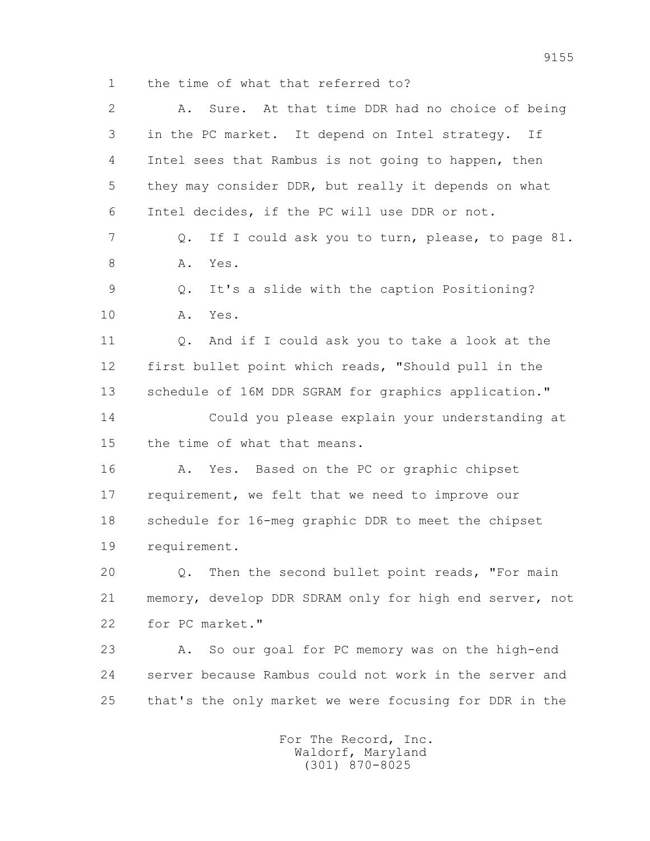1 the time of what that referred to?

| $\overline{2}$ | Sure. At that time DDR had no choice of being<br>Α.     |
|----------------|---------------------------------------------------------|
| 3              | in the PC market. It depend on Intel strategy.<br>If    |
| 4              | Intel sees that Rambus is not going to happen, then     |
| 5              | they may consider DDR, but really it depends on what    |
| 6              | Intel decides, if the PC will use DDR or not.           |
| $\overline{7}$ | If I could ask you to turn, please, to page 81.<br>Q.   |
| 8              | Yes.<br>Α.                                              |
| 9              | It's a slide with the caption Positioning?<br>Q.        |
| 10             | Α.<br>Yes.                                              |
| 11             | And if I could ask you to take a look at the<br>Q.      |
| 12             | first bullet point which reads, "Should pull in the     |
| 13             | schedule of 16M DDR SGRAM for graphics application."    |
| 14             | Could you please explain your understanding at          |
| 15             | the time of what that means.                            |
| 16             | Yes. Based on the PC or graphic chipset<br>Α.           |
| 17             | requirement, we felt that we need to improve our        |
| 18             | schedule for 16-meg graphic DDR to meet the chipset     |
| 19             | requirement.                                            |
| 20             | Q. Then the second bullet point reads, "For main        |
| 21             | memory, develop DDR SDRAM only for high end server, not |
| 22             | for PC market."                                         |
| 23             | So our goal for PC memory was on the high-end<br>Α.     |
| 24             | server because Rambus could not work in the server and  |
| 25             | that's the only market we were focusing for DDR in the  |
|                |                                                         |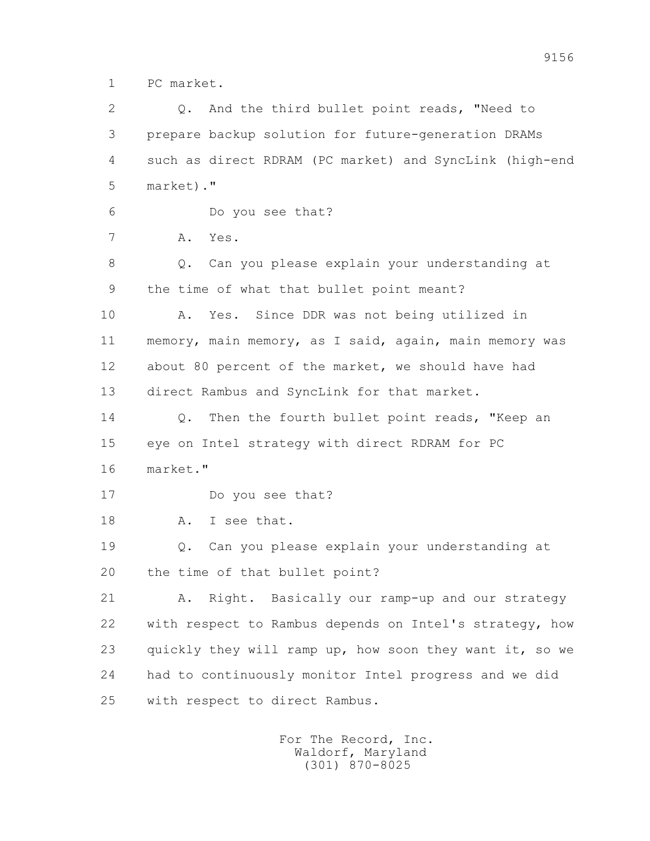1 PC market.

 2 Q. And the third bullet point reads, "Need to 3 prepare backup solution for future-generation DRAMs 4 such as direct RDRAM (PC market) and SyncLink (high-end 5 market)." 6 Do you see that? 7 A. Yes. 8 Q. Can you please explain your understanding at 9 the time of what that bullet point meant? 10 A. Yes. Since DDR was not being utilized in 11 memory, main memory, as I said, again, main memory was 12 about 80 percent of the market, we should have had 13 direct Rambus and SyncLink for that market. 14 0. Then the fourth bullet point reads, "Keep an 15 eye on Intel strategy with direct RDRAM for PC 16 market." 17 Do you see that? 18 A. I see that. 19 Q. Can you please explain your understanding at 20 the time of that bullet point? 21 A. Right. Basically our ramp-up and our strategy 22 with respect to Rambus depends on Intel's strategy, how 23 quickly they will ramp up, how soon they want it, so we 24 had to continuously monitor Intel progress and we did 25 with respect to direct Rambus.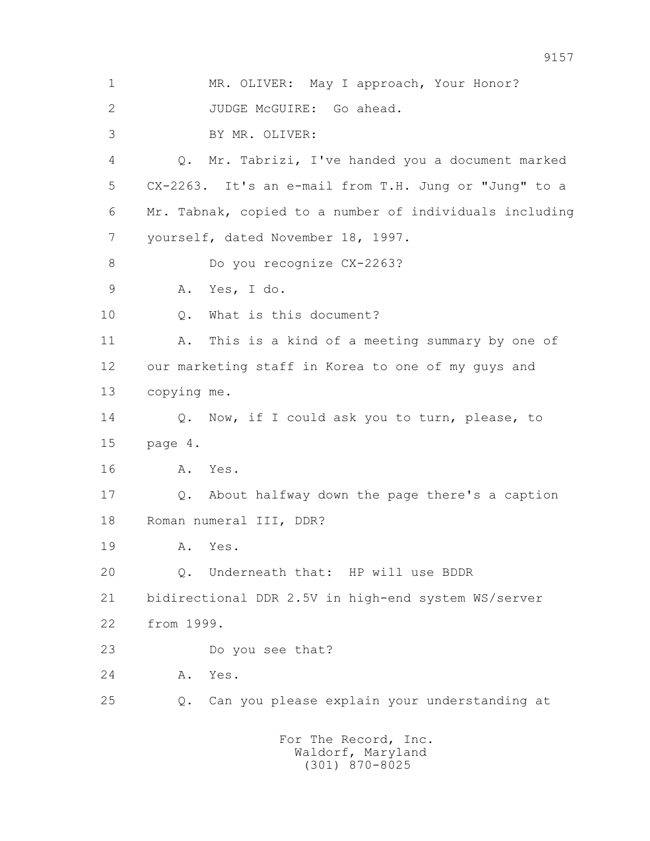1 MR. OLIVER: May I approach, Your Honor? 2 JUDGE McGUIRE: Go ahead. 3 BY MR. OLIVER: 4 Q. Mr. Tabrizi, I've handed you a document marked 5 CX-2263. It's an e-mail from T.H. Jung or "Jung" to a 6 Mr. Tabnak, copied to a number of individuals including 7 yourself, dated November 18, 1997. 8 Do you recognize CX-2263? 9 A. Yes, I do. 10 Q. What is this document? 11 A. This is a kind of a meeting summary by one of 12 our marketing staff in Korea to one of my guys and 13 copying me. 14 Q. Now, if I could ask you to turn, please, to 15 page 4. 16 A. Yes. 17 Q. About halfway down the page there's a caption 18 Roman numeral III, DDR? 19 A. Yes. 20 Q. Underneath that: HP will use BDDR 21 bidirectional DDR 2.5V in high-end system WS/server 22 from 1999. 23 Do you see that? 24 A. Yes. 25 Q. Can you please explain your understanding at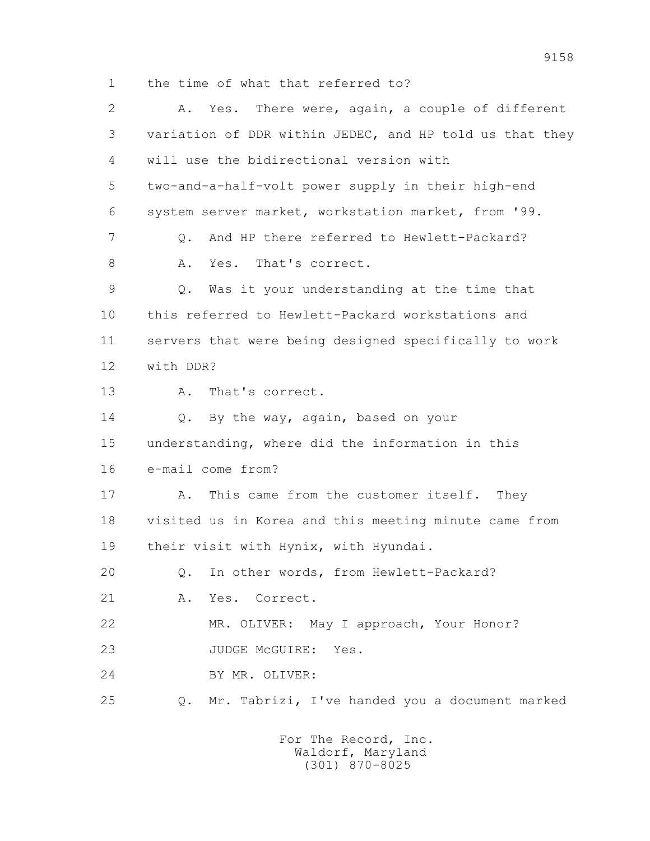1 the time of what that referred to?

 2 A. Yes. There were, again, a couple of different 3 variation of DDR within JEDEC, and HP told us that they 4 will use the bidirectional version with 5 two-and-a-half-volt power supply in their high-end 6 system server market, workstation market, from '99. 7 Q. And HP there referred to Hewlett-Packard? 8 A. Yes. That's correct. 9 Q. Was it your understanding at the time that 10 this referred to Hewlett-Packard workstations and 11 servers that were being designed specifically to work 12 with DDR? 13 A. That's correct. 14 Q. By the way, again, based on your 15 understanding, where did the information in this 16 e-mail come from? 17 A. This came from the customer itself. They 18 visited us in Korea and this meeting minute came from 19 their visit with Hynix, with Hyundai. 20 Q. In other words, from Hewlett-Packard? 21 A. Yes. Correct. 22 MR. OLIVER: May I approach, Your Honor? 23 JUDGE McGUIRE: Yes. 24 BY MR. OLIVER: 25 Q. Mr. Tabrizi, I've handed you a document marked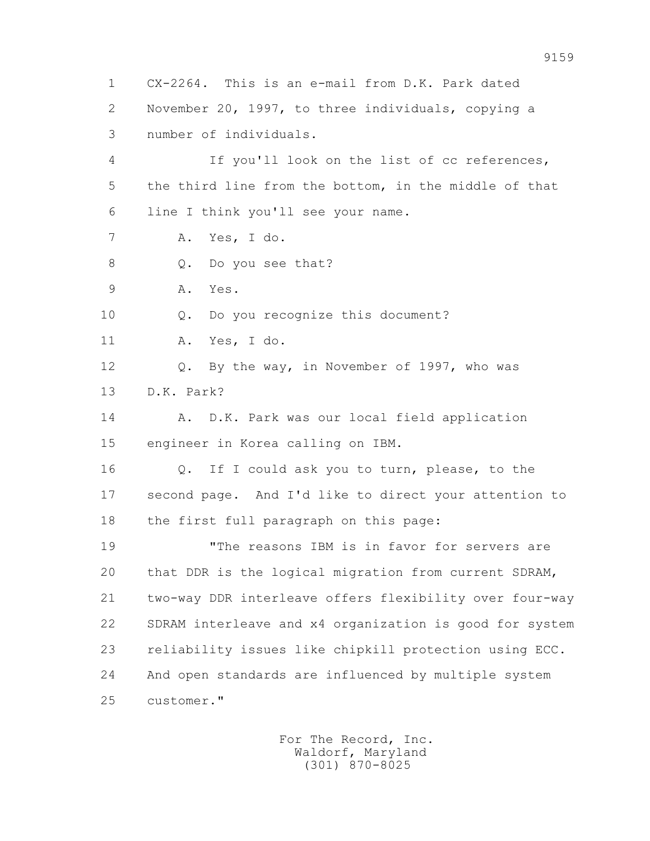1 CX-2264. This is an e-mail from D.K. Park dated 2 November 20, 1997, to three individuals, copying a 3 number of individuals. 4 If you'll look on the list of cc references, 5 the third line from the bottom, in the middle of that 6 line I think you'll see your name. 7 A. Yes, I do. 8 0. Do you see that? 9 A. Yes. 10 Q. Do you recognize this document? 11 A. Yes, I do. 12 Q. By the way, in November of 1997, who was 13 D.K. Park? 14 A. D.K. Park was our local field application 15 engineer in Korea calling on IBM. 16 Q. If I could ask you to turn, please, to the 17 second page. And I'd like to direct your attention to 18 the first full paragraph on this page: 19 "The reasons IBM is in favor for servers are 20 that DDR is the logical migration from current SDRAM, 21 two-way DDR interleave offers flexibility over four-way 22 SDRAM interleave and x4 organization is good for system 23 reliability issues like chipkill protection using ECC. 24 And open standards are influenced by multiple system 25 customer."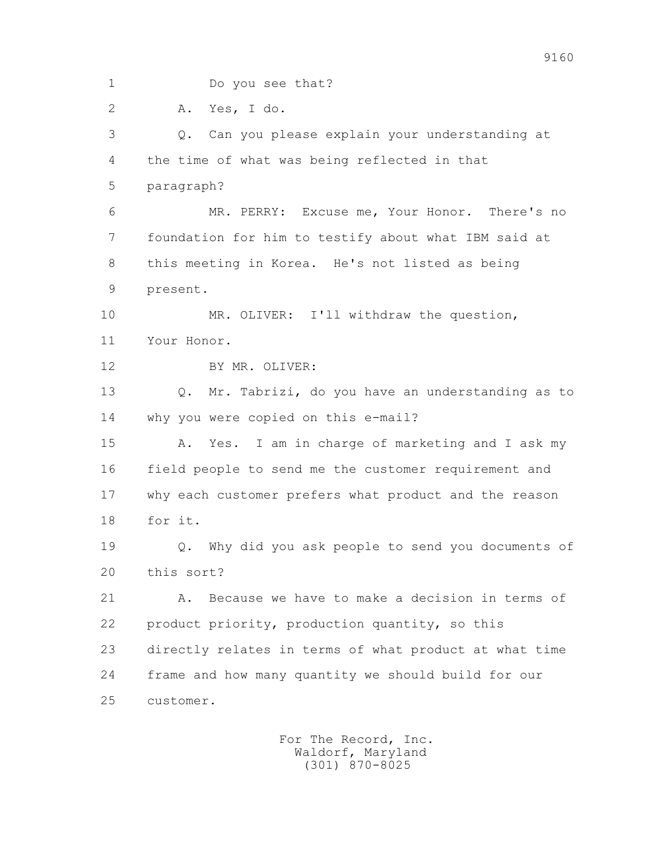1 Do you see that?

2 A. Yes, I do.

 3 Q. Can you please explain your understanding at 4 the time of what was being reflected in that 5 paragraph? 6 MR. PERRY: Excuse me, Your Honor. There's no 7 foundation for him to testify about what IBM said at 8 this meeting in Korea. He's not listed as being 9 present. 10 MR. OLIVER: I'll withdraw the question, 11 Your Honor. 12 BY MR. OLIVER: 13 Q. Mr. Tabrizi, do you have an understanding as to 14 why you were copied on this e-mail? 15 A. Yes. I am in charge of marketing and I ask my 16 field people to send me the customer requirement and 17 why each customer prefers what product and the reason 18 for it. 19 Q. Why did you ask people to send you documents of 20 this sort? 21 A. Because we have to make a decision in terms of 22 product priority, production quantity, so this 23 directly relates in terms of what product at what time 24 frame and how many quantity we should build for our 25 customer.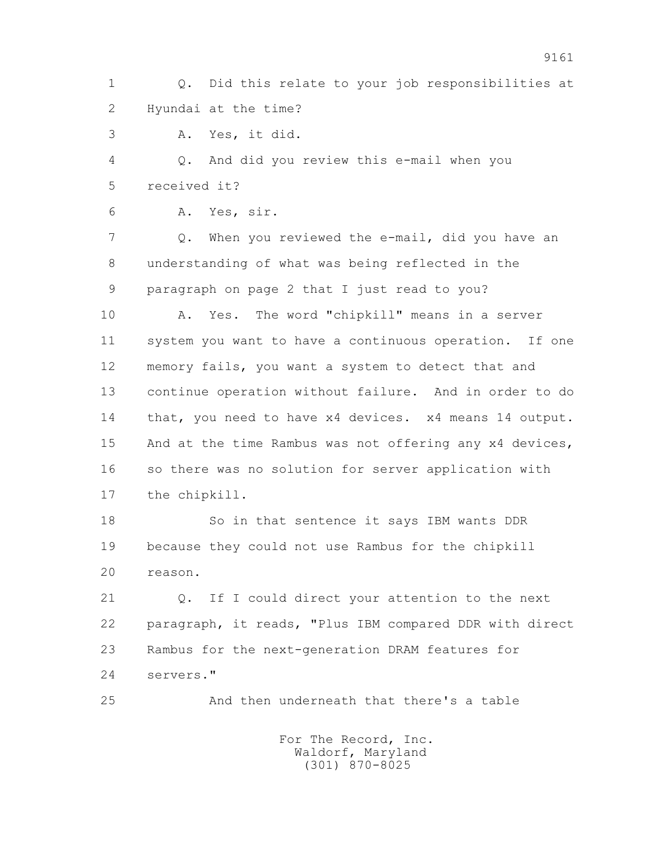1 Q. Did this relate to your job responsibilities at 2 Hyundai at the time?

3 A. Yes, it did.

 4 Q. And did you review this e-mail when you 5 received it?

6 A. Yes, sir.

 7 Q. When you reviewed the e-mail, did you have an 8 understanding of what was being reflected in the 9 paragraph on page 2 that I just read to you?

 10 A. Yes. The word "chipkill" means in a server 11 system you want to have a continuous operation. If one 12 memory fails, you want a system to detect that and 13 continue operation without failure. And in order to do 14 that, you need to have x4 devices. x4 means 14 output. 15 And at the time Rambus was not offering any x4 devices, 16 so there was no solution for server application with 17 the chipkill.

 18 So in that sentence it says IBM wants DDR 19 because they could not use Rambus for the chipkill 20 reason.

 21 Q. If I could direct your attention to the next 22 paragraph, it reads, "Plus IBM compared DDR with direct 23 Rambus for the next-generation DRAM features for 24 servers."

25 And then underneath that there's a table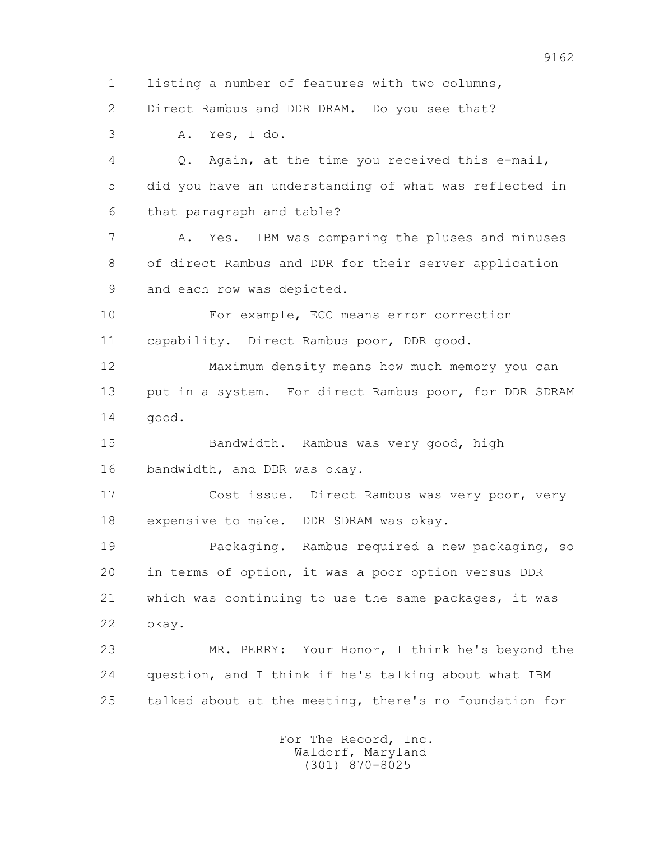1 listing a number of features with two columns,

2 Direct Rambus and DDR DRAM. Do you see that?

3 A. Yes, I do.

 4 Q. Again, at the time you received this e-mail, 5 did you have an understanding of what was reflected in 6 that paragraph and table?

 7 A. Yes. IBM was comparing the pluses and minuses 8 of direct Rambus and DDR for their server application 9 and each row was depicted.

 10 For example, ECC means error correction 11 capability. Direct Rambus poor, DDR good.

 12 Maximum density means how much memory you can 13 put in a system. For direct Rambus poor, for DDR SDRAM 14 good.

 15 Bandwidth. Rambus was very good, high 16 bandwidth, and DDR was okay.

 17 Cost issue. Direct Rambus was very poor, very 18 expensive to make. DDR SDRAM was okay.

 19 Packaging. Rambus required a new packaging, so 20 in terms of option, it was a poor option versus DDR 21 which was continuing to use the same packages, it was 22 okay.

 23 MR. PERRY: Your Honor, I think he's beyond the 24 question, and I think if he's talking about what IBM 25 talked about at the meeting, there's no foundation for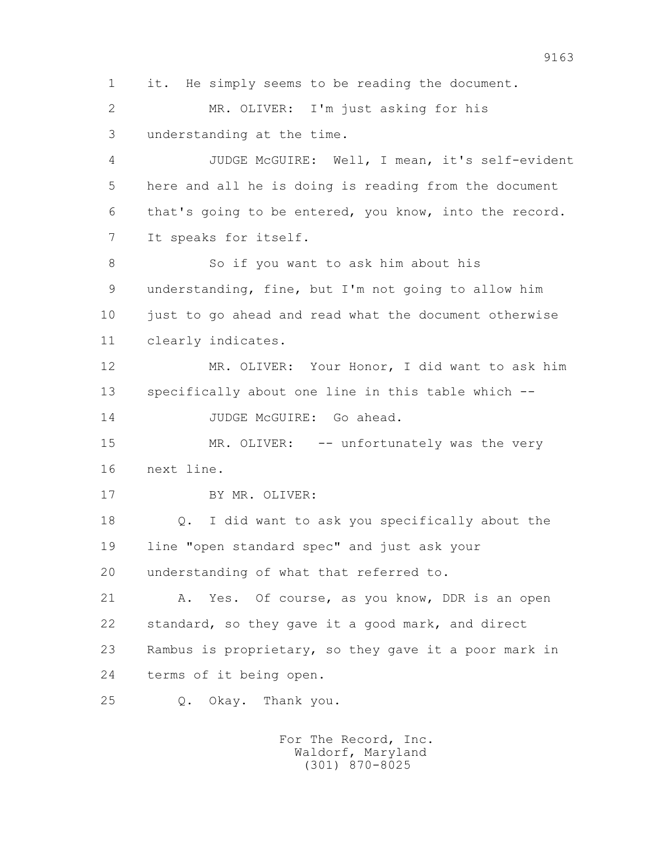1 it. He simply seems to be reading the document.

 2 MR. OLIVER: I'm just asking for his 3 understanding at the time.

 4 JUDGE McGUIRE: Well, I mean, it's self-evident 5 here and all he is doing is reading from the document 6 that's going to be entered, you know, into the record. 7 It speaks for itself.

 8 So if you want to ask him about his 9 understanding, fine, but I'm not going to allow him 10 just to go ahead and read what the document otherwise 11 clearly indicates.

 12 MR. OLIVER: Your Honor, I did want to ask him 13 specifically about one line in this table which --

14 JUDGE McGUIRE: Go ahead.

15 MR. OLIVER: -- unfortunately was the very 16 next line.

17 BY MR. OLIVER:

 18 Q. I did want to ask you specifically about the 19 line "open standard spec" and just ask your 20 understanding of what that referred to.

21 A. Yes. Of course, as you know, DDR is an open 22 standard, so they gave it a good mark, and direct 23 Rambus is proprietary, so they gave it a poor mark in 24 terms of it being open.

25 Q. Okay. Thank you.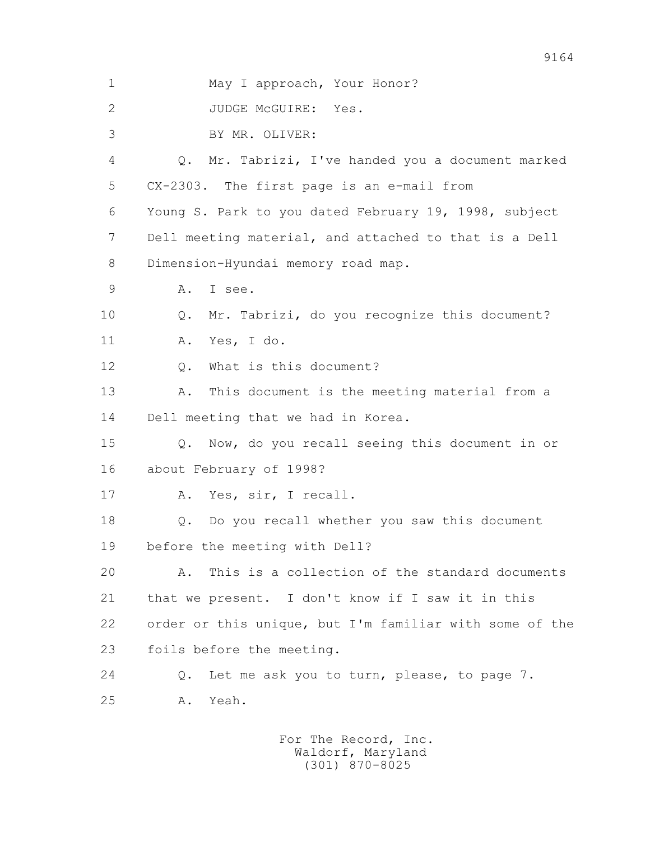1 May I approach, Your Honor? 2 JUDGE McGUIRE: Yes. 3 BY MR. OLIVER: 4 Q. Mr. Tabrizi, I've handed you a document marked 5 CX-2303. The first page is an e-mail from 6 Young S. Park to you dated February 19, 1998, subject 7 Dell meeting material, and attached to that is a Dell 8 Dimension-Hyundai memory road map. 9 A. I see. 10 Q. Mr. Tabrizi, do you recognize this document? 11 A. Yes, I do. 12 Q. What is this document? 13 A. This document is the meeting material from a 14 Dell meeting that we had in Korea. 15 Q. Now, do you recall seeing this document in or 16 about February of 1998? 17 A. Yes, sir, I recall. 18 Q. Do you recall whether you saw this document 19 before the meeting with Dell? 20 A. This is a collection of the standard documents 21 that we present. I don't know if I saw it in this 22 order or this unique, but I'm familiar with some of the 23 foils before the meeting. 24 Q. Let me ask you to turn, please, to page 7. 25 A. Yeah.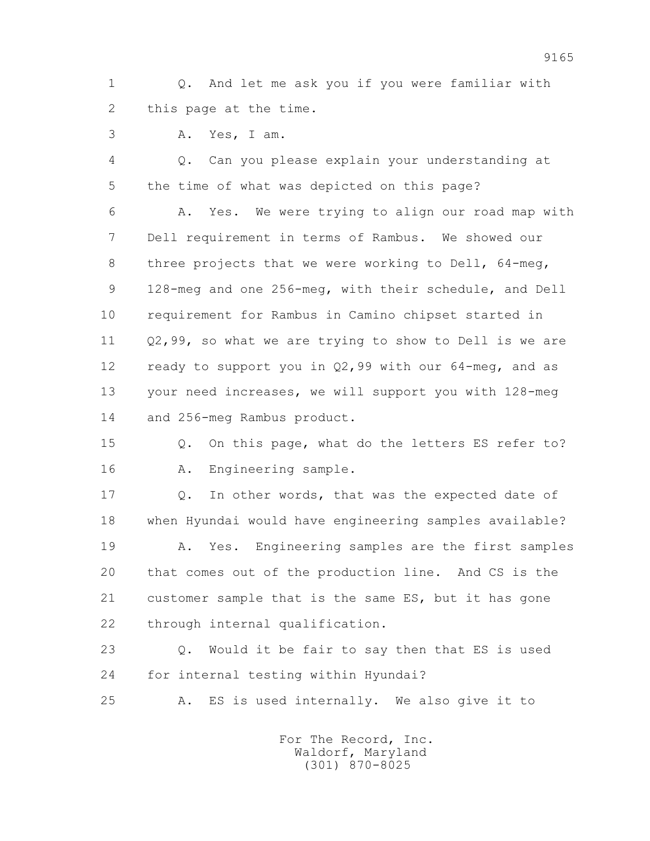1 Q. And let me ask you if you were familiar with 2 this page at the time.

3 A. Yes, I am.

 4 Q. Can you please explain your understanding at 5 the time of what was depicted on this page?

 6 A. Yes. We were trying to align our road map with 7 Dell requirement in terms of Rambus. We showed our 8 three projects that we were working to Dell, 64-meg, 9 128-meg and one 256-meg, with their schedule, and Dell 10 requirement for Rambus in Camino chipset started in 11 Q2,99, so what we are trying to show to Dell is we are 12 ready to support you in Q2,99 with our 64-meg, and as 13 your need increases, we will support you with 128-meg 14 and 256-meg Rambus product.

 15 Q. On this page, what do the letters ES refer to? 16 A. Engineering sample.

 17 Q. In other words, that was the expected date of 18 when Hyundai would have engineering samples available?

 19 A. Yes. Engineering samples are the first samples 20 that comes out of the production line. And CS is the 21 customer sample that is the same ES, but it has gone 22 through internal qualification.

 23 Q. Would it be fair to say then that ES is used 24 for internal testing within Hyundai?

25 A. ES is used internally. We also give it to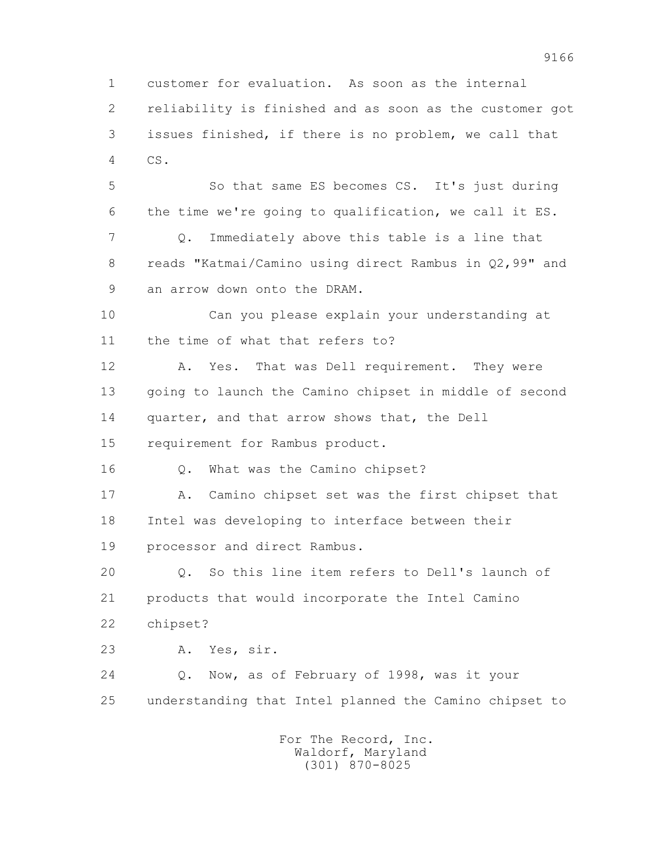1 customer for evaluation. As soon as the internal 2 reliability is finished and as soon as the customer got 3 issues finished, if there is no problem, we call that 4 CS.

 5 So that same ES becomes CS. It's just during 6 the time we're going to qualification, we call it ES. 7 Q. Immediately above this table is a line that 8 reads "Katmai/Camino using direct Rambus in Q2,99" and 9 an arrow down onto the DRAM.

 10 Can you please explain your understanding at 11 the time of what that refers to?

 12 A. Yes. That was Dell requirement. They were 13 going to launch the Camino chipset in middle of second 14 quarter, and that arrow shows that, the Dell 15 requirement for Rambus product.

16 Q. What was the Camino chipset?

 17 A. Camino chipset set was the first chipset that 18 Intel was developing to interface between their 19 processor and direct Rambus.

 20 Q. So this line item refers to Dell's launch of 21 products that would incorporate the Intel Camino 22 chipset?

23 A. Yes, sir.

 24 Q. Now, as of February of 1998, was it your 25 understanding that Intel planned the Camino chipset to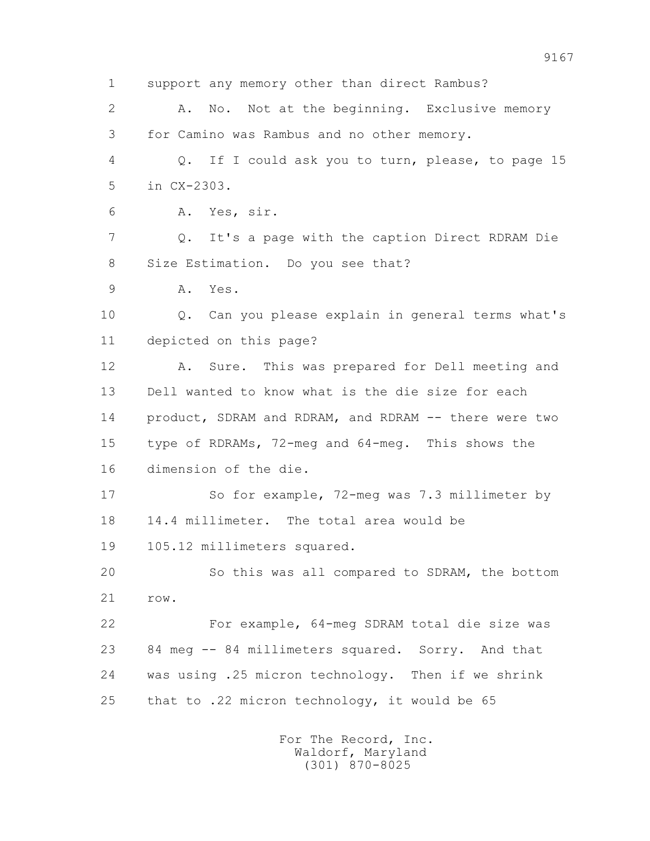1 support any memory other than direct Rambus? 2 A. No. Not at the beginning. Exclusive memory 3 for Camino was Rambus and no other memory. 4 Q. If I could ask you to turn, please, to page 15 5 in CX-2303. 6 A. Yes, sir. 7 Q. It's a page with the caption Direct RDRAM Die 8 Size Estimation. Do you see that? 9 A. Yes. 10 Q. Can you please explain in general terms what's 11 depicted on this page? 12 A. Sure. This was prepared for Dell meeting and 13 Dell wanted to know what is the die size for each 14 product, SDRAM and RDRAM, and RDRAM -- there were two 15 type of RDRAMs, 72-meg and 64-meg. This shows the 16 dimension of the die. 17 So for example, 72-meg was 7.3 millimeter by 18 14.4 millimeter. The total area would be 19 105.12 millimeters squared. 20 So this was all compared to SDRAM, the bottom 21 row. 22 For example, 64-meg SDRAM total die size was 23 84 meg -- 84 millimeters squared. Sorry. And that 24 was using .25 micron technology. Then if we shrink 25 that to .22 micron technology, it would be 65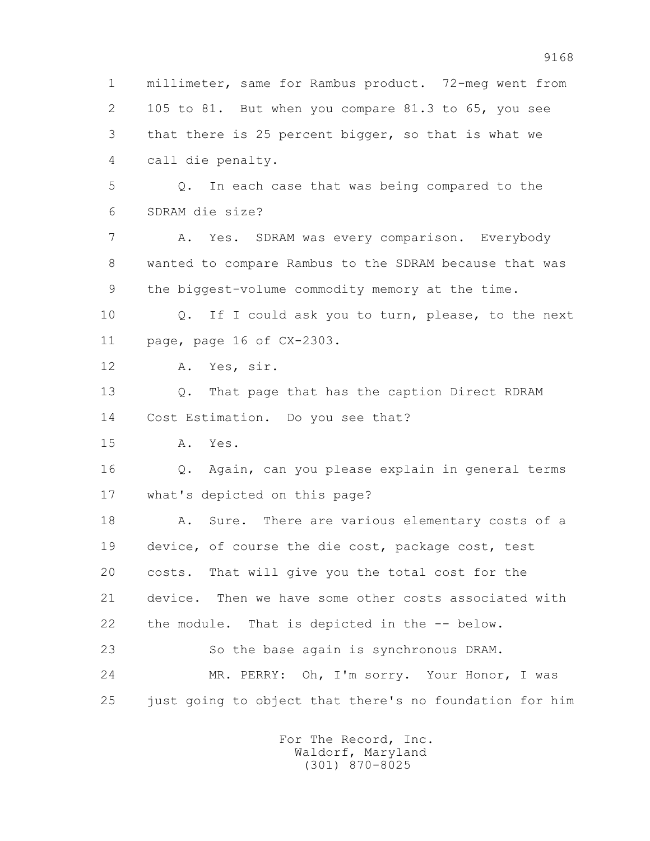1 millimeter, same for Rambus product. 72-meg went from 2 105 to 81. But when you compare 81.3 to 65, you see 3 that there is 25 percent bigger, so that is what we 4 call die penalty. 5 Q. In each case that was being compared to the 6 SDRAM die size? 7 A. Yes. SDRAM was every comparison. Everybody 8 wanted to compare Rambus to the SDRAM because that was 9 the biggest-volume commodity memory at the time. 10 Q. If I could ask you to turn, please, to the next 11 page, page 16 of CX-2303. 12 A. Yes, sir. 13 Q. That page that has the caption Direct RDRAM 14 Cost Estimation. Do you see that? 15 A. Yes. 16 Q. Again, can you please explain in general terms 17 what's depicted on this page? 18 A. Sure. There are various elementary costs of a 19 device, of course the die cost, package cost, test 20 costs. That will give you the total cost for the 21 device. Then we have some other costs associated with 22 the module. That is depicted in the -- below. 23 So the base again is synchronous DRAM. 24 MR. PERRY: Oh, I'm sorry. Your Honor, I was 25 just going to object that there's no foundation for him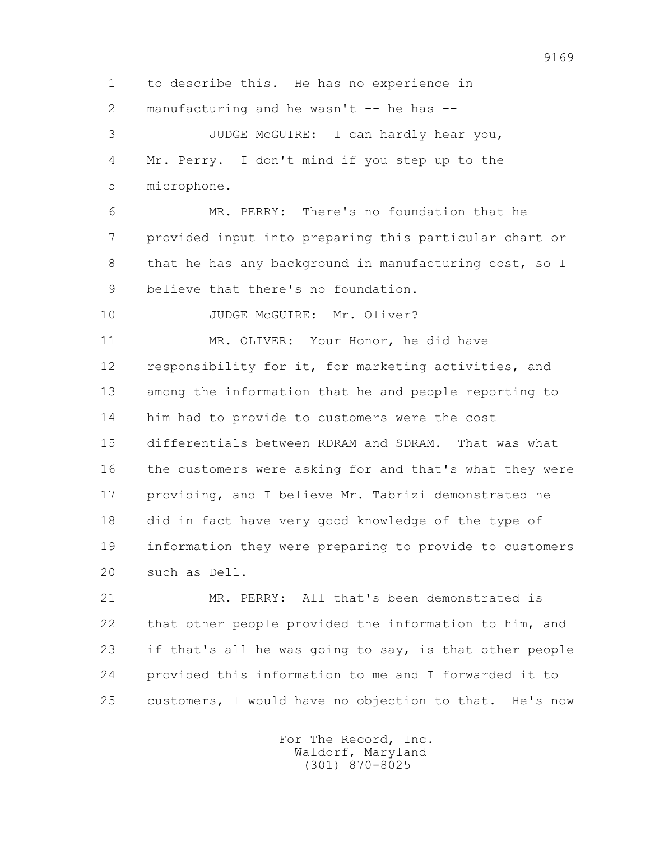1 to describe this. He has no experience in 2 manufacturing and he wasn't  $-$  he has  $-$ 

 3 JUDGE McGUIRE: I can hardly hear you, 4 Mr. Perry. I don't mind if you step up to the 5 microphone.

 6 MR. PERRY: There's no foundation that he 7 provided input into preparing this particular chart or 8 that he has any background in manufacturing cost, so I 9 believe that there's no foundation.

10 JUDGE McGUIRE: Mr. Oliver?

 11 MR. OLIVER: Your Honor, he did have 12 responsibility for it, for marketing activities, and 13 among the information that he and people reporting to 14 him had to provide to customers were the cost 15 differentials between RDRAM and SDRAM. That was what 16 the customers were asking for and that's what they were 17 providing, and I believe Mr. Tabrizi demonstrated he 18 did in fact have very good knowledge of the type of 19 information they were preparing to provide to customers 20 such as Dell.

 21 MR. PERRY: All that's been demonstrated is 22 that other people provided the information to him, and 23 if that's all he was going to say, is that other people 24 provided this information to me and I forwarded it to 25 customers, I would have no objection to that. He's now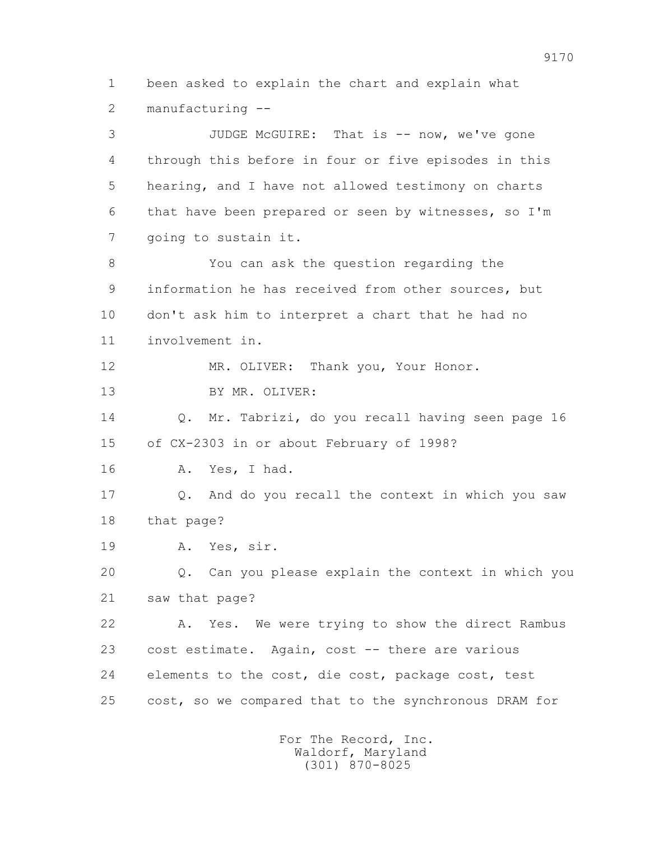1 been asked to explain the chart and explain what 2 manufacturing --

 3 JUDGE McGUIRE: That is -- now, we've gone 4 through this before in four or five episodes in this 5 hearing, and I have not allowed testimony on charts 6 that have been prepared or seen by witnesses, so I'm 7 going to sustain it. 8 You can ask the question regarding the 9 information he has received from other sources, but 10 don't ask him to interpret a chart that he had no 11 involvement in. 12 MR. OLIVER: Thank you, Your Honor. 13 BY MR. OLIVER: 14 Q. Mr. Tabrizi, do you recall having seen page 16 15 of CX-2303 in or about February of 1998? 16 A. Yes, I had. 17 Q. And do you recall the context in which you saw 18 that page? 19 A. Yes, sir. 20 Q. Can you please explain the context in which you 21 saw that page? 22 A. Yes. We were trying to show the direct Rambus 23 cost estimate. Again, cost -- there are various 24 elements to the cost, die cost, package cost, test 25 cost, so we compared that to the synchronous DRAM for

> For The Record, Inc. Waldorf, Maryland (301) 870-8025

9170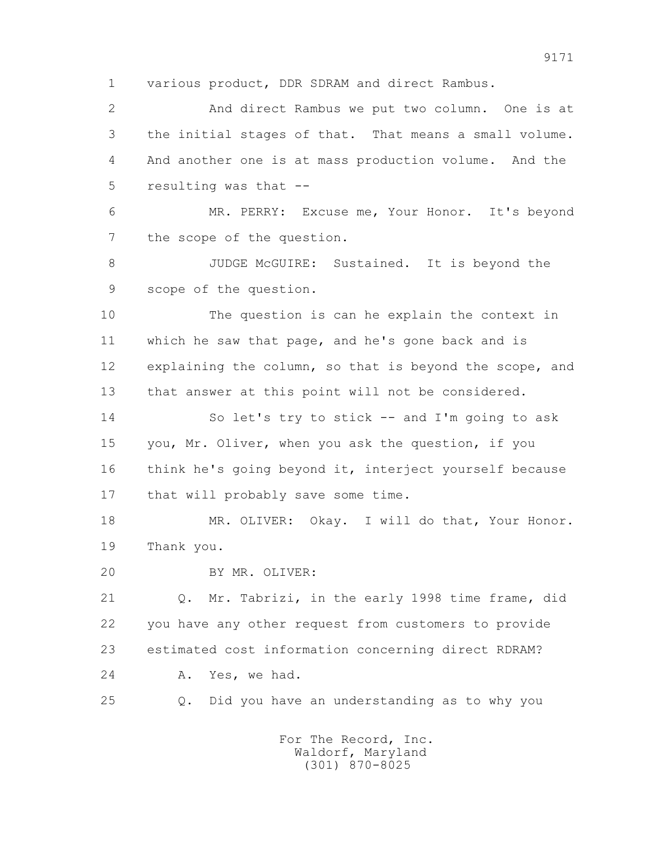1 various product, DDR SDRAM and direct Rambus.

 2 And direct Rambus we put two column. One is at 3 the initial stages of that. That means a small volume. 4 And another one is at mass production volume. And the 5 resulting was that --

 6 MR. PERRY: Excuse me, Your Honor. It's beyond 7 the scope of the question.

8 JUDGE McGUIRE: Sustained. It is beyond the 9 scope of the question.

 10 The question is can he explain the context in 11 which he saw that page, and he's gone back and is 12 explaining the column, so that is beyond the scope, and 13 that answer at this point will not be considered.

 14 So let's try to stick -- and I'm going to ask 15 you, Mr. Oliver, when you ask the question, if you 16 think he's going beyond it, interject yourself because 17 that will probably save some time.

18 MR. OLIVER: Okay. I will do that, Your Honor. 19 Thank you.

20 BY MR. OLIVER:

 21 Q. Mr. Tabrizi, in the early 1998 time frame, did 22 you have any other request from customers to provide 23 estimated cost information concerning direct RDRAM? 24 A. Yes, we had.

25 Q. Did you have an understanding as to why you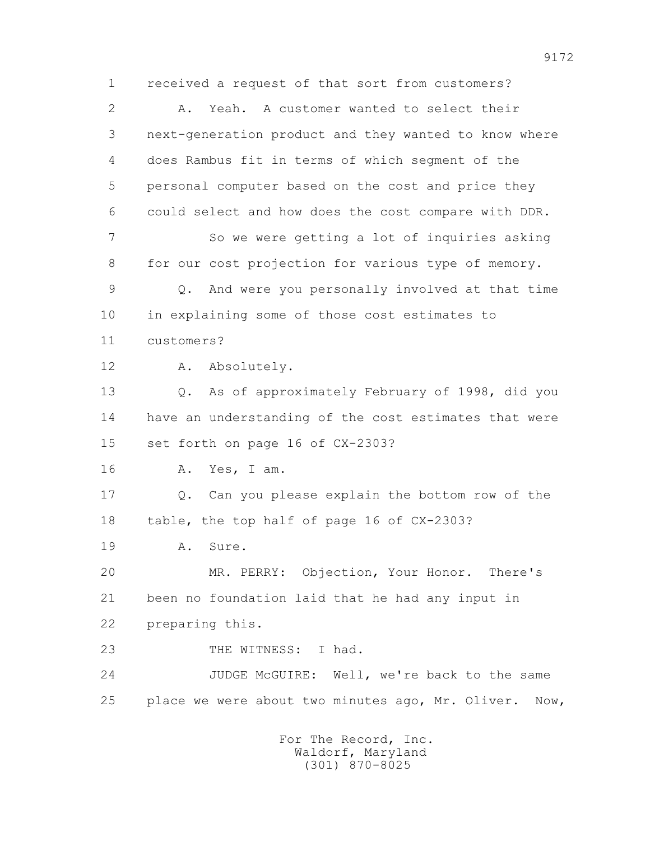1 received a request of that sort from customers? 2 A. Yeah. A customer wanted to select their 3 next-generation product and they wanted to know where 4 does Rambus fit in terms of which segment of the 5 personal computer based on the cost and price they 6 could select and how does the cost compare with DDR. 7 So we were getting a lot of inquiries asking 8 for our cost projection for various type of memory. 9 Q. And were you personally involved at that time 10 in explaining some of those cost estimates to 11 customers? 12 A. Absolutely. 13 Q. As of approximately February of 1998, did you 14 have an understanding of the cost estimates that were 15 set forth on page 16 of CX-2303? 16 A. Yes, I am. 17 Q. Can you please explain the bottom row of the 18 table, the top half of page 16 of CX-2303? 19 A. Sure. 20 MR. PERRY: Objection, Your Honor. There's 21 been no foundation laid that he had any input in 22 preparing this. 23 THE WITNESS: I had. 24 JUDGE McGUIRE: Well, we're back to the same 25 place we were about two minutes ago, Mr. Oliver. Now,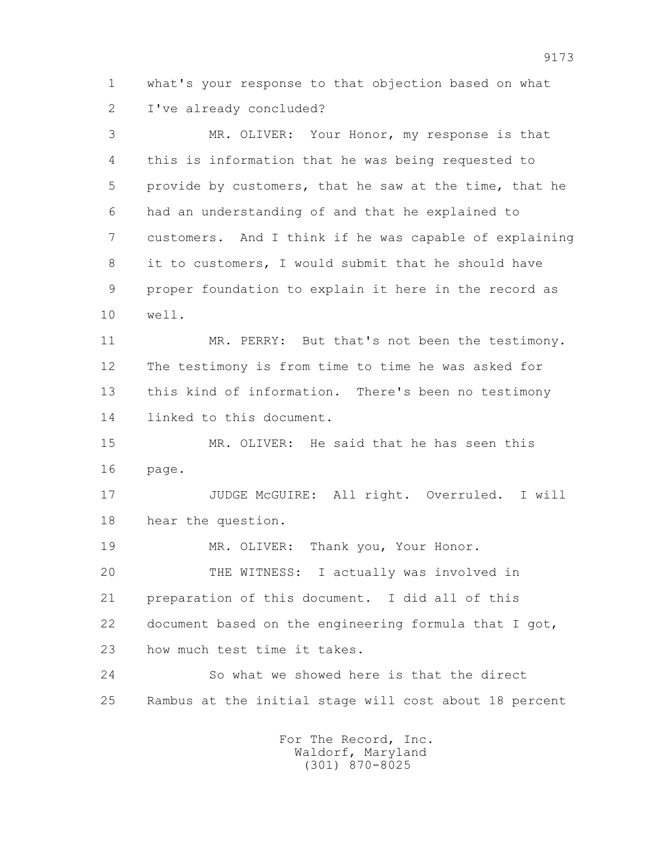1 what's your response to that objection based on what 2 I've already concluded?

 3 MR. OLIVER: Your Honor, my response is that 4 this is information that he was being requested to 5 provide by customers, that he saw at the time, that he 6 had an understanding of and that he explained to 7 customers. And I think if he was capable of explaining 8 it to customers, I would submit that he should have 9 proper foundation to explain it here in the record as 10 well.

 11 MR. PERRY: But that's not been the testimony. 12 The testimony is from time to time he was asked for 13 this kind of information. There's been no testimony 14 linked to this document.

 15 MR. OLIVER: He said that he has seen this 16 page.

 17 JUDGE McGUIRE: All right. Overruled. I will 18 hear the question.

 19 MR. OLIVER: Thank you, Your Honor. 20 THE WITNESS: I actually was involved in 21 preparation of this document. I did all of this 22 document based on the engineering formula that I got, 23 how much test time it takes.

 24 So what we showed here is that the direct 25 Rambus at the initial stage will cost about 18 percent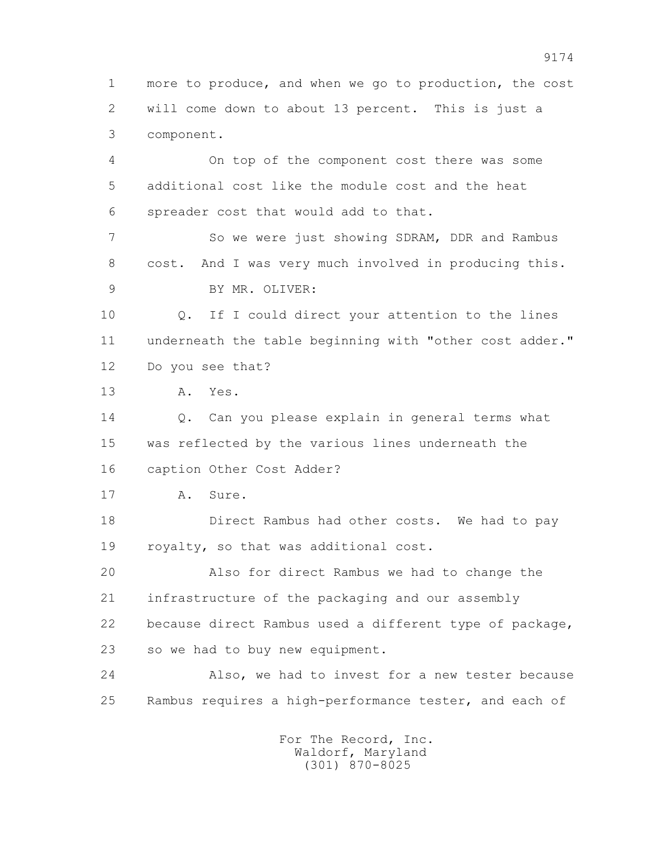1 more to produce, and when we go to production, the cost 2 will come down to about 13 percent. This is just a 3 component.

 4 On top of the component cost there was some 5 additional cost like the module cost and the heat 6 spreader cost that would add to that.

 7 So we were just showing SDRAM, DDR and Rambus 8 cost. And I was very much involved in producing this. 9 BY MR. OLIVER:

 10 Q. If I could direct your attention to the lines 11 underneath the table beginning with "other cost adder." 12 Do you see that?

13 A. Yes.

14 0. Can you please explain in general terms what 15 was reflected by the various lines underneath the 16 caption Other Cost Adder?

17 A. Sure.

 18 Direct Rambus had other costs. We had to pay 19 royalty, so that was additional cost.

 20 Also for direct Rambus we had to change the 21 infrastructure of the packaging and our assembly 22 because direct Rambus used a different type of package, 23 so we had to buy new equipment.

 24 Also, we had to invest for a new tester because 25 Rambus requires a high-performance tester, and each of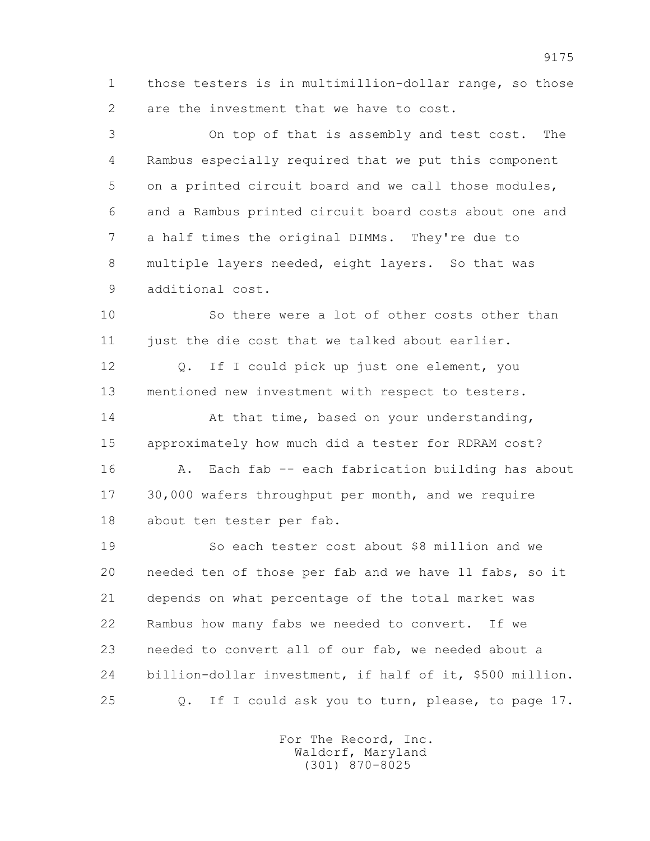1 those testers is in multimillion-dollar range, so those 2 are the investment that we have to cost.

 3 On top of that is assembly and test cost. The 4 Rambus especially required that we put this component 5 on a printed circuit board and we call those modules, 6 and a Rambus printed circuit board costs about one and 7 a half times the original DIMMs. They're due to 8 multiple layers needed, eight layers. So that was 9 additional cost.

 10 So there were a lot of other costs other than 11 just the die cost that we talked about earlier.

 12 Q. If I could pick up just one element, you 13 mentioned new investment with respect to testers.

14 At that time, based on your understanding, 15 approximately how much did a tester for RDRAM cost? 16 A. Each fab -- each fabrication building has about 17 30,000 wafers throughput per month, and we require 18 about ten tester per fab.

 19 So each tester cost about \$8 million and we 20 needed ten of those per fab and we have 11 fabs, so it 21 depends on what percentage of the total market was 22 Rambus how many fabs we needed to convert. If we 23 needed to convert all of our fab, we needed about a 24 billion-dollar investment, if half of it, \$500 million. 25 Q. If I could ask you to turn, please, to page 17.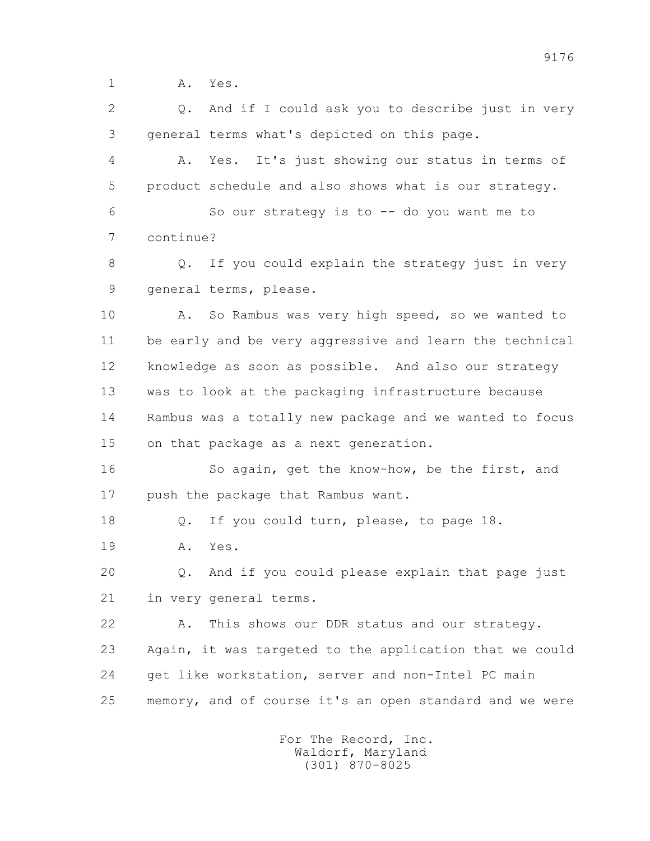1 A. Yes.

 2 Q. And if I could ask you to describe just in very 3 general terms what's depicted on this page.

 4 A. Yes. It's just showing our status in terms of 5 product schedule and also shows what is our strategy.

 6 So our strategy is to -- do you want me to 7 continue?

 8 Q. If you could explain the strategy just in very 9 general terms, please.

10 A. So Rambus was very high speed, so we wanted to 11 be early and be very aggressive and learn the technical 12 knowledge as soon as possible. And also our strategy 13 was to look at the packaging infrastructure because 14 Rambus was a totally new package and we wanted to focus 15 on that package as a next generation.

 16 So again, get the know-how, be the first, and 17 push the package that Rambus want.

18 Q. If you could turn, please, to page 18.

19 A. Yes.

 20 Q. And if you could please explain that page just 21 in very general terms.

 22 A. This shows our DDR status and our strategy. 23 Again, it was targeted to the application that we could 24 get like workstation, server and non-Intel PC main 25 memory, and of course it's an open standard and we were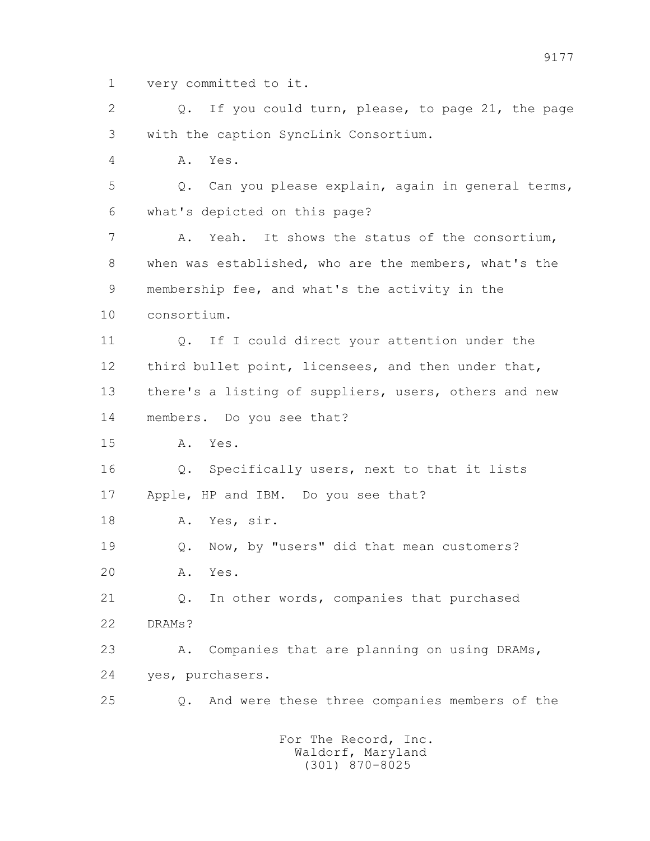1 very committed to it.

2 0. If you could turn, please, to page 21, the page 3 with the caption SyncLink Consortium.

4 A. Yes.

 5 Q. Can you please explain, again in general terms, 6 what's depicted on this page?

 7 A. Yeah. It shows the status of the consortium, 8 when was established, who are the members, what's the 9 membership fee, and what's the activity in the 10 consortium.

11 0. If I could direct your attention under the 12 third bullet point, licensees, and then under that, 13 there's a listing of suppliers, users, others and new 14 members. Do you see that?

15 A. Yes.

 16 Q. Specifically users, next to that it lists 17 Apple, HP and IBM. Do you see that?

18 A. Yes, sir.

 19 Q. Now, by "users" did that mean customers? 20 A. Yes.

 21 Q. In other words, companies that purchased 22 DRAMs?

23 A. Companies that are planning on using DRAMs, 24 yes, purchasers.

25 Q. And were these three companies members of the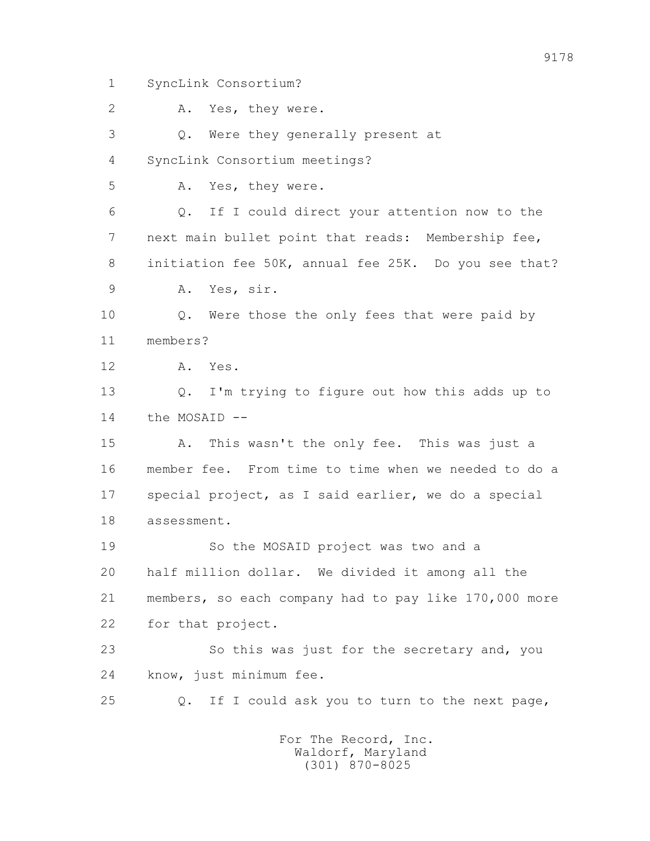1 SyncLink Consortium?

 2 A. Yes, they were. 3 Q. Were they generally present at 4 SyncLink Consortium meetings? 5 A. Yes, they were. 6 Q. If I could direct your attention now to the 7 next main bullet point that reads: Membership fee, 8 initiation fee 50K, annual fee 25K. Do you see that? 9 A. Yes, sir. 10 Q. Were those the only fees that were paid by 11 members? 12 A. Yes. 13 Q. I'm trying to figure out how this adds up to 14 the MOSAID -- 15 A. This wasn't the only fee. This was just a 16 member fee. From time to time when we needed to do a 17 special project, as I said earlier, we do a special 18 assessment. 19 So the MOSAID project was two and a 20 half million dollar. We divided it among all the 21 members, so each company had to pay like 170,000 more 22 for that project. 23 So this was just for the secretary and, you 24 know, just minimum fee. 25 Q. If I could ask you to turn to the next page, For The Record, Inc.

> Waldorf, Maryland (301) 870-8025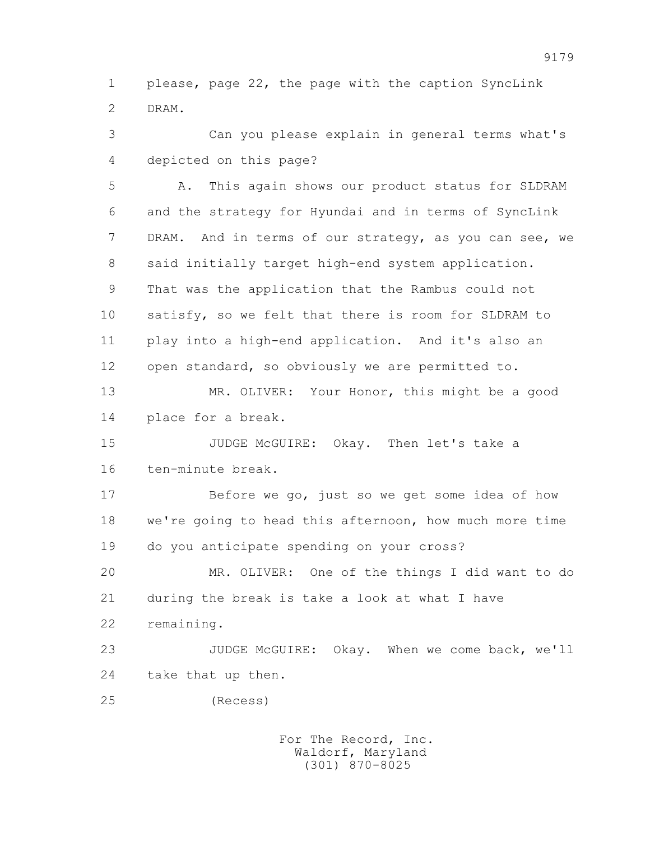1 please, page 22, the page with the caption SyncLink 2 DRAM.

 3 Can you please explain in general terms what's 4 depicted on this page?

 5 A. This again shows our product status for SLDRAM 6 and the strategy for Hyundai and in terms of SyncLink 7 DRAM. And in terms of our strategy, as you can see, we 8 said initially target high-end system application. 9 That was the application that the Rambus could not 10 satisfy, so we felt that there is room for SLDRAM to 11 play into a high-end application. And it's also an 12 open standard, so obviously we are permitted to.

 13 MR. OLIVER: Your Honor, this might be a good 14 place for a break.

 15 JUDGE McGUIRE: Okay. Then let's take a 16 ten-minute break.

 17 Before we go, just so we get some idea of how 18 we're going to head this afternoon, how much more time 19 do you anticipate spending on your cross?

 20 MR. OLIVER: One of the things I did want to do 21 during the break is take a look at what I have 22 remaining.

 23 JUDGE McGUIRE: Okay. When we come back, we'll 24 take that up then.

25 (Recess)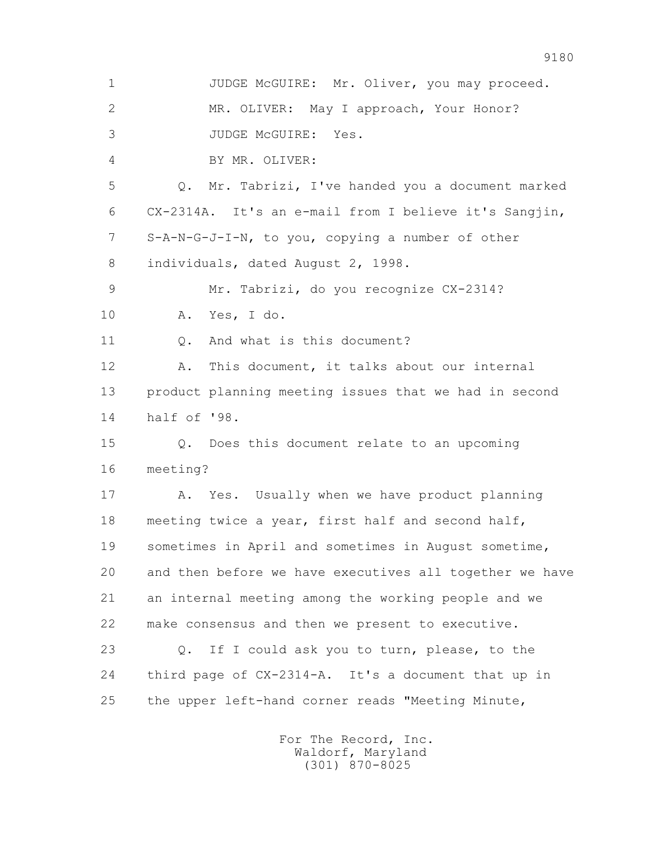1 JUDGE McGUIRE: Mr. Oliver, you may proceed. 2 MR. OLIVER: May I approach, Your Honor? 3 JUDGE McGUIRE: Yes. 4 BY MR. OLIVER: 5 Q. Mr. Tabrizi, I've handed you a document marked 6 CX-2314A. It's an e-mail from I believe it's Sangjin, 7 S-A-N-G-J-I-N, to you, copying a number of other 8 individuals, dated August 2, 1998. 9 Mr. Tabrizi, do you recognize CX-2314? 10 A. Yes, I do. 11 0. And what is this document? 12 A. This document, it talks about our internal 13 product planning meeting issues that we had in second 14 half of '98. 15 Q. Does this document relate to an upcoming 16 meeting? 17 A. Yes. Usually when we have product planning 18 meeting twice a year, first half and second half, 19 sometimes in April and sometimes in August sometime, 20 and then before we have executives all together we have 21 an internal meeting among the working people and we 22 make consensus and then we present to executive. 23 Q. If I could ask you to turn, please, to the 24 third page of CX-2314-A. It's a document that up in 25 the upper left-hand corner reads "Meeting Minute,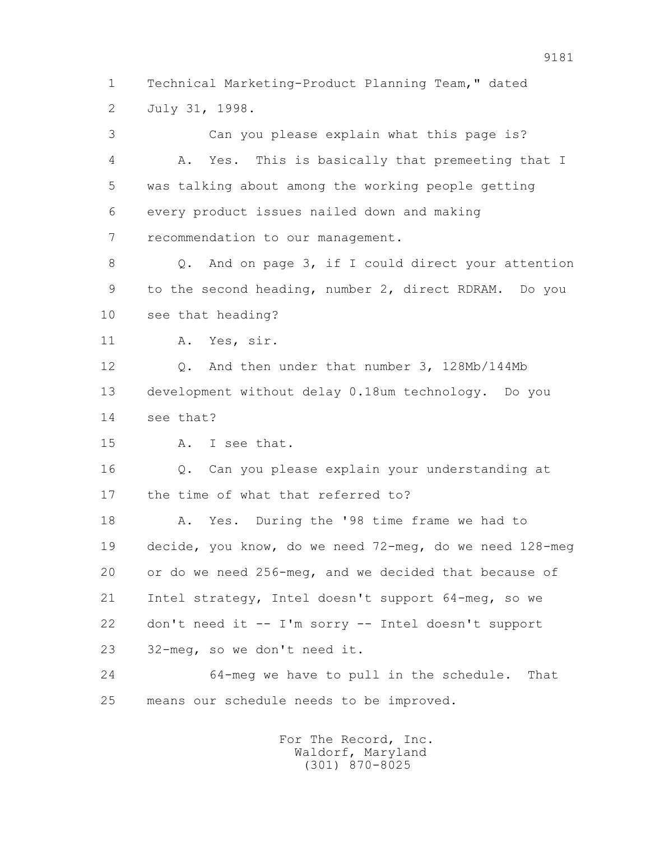1 Technical Marketing-Product Planning Team," dated 2 July 31, 1998.

 3 Can you please explain what this page is? 4 A. Yes. This is basically that premeeting that I 5 was talking about among the working people getting 6 every product issues nailed down and making 7 recommendation to our management. 8 Q. And on page 3, if I could direct your attention 9 to the second heading, number 2, direct RDRAM. Do you 10 see that heading? 11 A. Yes, sir. 12 Q. And then under that number 3, 128Mb/144Mb 13 development without delay 0.18um technology. Do you 14 see that? 15 A. I see that. 16 Q. Can you please explain your understanding at 17 the time of what that referred to? 18 A. Yes. During the '98 time frame we had to 19 decide, you know, do we need 72-meg, do we need 128-meg 20 or do we need 256-meg, and we decided that because of 21 Intel strategy, Intel doesn't support 64-meg, so we 22 don't need it -- I'm sorry -- Intel doesn't support 23 32-meg, so we don't need it. 24 64-meg we have to pull in the schedule. That 25 means our schedule needs to be improved.

> For The Record, Inc. Waldorf, Maryland (301) 870-8025

9181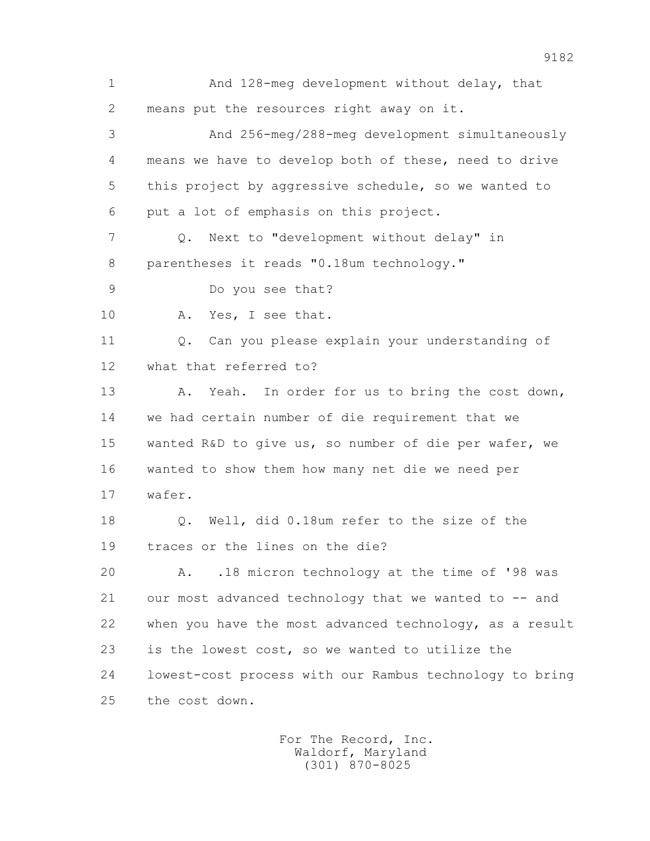1 And 128-meg development without delay, that 2 means put the resources right away on it. 3 And 256-meg/288-meg development simultaneously 4 means we have to develop both of these, need to drive 5 this project by aggressive schedule, so we wanted to 6 put a lot of emphasis on this project. 7 Q. Next to "development without delay" in 8 parentheses it reads "0.18um technology." 9 Do you see that? 10 A. Yes, I see that. 11 0. Can you please explain your understanding of 12 what that referred to? 13 A. Yeah. In order for us to bring the cost down, 14 we had certain number of die requirement that we 15 wanted R&D to give us, so number of die per wafer, we 16 wanted to show them how many net die we need per 17 wafer. 18 Q. Well, did 0.18um refer to the size of the 19 traces or the lines on the die? 20 A. .18 micron technology at the time of '98 was 21 our most advanced technology that we wanted to -- and 22 when you have the most advanced technology, as a result 23 is the lowest cost, so we wanted to utilize the 24 lowest-cost process with our Rambus technology to bring 25 the cost down.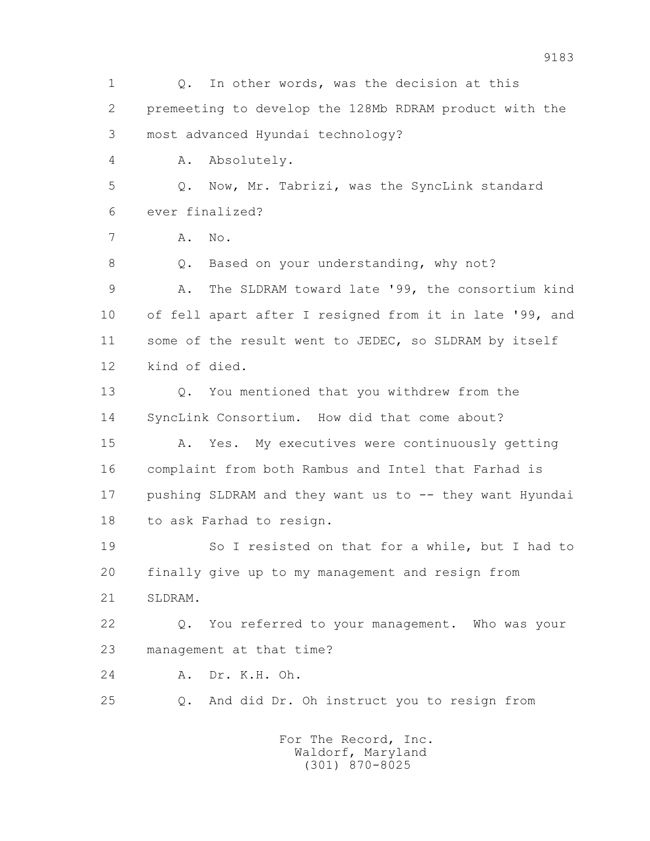1 Q. In other words, was the decision at this 2 premeeting to develop the 128Mb RDRAM product with the 3 most advanced Hyundai technology? 4 A. Absolutely. 5 Q. Now, Mr. Tabrizi, was the SyncLink standard 6 ever finalized? 7 A. No. 8 Q. Based on your understanding, why not? 9 A. The SLDRAM toward late '99, the consortium kind 10 of fell apart after I resigned from it in late '99, and 11 some of the result went to JEDEC, so SLDRAM by itself 12 kind of died. 13 Q. You mentioned that you withdrew from the 14 SyncLink Consortium. How did that come about? 15 A. Yes. My executives were continuously getting 16 complaint from both Rambus and Intel that Farhad is 17 pushing SLDRAM and they want us to -- they want Hyundai 18 to ask Farhad to resign. 19 So I resisted on that for a while, but I had to 20 finally give up to my management and resign from 21 SLDRAM. 22 Q. You referred to your management. Who was your 23 management at that time? 24 A. Dr. K.H. Oh. 25 Q. And did Dr. Oh instruct you to resign from For The Record, Inc.

> Waldorf, Maryland (301) 870-8025

9183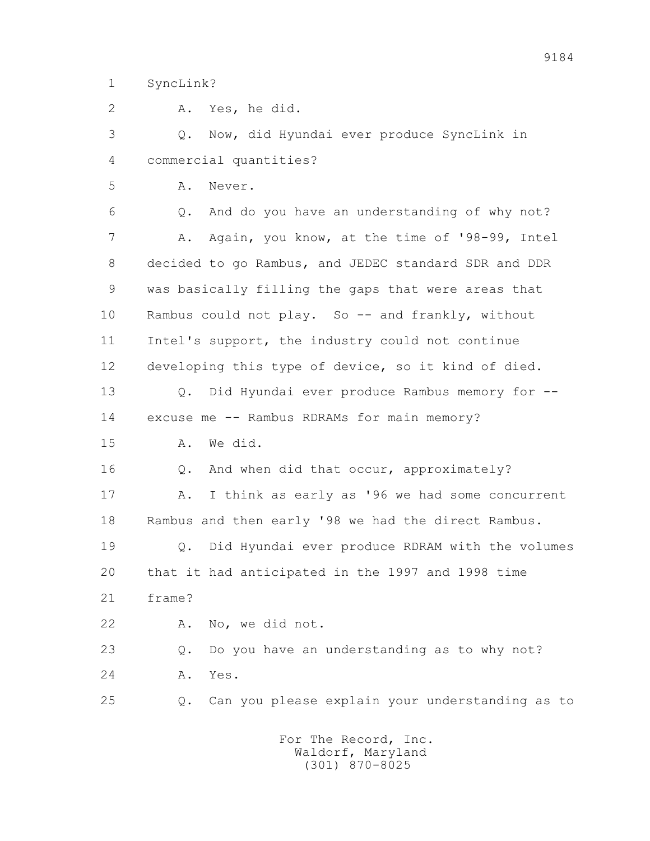1 SyncLink?

 2 A. Yes, he did. 3 Q. Now, did Hyundai ever produce SyncLink in 4 commercial quantities? 5 A. Never. 6 Q. And do you have an understanding of why not? 7 A. Again, you know, at the time of '98-99, Intel 8 decided to go Rambus, and JEDEC standard SDR and DDR 9 was basically filling the gaps that were areas that 10 Rambus could not play. So -- and frankly, without 11 Intel's support, the industry could not continue 12 developing this type of device, so it kind of died. 13 Q. Did Hyundai ever produce Rambus memory for -- 14 excuse me -- Rambus RDRAMs for main memory? 15 A. We did. 16 0. And when did that occur, approximately? 17 A. I think as early as '96 we had some concurrent 18 Rambus and then early '98 we had the direct Rambus. 19 Q. Did Hyundai ever produce RDRAM with the volumes 20 that it had anticipated in the 1997 and 1998 time 21 frame? 22 A. No, we did not. 23 Q. Do you have an understanding as to why not? 24 A. Yes. 25 Q. Can you please explain your understanding as to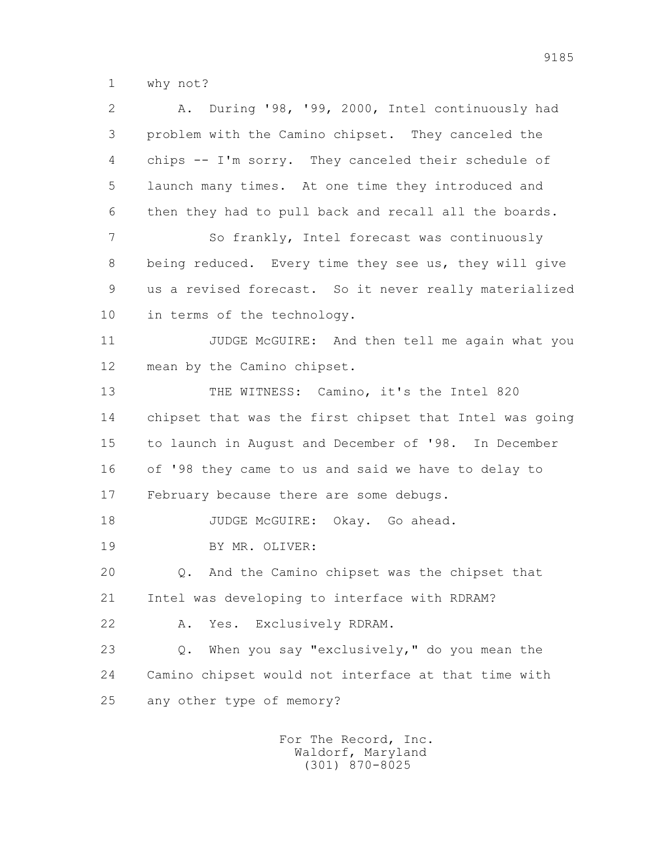1 why not?

 2 A. During '98, '99, 2000, Intel continuously had 3 problem with the Camino chipset. They canceled the 4 chips -- I'm sorry. They canceled their schedule of 5 launch many times. At one time they introduced and 6 then they had to pull back and recall all the boards. 7 So frankly, Intel forecast was continuously 8 being reduced. Every time they see us, they will give 9 us a revised forecast. So it never really materialized 10 in terms of the technology. 11 JUDGE McGUIRE: And then tell me again what you 12 mean by the Camino chipset. 13 THE WITNESS: Camino, it's the Intel 820 14 chipset that was the first chipset that Intel was going 15 to launch in August and December of '98. In December 16 of '98 they came to us and said we have to delay to 17 February because there are some debugs. 18 JUDGE McGUIRE: Okay. Go ahead. 19 BY MR. OLIVER: 20 Q. And the Camino chipset was the chipset that 21 Intel was developing to interface with RDRAM? 22 A. Yes. Exclusively RDRAM. 23 Q. When you say "exclusively," do you mean the 24 Camino chipset would not interface at that time with 25 any other type of memory?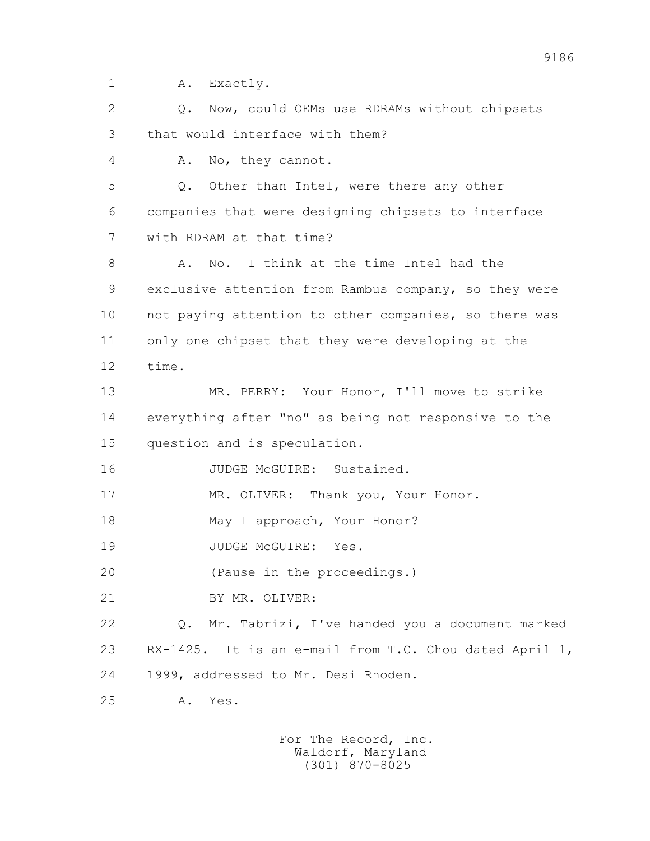1 A. Exactly.

 2 Q. Now, could OEMs use RDRAMs without chipsets 3 that would interface with them? 4 A. No, they cannot. 5 Q. Other than Intel, were there any other 6 companies that were designing chipsets to interface 7 with RDRAM at that time? 8 A. No. I think at the time Intel had the 9 exclusive attention from Rambus company, so they were 10 not paying attention to other companies, so there was 11 only one chipset that they were developing at the 12 time. 13 MR. PERRY: Your Honor, I'll move to strike 14 everything after "no" as being not responsive to the 15 question and is speculation. 16 JUDGE McGUIRE: Sustained. 17 MR. OLIVER: Thank you, Your Honor. 18 May I approach, Your Honor? 19 JUDGE McGUIRE: Yes. 20 (Pause in the proceedings.) 21 BY MR. OLIVER: 22 Q. Mr. Tabrizi, I've handed you a document marked 23 RX-1425. It is an e-mail from T.C. Chou dated April 1, 24 1999, addressed to Mr. Desi Rhoden. 25 A. Yes.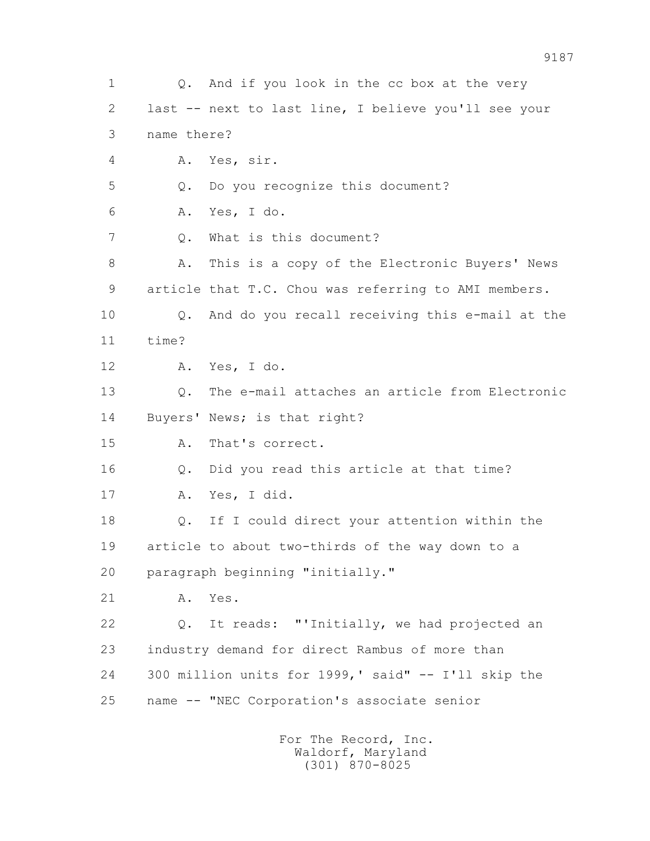1 Q. And if you look in the cc box at the very 2 last -- next to last line, I believe you'll see your 3 name there? 4 A. Yes, sir. 5 Q. Do you recognize this document? 6 A. Yes, I do. 7 Q. What is this document? 8 A. This is a copy of the Electronic Buyers' News 9 article that T.C. Chou was referring to AMI members. 10 Q. And do you recall receiving this e-mail at the 11 time? 12 A. Yes, I do. 13 Q. The e-mail attaches an article from Electronic 14 Buyers' News; is that right? 15 A. That's correct. 16 Q. Did you read this article at that time? 17 A. Yes, I did. 18 Q. If I could direct your attention within the 19 article to about two-thirds of the way down to a 20 paragraph beginning "initially." 21 A. Yes. 22 Q. It reads: "'Initially, we had projected an 23 industry demand for direct Rambus of more than 24 300 million units for 1999,' said" -- I'll skip the 25 name -- "NEC Corporation's associate senior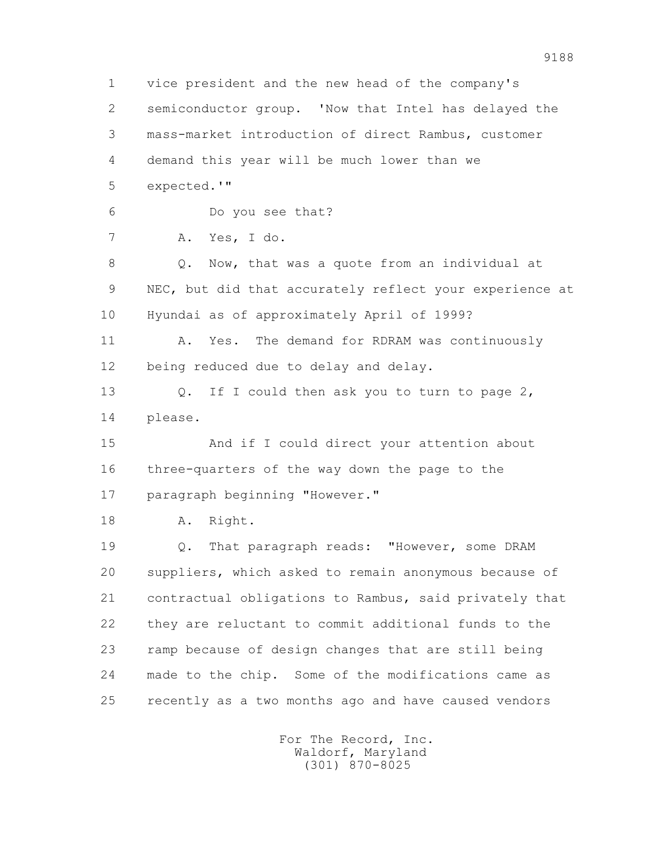1 vice president and the new head of the company's 2 semiconductor group. 'Now that Intel has delayed the 3 mass-market introduction of direct Rambus, customer 4 demand this year will be much lower than we 5 expected.'" 6 Do you see that? 7 A. Yes, I do. 8 Q. Now, that was a quote from an individual at 9 NEC, but did that accurately reflect your experience at 10 Hyundai as of approximately April of 1999? 11 A. Yes. The demand for RDRAM was continuously 12 being reduced due to delay and delay. 13 O. If I could then ask you to turn to page 2, 14 please. 15 And if I could direct your attention about 16 three-quarters of the way down the page to the 17 paragraph beginning "However." 18 A. Right. 19 Q. That paragraph reads: "However, some DRAM 20 suppliers, which asked to remain anonymous because of 21 contractual obligations to Rambus, said privately that 22 they are reluctant to commit additional funds to the 23 ramp because of design changes that are still being 24 made to the chip. Some of the modifications came as 25 recently as a two months ago and have caused vendors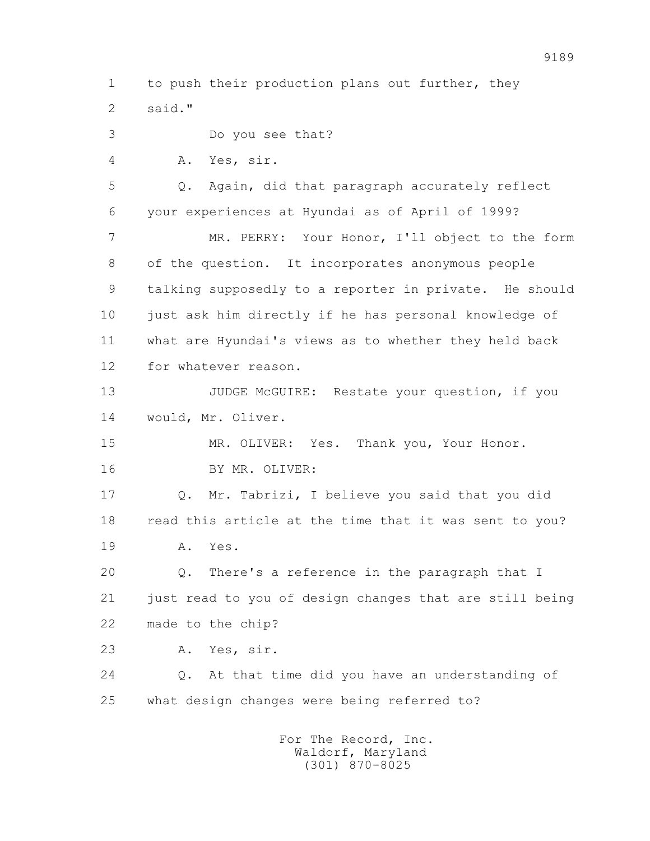1 to push their production plans out further, they 2 said."

 3 Do you see that? 4 A. Yes, sir. 5 Q. Again, did that paragraph accurately reflect 6 your experiences at Hyundai as of April of 1999? 7 MR. PERRY: Your Honor, I'll object to the form 8 of the question. It incorporates anonymous people 9 talking supposedly to a reporter in private. He should 10 just ask him directly if he has personal knowledge of 11 what are Hyundai's views as to whether they held back 12 for whatever reason. 13 JUDGE McGUIRE: Restate your question, if you 14 would, Mr. Oliver. 15 MR. OLIVER: Yes. Thank you, Your Honor. 16 BY MR. OLIVER: 17 Q. Mr. Tabrizi, I believe you said that you did 18 read this article at the time that it was sent to you? 19 A. Yes. 20 Q. There's a reference in the paragraph that I 21 just read to you of design changes that are still being 22 made to the chip? 23 A. Yes, sir. 24 Q. At that time did you have an understanding of 25 what design changes were being referred to?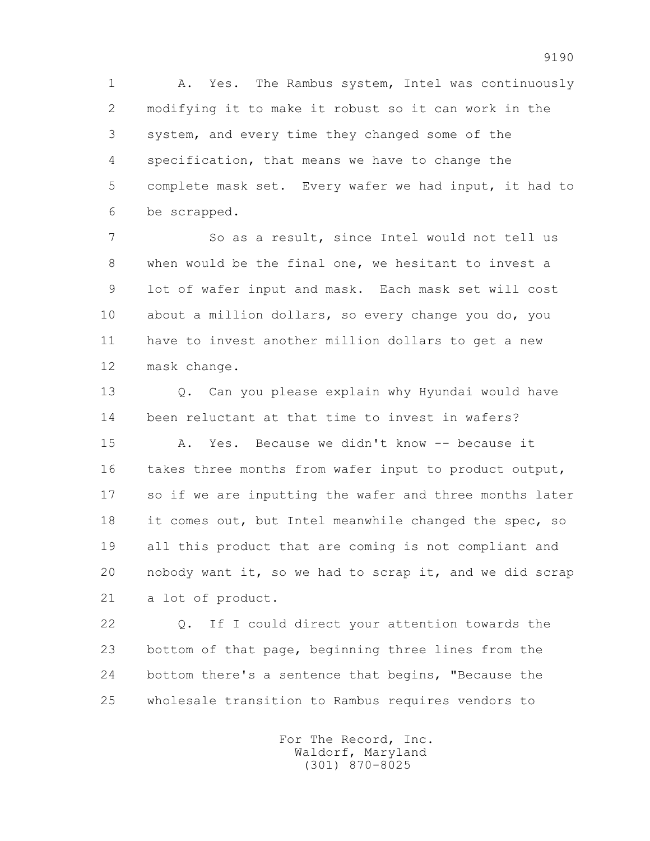1 A. Yes. The Rambus system, Intel was continuously 2 modifying it to make it robust so it can work in the 3 system, and every time they changed some of the 4 specification, that means we have to change the 5 complete mask set. Every wafer we had input, it had to 6 be scrapped.

 7 So as a result, since Intel would not tell us 8 when would be the final one, we hesitant to invest a 9 lot of wafer input and mask. Each mask set will cost 10 about a million dollars, so every change you do, you 11 have to invest another million dollars to get a new 12 mask change.

13 0. Can you please explain why Hyundai would have 14 been reluctant at that time to invest in wafers?

 15 A. Yes. Because we didn't know -- because it 16 takes three months from wafer input to product output, 17 so if we are inputting the wafer and three months later 18 it comes out, but Intel meanwhile changed the spec, so 19 all this product that are coming is not compliant and 20 nobody want it, so we had to scrap it, and we did scrap 21 a lot of product.

 22 Q. If I could direct your attention towards the 23 bottom of that page, beginning three lines from the 24 bottom there's a sentence that begins, "Because the 25 wholesale transition to Rambus requires vendors to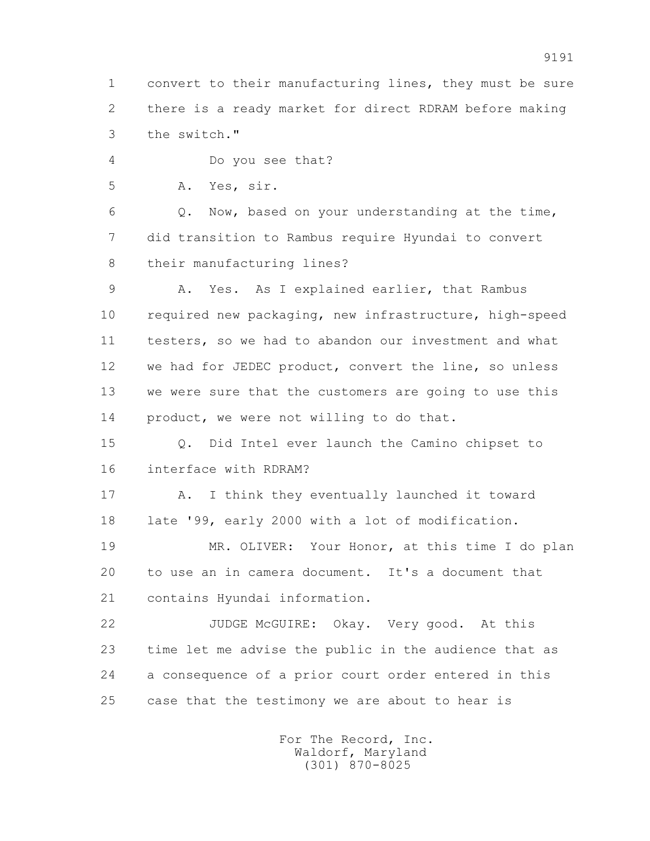1 convert to their manufacturing lines, they must be sure 2 there is a ready market for direct RDRAM before making 3 the switch."

4 Do you see that?

5 A. Yes, sir.

 6 Q. Now, based on your understanding at the time, 7 did transition to Rambus require Hyundai to convert 8 their manufacturing lines?

 9 A. Yes. As I explained earlier, that Rambus 10 required new packaging, new infrastructure, high-speed 11 testers, so we had to abandon our investment and what 12 we had for JEDEC product, convert the line, so unless 13 we were sure that the customers are going to use this 14 product, we were not willing to do that.

 15 Q. Did Intel ever launch the Camino chipset to 16 interface with RDRAM?

 17 A. I think they eventually launched it toward 18 late '99, early 2000 with a lot of modification.

 19 MR. OLIVER: Your Honor, at this time I do plan 20 to use an in camera document. It's a document that 21 contains Hyundai information.

 22 JUDGE McGUIRE: Okay. Very good. At this 23 time let me advise the public in the audience that as 24 a consequence of a prior court order entered in this 25 case that the testimony we are about to hear is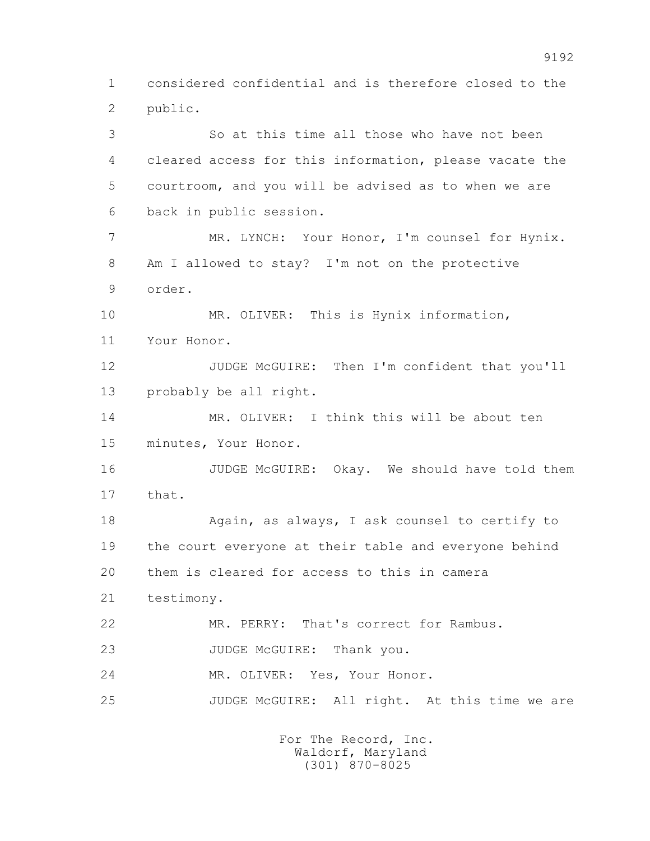1 considered confidential and is therefore closed to the 2 public.

 3 So at this time all those who have not been 4 cleared access for this information, please vacate the 5 courtroom, and you will be advised as to when we are 6 back in public session. 7 MR. LYNCH: Your Honor, I'm counsel for Hynix. 8 Am I allowed to stay? I'm not on the protective 9 order. 10 MR. OLIVER: This is Hynix information, 11 Your Honor. 12 JUDGE McGUIRE: Then I'm confident that you'll 13 probably be all right. 14 MR. OLIVER: I think this will be about ten 15 minutes, Your Honor. 16 JUDGE McGUIRE: Okay. We should have told them 17 that. 18 Again, as always, I ask counsel to certify to 19 the court everyone at their table and everyone behind 20 them is cleared for access to this in camera 21 testimony. 22 MR. PERRY: That's correct for Rambus. 23 JUDGE McGUIRE: Thank you. 24 MR. OLIVER: Yes, Your Honor. 25 JUDGE McGUIRE: All right. At this time we are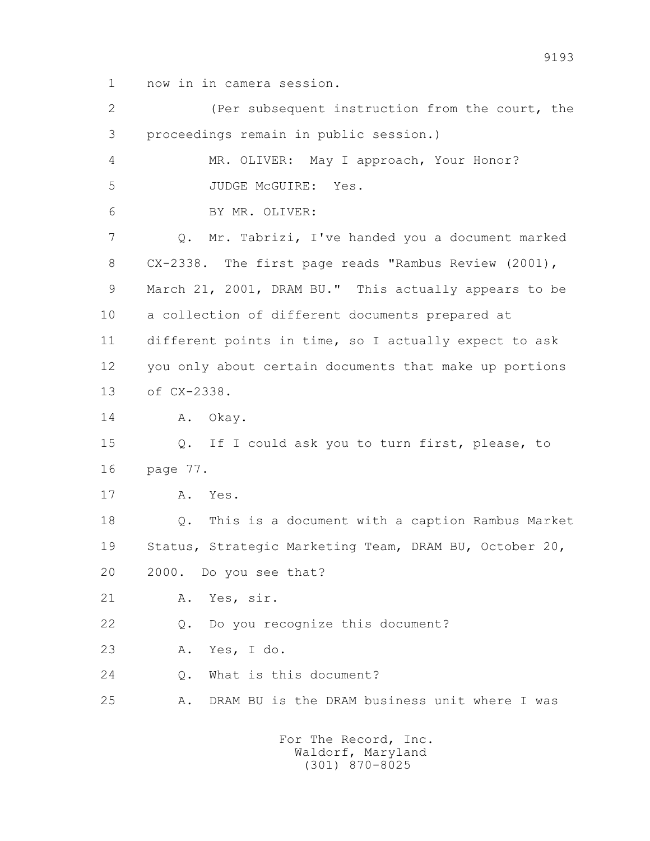1 now in in camera session.

 2 (Per subsequent instruction from the court, the 3 proceedings remain in public session.) 4 MR. OLIVER: May I approach, Your Honor? 5 JUDGE McGUIRE: Yes. 6 BY MR. OLIVER: 7 Q. Mr. Tabrizi, I've handed you a document marked 8 CX-2338. The first page reads "Rambus Review (2001), 9 March 21, 2001, DRAM BU." This actually appears to be 10 a collection of different documents prepared at 11 different points in time, so I actually expect to ask 12 you only about certain documents that make up portions 13 of CX-2338. 14 A. Okay. 15 Q. If I could ask you to turn first, please, to 16 page 77. 17 A. Yes. 18 Q. This is a document with a caption Rambus Market 19 Status, Strategic Marketing Team, DRAM BU, October 20, 20 2000. Do you see that? 21 A. Yes, sir. 22 Q. Do you recognize this document? 23 A. Yes, I do. 24 Q. What is this document? 25 A. DRAM BU is the DRAM business unit where I was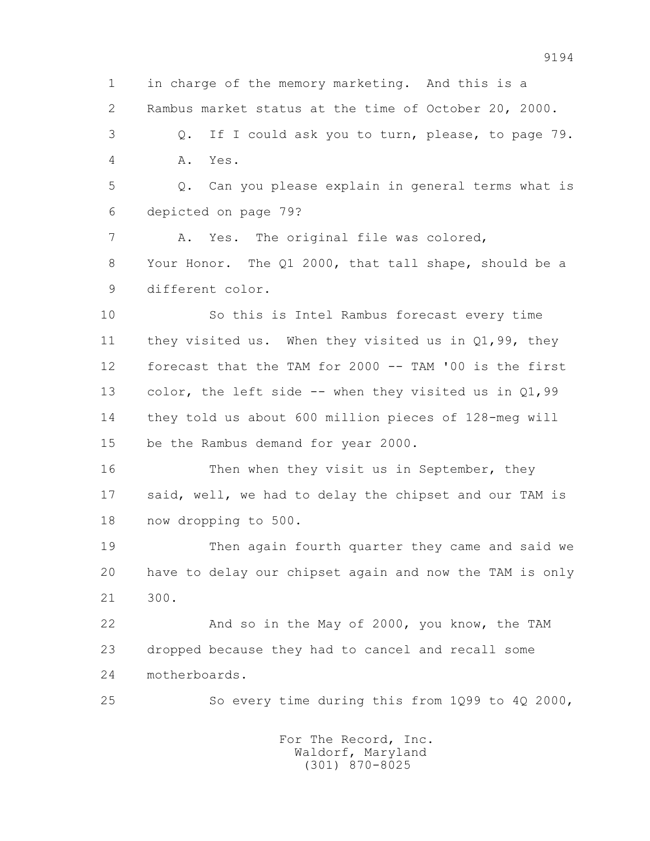1 in charge of the memory marketing. And this is a 2 Rambus market status at the time of October 20, 2000. 3 Q. If I could ask you to turn, please, to page 79. 4 A. Yes. 5 Q. Can you please explain in general terms what is 6 depicted on page 79? 7 A. Yes. The original file was colored, 8 Your Honor. The Q1 2000, that tall shape, should be a 9 different color. 10 So this is Intel Rambus forecast every time 11 they visited us. When they visited us in Q1,99, they 12 forecast that the TAM for 2000 -- TAM '00 is the first 13 color, the left side -- when they visited us in Q1,99 14 they told us about 600 million pieces of 128-meg will 15 be the Rambus demand for year 2000. 16 Then when they visit us in September, they 17 said, well, we had to delay the chipset and our TAM is 18 now dropping to 500. 19 Then again fourth quarter they came and said we 20 have to delay our chipset again and now the TAM is only 21 300. 22 And so in the May of 2000, you know, the TAM 23 dropped because they had to cancel and recall some 24 motherboards. 25 So every time during this from 1Q99 to 4Q 2000, For The Record, Inc.

 Waldorf, Maryland (301) 870-8025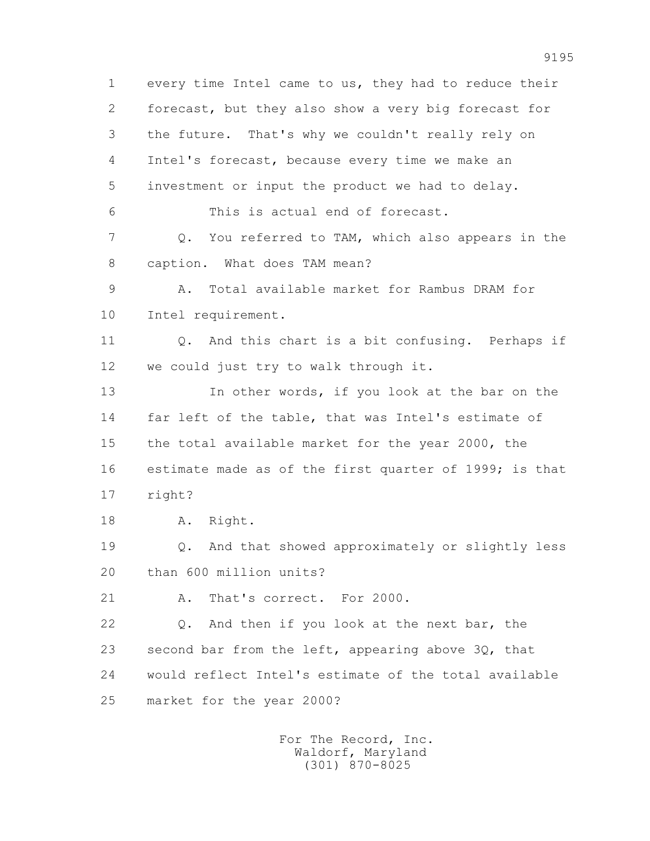1 every time Intel came to us, they had to reduce their 2 forecast, but they also show a very big forecast for 3 the future. That's why we couldn't really rely on 4 Intel's forecast, because every time we make an 5 investment or input the product we had to delay. 6 This is actual end of forecast. 7 Q. You referred to TAM, which also appears in the 8 caption. What does TAM mean? 9 A. Total available market for Rambus DRAM for 10 Intel requirement. 11 Q. And this chart is a bit confusing. Perhaps if 12 we could just try to walk through it. 13 In other words, if you look at the bar on the 14 far left of the table, that was Intel's estimate of 15 the total available market for the year 2000, the 16 estimate made as of the first quarter of 1999; is that 17 right? 18 A. Right. 19 Q. And that showed approximately or slightly less 20 than 600 million units? 21 A. That's correct. For 2000. 22 Q. And then if you look at the next bar, the 23 second bar from the left, appearing above 3Q, that 24 would reflect Intel's estimate of the total available 25 market for the year 2000?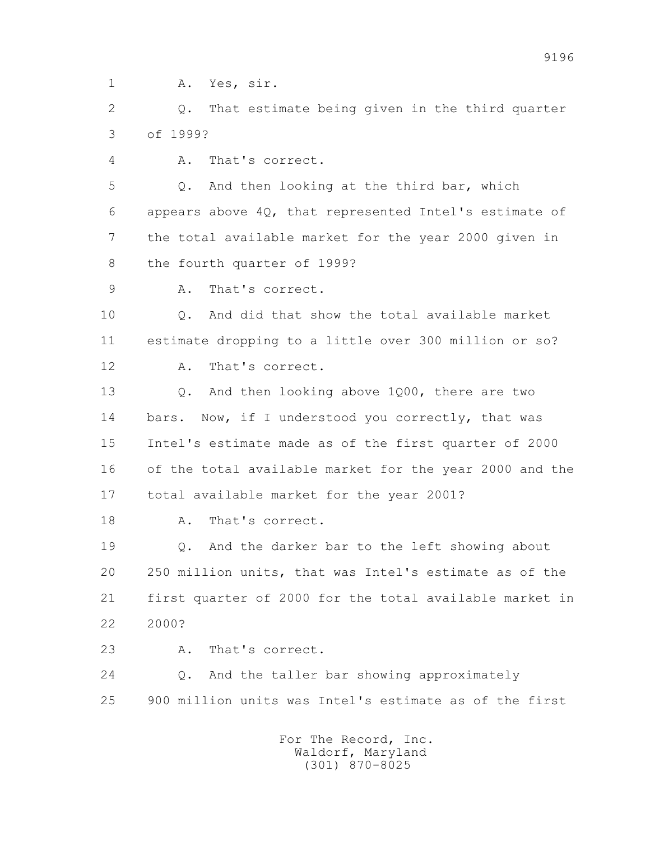1 A. Yes, sir.

 2 Q. That estimate being given in the third quarter 3 of 1999?

4 A. That's correct.

 5 Q. And then looking at the third bar, which 6 appears above 4Q, that represented Intel's estimate of 7 the total available market for the year 2000 given in 8 the fourth quarter of 1999?

9 A. That's correct.

 10 Q. And did that show the total available market 11 estimate dropping to a little over 300 million or so?

12 A. That's correct.

 13 Q. And then looking above 1Q00, there are two 14 bars. Now, if I understood you correctly, that was 15 Intel's estimate made as of the first quarter of 2000 16 of the total available market for the year 2000 and the 17 total available market for the year 2001?

18 A. That's correct.

 19 Q. And the darker bar to the left showing about 20 250 million units, that was Intel's estimate as of the 21 first quarter of 2000 for the total available market in 22 2000?

23 A. That's correct.

 24 Q. And the taller bar showing approximately 25 900 million units was Intel's estimate as of the first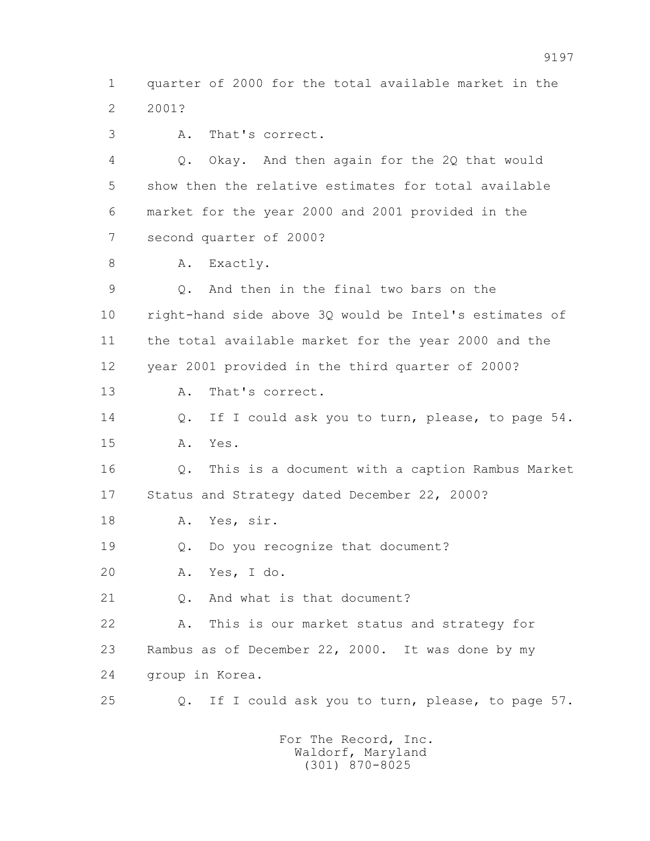1 quarter of 2000 for the total available market in the 2 2001?

3 A. That's correct.

 4 Q. Okay. And then again for the 2Q that would 5 show then the relative estimates for total available 6 market for the year 2000 and 2001 provided in the 7 second quarter of 2000?

8 A. Exactly.

 9 Q. And then in the final two bars on the 10 right-hand side above 3Q would be Intel's estimates of 11 the total available market for the year 2000 and the 12 year 2001 provided in the third quarter of 2000? 13 A. That's correct. 14 Q. If I could ask you to turn, please, to page 54. 15 A. Yes. 16 Q. This is a document with a caption Rambus Market 17 Status and Strategy dated December 22, 2000? 18 A. Yes, sir. 19 Q. Do you recognize that document? 20 A. Yes, I do.

21 Q. And what is that document?

 22 A. This is our market status and strategy for 23 Rambus as of December 22, 2000. It was done by my 24 group in Korea.

25 Q. If I could ask you to turn, please, to page 57.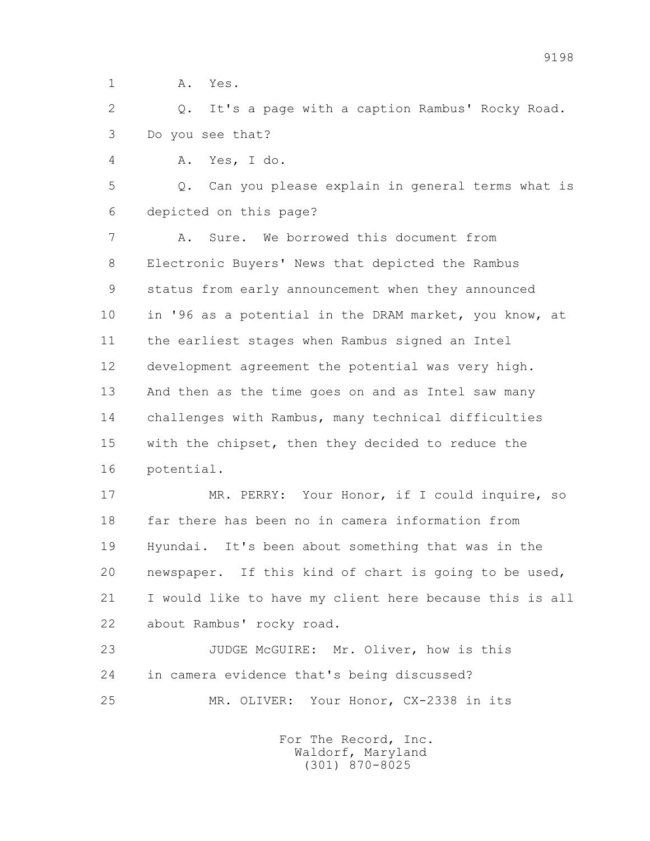1 **A.** Yes.

 2 Q. It's a page with a caption Rambus' Rocky Road. 3 Do you see that?

4 A. Yes, I do.

 5 Q. Can you please explain in general terms what is 6 depicted on this page?

 7 A. Sure. We borrowed this document from 8 Electronic Buyers' News that depicted the Rambus 9 status from early announcement when they announced 10 in '96 as a potential in the DRAM market, you know, at 11 the earliest stages when Rambus signed an Intel 12 development agreement the potential was very high. 13 And then as the time goes on and as Intel saw many 14 challenges with Rambus, many technical difficulties 15 with the chipset, then they decided to reduce the 16 potential.

 17 MR. PERRY: Your Honor, if I could inquire, so 18 far there has been no in camera information from 19 Hyundai. It's been about something that was in the 20 newspaper. If this kind of chart is going to be used, 21 I would like to have my client here because this is all 22 about Rambus' rocky road.

 23 JUDGE McGUIRE: Mr. Oliver, how is this 24 in camera evidence that's being discussed? 25 MR. OLIVER: Your Honor, CX-2338 in its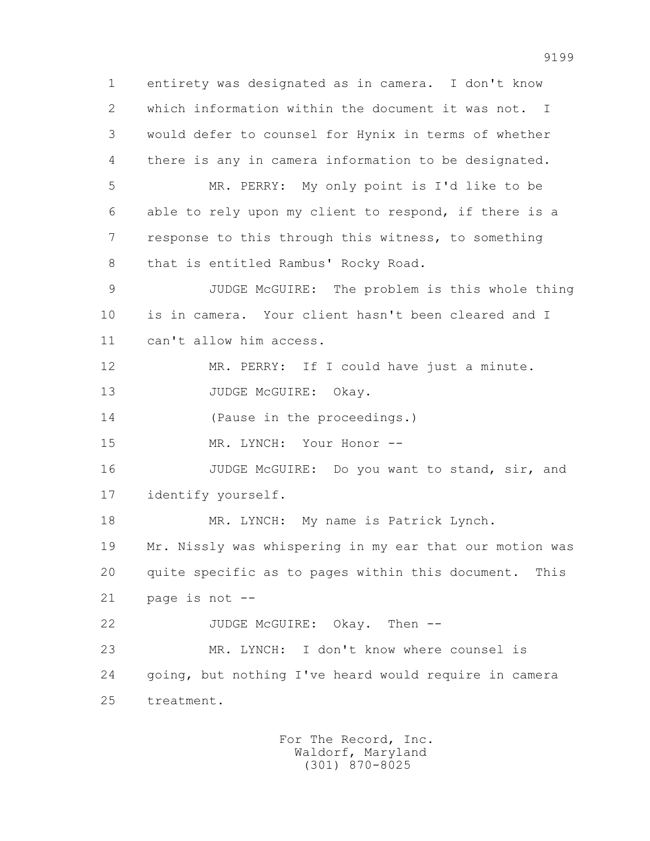1 entirety was designated as in camera. I don't know 2 which information within the document it was not. I 3 would defer to counsel for Hynix in terms of whether 4 there is any in camera information to be designated. 5 MR. PERRY: My only point is I'd like to be 6 able to rely upon my client to respond, if there is a 7 response to this through this witness, to something 8 that is entitled Rambus' Rocky Road. 9 JUDGE McGUIRE: The problem is this whole thing 10 is in camera. Your client hasn't been cleared and I 11 can't allow him access. 12 MR. PERRY: If I could have just a minute. 13 JUDGE McGUIRE: Okay. 14 (Pause in the proceedings.) 15 MR. LYNCH: Your Honor -- 16 JUDGE McGUIRE: Do you want to stand, sir, and 17 identify yourself. 18 MR. LYNCH: My name is Patrick Lynch. 19 Mr. Nissly was whispering in my ear that our motion was 20 quite specific as to pages within this document. This 21 page is not -- 22 JUDGE McGUIRE: Okay. Then -- 23 MR. LYNCH: I don't know where counsel is 24 going, but nothing I've heard would require in camera 25 treatment.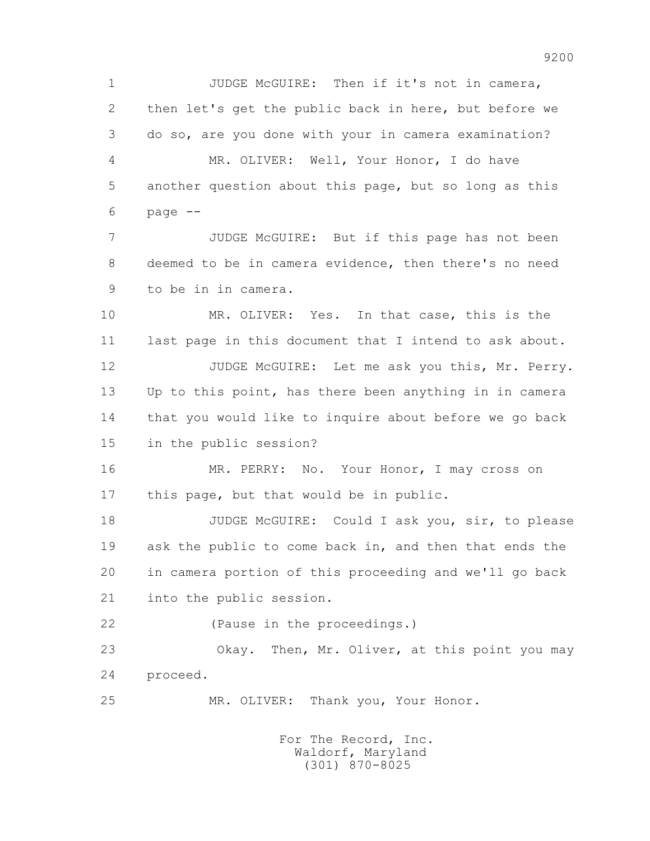1 JUDGE McGUIRE: Then if it's not in camera, 2 then let's get the public back in here, but before we 3 do so, are you done with your in camera examination? 4 MR. OLIVER: Well, Your Honor, I do have 5 another question about this page, but so long as this  $6$  page  $-$  7 JUDGE McGUIRE: But if this page has not been 8 deemed to be in camera evidence, then there's no need 9 to be in in camera. 10 MR. OLIVER: Yes. In that case, this is the 11 last page in this document that I intend to ask about. 12 JUDGE McGUIRE: Let me ask you this, Mr. Perry. 13 Up to this point, has there been anything in in camera 14 that you would like to inquire about before we go back 15 in the public session? 16 MR. PERRY: No. Your Honor, I may cross on 17 this page, but that would be in public. 18 JUDGE McGUIRE: Could I ask you, sir, to please 19 ask the public to come back in, and then that ends the 20 in camera portion of this proceeding and we'll go back 21 into the public session. 22 (Pause in the proceedings.) 23 Okay. Then, Mr. Oliver, at this point you may 24 proceed. 25 MR. OLIVER: Thank you, Your Honor. For The Record, Inc. Waldorf, Maryland

(301) 870-8025

9200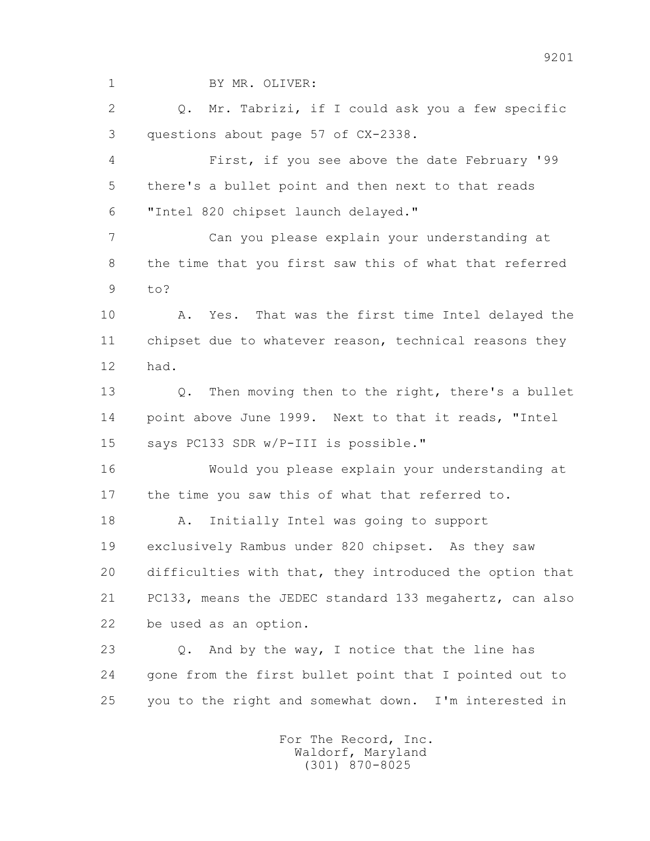1 BY MR. OLIVER: 2 Q. Mr. Tabrizi, if I could ask you a few specific 3 questions about page 57 of CX-2338. 4 First, if you see above the date February '99 5 there's a bullet point and then next to that reads 6 "Intel 820 chipset launch delayed." 7 Can you please explain your understanding at 8 the time that you first saw this of what that referred 9 to? 10 A. Yes. That was the first time Intel delayed the 11 chipset due to whatever reason, technical reasons they 12 had. 13 Q. Then moving then to the right, there's a bullet 14 point above June 1999. Next to that it reads, "Intel 15 says PC133 SDR w/P-III is possible." 16 Would you please explain your understanding at 17 the time you saw this of what that referred to. 18 A. Initially Intel was going to support 19 exclusively Rambus under 820 chipset. As they saw 20 difficulties with that, they introduced the option that 21 PC133, means the JEDEC standard 133 megahertz, can also 22 be used as an option. 23 0. And by the way, I notice that the line has 24 gone from the first bullet point that I pointed out to 25 you to the right and somewhat down. I'm interested in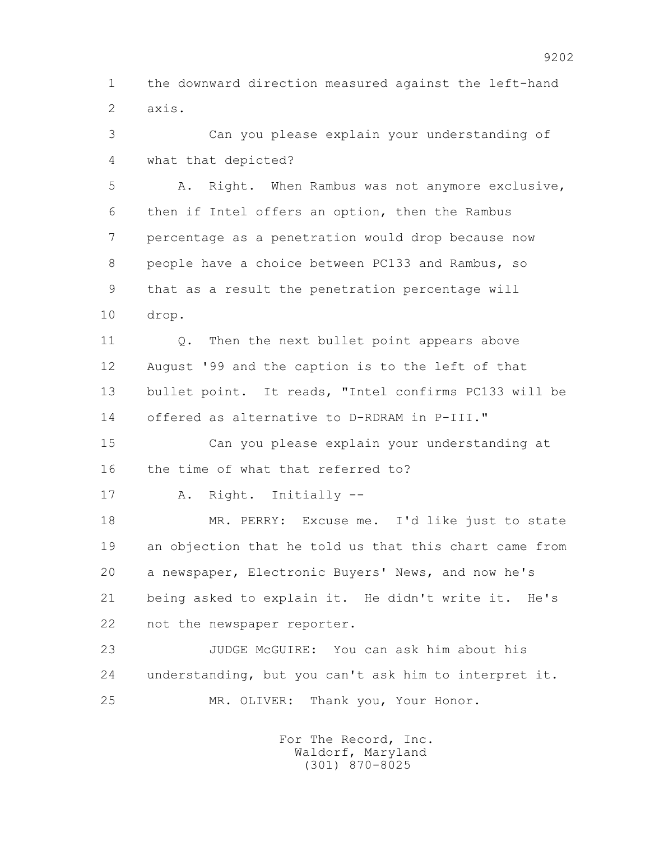1 the downward direction measured against the left-hand 2 axis.

 3 Can you please explain your understanding of 4 what that depicted?

 5 A. Right. When Rambus was not anymore exclusive, 6 then if Intel offers an option, then the Rambus 7 percentage as a penetration would drop because now 8 people have a choice between PC133 and Rambus, so 9 that as a result the penetration percentage will 10 drop.

11 0. Then the next bullet point appears above 12 August '99 and the caption is to the left of that 13 bullet point. It reads, "Intel confirms PC133 will be 14 offered as alternative to D-RDRAM in P-III."

 15 Can you please explain your understanding at 16 the time of what that referred to?

17 A. Right. Initially --

 18 MR. PERRY: Excuse me. I'd like just to state 19 an objection that he told us that this chart came from 20 a newspaper, Electronic Buyers' News, and now he's 21 being asked to explain it. He didn't write it. He's 22 not the newspaper reporter.

 23 JUDGE McGUIRE: You can ask him about his 24 understanding, but you can't ask him to interpret it. 25 MR. OLIVER: Thank you, Your Honor.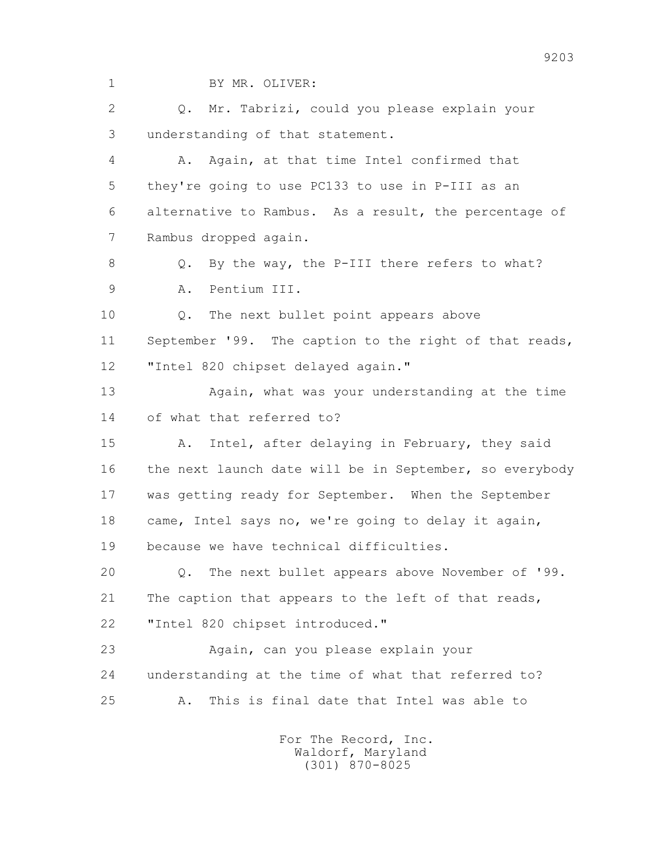1 BY MR. OLIVER: 2 Q. Mr. Tabrizi, could you please explain your 3 understanding of that statement. 4 A. Again, at that time Intel confirmed that 5 they're going to use PC133 to use in P-III as an 6 alternative to Rambus. As a result, the percentage of 7 Rambus dropped again. 8 Q. By the way, the P-III there refers to what? 9 A. Pentium III. 10 Q. The next bullet point appears above 11 September '99. The caption to the right of that reads, 12 "Intel 820 chipset delayed again." 13 Again, what was your understanding at the time 14 of what that referred to? 15 A. Intel, after delaying in February, they said 16 the next launch date will be in September, so everybody 17 was getting ready for September. When the September 18 came, Intel says no, we're going to delay it again, 19 because we have technical difficulties. 20 Q. The next bullet appears above November of '99. 21 The caption that appears to the left of that reads, 22 "Intel 820 chipset introduced." 23 Again, can you please explain your 24 understanding at the time of what that referred to? 25 A. This is final date that Intel was able to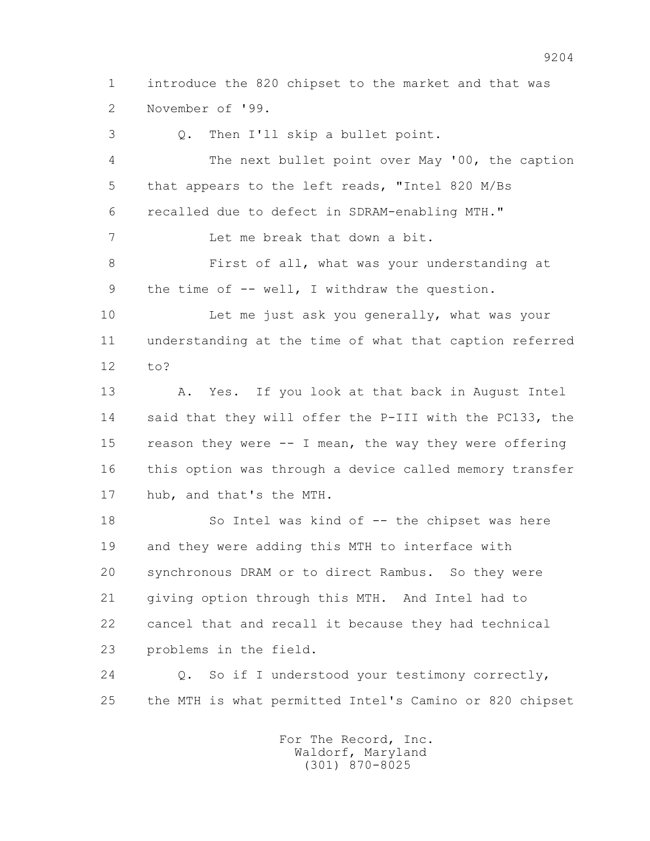1 introduce the 820 chipset to the market and that was 2 November of '99.

 3 Q. Then I'll skip a bullet point. 4 The next bullet point over May '00, the caption 5 that appears to the left reads, "Intel 820 M/Bs 6 recalled due to defect in SDRAM-enabling MTH." 7 Let me break that down a bit. 8 First of all, what was your understanding at 9 the time of -- well, I withdraw the question. 10 Let me just ask you generally, what was your 11 understanding at the time of what that caption referred 12 to? 13 A. Yes. If you look at that back in August Intel 14 said that they will offer the P-III with the PC133, the 15 reason they were -- I mean, the way they were offering 16 this option was through a device called memory transfer 17 hub, and that's the MTH. 18 So Intel was kind of -- the chipset was here 19 and they were adding this MTH to interface with 20 synchronous DRAM or to direct Rambus. So they were

 21 giving option through this MTH. And Intel had to 22 cancel that and recall it because they had technical 23 problems in the field.

 24 Q. So if I understood your testimony correctly, 25 the MTH is what permitted Intel's Camino or 820 chipset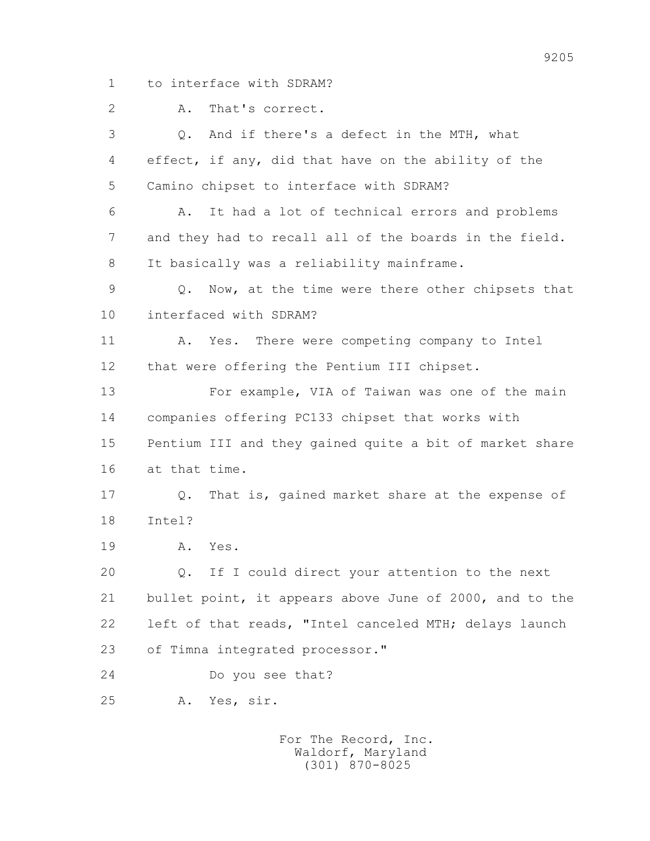1 to interface with SDRAM?

2 A. That's correct.

 3 Q. And if there's a defect in the MTH, what 4 effect, if any, did that have on the ability of the 5 Camino chipset to interface with SDRAM? 6 A. It had a lot of technical errors and problems 7 and they had to recall all of the boards in the field. 8 It basically was a reliability mainframe. 9 Q. Now, at the time were there other chipsets that 10 interfaced with SDRAM? 11 A. Yes. There were competing company to Intel 12 that were offering the Pentium III chipset. 13 For example, VIA of Taiwan was one of the main 14 companies offering PC133 chipset that works with 15 Pentium III and they gained quite a bit of market share 16 at that time. 17 Q. That is, gained market share at the expense of 18 Intel? 19 A. Yes. 20 Q. If I could direct your attention to the next 21 bullet point, it appears above June of 2000, and to the 22 left of that reads, "Intel canceled MTH; delays launch 23 of Timna integrated processor." 24 Do you see that? 25 A. Yes, sir.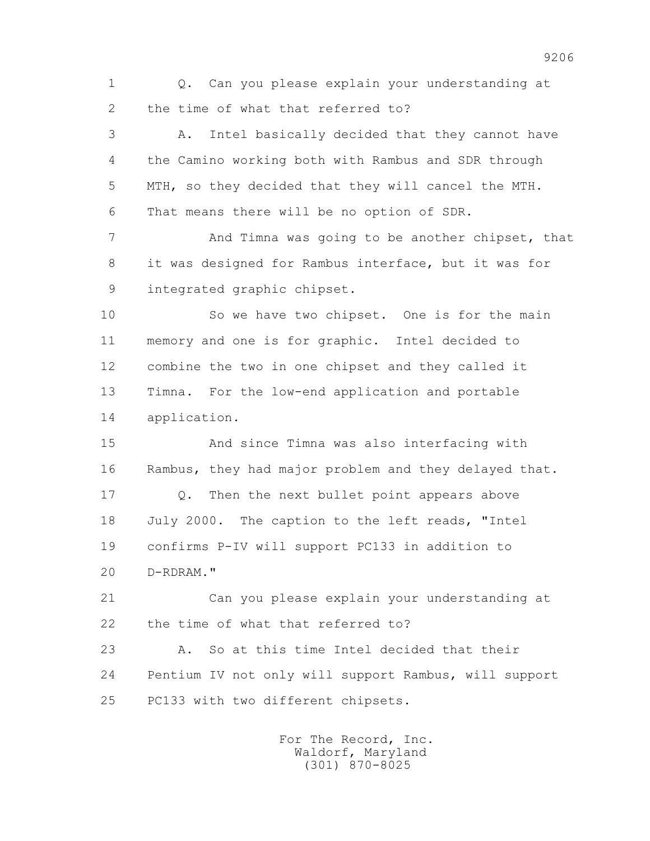1 Q. Can you please explain your understanding at 2 the time of what that referred to?

 3 A. Intel basically decided that they cannot have 4 the Camino working both with Rambus and SDR through 5 MTH, so they decided that they will cancel the MTH. 6 That means there will be no option of SDR.

7 **And Timna was going to be another chipset, that**  8 it was designed for Rambus interface, but it was for 9 integrated graphic chipset.

 10 So we have two chipset. One is for the main 11 memory and one is for graphic. Intel decided to 12 combine the two in one chipset and they called it 13 Timna. For the low-end application and portable 14 application.

 15 And since Timna was also interfacing with 16 Rambus, they had major problem and they delayed that. 17 Q. Then the next bullet point appears above 18 July 2000. The caption to the left reads, "Intel 19 confirms P-IV will support PC133 in addition to 20 D-RDRAM."

 21 Can you please explain your understanding at 22 the time of what that referred to?

 23 A. So at this time Intel decided that their 24 Pentium IV not only will support Rambus, will support 25 PC133 with two different chipsets.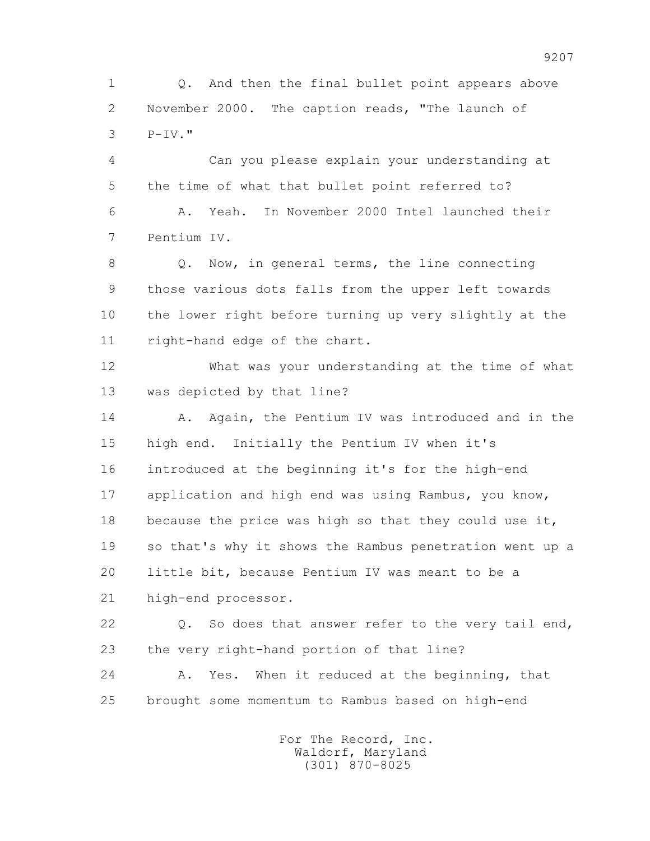1 Q. And then the final bullet point appears above 2 November 2000. The caption reads, "The launch of 3 P-IV."

 4 Can you please explain your understanding at 5 the time of what that bullet point referred to? 6 A. Yeah. In November 2000 Intel launched their 7 Pentium IV.

 8 Q. Now, in general terms, the line connecting 9 those various dots falls from the upper left towards 10 the lower right before turning up very slightly at the 11 right-hand edge of the chart.

 12 What was your understanding at the time of what 13 was depicted by that line?

14 A. Again, the Pentium IV was introduced and in the 15 high end. Initially the Pentium IV when it's 16 introduced at the beginning it's for the high-end 17 application and high end was using Rambus, you know, 18 because the price was high so that they could use it, 19 so that's why it shows the Rambus penetration went up a 20 little bit, because Pentium IV was meant to be a 21 high-end processor.

22 Q. So does that answer refer to the very tail end, 23 the very right-hand portion of that line?

 24 A. Yes. When it reduced at the beginning, that 25 brought some momentum to Rambus based on high-end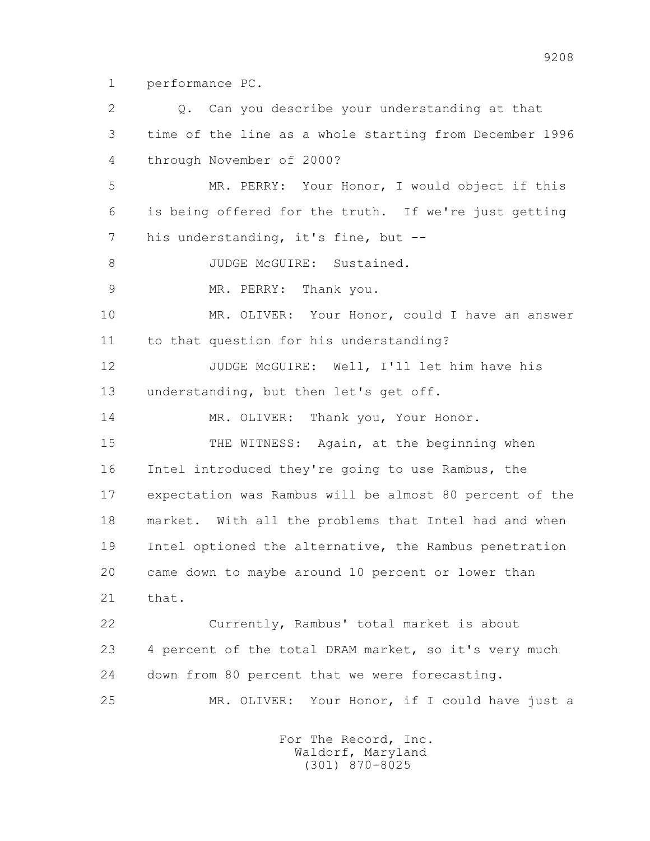1 performance PC.

 2 Q. Can you describe your understanding at that 3 time of the line as a whole starting from December 1996 4 through November of 2000? 5 MR. PERRY: Your Honor, I would object if this 6 is being offered for the truth. If we're just getting 7 his understanding, it's fine, but --8 JUDGE McGUIRE: Sustained. 9 MR. PERRY: Thank you. 10 MR. OLIVER: Your Honor, could I have an answer 11 to that question for his understanding? 12 JUDGE McGUIRE: Well, I'll let him have his 13 understanding, but then let's get off. 14 MR. OLIVER: Thank you, Your Honor. 15 THE WITNESS: Again, at the beginning when 16 Intel introduced they're going to use Rambus, the 17 expectation was Rambus will be almost 80 percent of the 18 market. With all the problems that Intel had and when 19 Intel optioned the alternative, the Rambus penetration 20 came down to maybe around 10 percent or lower than 21 that. 22 Currently, Rambus' total market is about 23 4 percent of the total DRAM market, so it's very much 24 down from 80 percent that we were forecasting. 25 MR. OLIVER: Your Honor, if I could have just a For The Record, Inc.

 Waldorf, Maryland (301) 870-8025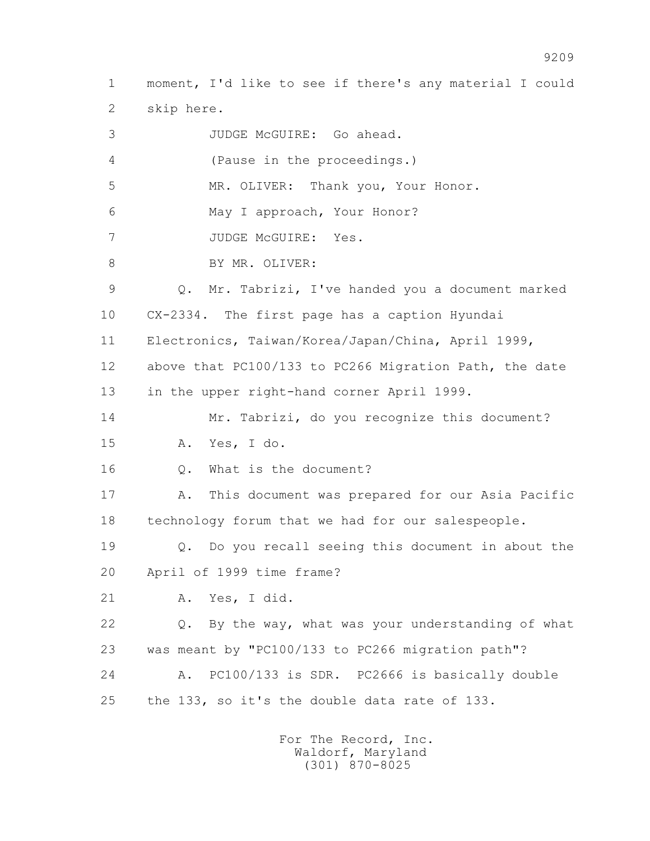1 moment, I'd like to see if there's any material I could 2 skip here. 3 JUDGE McGUIRE: Go ahead. 4 (Pause in the proceedings.) 5 MR. OLIVER: Thank you, Your Honor. 6 May I approach, Your Honor? 7 JUDGE McGUIRE: Yes. 8 BY MR. OLIVER: 9 Q. Mr. Tabrizi, I've handed you a document marked 10 CX-2334. The first page has a caption Hyundai 11 Electronics, Taiwan/Korea/Japan/China, April 1999, 12 above that PC100/133 to PC266 Migration Path, the date 13 in the upper right-hand corner April 1999. 14 Mr. Tabrizi, do you recognize this document? 15 A. Yes, I do. 16 Q. What is the document? 17 A. This document was prepared for our Asia Pacific 18 technology forum that we had for our salespeople. 19 Q. Do you recall seeing this document in about the 20 April of 1999 time frame? 21 A. Yes, I did. 22 Q. By the way, what was your understanding of what 23 was meant by "PC100/133 to PC266 migration path"? 24 A. PC100/133 is SDR. PC2666 is basically double 25 the 133, so it's the double data rate of 133.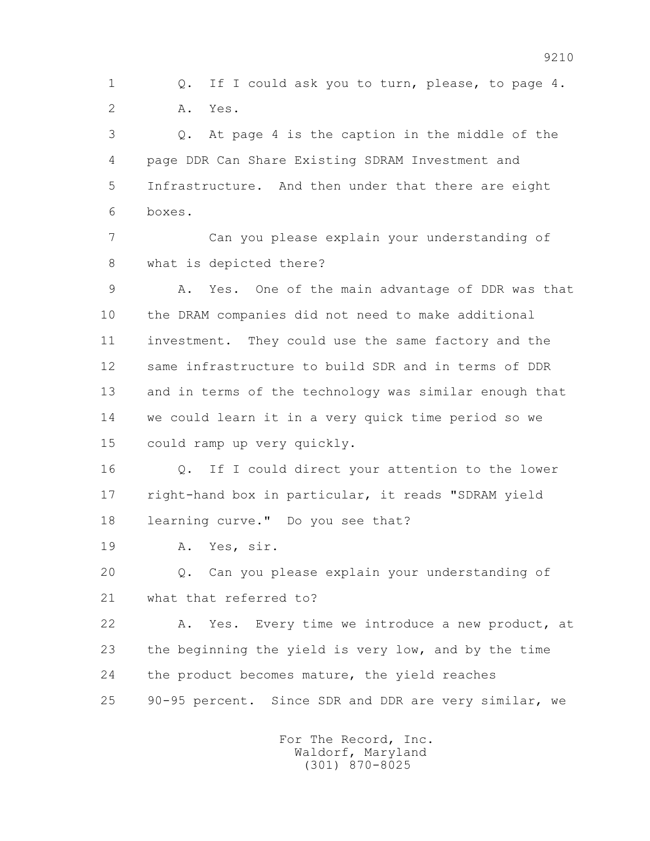1 Q. If I could ask you to turn, please, to page 4. 2 A. Yes.

 3 Q. At page 4 is the caption in the middle of the 4 page DDR Can Share Existing SDRAM Investment and 5 Infrastructure. And then under that there are eight 6 boxes.

 7 Can you please explain your understanding of 8 what is depicted there?

 9 A. Yes. One of the main advantage of DDR was that 10 the DRAM companies did not need to make additional 11 investment. They could use the same factory and the 12 same infrastructure to build SDR and in terms of DDR 13 and in terms of the technology was similar enough that 14 we could learn it in a very quick time period so we 15 could ramp up very quickly.

16 0. If I could direct your attention to the lower 17 right-hand box in particular, it reads "SDRAM yield 18 learning curve." Do you see that?

19 A. Yes, sir.

 20 Q. Can you please explain your understanding of 21 what that referred to?

 22 A. Yes. Every time we introduce a new product, at 23 the beginning the yield is very low, and by the time 24 the product becomes mature, the yield reaches 25 90-95 percent. Since SDR and DDR are very similar, we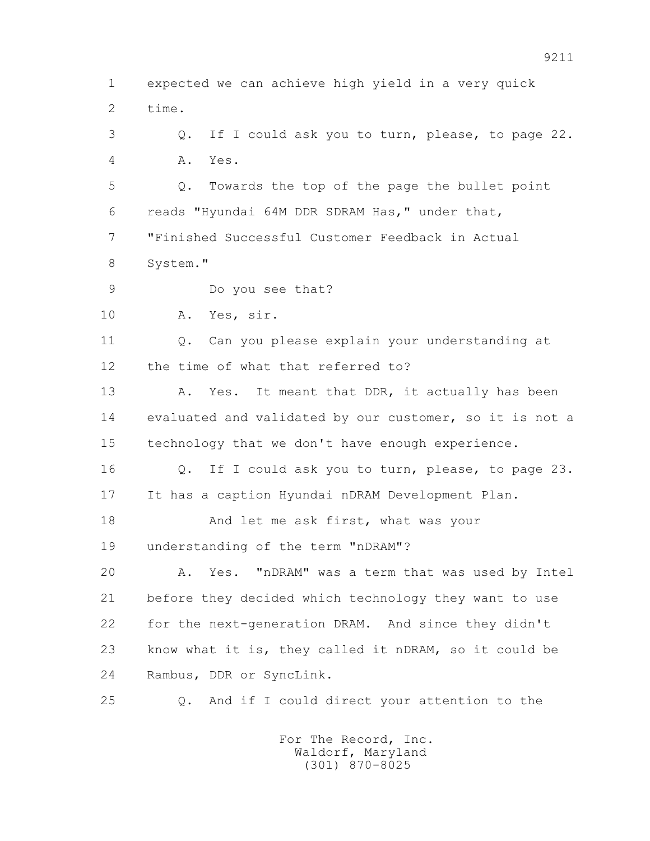1 expected we can achieve high yield in a very quick 2 time. 3 Q. If I could ask you to turn, please, to page 22. 4 A. Yes. 5 Q. Towards the top of the page the bullet point 6 reads "Hyundai 64M DDR SDRAM Has," under that, 7 "Finished Successful Customer Feedback in Actual 8 System." 9 Do you see that? 10 A. Yes, sir. 11 0. Can you please explain your understanding at 12 the time of what that referred to? 13 A. Yes. It meant that DDR, it actually has been 14 evaluated and validated by our customer, so it is not a 15 technology that we don't have enough experience. 16 Q. If I could ask you to turn, please, to page 23. 17 It has a caption Hyundai nDRAM Development Plan. 18 And let me ask first, what was your 19 understanding of the term "nDRAM"? 20 A. Yes. "nDRAM" was a term that was used by Intel 21 before they decided which technology they want to use 22 for the next-generation DRAM. And since they didn't 23 know what it is, they called it nDRAM, so it could be 24 Rambus, DDR or SyncLink. 25 Q. And if I could direct your attention to the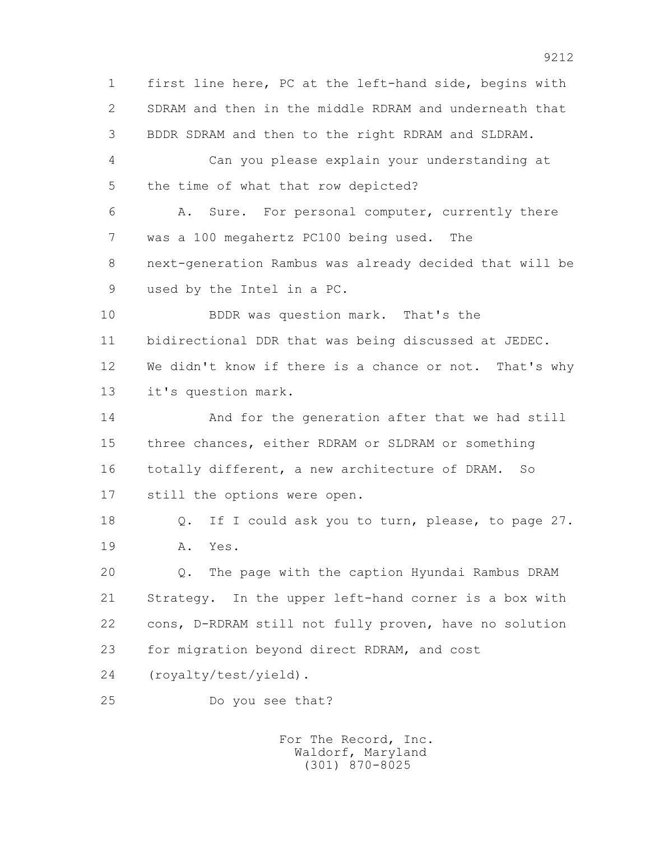1 first line here, PC at the left-hand side, begins with 2 SDRAM and then in the middle RDRAM and underneath that 3 BDDR SDRAM and then to the right RDRAM and SLDRAM. 4 Can you please explain your understanding at 5 the time of what that row depicted? 6 A. Sure. For personal computer, currently there 7 was a 100 megahertz PC100 being used. The 8 next-generation Rambus was already decided that will be 9 used by the Intel in a PC. 10 BDDR was question mark. That's the 11 bidirectional DDR that was being discussed at JEDEC. 12 We didn't know if there is a chance or not. That's why 13 it's question mark. 14 And for the generation after that we had still 15 three chances, either RDRAM or SLDRAM or something 16 totally different, a new architecture of DRAM. So 17 still the options were open. 18 Q. If I could ask you to turn, please, to page 27. 19 A. Yes. 20 Q. The page with the caption Hyundai Rambus DRAM 21 Strategy. In the upper left-hand corner is a box with 22 cons, D-RDRAM still not fully proven, have no solution 23 for migration beyond direct RDRAM, and cost 24 (royalty/test/yield). 25 Do you see that?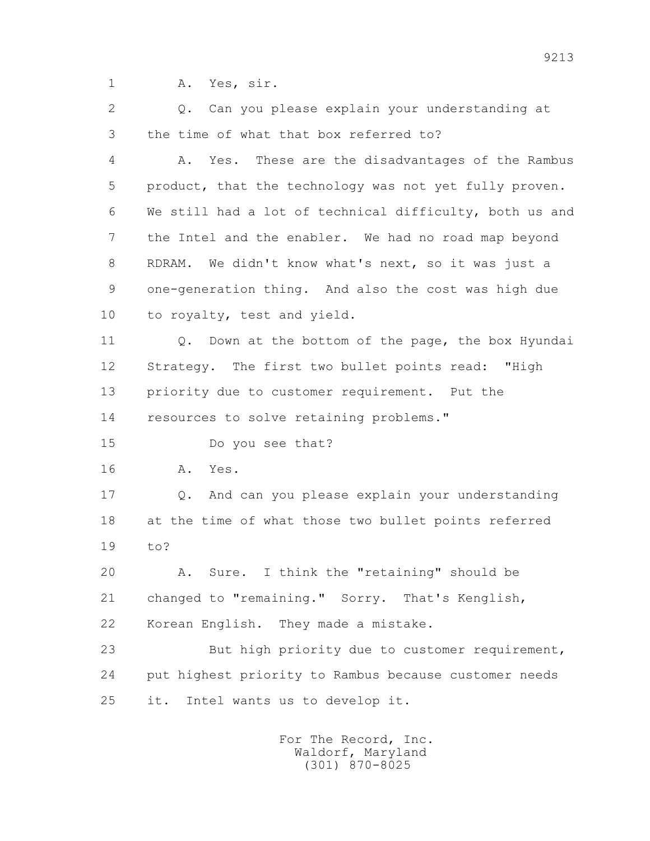1 A. Yes, sir.

 2 Q. Can you please explain your understanding at 3 the time of what that box referred to?

 4 A. Yes. These are the disadvantages of the Rambus 5 product, that the technology was not yet fully proven. 6 We still had a lot of technical difficulty, both us and 7 the Intel and the enabler. We had no road map beyond 8 RDRAM. We didn't know what's next, so it was just a 9 one-generation thing. And also the cost was high due 10 to royalty, test and yield.

11 0. Down at the bottom of the page, the box Hyundai 12 Strategy. The first two bullet points read: "High 13 priority due to customer requirement. Put the 14 resources to solve retaining problems."

15 Do you see that?

16 A. Yes.

 17 Q. And can you please explain your understanding 18 at the time of what those two bullet points referred 19 to?

 20 A. Sure. I think the "retaining" should be 21 changed to "remaining." Sorry. That's Kenglish, 22 Korean English. They made a mistake.

 23 But high priority due to customer requirement, 24 put highest priority to Rambus because customer needs 25 it. Intel wants us to develop it.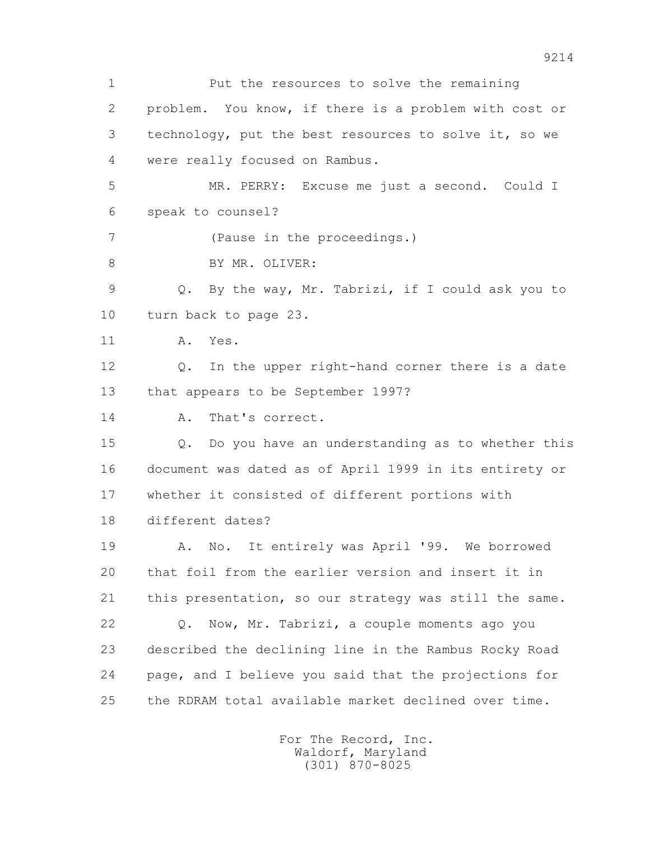1 Put the resources to solve the remaining 2 problem. You know, if there is a problem with cost or 3 technology, put the best resources to solve it, so we 4 were really focused on Rambus. 5 MR. PERRY: Excuse me just a second. Could I 6 speak to counsel? 7 (Pause in the proceedings.) 8 BY MR. OLIVER: 9 Q. By the way, Mr. Tabrizi, if I could ask you to 10 turn back to page 23. 11 A. Yes. 12 Q. In the upper right-hand corner there is a date 13 that appears to be September 1997? 14 A. That's correct. 15 Q. Do you have an understanding as to whether this 16 document was dated as of April 1999 in its entirety or 17 whether it consisted of different portions with 18 different dates? 19 A. No. It entirely was April '99. We borrowed 20 that foil from the earlier version and insert it in 21 this presentation, so our strategy was still the same. 22 Q. Now, Mr. Tabrizi, a couple moments ago you 23 described the declining line in the Rambus Rocky Road 24 page, and I believe you said that the projections for 25 the RDRAM total available market declined over time.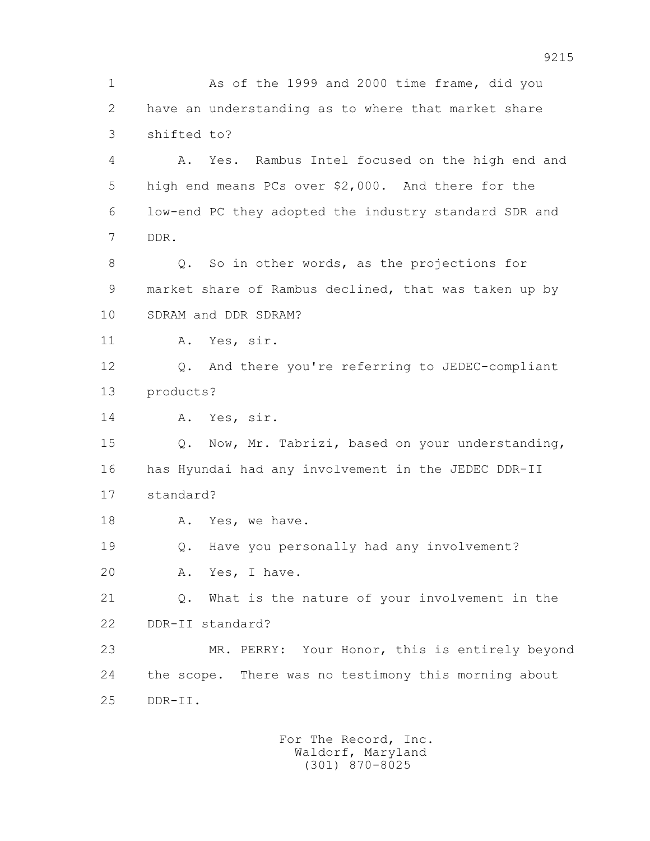1 As of the 1999 and 2000 time frame, did you 2 have an understanding as to where that market share 3 shifted to? 4 A. Yes. Rambus Intel focused on the high end and 5 high end means PCs over \$2,000. And there for the 6 low-end PC they adopted the industry standard SDR and 7 DDR. 8 Q. So in other words, as the projections for 9 market share of Rambus declined, that was taken up by 10 SDRAM and DDR SDRAM? 11 A. Yes, sir. 12 Q. And there you're referring to JEDEC-compliant 13 products? 14 A. Yes, sir. 15 Q. Now, Mr. Tabrizi, based on your understanding, 16 has Hyundai had any involvement in the JEDEC DDR-II 17 standard? 18 A. Yes, we have. 19 Q. Have you personally had any involvement? 20 A. Yes, I have. 21 Q. What is the nature of your involvement in the 22 DDR-II standard? 23 MR. PERRY: Your Honor, this is entirely beyond 24 the scope. There was no testimony this morning about 25 DDR-II.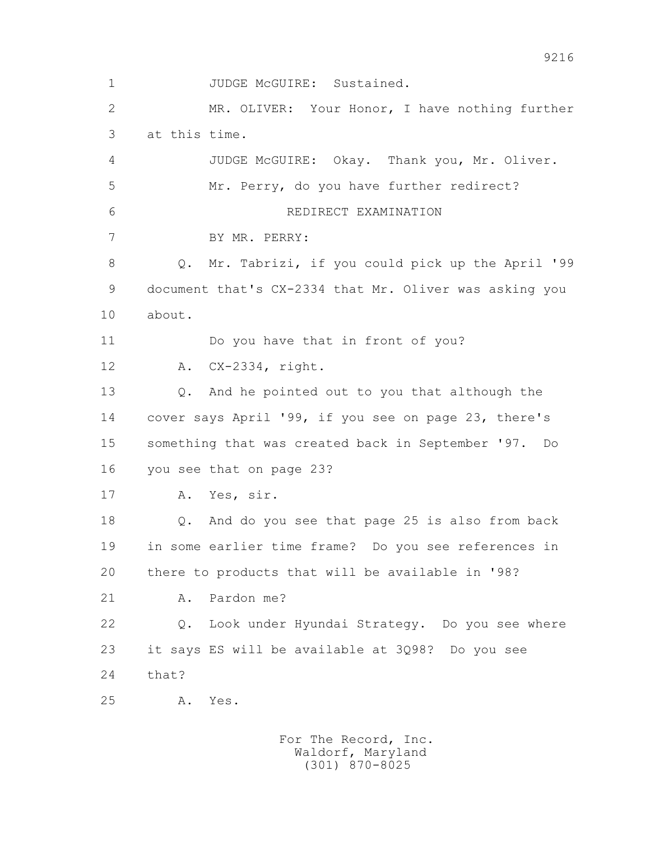1 JUDGE McGUIRE: Sustained. 2 MR. OLIVER: Your Honor, I have nothing further 3 at this time. 4 JUDGE McGUIRE: Okay. Thank you, Mr. Oliver. 5 Mr. Perry, do you have further redirect? 6 REDIRECT EXAMINATION 7 BY MR. PERRY: 8 Q. Mr. Tabrizi, if you could pick up the April '99 9 document that's CX-2334 that Mr. Oliver was asking you 10 about. 11 Do you have that in front of you? 12 A. CX-2334, right. 13 Q. And he pointed out to you that although the 14 cover says April '99, if you see on page 23, there's 15 something that was created back in September '97. Do 16 you see that on page 23? 17 A. Yes, sir. 18 Q. And do you see that page 25 is also from back 19 in some earlier time frame? Do you see references in 20 there to products that will be available in '98? 21 A. Pardon me? 22 Q. Look under Hyundai Strategy. Do you see where 23 it says ES will be available at 3Q98? Do you see 24 that? 25 A. Yes.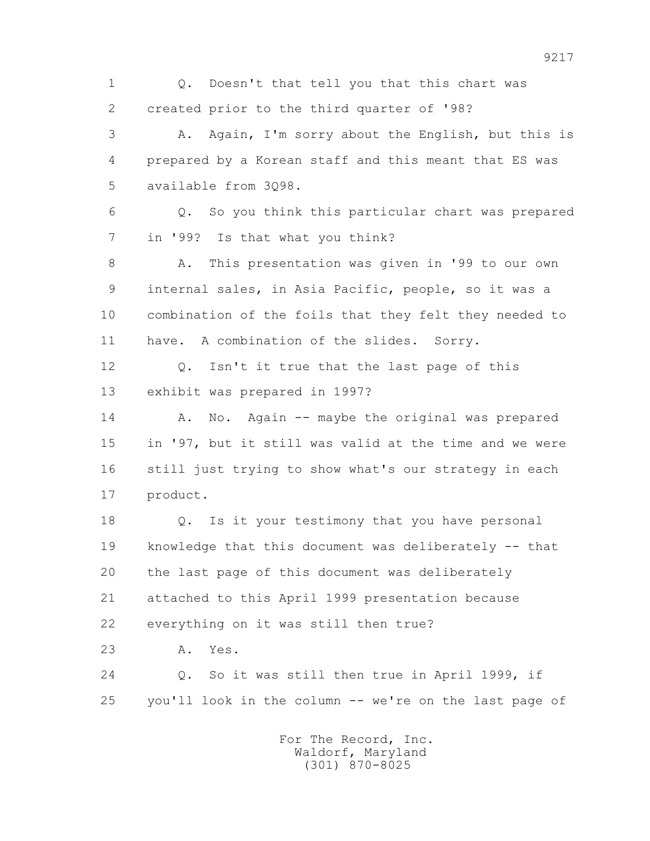1 Q. Doesn't that tell you that this chart was 2 created prior to the third quarter of '98? 3 A. Again, I'm sorry about the English, but this is 4 prepared by a Korean staff and this meant that ES was 5 available from 3Q98. 6 Q. So you think this particular chart was prepared 7 in '99? Is that what you think? 8 A. This presentation was given in '99 to our own 9 internal sales, in Asia Pacific, people, so it was a 10 combination of the foils that they felt they needed to 11 have. A combination of the slides. Sorry. 12 Q. Isn't it true that the last page of this 13 exhibit was prepared in 1997? 14 A. No. Again -- maybe the original was prepared 15 in '97, but it still was valid at the time and we were 16 still just trying to show what's our strategy in each 17 product. 18 Q. Is it your testimony that you have personal 19 knowledge that this document was deliberately -- that 20 the last page of this document was deliberately 21 attached to this April 1999 presentation because 22 everything on it was still then true? 23 A. Yes. 24 Q. So it was still then true in April 1999, if 25 you'll look in the column -- we're on the last page of For The Record, Inc.

 Waldorf, Maryland (301) 870-8025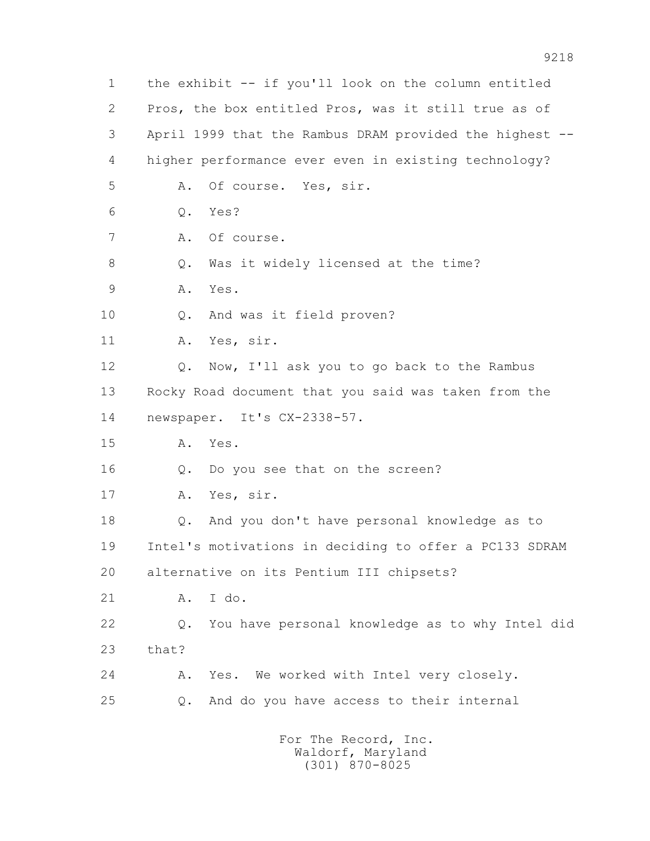1 the exhibit -- if you'll look on the column entitled 2 Pros, the box entitled Pros, was it still true as of 3 April 1999 that the Rambus DRAM provided the highest -- 4 higher performance ever even in existing technology? 5 A. Of course. Yes, sir. 6 Q. Yes? 7 A. Of course. 8 Q. Was it widely licensed at the time? 9 A. Yes. 10 Q. And was it field proven? 11 A. Yes, sir. 12 Q. Now, I'll ask you to go back to the Rambus 13 Rocky Road document that you said was taken from the 14 newspaper. It's CX-2338-57. 15 A. Yes. 16 Q. Do you see that on the screen? 17 A. Yes, sir. 18 Q. And you don't have personal knowledge as to 19 Intel's motivations in deciding to offer a PC133 SDRAM 20 alternative on its Pentium III chipsets? 21 A. I do. 22 Q. You have personal knowledge as to why Intel did 23 that? 24 A. Yes. We worked with Intel very closely. 25 Q. And do you have access to their internal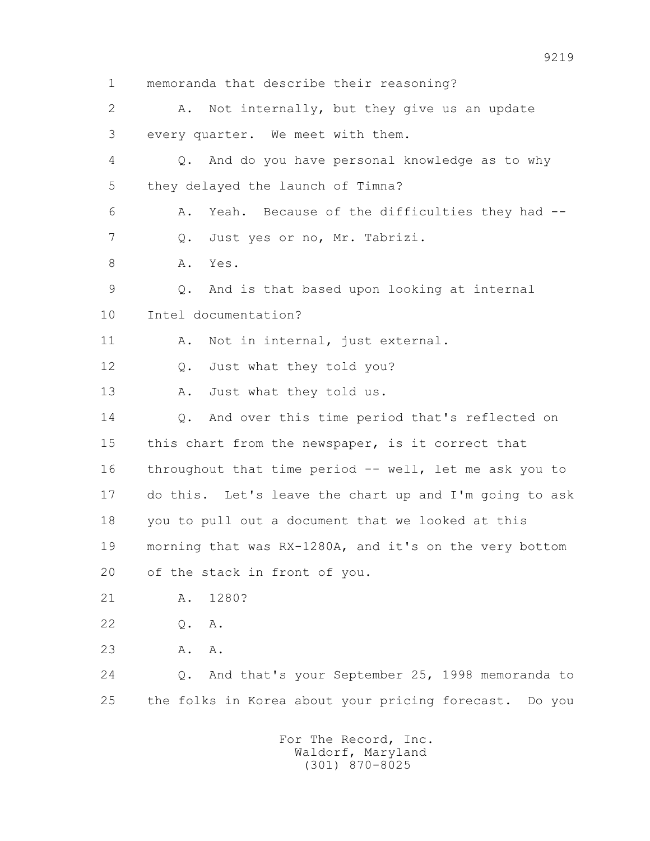1 memoranda that describe their reasoning? 2 A. Not internally, but they give us an update 3 every quarter. We meet with them. 4 Q. And do you have personal knowledge as to why 5 they delayed the launch of Timna? 6 A. Yeah. Because of the difficulties they had -- 7 Q. Just yes or no, Mr. Tabrizi. 8 A. Yes. 9 Q. And is that based upon looking at internal 10 Intel documentation? 11 A. Not in internal, just external. 12 Q. Just what they told you? 13 A. Just what they told us. 14 Q. And over this time period that's reflected on 15 this chart from the newspaper, is it correct that 16 throughout that time period -- well, let me ask you to 17 do this. Let's leave the chart up and I'm going to ask 18 you to pull out a document that we looked at this 19 morning that was RX-1280A, and it's on the very bottom 20 of the stack in front of you. 21 A. 1280? 22 Q. A. 23 A. A. 24 Q. And that's your September 25, 1998 memoranda to 25 the folks in Korea about your pricing forecast. Do you For The Record, Inc. Waldorf, Maryland

(301) 870-8025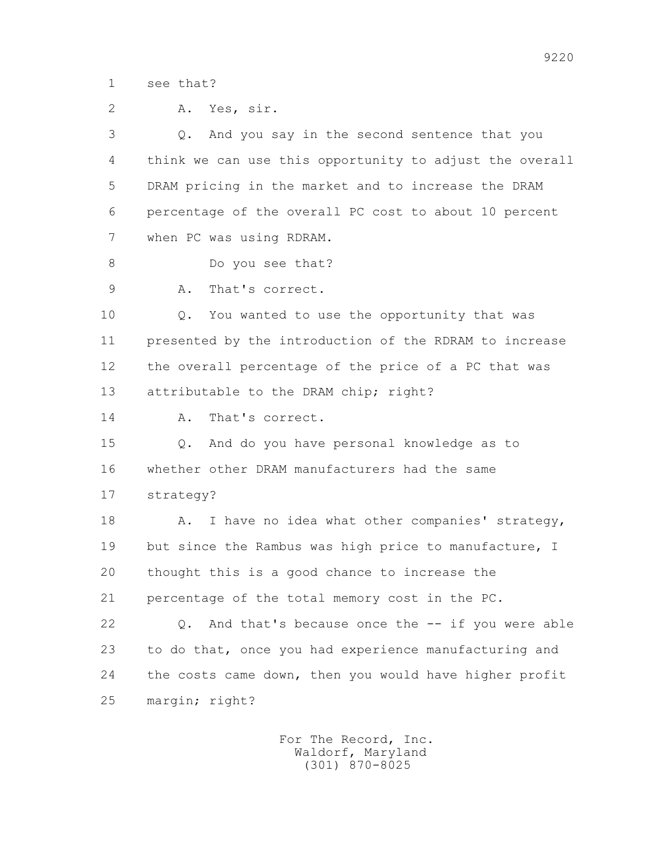1 see that?

|  |  | A. Yes, sir. |  |
|--|--|--------------|--|
|--|--|--------------|--|

 3 Q. And you say in the second sentence that you 4 think we can use this opportunity to adjust the overall 5 DRAM pricing in the market and to increase the DRAM 6 percentage of the overall PC cost to about 10 percent 7 when PC was using RDRAM.

- 8 Do you see that?
- 9 A. That's correct.

 10 Q. You wanted to use the opportunity that was 11 presented by the introduction of the RDRAM to increase 12 the overall percentage of the price of a PC that was 13 attributable to the DRAM chip; right?

14 A. That's correct.

 15 Q. And do you have personal knowledge as to 16 whether other DRAM manufacturers had the same 17 strategy?

18 A. I have no idea what other companies' strategy, 19 but since the Rambus was high price to manufacture, I 20 thought this is a good chance to increase the 21 percentage of the total memory cost in the PC.

 22 Q. And that's because once the -- if you were able 23 to do that, once you had experience manufacturing and 24 the costs came down, then you would have higher profit 25 margin; right?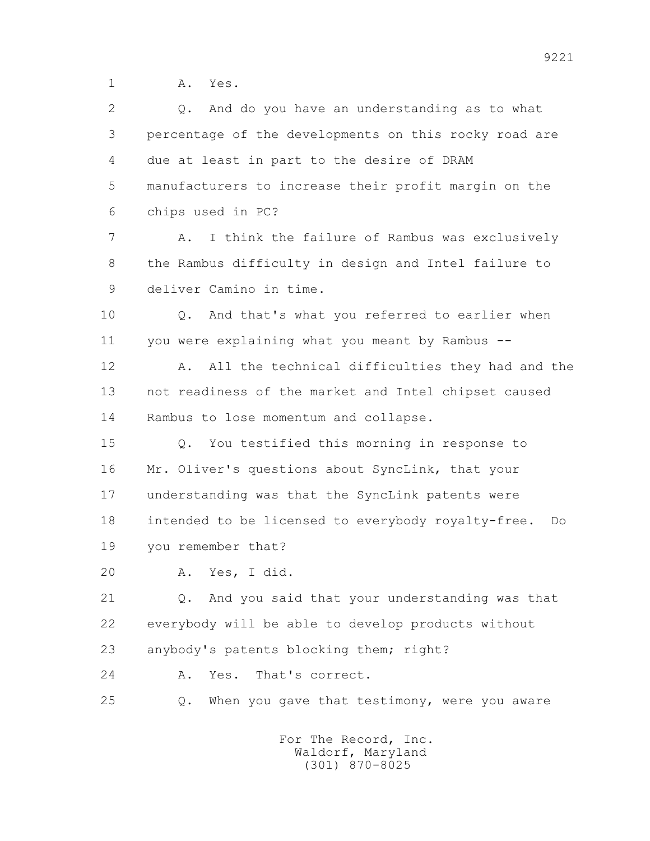1 A. Yes.

| $\overline{2}$ | And do you have an understanding as to what<br>Q.        |
|----------------|----------------------------------------------------------|
| 3              | percentage of the developments on this rocky road are    |
| 4              | due at least in part to the desire of DRAM               |
| 5              | manufacturers to increase their profit margin on the     |
| 6              | chips used in PC?                                        |
| 7              | I think the failure of Rambus was exclusively<br>Α.      |
| 8              | the Rambus difficulty in design and Intel failure to     |
| 9              | deliver Camino in time.                                  |
| 10             | And that's what you referred to earlier when<br>Q.       |
| 11             | you were explaining what you meant by Rambus --          |
| 12             | All the technical difficulties they had and the<br>Α.    |
| 13             | not readiness of the market and Intel chipset caused     |
| 14             | Rambus to lose momentum and collapse.                    |
| 15             | You testified this morning in response to<br>$Q$ .       |
| 16             | Mr. Oliver's questions about SyncLink, that your         |
| 17             | understanding was that the SyncLink patents were         |
| 18             | intended to be licensed to everybody royalty-free.<br>Do |
| 19             | you remember that?                                       |
| 20             | A. Yes, I did.                                           |
| 21             | And you said that your understanding was that<br>Q.      |
| 22             | everybody will be able to develop products without       |
| 23             | anybody's patents blocking them; right?                  |
| 24             | That's correct.<br>Yes.<br>Α.                            |
| 25             | When you gave that testimony, were you aware<br>Q.       |
|                |                                                          |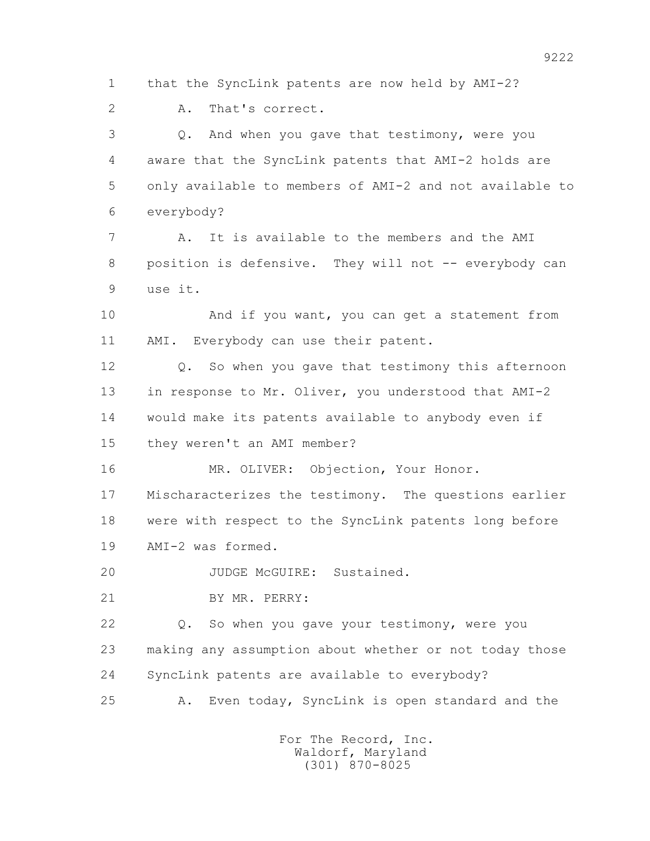1 that the SyncLink patents are now held by AMI-2?

2 A. That's correct.

 3 Q. And when you gave that testimony, were you 4 aware that the SyncLink patents that AMI-2 holds are 5 only available to members of AMI-2 and not available to 6 everybody?

 7 A. It is available to the members and the AMI 8 position is defensive. They will not -- everybody can 9 use it.

 10 And if you want, you can get a statement from 11 AMI. Everybody can use their patent.

 12 Q. So when you gave that testimony this afternoon 13 in response to Mr. Oliver, you understood that AMI-2 14 would make its patents available to anybody even if 15 they weren't an AMI member?

16 MR. OLIVER: Objection, Your Honor. 17 Mischaracterizes the testimony. The questions earlier 18 were with respect to the SyncLink patents long before 19 AMI-2 was formed.

20 JUDGE McGUIRE: Sustained.

21 BY MR. PERRY:

 22 Q. So when you gave your testimony, were you 23 making any assumption about whether or not today those 24 SyncLink patents are available to everybody?

25 A. Even today, SyncLink is open standard and the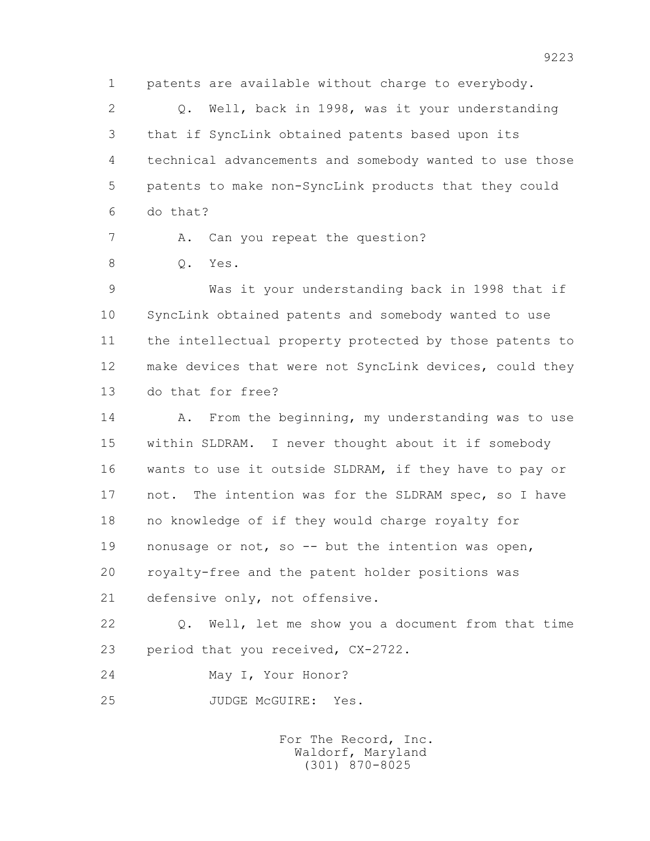1 patents are available without charge to everybody.

 2 Q. Well, back in 1998, was it your understanding 3 that if SyncLink obtained patents based upon its 4 technical advancements and somebody wanted to use those 5 patents to make non-SyncLink products that they could 6 do that?

7 A. Can you repeat the question?

8 0. Yes.

 9 Was it your understanding back in 1998 that if 10 SyncLink obtained patents and somebody wanted to use 11 the intellectual property protected by those patents to 12 make devices that were not SyncLink devices, could they 13 do that for free?

14 A. From the beginning, my understanding was to use 15 within SLDRAM. I never thought about it if somebody 16 wants to use it outside SLDRAM, if they have to pay or 17 not. The intention was for the SLDRAM spec, so I have 18 no knowledge of if they would charge royalty for 19 nonusage or not, so -- but the intention was open, 20 royalty-free and the patent holder positions was 21 defensive only, not offensive.

 22 Q. Well, let me show you a document from that time 23 period that you received, CX-2722.

24 May I, Your Honor?

25 JUDGE McGUIRE: Yes.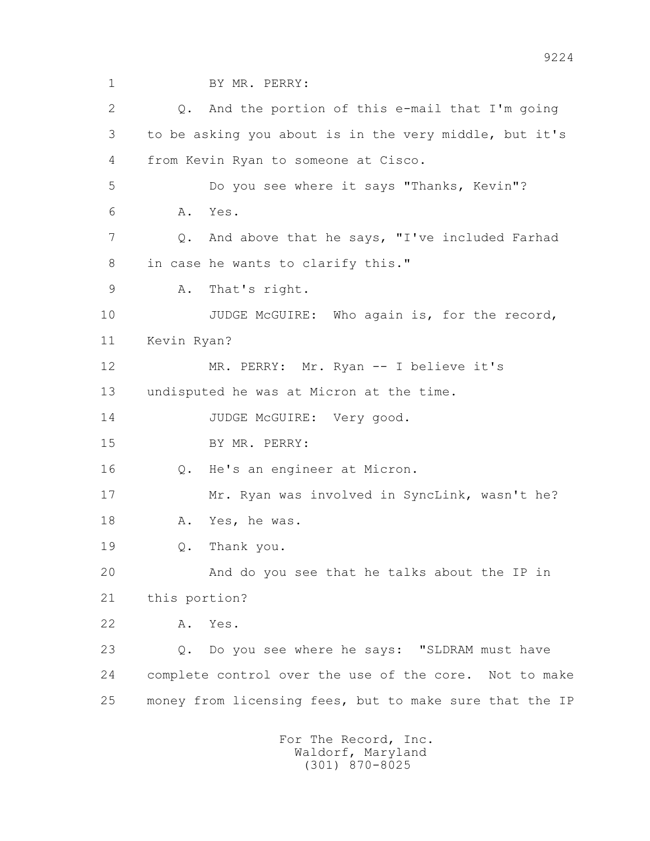1 BY MR. PERRY: 2 Q. And the portion of this e-mail that I'm going 3 to be asking you about is in the very middle, but it's 4 from Kevin Ryan to someone at Cisco. 5 Do you see where it says "Thanks, Kevin"? 6 A. Yes. 7 Q. And above that he says, "I've included Farhad 8 in case he wants to clarify this." 9 A. That's right. 10 JUDGE McGUIRE: Who again is, for the record, 11 Kevin Ryan? 12 MR. PERRY: Mr. Ryan -- I believe it's 13 undisputed he was at Micron at the time. 14 JUDGE McGUIRE: Very good. 15 BY MR. PERRY: 16 Q. He's an engineer at Micron. 17 Mr. Ryan was involved in SyncLink, wasn't he? 18 A. Yes, he was. 19 Q. Thank you. 20 And do you see that he talks about the IP in 21 this portion? 22 A. Yes. 23 Q. Do you see where he says: "SLDRAM must have 24 complete control over the use of the core. Not to make 25 money from licensing fees, but to make sure that the IP For The Record, Inc. Waldorf, Maryland (301) 870-8025

9224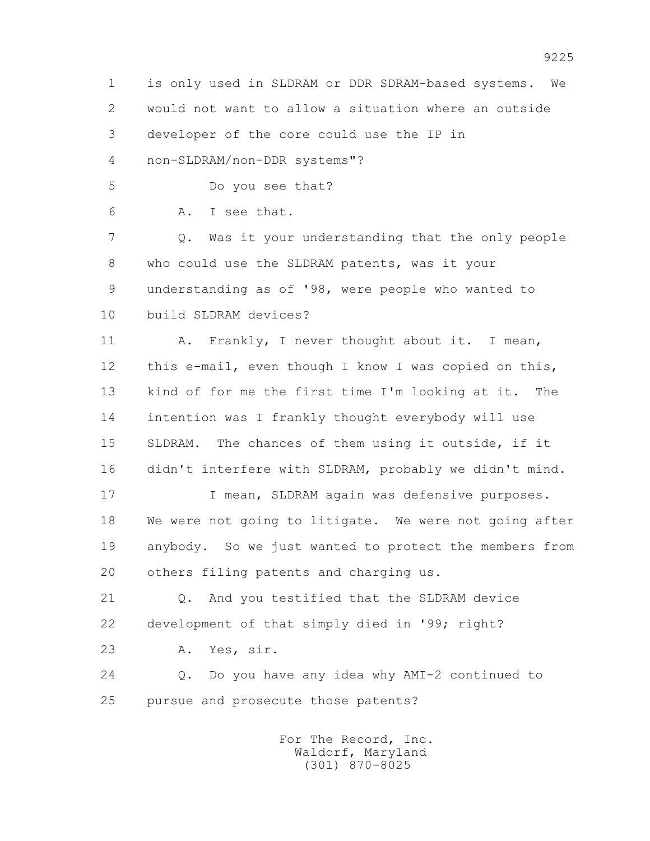1 is only used in SLDRAM or DDR SDRAM-based systems. We 2 would not want to allow a situation where an outside 3 developer of the core could use the IP in

4 non-SLDRAM/non-DDR systems"?

5 Do you see that?

6 A. I see that.

 7 Q. Was it your understanding that the only people 8 who could use the SLDRAM patents, was it your 9 understanding as of '98, were people who wanted to 10 build SLDRAM devices?

11 A. Frankly, I never thought about it. I mean, 12 this e-mail, even though I know I was copied on this, 13 kind of for me the first time I'm looking at it. The 14 intention was I frankly thought everybody will use 15 SLDRAM. The chances of them using it outside, if it 16 didn't interfere with SLDRAM, probably we didn't mind.

17 **I mean, SLDRAM again was defensive purposes.**  18 We were not going to litigate. We were not going after 19 anybody. So we just wanted to protect the members from 20 others filing patents and charging us.

 21 Q. And you testified that the SLDRAM device 22 development of that simply died in '99; right?

23 A. Yes, sir.

 24 Q. Do you have any idea why AMI-2 continued to 25 pursue and prosecute those patents?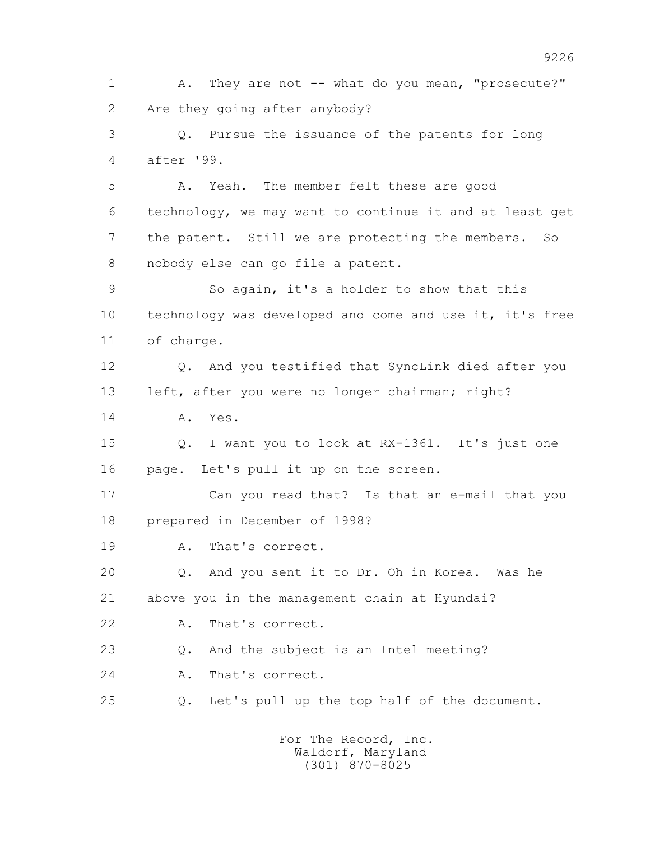1 A. They are not -- what do you mean, "prosecute?" 2 Are they going after anybody? 3 Q. Pursue the issuance of the patents for long 4 after '99. 5 A. Yeah. The member felt these are good 6 technology, we may want to continue it and at least get 7 the patent. Still we are protecting the members. So 8 nobody else can go file a patent. 9 So again, it's a holder to show that this 10 technology was developed and come and use it, it's free 11 of charge. 12 Q. And you testified that SyncLink died after you 13 left, after you were no longer chairman; right? 14 A. Yes. 15 Q. I want you to look at RX-1361. It's just one 16 page. Let's pull it up on the screen. 17 Can you read that? Is that an e-mail that you 18 prepared in December of 1998? 19 A. That's correct. 20 Q. And you sent it to Dr. Oh in Korea. Was he 21 above you in the management chain at Hyundai? 22 A. That's correct. 23 Q. And the subject is an Intel meeting? 24 A. That's correct. 25 Q. Let's pull up the top half of the document.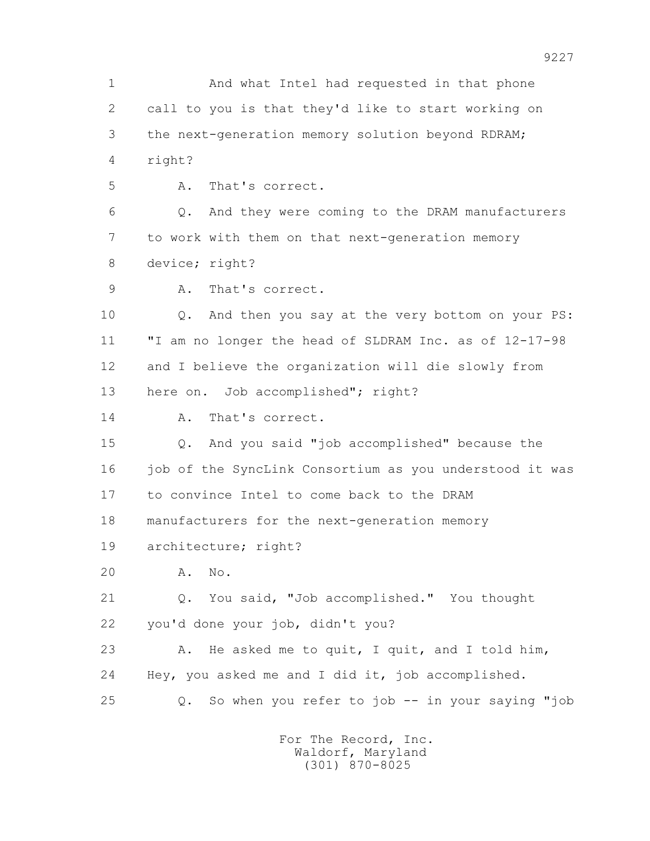1 And what Intel had requested in that phone 2 call to you is that they'd like to start working on 3 the next-generation memory solution beyond RDRAM; 4 right? 5 A. That's correct. 6 Q. And they were coming to the DRAM manufacturers 7 to work with them on that next-generation memory 8 device; right? 9 A. That's correct. 10 Q. And then you say at the very bottom on your PS: 11 "I am no longer the head of SLDRAM Inc. as of 12-17-98 12 and I believe the organization will die slowly from 13 here on. Job accomplished"; right? 14 A. That's correct. 15 Q. And you said "job accomplished" because the 16 job of the SyncLink Consortium as you understood it was 17 to convince Intel to come back to the DRAM 18 manufacturers for the next-generation memory 19 architecture; right? 20 A. No. 21 Q. You said, "Job accomplished." You thought 22 you'd done your job, didn't you? 23 A. He asked me to quit, I quit, and I told him, 24 Hey, you asked me and I did it, job accomplished. 25 Q. So when you refer to job -- in your saying "job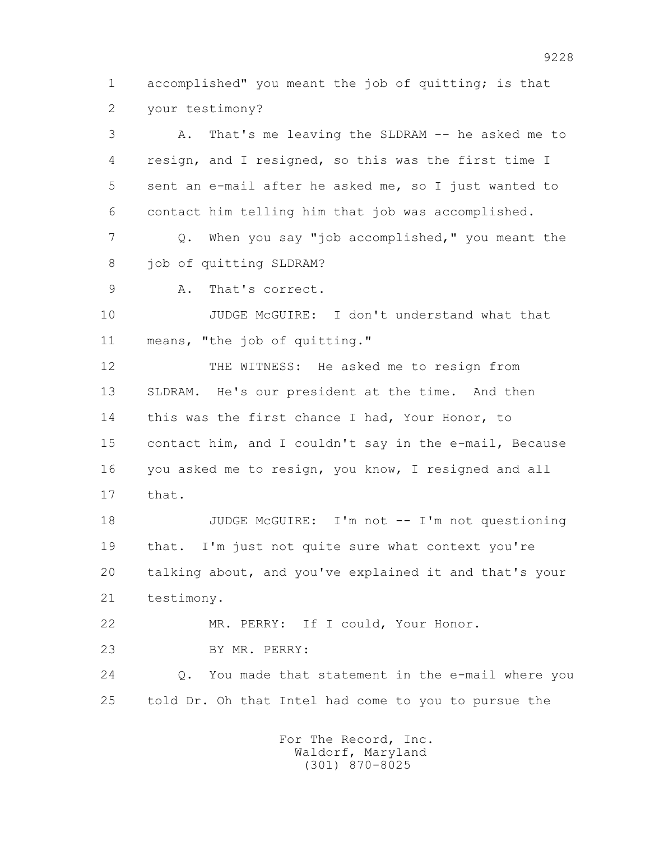1 accomplished" you meant the job of quitting; is that 2 your testimony?

 3 A. That's me leaving the SLDRAM -- he asked me to 4 resign, and I resigned, so this was the first time I 5 sent an e-mail after he asked me, so I just wanted to 6 contact him telling him that job was accomplished. 7 Q. When you say "job accomplished," you meant the 8 job of quitting SLDRAM? 9 A. That's correct. 10 JUDGE McGUIRE: I don't understand what that 11 means, "the job of quitting." 12 THE WITNESS: He asked me to resign from 13 SLDRAM. He's our president at the time. And then 14 this was the first chance I had, Your Honor, to 15 contact him, and I couldn't say in the e-mail, Because 16 you asked me to resign, you know, I resigned and all 17 that. 18 JUDGE McGUIRE: I'm not -- I'm not questioning 19 that. I'm just not quite sure what context you're 20 talking about, and you've explained it and that's your

21 testimony.

 22 MR. PERRY: If I could, Your Honor. 23 BY MR. PERRY:

 24 Q. You made that statement in the e-mail where you 25 told Dr. Oh that Intel had come to you to pursue the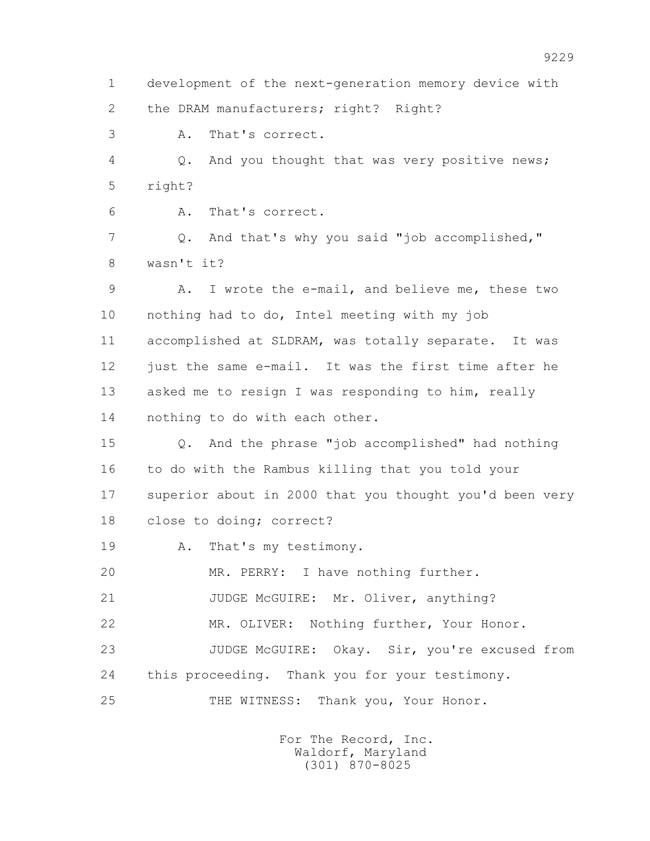1 development of the next-generation memory device with 2 the DRAM manufacturers; right? Right?

3 A. That's correct.

 4 Q. And you thought that was very positive news; 5 right?

6 A. That's correct.

 7 Q. And that's why you said "job accomplished," 8 wasn't it?

 9 A. I wrote the e-mail, and believe me, these two 10 nothing had to do, Intel meeting with my job 11 accomplished at SLDRAM, was totally separate. It was 12 just the same e-mail. It was the first time after he 13 asked me to resign I was responding to him, really 14 nothing to do with each other.

 15 Q. And the phrase "job accomplished" had nothing 16 to do with the Rambus killing that you told your 17 superior about in 2000 that you thought you'd been very 18 close to doing; correct?

19 A. That's my testimony.

20 MR. PERRY: I have nothing further.

21 JUDGE McGUIRE: Mr. Oliver, anything?

22 MR. OLIVER: Nothing further, Your Honor.

 23 JUDGE McGUIRE: Okay. Sir, you're excused from 24 this proceeding. Thank you for your testimony.

25 THE WITNESS: Thank you, Your Honor.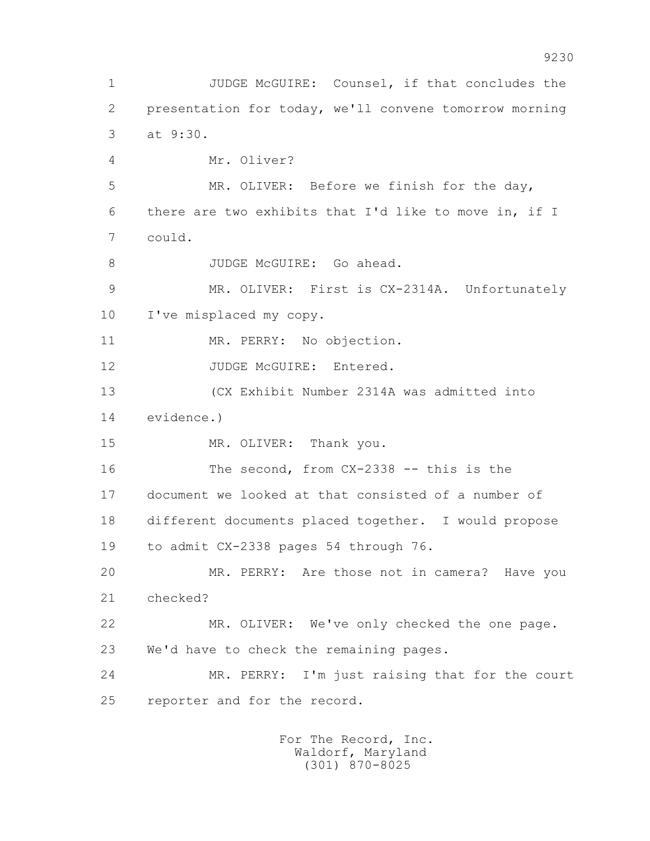1 JUDGE McGUIRE: Counsel, if that concludes the 2 presentation for today, we'll convene tomorrow morning 3 at 9:30. 4 Mr. Oliver? 5 MR. OLIVER: Before we finish for the day, 6 there are two exhibits that I'd like to move in, if I 7 could. 8 JUDGE McGUIRE: Go ahead. 9 MR. OLIVER: First is CX-2314A. Unfortunately 10 I've misplaced my copy. 11 MR. PERRY: No objection. 12 JUDGE McGUIRE: Entered. 13 (CX Exhibit Number 2314A was admitted into 14 evidence.) 15 MR. OLIVER: Thank you. 16 The second, from CX-2338 -- this is the 17 document we looked at that consisted of a number of 18 different documents placed together. I would propose 19 to admit CX-2338 pages 54 through 76. 20 MR. PERRY: Are those not in camera? Have you 21 checked? 22 MR. OLIVER: We've only checked the one page. 23 We'd have to check the remaining pages. 24 MR. PERRY: I'm just raising that for the court 25 reporter and for the record.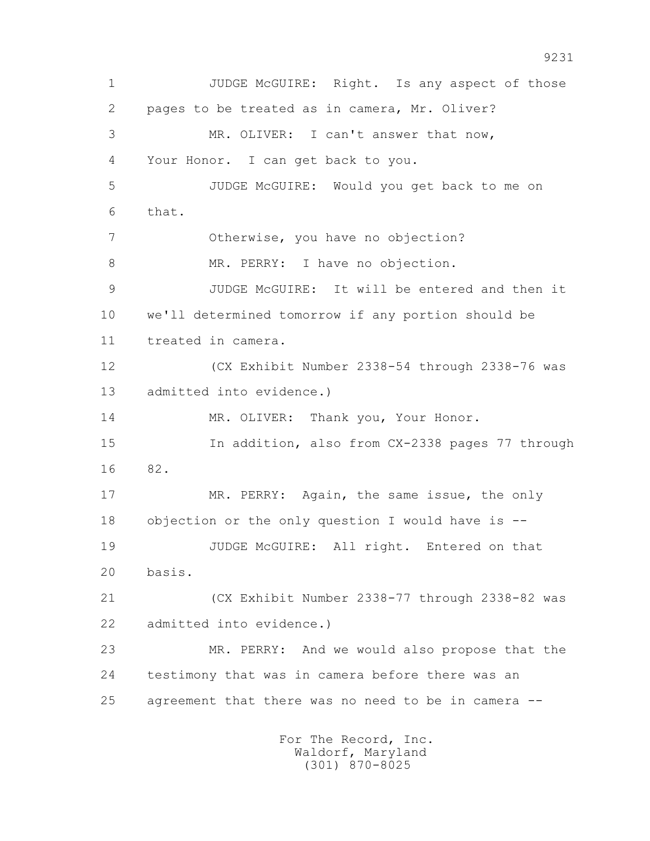1 JUDGE McGUIRE: Right. Is any aspect of those 2 pages to be treated as in camera, Mr. Oliver? 3 MR. OLIVER: I can't answer that now, 4 Your Honor. I can get back to you. 5 JUDGE McGUIRE: Would you get back to me on 6 that. 7 Otherwise, you have no objection? 8 MR. PERRY: I have no objection. 9 JUDGE McGUIRE: It will be entered and then it 10 we'll determined tomorrow if any portion should be 11 treated in camera. 12 (CX Exhibit Number 2338-54 through 2338-76 was 13 admitted into evidence.) 14 MR. OLIVER: Thank you, Your Honor. 15 In addition, also from CX-2338 pages 77 through 16 82. 17 MR. PERRY: Again, the same issue, the only 18 objection or the only question I would have is -- 19 JUDGE McGUIRE: All right. Entered on that 20 basis. 21 (CX Exhibit Number 2338-77 through 2338-82 was 22 admitted into evidence.) 23 MR. PERRY: And we would also propose that the 24 testimony that was in camera before there was an 25 agreement that there was no need to be in camera -- For The Record, Inc.

 Waldorf, Maryland (301) 870-8025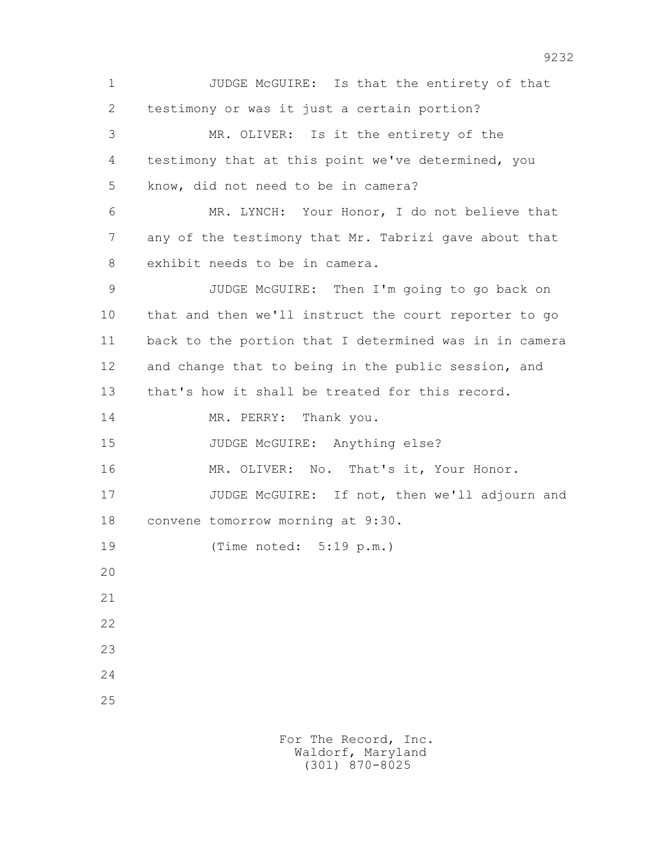1 JUDGE McGUIRE: Is that the entirety of that 2 testimony or was it just a certain portion? 3 MR. OLIVER: Is it the entirety of the 4 testimony that at this point we've determined, you 5 know, did not need to be in camera? 6 MR. LYNCH: Your Honor, I do not believe that 7 any of the testimony that Mr. Tabrizi gave about that 8 exhibit needs to be in camera. 9 JUDGE McGUIRE: Then I'm going to go back on 10 that and then we'll instruct the court reporter to go 11 back to the portion that I determined was in in camera 12 and change that to being in the public session, and 13 that's how it shall be treated for this record. 14 MR. PERRY: Thank you. 15 JUDGE McGUIRE: Anything else? 16 MR. OLIVER: No. That's it, Your Honor. 17 JUDGE McGUIRE: If not, then we'll adjourn and 18 convene tomorrow morning at 9:30. 19 (Time noted: 5:19 p.m.) 20 21 22 23 24 25